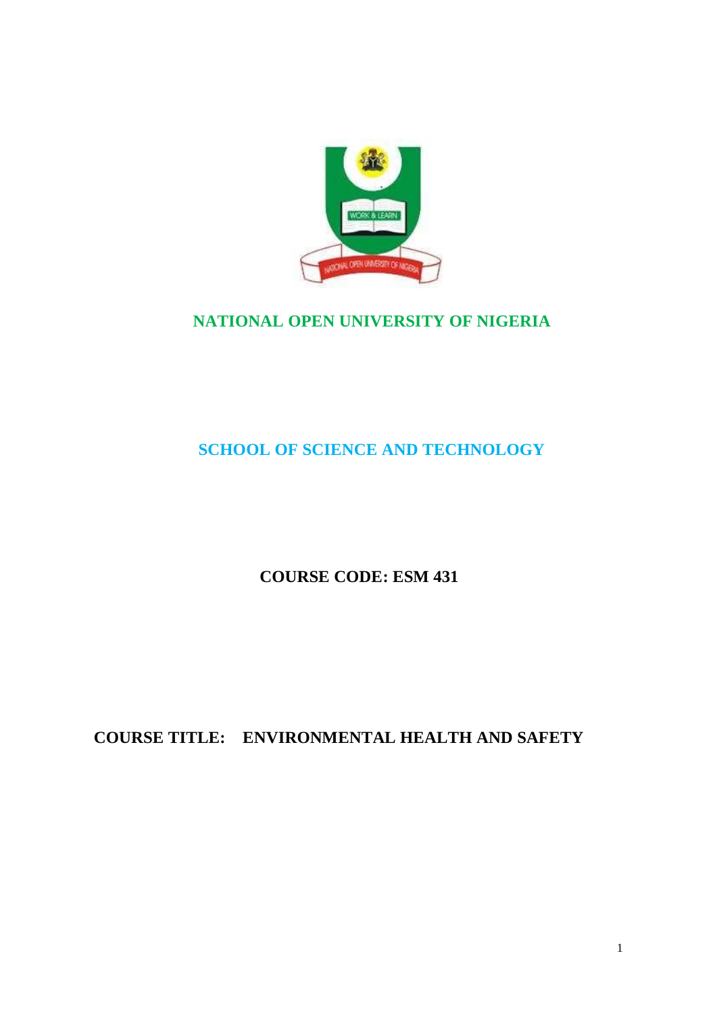

# **NATIONAL OPEN UNIVERSITY OF NIGERIA**

# **SCHOOL OF SCIENCE AND TECHNOLOGY**

# **COURSE CODE: ESM 431**

# **COURSE TITLE: ENVIRONMENTAL HEALTH AND SAFETY**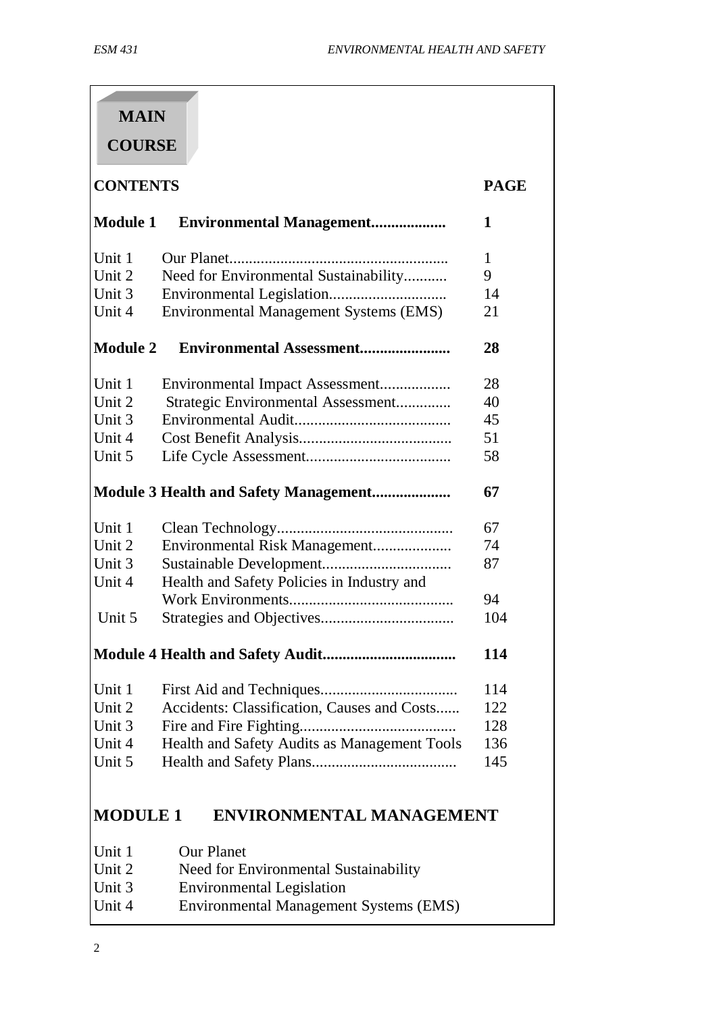| <b>MAIN</b>     |                                               |             |  |
|-----------------|-----------------------------------------------|-------------|--|
| <b>COURSE</b>   |                                               |             |  |
| <b>CONTENTS</b> |                                               | <b>PAGE</b> |  |
| <b>Module 1</b> | <b>Environmental Management</b>               | 1           |  |
| Unit 1          |                                               | 1           |  |
| Unit 2          | Need for Environmental Sustainability         | 9           |  |
| Unit 3          |                                               | 14          |  |
| Unit 4          | Environmental Management Systems (EMS)        | 21          |  |
| <b>Module 2</b> | <b>Environmental Assessment</b>               | 28          |  |
| Unit 1          | Environmental Impact Assessment               | 28          |  |
| Unit 2          | Strategic Environmental Assessment            | 40          |  |
| Unit 3          |                                               | 45          |  |
| Unit 4          |                                               | 51          |  |
| Unit 5          |                                               | 58          |  |
|                 | <b>Module 3 Health and Safety Management</b>  | 67          |  |
| Unit 1          |                                               | 67          |  |
| Unit 2          | Environmental Risk Management                 | 74          |  |
| Unit 3          |                                               | 87          |  |
| Unit 4          | Health and Safety Policies in Industry and    |             |  |
|                 |                                               | 94          |  |
| Unit 5          |                                               | 104         |  |
| 114             |                                               |             |  |
| Unit 1          |                                               | 114         |  |
| Unit 2          | Accidents: Classification, Causes and Costs   | 122         |  |
| Unit 3          |                                               | 128         |  |
| Unit 4          | Health and Safety Audits as Management Tools  | 136         |  |
| Unit 5          |                                               | 145         |  |
| <b>MODULE 1</b> | <b>ENVIRONMENTAL MANAGEMENT</b>               |             |  |
| Unit 1          | <b>Our Planet</b>                             |             |  |
| Unit 2          | Need for Environmental Sustainability         |             |  |
| Unit 3          | <b>Environmental Legislation</b>              |             |  |
| Unit 4          | <b>Environmental Management Systems (EMS)</b> |             |  |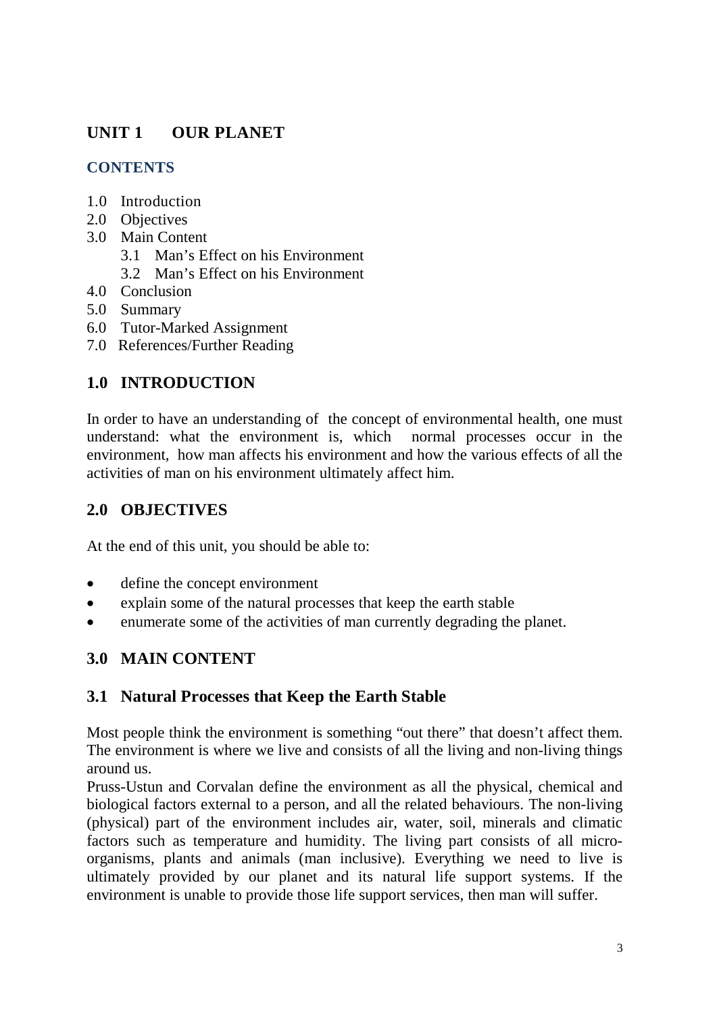# **UNIT 1 OUR PLANET**

## **CONTENTS**

- 1.0 Introduction
- 2.0 Objectives
- 3.0 Main Content
	- 3.1 Man's Effect on his Environment
	- 3.2 Man's Effect on his Environment
- 4.0 Conclusion
- 5.0 Summary
- 6.0 Tutor-Marked Assignment
- 7.0 References/Further Reading

## **1.0 INTRODUCTION**

In order to have an understanding of the concept of environmental health, one must understand: what the environment is, which normal processes occur in the environment, how man affects his environment and how the various effects of all the activities of man on his environment ultimately affect him.

## **2.0 OBJECTIVES**

At the end of this unit, you should be able to:

- define the concept environment
- explain some of the natural processes that keep the earth stable
- enumerate some of the activities of man currently degrading the planet.

## **3.0 MAIN CONTENT**

## **3.1 Natural Processes that Keep the Earth Stable**

Most people think the environment is something "out there" that doesn't affect them. The environment is where we live and consists of all the living and non-living things around us.

Pruss-Ustun and Corvalan define the environment as all the physical, chemical and biological factors external to a person, and all the related behaviours. The non-living (physical) part of the environment includes air, water, soil, minerals and climatic factors such as temperature and humidity. The living part consists of all microorganisms, plants and animals (man inclusive). Everything we need to live is ultimately provided by our planet and its natural life support systems. If the environment is unable to provide those life support services, then man will suffer.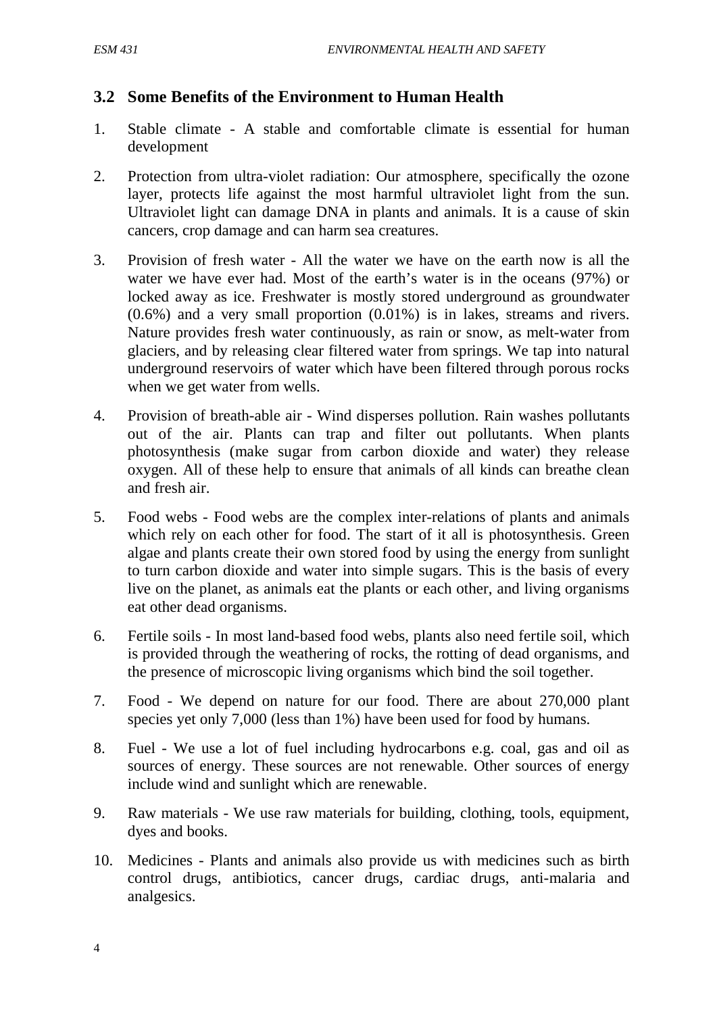## **3.2 Some Benefits of the Environment to Human Health**

- 1. Stable climate A stable and comfortable climate is essential for human development
- 2. Protection from ultra-violet radiation: Our atmosphere, specifically the ozone layer, protects life against the most harmful ultraviolet light from the sun. Ultraviolet light can damage DNA in plants and animals. It is a cause of skin cancers, crop damage and can harm sea creatures.
- 3. Provision of fresh water All the water we have on the earth now is all the water we have ever had. Most of the earth's water is in the oceans (97%) or locked away as ice. Freshwater is mostly stored underground as groundwater (0.6%) and a very small proportion (0.01%) is in lakes, streams and rivers. Nature provides fresh water continuously, as rain or snow, as melt-water from glaciers, and by releasing clear filtered water from springs. We tap into natural underground reservoirs of water which have been filtered through porous rocks when we get water from wells.
- 4. Provision of breath-able air Wind disperses pollution. Rain washes pollutants out of the air. Plants can trap and filter out pollutants. When plants photosynthesis (make sugar from carbon dioxide and water) they release oxygen. All of these help to ensure that animals of all kinds can breathe clean and fresh air.
- 5. Food webs Food webs are the complex inter-relations of plants and animals which rely on each other for food. The start of it all is photosynthesis. Green algae and plants create their own stored food by using the energy from sunlight to turn carbon dioxide and water into simple sugars. This is the basis of every live on the planet, as animals eat the plants or each other, and living organisms eat other dead organisms.
- 6. Fertile soils In most land-based food webs, plants also need fertile soil, which is provided through the weathering of rocks, the rotting of dead organisms, and the presence of microscopic living organisms which bind the soil together.
- 7. Food We depend on nature for our food. There are about 270,000 plant species yet only 7,000 (less than 1%) have been used for food by humans.
- 8. Fuel We use a lot of fuel including hydrocarbons e.g. coal, gas and oil as sources of energy. These sources are not renewable. Other sources of energy include wind and sunlight which are renewable.
- 9. Raw materials We use raw materials for building, clothing, tools, equipment, dyes and books.
- 10. Medicines Plants and animals also provide us with medicines such as birth control drugs, antibiotics, cancer drugs, cardiac drugs, anti-malaria and analgesics.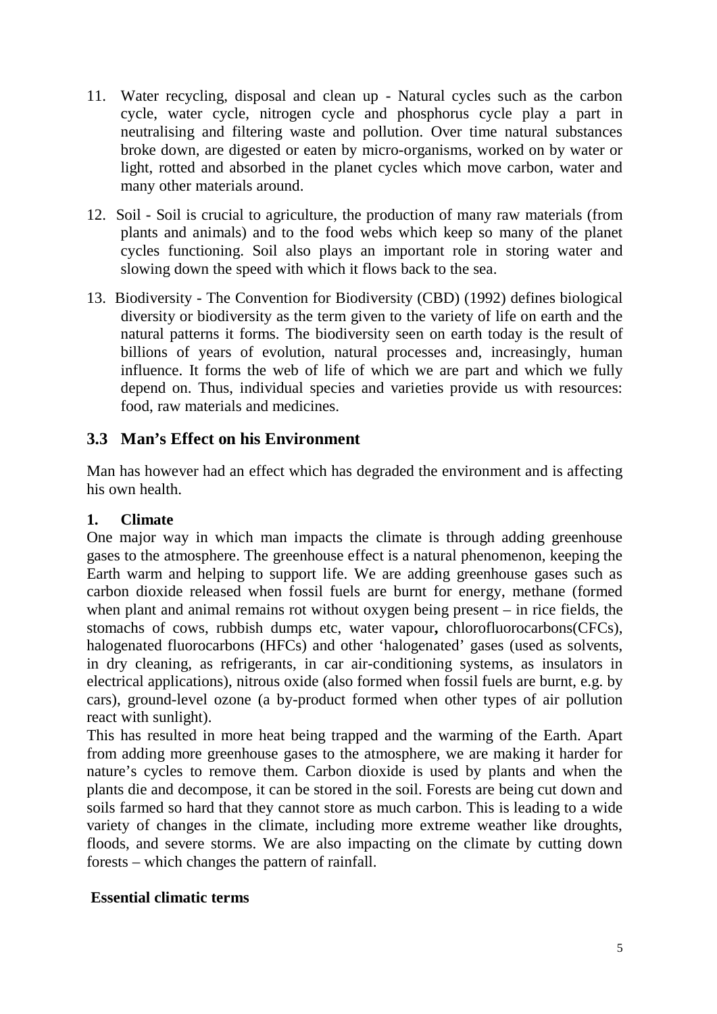- 11. Water recycling, disposal and clean up Natural cycles such as the carbon cycle, water cycle, nitrogen cycle and phosphorus cycle play a part in neutralising and filtering waste and pollution. Over time natural substances broke down, are digested or eaten by micro-organisms, worked on by water or light, rotted and absorbed in the planet cycles which move carbon, water and many other materials around.
- 12. Soil Soil is crucial to agriculture, the production of many raw materials (from plants and animals) and to the food webs which keep so many of the planet cycles functioning. Soil also plays an important role in storing water and slowing down the speed with which it flows back to the sea.
- 13. Biodiversity The Convention for Biodiversity (CBD) (1992) defines biological diversity or biodiversity as the term given to the variety of life on earth and the natural patterns it forms. The biodiversity seen on earth today is the result of billions of years of evolution, natural processes and, increasingly, human influence. It forms the web of life of which we are part and which we fully depend on. Thus, individual species and varieties provide us with resources: food, raw materials and medicines.

## **3.3 Man's Effect on his Environment**

Man has however had an effect which has degraded the environment and is affecting his own health.

#### **1. Climate**

One major way in which man impacts the climate is through adding greenhouse gases to the atmosphere. The greenhouse effect is a natural phenomenon, keeping the Earth warm and helping to support life. We are adding greenhouse gases such as carbon dioxide released when fossil fuels are burnt for energy, methane (formed when plant and animal remains rot without oxygen being present – in rice fields, the stomachs of cows, rubbish dumps etc, water vapour**,** chlorofluorocarbons(CFCs), halogenated fluorocarbons (HFCs) and other 'halogenated' gases (used as solvents, in dry cleaning, as refrigerants, in car air-conditioning systems, as insulators in electrical applications), nitrous oxide (also formed when fossil fuels are burnt, e.g. by cars), ground-level ozone (a by-product formed when other types of air pollution react with sunlight).

This has resulted in more heat being trapped and the warming of the Earth. Apart from adding more greenhouse gases to the atmosphere, we are making it harder for nature's cycles to remove them. Carbon dioxide is used by plants and when the plants die and decompose, it can be stored in the soil. Forests are being cut down and soils farmed so hard that they cannot store as much carbon. This is leading to a wide variety of changes in the climate, including more extreme weather like droughts, floods, and severe storms. We are also impacting on the climate by cutting down forests – which changes the pattern of rainfall.

#### **Essential climatic terms**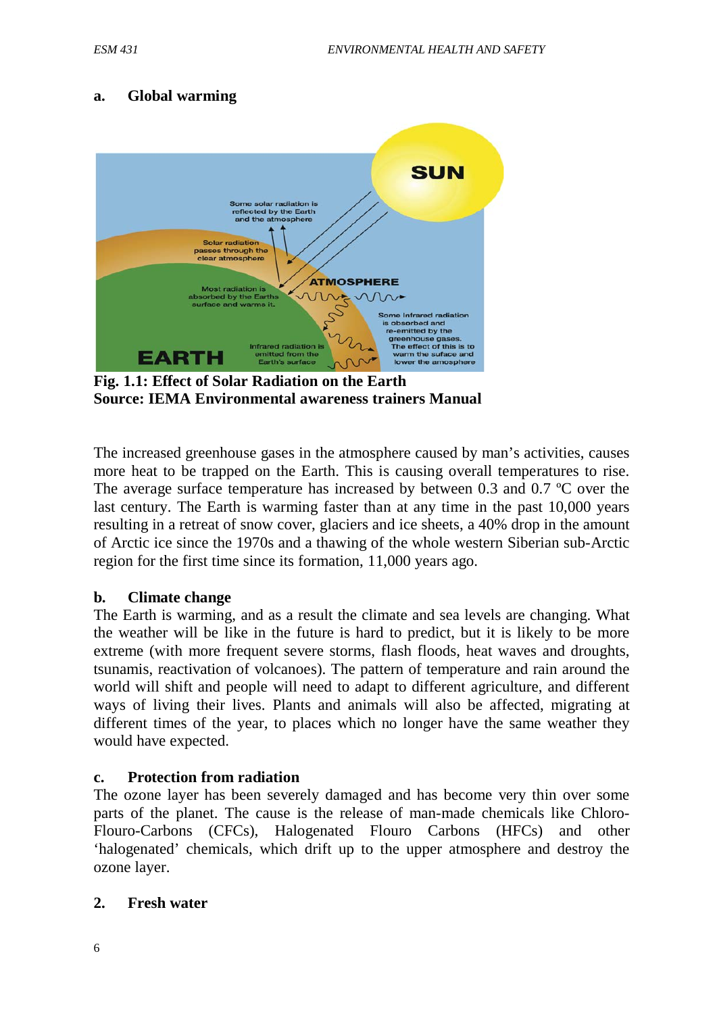### **a. Global warming**



**Fig. 1.1: Effect of Solar Radiation on the Earth Source: IEMA Environmental awareness trainers Manual**

The increased greenhouse gases in the atmosphere caused by man's activities, causes more heat to be trapped on the Earth. This is causing overall temperatures to rise. The average surface temperature has increased by between 0.3 and 0.7 ºC over the last century. The Earth is warming faster than at any time in the past 10,000 years resulting in a retreat of snow cover, glaciers and ice sheets, a 40% drop in the amount of Arctic ice since the 1970s and a thawing of the whole western Siberian sub-Arctic region for the first time since its formation, 11,000 years ago.

#### **b. Climate change**

The Earth is warming, and as a result the climate and sea levels are changing. What the weather will be like in the future is hard to predict, but it is likely to be more extreme (with more frequent severe storms, flash floods, heat waves and droughts, tsunamis, reactivation of volcanoes). The pattern of temperature and rain around the world will shift and people will need to adapt to different agriculture, and different ways of living their lives. Plants and animals will also be affected, migrating at different times of the year, to places which no longer have the same weather they would have expected.

#### **c. Protection from radiation**

The ozone layer has been severely damaged and has become very thin over some parts of the planet. The cause is the release of man-made chemicals like Chloro-Flouro-Carbons (CFCs), Halogenated Flouro Carbons (HFCs) and other 'halogenated' chemicals, which drift up to the upper atmosphere and destroy the ozone layer.

#### **2. Fresh water**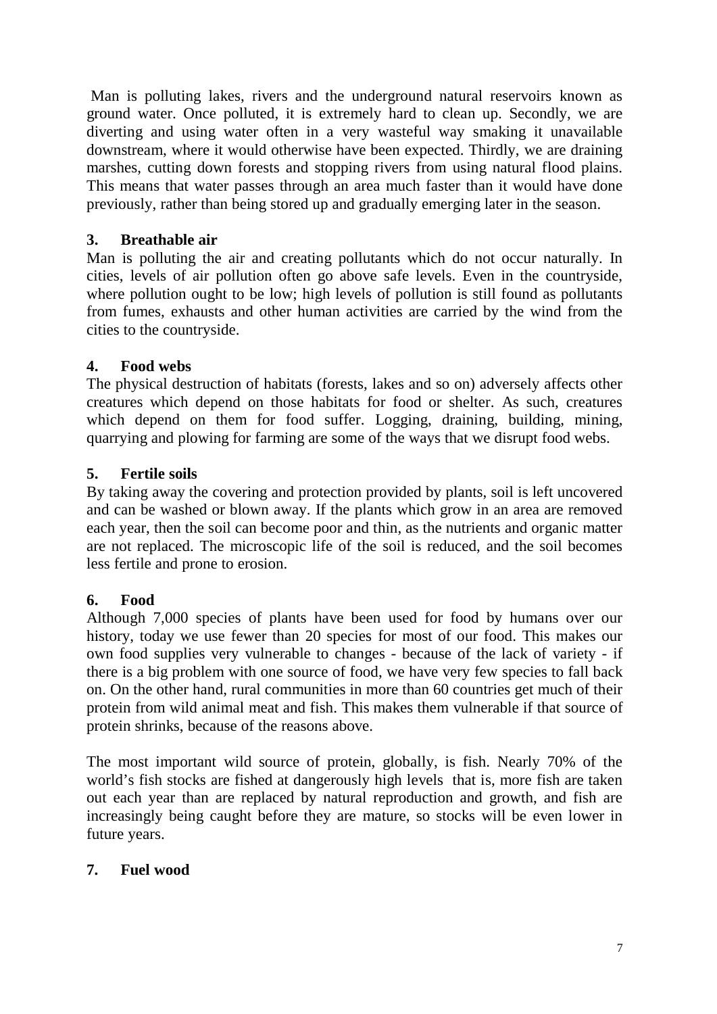Man is polluting lakes, rivers and the underground natural reservoirs known as ground water. Once polluted, it is extremely hard to clean up. Secondly, we are diverting and using water often in a very wasteful way smaking it unavailable downstream, where it would otherwise have been expected. Thirdly, we are draining marshes, cutting down forests and stopping rivers from using natural flood plains. This means that water passes through an area much faster than it would have done previously, rather than being stored up and gradually emerging later in the season.

#### **3. Breathable air**

Man is polluting the air and creating pollutants which do not occur naturally. In cities, levels of air pollution often go above safe levels. Even in the countryside, where pollution ought to be low; high levels of pollution is still found as pollutants from fumes, exhausts and other human activities are carried by the wind from the cities to the countryside.

#### **4. Food webs**

The physical destruction of habitats (forests, lakes and so on) adversely affects other creatures which depend on those habitats for food or shelter. As such, creatures which depend on them for food suffer. Logging, draining, building, mining, quarrying and plowing for farming are some of the ways that we disrupt food webs.

#### **5. Fertile soils**

By taking away the covering and protection provided by plants, soil is left uncovered and can be washed or blown away. If the plants which grow in an area are removed each year, then the soil can become poor and thin, as the nutrients and organic matter are not replaced. The microscopic life of the soil is reduced, and the soil becomes less fertile and prone to erosion.

#### **6. Food**

Although 7,000 species of plants have been used for food by humans over our history, today we use fewer than 20 species for most of our food. This makes our own food supplies very vulnerable to changes - because of the lack of variety - if there is a big problem with one source of food, we have very few species to fall back on. On the other hand, rural communities in more than 60 countries get much of their protein from wild animal meat and fish. This makes them vulnerable if that source of protein shrinks, because of the reasons above.

The most important wild source of protein, globally, is fish. Nearly 70% of the world's fish stocks are fished at dangerously high levels that is, more fish are taken out each year than are replaced by natural reproduction and growth, and fish are increasingly being caught before they are mature, so stocks will be even lower in future years.

#### **7. Fuel wood**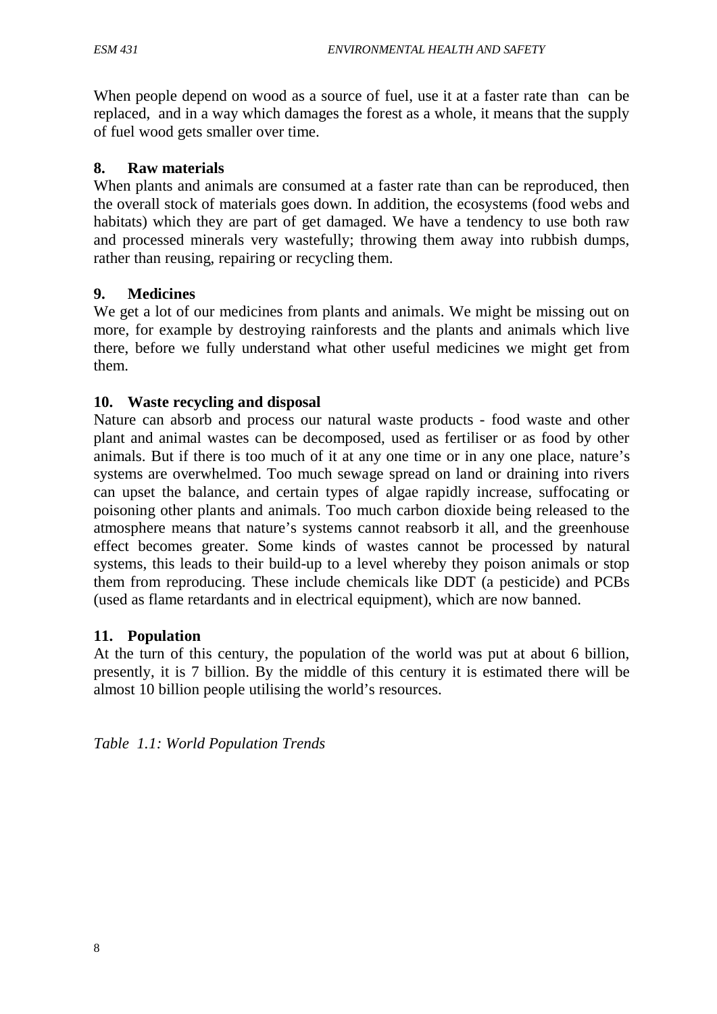When people depend on wood as a source of fuel, use it at a faster rate than can be replaced, and in a way which damages the forest as a whole, it means that the supply of fuel wood gets smaller over time.

### **8. Raw materials**

When plants and animals are consumed at a faster rate than can be reproduced, then the overall stock of materials goes down. In addition, the ecosystems (food webs and habitats) which they are part of get damaged. We have a tendency to use both raw and processed minerals very wastefully; throwing them away into rubbish dumps, rather than reusing, repairing or recycling them.

### **9. Medicines**

We get a lot of our medicines from plants and animals. We might be missing out on more, for example by destroying rainforests and the plants and animals which live there, before we fully understand what other useful medicines we might get from them.

### **10. Waste recycling and disposal**

Nature can absorb and process our natural waste products - food waste and other plant and animal wastes can be decomposed, used as fertiliser or as food by other animals. But if there is too much of it at any one time or in any one place, nature's systems are overwhelmed. Too much sewage spread on land or draining into rivers can upset the balance, and certain types of algae rapidly increase, suffocating or poisoning other plants and animals. Too much carbon dioxide being released to the atmosphere means that nature's systems cannot reabsorb it all, and the greenhouse effect becomes greater. Some kinds of wastes cannot be processed by natural systems, this leads to their build-up to a level whereby they poison animals or stop them from reproducing. These include chemicals like DDT (a pesticide) and PCBs (used as flame retardants and in electrical equipment), which are now banned.

#### **11. Population**

At the turn of this century, the population of the world was put at about 6 billion, presently, it is 7 billion. By the middle of this century it is estimated there will be almost 10 billion people utilising the world's resources.

*Table 1.1: World Population Trends*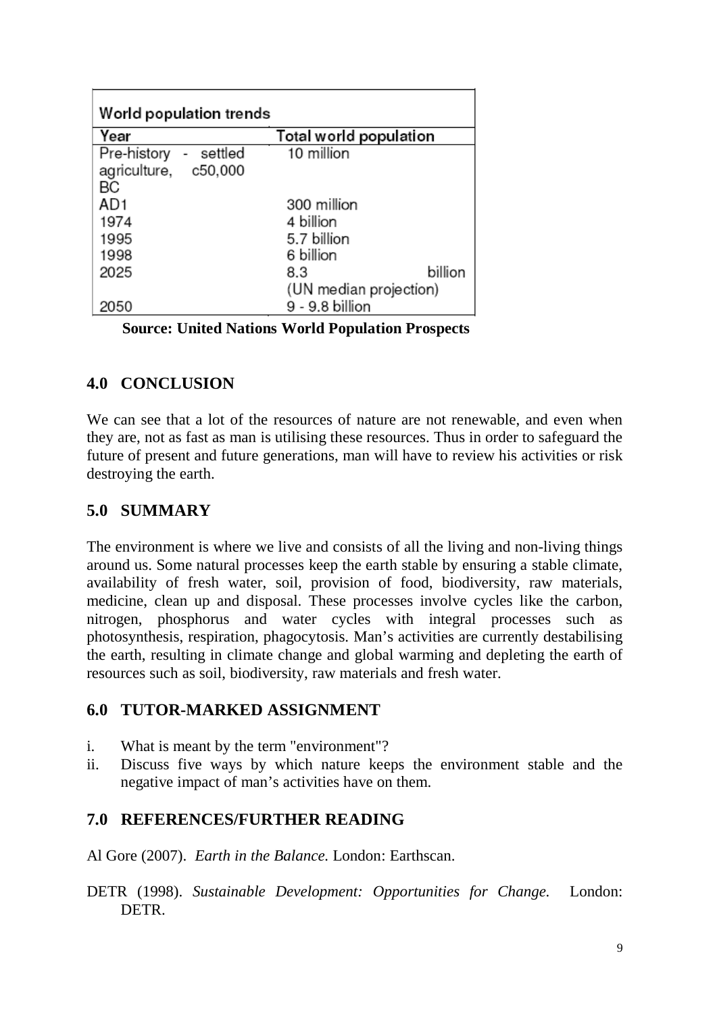| World population trends                            |                        |  |  |
|----------------------------------------------------|------------------------|--|--|
| Year                                               | Total world population |  |  |
| Pre-history<br>settled<br>$\overline{\phantom{a}}$ | 10 million             |  |  |
| agriculture,<br>c50,000                            |                        |  |  |
| BС                                                 |                        |  |  |
| AD1                                                | 300 million            |  |  |
| 1974                                               | 4 billion              |  |  |
| 1995                                               | 5.7 billion            |  |  |
| 1998                                               | 6 billion              |  |  |
| 2025                                               | billion<br>8.3         |  |  |
|                                                    | (UN median projection) |  |  |
| 050                                                | 9 - 9.8 billion        |  |  |

 **Source: United Nations World Population Prospects**

## **4.0 CONCLUSION**

We can see that a lot of the resources of nature are not renewable, and even when they are, not as fast as man is utilising these resources. Thus in order to safeguard the future of present and future generations, man will have to review his activities or risk destroying the earth.

## **5.0 SUMMARY**

The environment is where we live and consists of all the living and non-living things around us. Some natural processes keep the earth stable by ensuring a stable climate, availability of fresh water, soil, provision of food, biodiversity, raw materials, medicine, clean up and disposal. These processes involve cycles like the carbon, nitrogen, phosphorus and water cycles with integral processes such as photosynthesis, respiration, phagocytosis. Man's activities are currently destabilising the earth, resulting in climate change and global warming and depleting the earth of resources such as soil, biodiversity, raw materials and fresh water.

## **6.0 TUTOR-MARKED ASSIGNMENT**

- i. What is meant by the term "environment"?
- ii. Discuss five ways by which nature keeps the environment stable and the negative impact of man's activities have on them.

## **7.0 REFERENCES/FURTHER READING**

Al Gore (2007). *Earth in the Balance.* London: Earthscan.

DETR (1998). *Sustainable Development: Opportunities for Change.* London: DETR.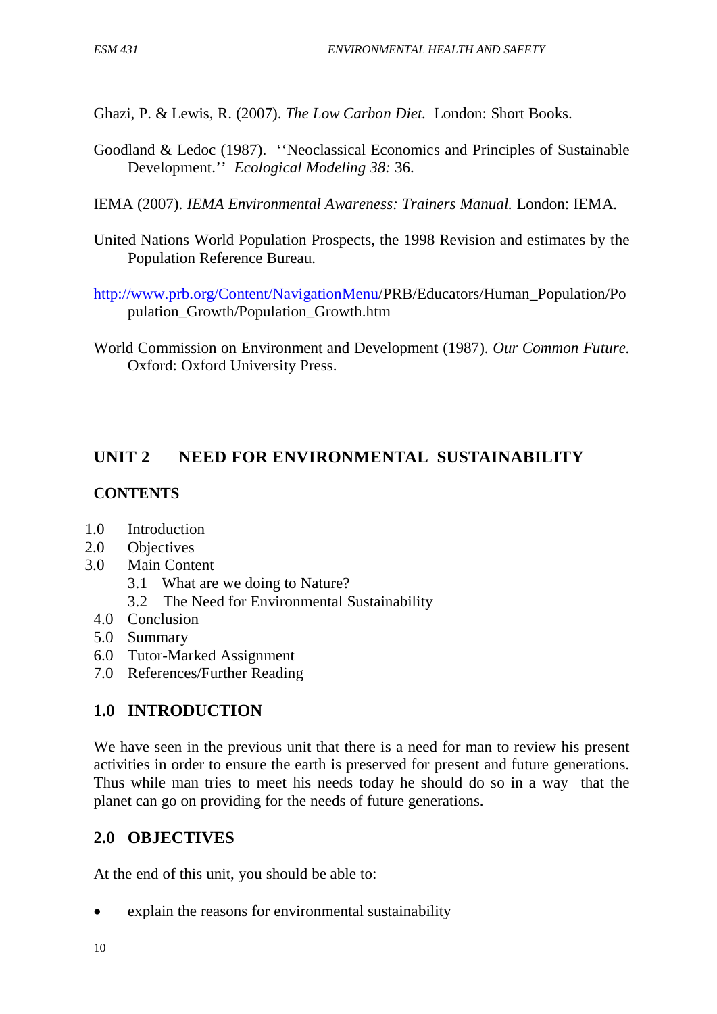Ghazi, P. & Lewis, R. (2007). *The Low Carbon Diet.* London: Short Books.

Goodland & Ledoc (1987). ''Neoclassical Economics and Principles of Sustainable Development.'' *Ecological Modeling 38:* 36.

IEMA (2007). *IEMA Environmental Awareness: Trainers Manual.* London: IEMA.

- United Nations World Population Prospects, the 1998 Revision and estimates by the Population Reference Bureau.
- [http://www.prb.org/Content/NavigationMenu/](http://www.prb.org/Content/NavigationMenu)PRB/Educators/Human\_Population/Po pulation\_Growth/Population\_Growth.htm
- World Commission on Environment and Development (1987). *Our Common Future.* Oxford: Oxford University Press.

# **UNIT 2 NEED FOR ENVIRONMENTAL SUSTAINABILITY**

## **CONTENTS**

- 1.0 Introduction
- 2.0 Objectives
- 3.0 Main Content
	- 3.1 What are we doing to Nature?
	- 3.2 The Need for Environmental Sustainability
	- 4.0 Conclusion
	- 5.0 Summary
	- 6.0 Tutor-Marked Assignment
	- 7.0 References/Further Reading

## **1.0 INTRODUCTION**

We have seen in the previous unit that there is a need for man to review his present activities in order to ensure the earth is preserved for present and future generations. Thus while man tries to meet his needs today he should do so in a way that the planet can go on providing for the needs of future generations.

## **2.0 OBJECTIVES**

At the end of this unit, you should be able to:

• explain the reasons for environmental sustainability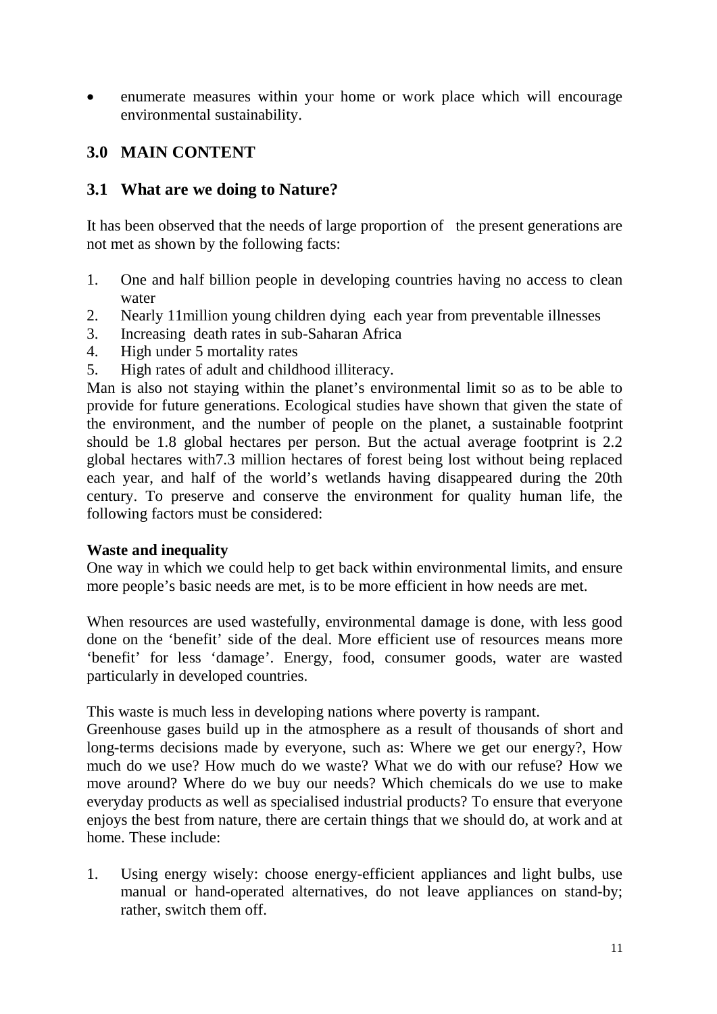• enumerate measures within your home or work place which will encourage environmental sustainability.

## **3.0 MAIN CONTENT**

### **3.1 What are we doing to Nature?**

It has been observed that the needs of large proportion of the present generations are not met as shown by the following facts:

- 1. One and half billion people in developing countries having no access to clean water
- 2. Nearly 11million young children dying each year from preventable illnesses
- 3. Increasing death rates in sub-Saharan Africa
- 4. High under 5 mortality rates
- 5. High rates of adult and childhood illiteracy.

Man is also not staying within the planet's environmental limit so as to be able to provide for future generations. Ecological studies have shown that given the state of the environment, and the number of people on the planet, a sustainable footprint should be 1.8 global hectares per person. But the actual average footprint is 2.2 global hectares with7.3 million hectares of forest being lost without being replaced each year, and half of the world's wetlands having disappeared during the 20th century. To preserve and conserve the environment for quality human life, the following factors must be considered:

#### **Waste and inequality**

One way in which we could help to get back within environmental limits, and ensure more people's basic needs are met, is to be more efficient in how needs are met.

When resources are used wastefully, environmental damage is done, with less good done on the 'benefit' side of the deal. More efficient use of resources means more 'benefit' for less 'damage'. Energy, food, consumer goods, water are wasted particularly in developed countries.

This waste is much less in developing nations where poverty is rampant.

Greenhouse gases build up in the atmosphere as a result of thousands of short and long-terms decisions made by everyone, such as: Where we get our energy?, How much do we use? How much do we waste? What we do with our refuse? How we move around? Where do we buy our needs? Which chemicals do we use to make everyday products as well as specialised industrial products? To ensure that everyone enjoys the best from nature, there are certain things that we should do, at work and at home. These include:

1. Using energy wisely: choose energy-efficient appliances and light bulbs, use manual or hand-operated alternatives, do not leave appliances on stand-by; rather, switch them off.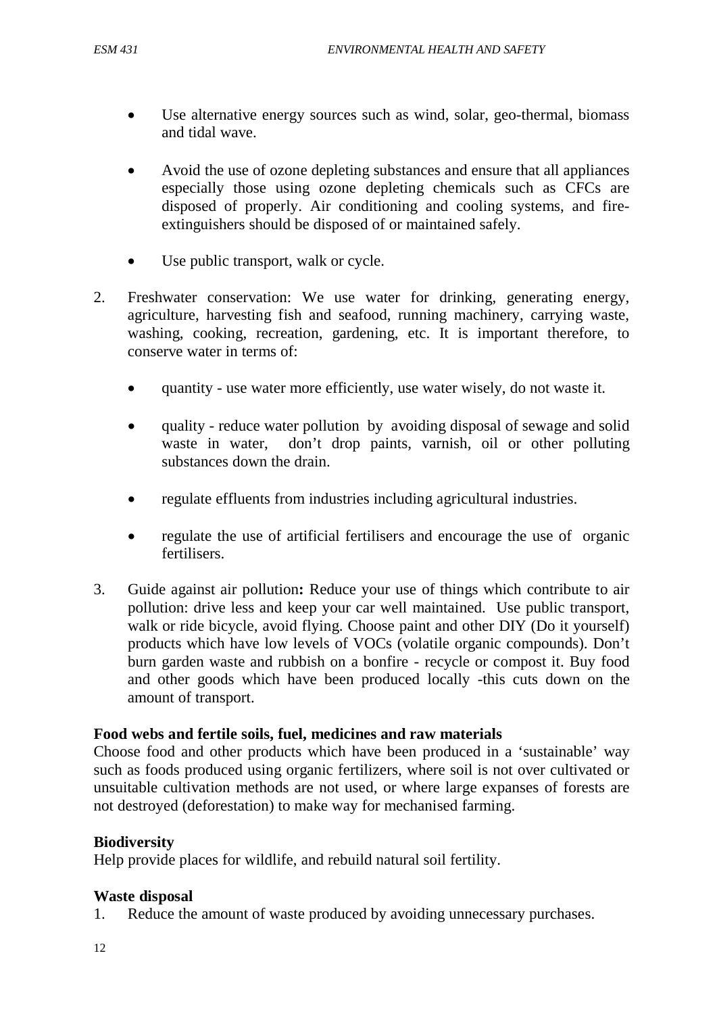- Use alternative energy sources such as wind, solar, geo-thermal, biomass and tidal wave.
- Avoid the use of ozone depleting substances and ensure that all appliances especially those using ozone depleting chemicals such as CFCs are disposed of properly. Air conditioning and cooling systems, and fireextinguishers should be disposed of or maintained safely.
- Use public transport, walk or cycle.
- 2. Freshwater conservation: We use water for drinking, generating energy, agriculture, harvesting fish and seafood, running machinery, carrying waste, washing, cooking, recreation, gardening, etc. It is important therefore, to conserve water in terms of:
	- quantity use water more efficiently, use water wisely, do not waste it.
	- quality reduce water pollution by avoiding disposal of sewage and solid waste in water, don't drop paints, varnish, oil or other polluting substances down the drain.
	- regulate effluents from industries including agricultural industries.
	- regulate the use of artificial fertilisers and encourage the use of organic fertilisers.
- 3. Guide against air pollution**:** Reduce your use of things which contribute to air pollution: drive less and keep your car well maintained. Use public transport, walk or ride bicycle, avoid flying. Choose paint and other DIY (Do it yourself) products which have low levels of VOCs (volatile organic compounds). Don't burn garden waste and rubbish on a bonfire - recycle or compost it. Buy food and other goods which have been produced locally -this cuts down on the amount of transport.

#### **Food webs and fertile soils, fuel, medicines and raw materials**

Choose food and other products which have been produced in a 'sustainable' way such as foods produced using organic fertilizers, where soil is not over cultivated or unsuitable cultivation methods are not used, or where large expanses of forests are not destroyed (deforestation) to make way for mechanised farming.

#### **Biodiversity**

Help provide places for wildlife, and rebuild natural soil fertility.

#### **Waste disposal**

1. Reduce the amount of waste produced by avoiding unnecessary purchases.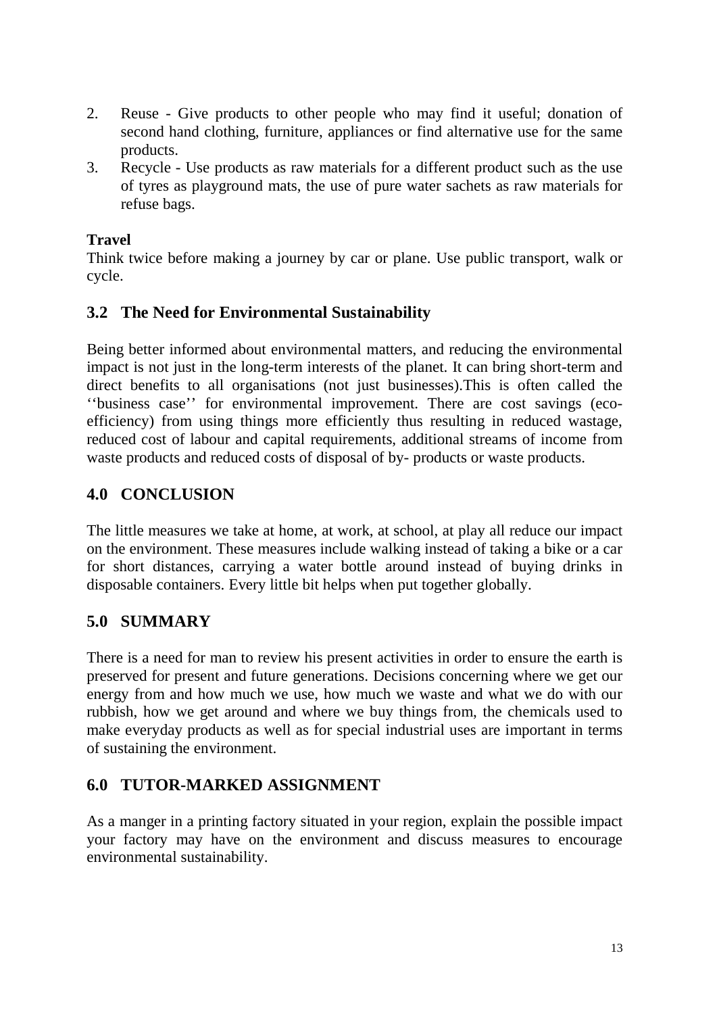- 2. Reuse Give products to other people who may find it useful; donation of second hand clothing, furniture, appliances or find alternative use for the same products.
- 3. Recycle Use products as raw materials for a different product such as the use of tyres as playground mats, the use of pure water sachets as raw materials for refuse bags.

### **Travel**

Think twice before making a journey by car or plane. Use public transport, walk or cycle.

## **3.2 The Need for Environmental Sustainability**

Being better informed about environmental matters, and reducing the environmental impact is not just in the long-term interests of the planet. It can bring short-term and direct benefits to all organisations (not just businesses).This is often called the ''business case'' for environmental improvement. There are cost savings (ecoefficiency) from using things more efficiently thus resulting in reduced wastage, reduced cost of labour and capital requirements, additional streams of income from waste products and reduced costs of disposal of by- products or waste products.

## **4.0 CONCLUSION**

The little measures we take at home, at work, at school, at play all reduce our impact on the environment. These measures include walking instead of taking a bike or a car for short distances, carrying a water bottle around instead of buying drinks in disposable containers. Every little bit helps when put together globally.

## **5.0 SUMMARY**

There is a need for man to review his present activities in order to ensure the earth is preserved for present and future generations. Decisions concerning where we get our energy from and how much we use, how much we waste and what we do with our rubbish, how we get around and where we buy things from, the chemicals used to make everyday products as well as for special industrial uses are important in terms of sustaining the environment.

## **6.0 TUTOR-MARKED ASSIGNMENT**

As a manger in a printing factory situated in your region, explain the possible impact your factory may have on the environment and discuss measures to encourage environmental sustainability.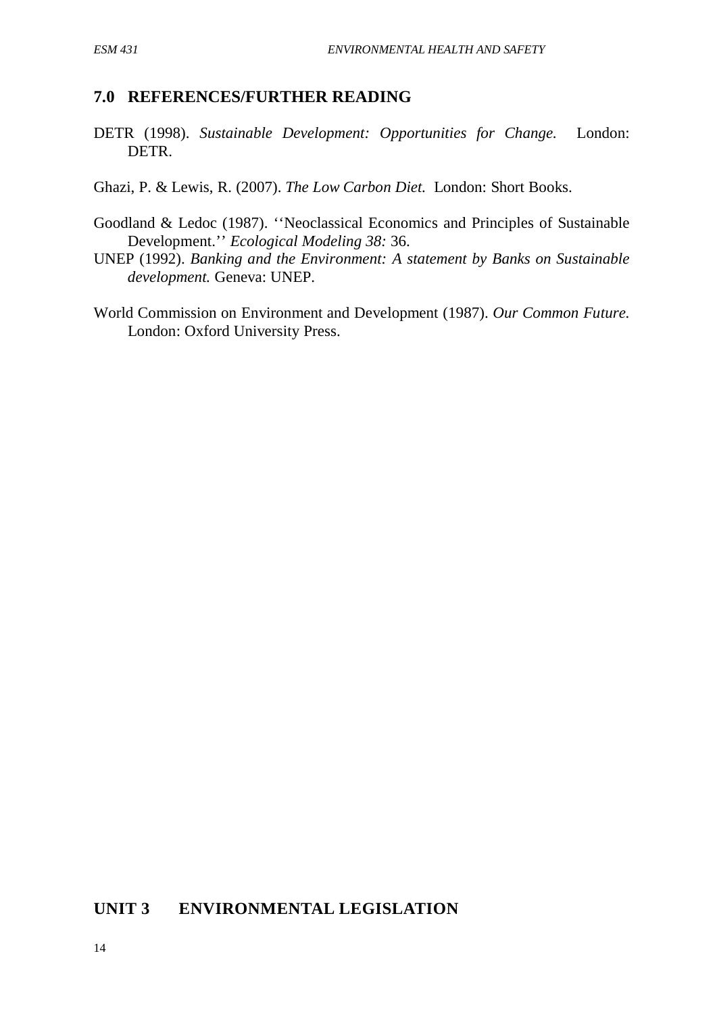#### **7.0 REFERENCES/FURTHER READING**

- DETR (1998). *Sustainable Development: Opportunities for Change.* London: DETR.
- Ghazi, P. & Lewis, R. (2007). *The Low Carbon Diet.* London: Short Books.
- Goodland & Ledoc (1987). ''Neoclassical Economics and Principles of Sustainable Development.'' *Ecological Modeling 38:* 36.
- UNEP (1992). *Banking and the Environment: A statement by Banks on Sustainable development.* Geneva: UNEP.
- World Commission on Environment and Development (1987). *Our Common Future.* London: Oxford University Press.

### **UNIT 3 ENVIRONMENTAL LEGISLATION**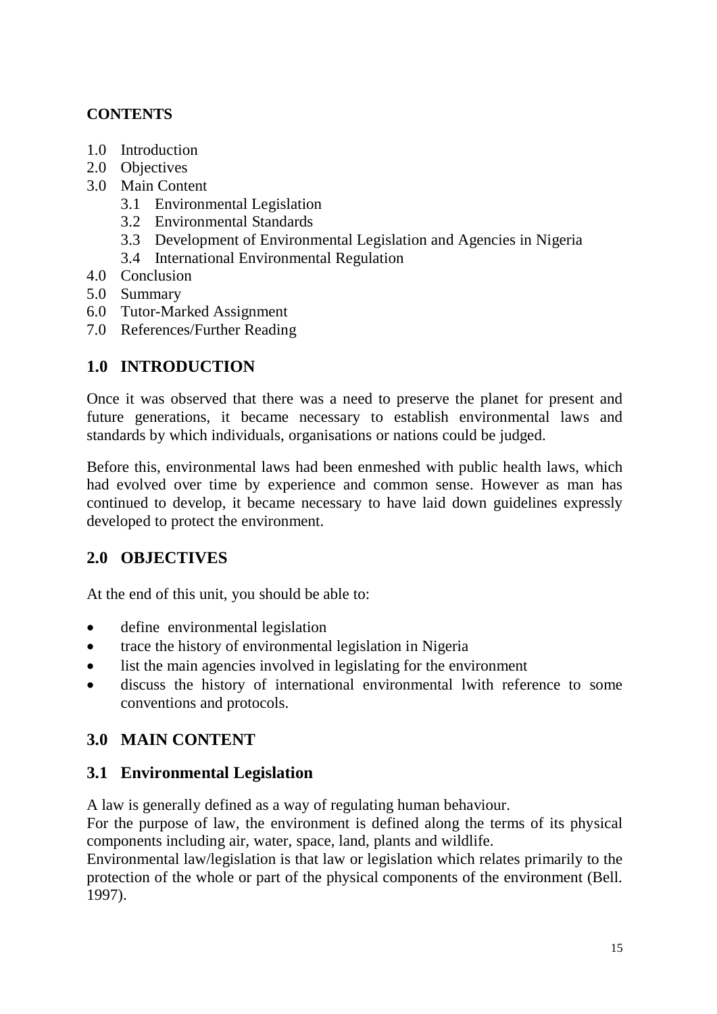## **CONTENTS**

- 1.0 Introduction
- 2.0 Objectives
- 3.0 Main Content
	- 3.1 Environmental Legislation
	- 3.2 Environmental Standards
	- 3.3 Development of Environmental Legislation and Agencies in Nigeria
	- 3.4 International Environmental Regulation
- 4.0 Conclusion
- 5.0 Summary
- 6.0 Tutor-Marked Assignment
- 7.0 References/Further Reading

# **1.0 INTRODUCTION**

Once it was observed that there was a need to preserve the planet for present and future generations, it became necessary to establish environmental laws and standards by which individuals, organisations or nations could be judged.

Before this, environmental laws had been enmeshed with public health laws, which had evolved over time by experience and common sense. However as man has continued to develop, it became necessary to have laid down guidelines expressly developed to protect the environment.

## **2.0 OBJECTIVES**

At the end of this unit, you should be able to:

- define environmental legislation
- trace the history of environmental legislation in Nigeria
- list the main agencies involved in legislating for the environment
- discuss the history of international environmental lwith reference to some conventions and protocols.

## **3.0 MAIN CONTENT**

## **3.1 Environmental Legislation**

A law is generally defined as a way of regulating human behaviour.

For the purpose of law, the environment is defined along the terms of its physical components including air, water, space, land, plants and wildlife.

Environmental law/legislation is that law or legislation which relates primarily to the protection of the whole or part of the physical components of the environment (Bell. 1997).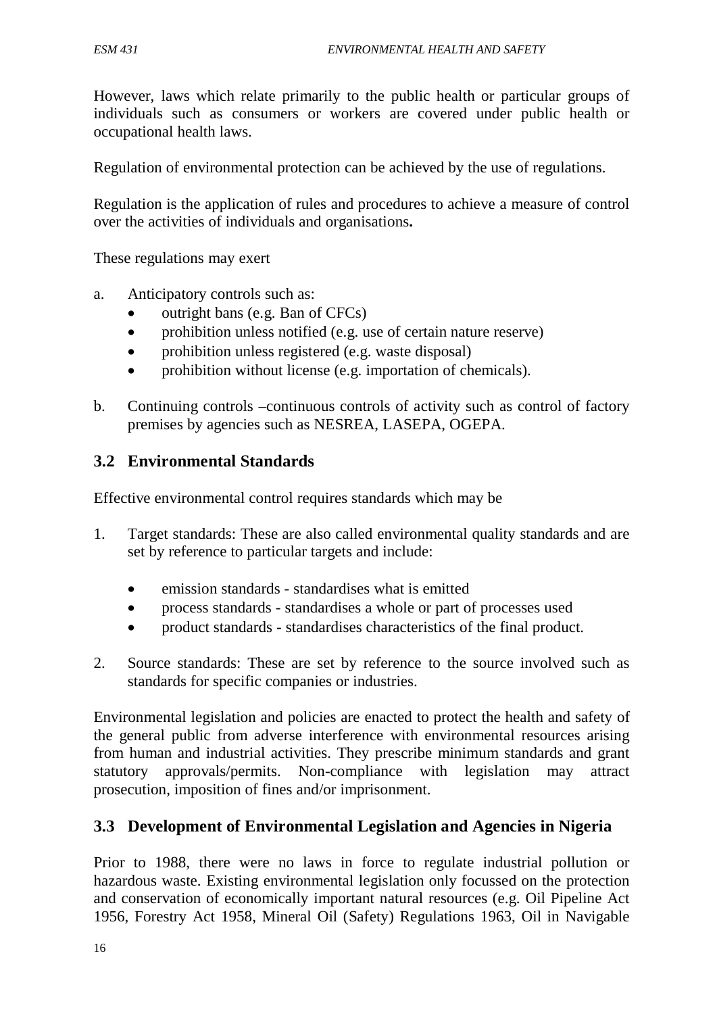However, laws which relate primarily to the public health or particular groups of individuals such as consumers or workers are covered under public health or occupational health laws.

Regulation of environmental protection can be achieved by the use of regulations.

Regulation is the application of rules and procedures to achieve a measure of control over the activities of individuals and organisations**.**

These regulations may exert

- a. Anticipatory controls such as:
	- outright bans (e.g. Ban of  $CFCs$ )
	- prohibition unless notified (e.g. use of certain nature reserve)
	- prohibition unless registered (e.g. waste disposal)
	- prohibition without license (e.g. importation of chemicals).
- b. Continuing controls –continuous controls of activity such as control of factory premises by agencies such as NESREA, LASEPA, OGEPA.

#### **3.2 Environmental Standards**

Effective environmental control requires standards which may be

- 1. Target standards: These are also called environmental quality standards and are set by reference to particular targets and include:
	- emission standards standardises what is emitted
	- process standards standardises a whole or part of processes used
	- product standards standardises characteristics of the final product.
- 2. Source standards: These are set by reference to the source involved such as standards for specific companies or industries.

Environmental legislation and policies are enacted to protect the health and safety of the general public from adverse interference with environmental resources arising from human and industrial activities. They prescribe minimum standards and grant statutory approvals/permits. Non-compliance with legislation may attract prosecution, imposition of fines and/or imprisonment.

#### **3.3 Development of Environmental Legislation and Agencies in Nigeria**

Prior to 1988, there were no laws in force to regulate industrial pollution or hazardous waste. Existing environmental legislation only focussed on the protection and conservation of economically important natural resources (e.g. Oil Pipeline Act 1956, Forestry Act 1958, Mineral Oil (Safety) Regulations 1963, Oil in Navigable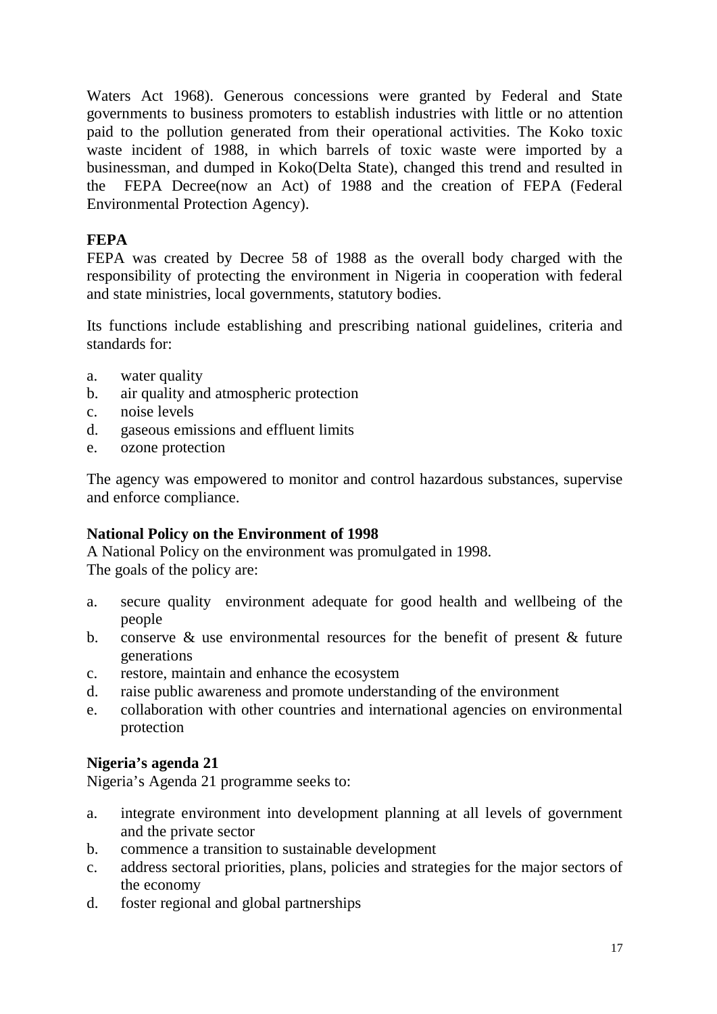Waters Act 1968). Generous concessions were granted by Federal and State governments to business promoters to establish industries with little or no attention paid to the pollution generated from their operational activities. The Koko toxic waste incident of 1988, in which barrels of toxic waste were imported by a businessman, and dumped in Koko(Delta State), changed this trend and resulted in the FEPA Decree(now an Act) of 1988 and the creation of FEPA (Federal Environmental Protection Agency).

### **FEPA**

FEPA was created by Decree 58 of 1988 as the overall body charged with the responsibility of protecting the environment in Nigeria in cooperation with federal and state ministries, local governments, statutory bodies.

Its functions include establishing and prescribing national guidelines, criteria and standards for:

- a. water quality
- b. air quality and atmospheric protection
- c. noise levels
- d. gaseous emissions and effluent limits
- e. ozone protection

The agency was empowered to monitor and control hazardous substances, supervise and enforce compliance.

#### **National Policy on the Environment of 1998**

A National Policy on the environment was promulgated in 1998. The goals of the policy are:

- a. secure quality environment adequate for good health and wellbeing of the people
- b. conserve  $\&$  use environmental resources for the benefit of present  $\&$  future generations
- c. restore, maintain and enhance the ecosystem
- d. raise public awareness and promote understanding of the environment
- e. collaboration with other countries and international agencies on environmental protection

#### **Nigeria's agenda 21**

Nigeria's Agenda 21 programme seeks to:

- a. integrate environment into development planning at all levels of government and the private sector
- b. commence a transition to sustainable development
- c. address sectoral priorities, plans, policies and strategies for the major sectors of the economy
- d. foster regional and global partnerships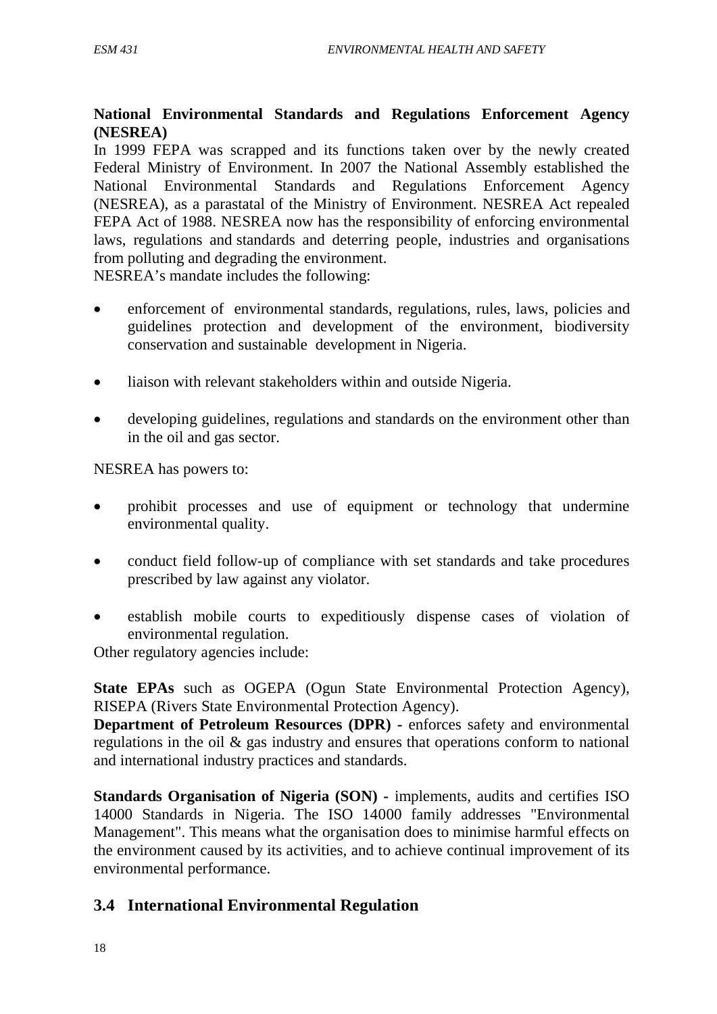#### **National Environmental Standards and Regulations Enforcement Agency (NESREA)**

In 1999 FEPA was scrapped and its functions taken over by the newly created Federal Ministry of Environment. In 2007 the National Assembly established the National Environmental Standards and Regulations Enforcement Agency (NESREA), as a parastatal of the Ministry of Environment. NESREA Act repealed FEPA Act of 1988. NESREA now has the responsibility of enforcing environmental laws, regulations and standards and deterring people, industries and organisations from polluting and degrading the environment.

NESREA's mandate includes the following:

- enforcement of environmental standards, regulations, rules, laws, policies and guidelines protection and development of the environment, biodiversity conservation and sustainable development in Nigeria.
- liaison with relevant stakeholders within and outside Nigeria.
- developing guidelines, regulations and standards on the environment other than in the oil and gas sector.

NESREA has powers to:

- prohibit processes and use of equipment or technology that undermine environmental quality.
- conduct field follow-up of compliance with set standards and take procedures prescribed by law against any violator.
- establish mobile courts to expeditiously dispense cases of violation of environmental regulation.

Other regulatory agencies include:

**State EPAs** such as OGEPA (Ogun State Environmental Protection Agency), RISEPA (Rivers State Environmental Protection Agency).

**Department of Petroleum Resources (DPR) -** enforces safety and environmental regulations in the oil & gas industry and ensures that operations conform to national and international industry practices and standards.

**Standards Organisation of Nigeria (SON) -** implements, audits and certifies ISO 14000 Standards in Nigeria. The ISO 14000 family addresses "Environmental Management". This means what the organisation does to minimise harmful effects on the environment caused by its activities, and to achieve continual improvement of its environmental performance.

## **3.4 International Environmental Regulation**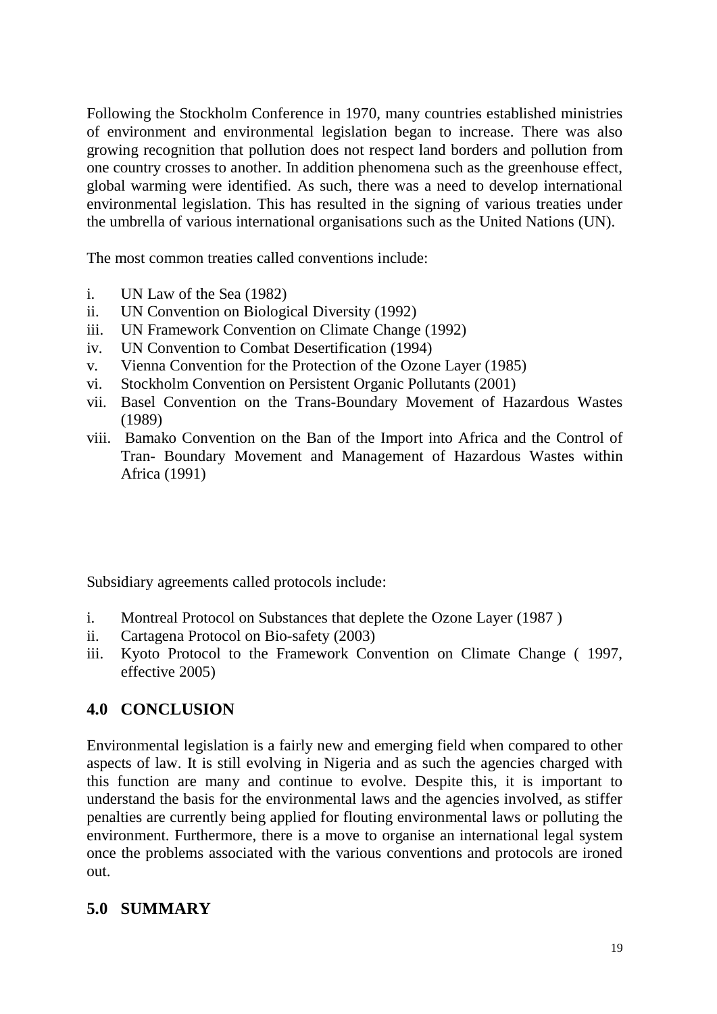Following the Stockholm Conference in 1970, many countries established ministries of environment and environmental legislation began to increase. There was also growing recognition that pollution does not respect land borders and pollution from one country crosses to another. In addition phenomena such as the greenhouse effect, global warming were identified. As such, there was a need to develop international environmental legislation. This has resulted in the signing of various treaties under the umbrella of various international organisations such as the United Nations (UN).

The most common treaties called conventions include:

- i. UN Law of the Sea (1982)
- ii. UN Convention on Biological Diversity (1992)
- iii. UN Framework Convention on Climate Change (1992)
- iv. UN Convention to Combat Desertification (1994)
- v. Vienna Convention for the Protection of the Ozone Layer (1985)
- vi. Stockholm Convention on Persistent Organic Pollutants (2001)
- vii. Basel Convention on the Trans-Boundary Movement of Hazardous Wastes (1989)
- viii. Bamako Convention on the Ban of the Import into Africa and the Control of Tran- Boundary Movement and Management of Hazardous Wastes within Africa (1991)

Subsidiary agreements called protocols include:

- i. Montreal Protocol on Substances that deplete the Ozone Layer (1987 )
- ii. Cartagena Protocol on Bio-safety (2003)
- iii. Kyoto Protocol to the Framework Convention on Climate Change ( 1997, effective 2005)

## **4.0 CONCLUSION**

Environmental legislation is a fairly new and emerging field when compared to other aspects of law. It is still evolving in Nigeria and as such the agencies charged with this function are many and continue to evolve. Despite this, it is important to understand the basis for the environmental laws and the agencies involved, as stiffer penalties are currently being applied for flouting environmental laws or polluting the environment. Furthermore, there is a move to organise an international legal system once the problems associated with the various conventions and protocols are ironed out.

## **5.0 SUMMARY**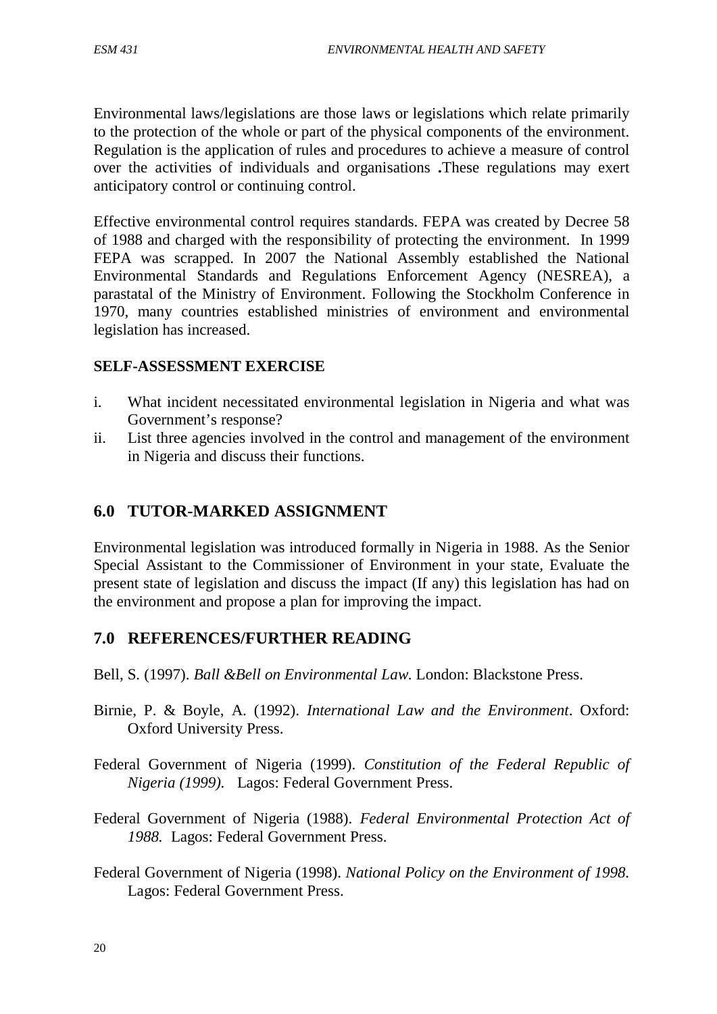Environmental laws/legislations are those laws or legislations which relate primarily to the protection of the whole or part of the physical components of the environment. Regulation is the application of rules and procedures to achieve a measure of control over the activities of individuals and organisations **.**These regulations may exert anticipatory control or continuing control.

Effective environmental control requires standards. FEPA was created by Decree 58 of 1988 and charged with the responsibility of protecting the environment. In 1999 FEPA was scrapped. In 2007 the National Assembly established the National Environmental Standards and Regulations Enforcement Agency (NESREA), a parastatal of the Ministry of Environment. Following the Stockholm Conference in 1970, many countries established ministries of environment and environmental legislation has increased.

#### **SELF-ASSESSMENT EXERCISE**

- i. What incident necessitated environmental legislation in Nigeria and what was Government's response?
- ii. List three agencies involved in the control and management of the environment in Nigeria and discuss their functions.

## **6.0 TUTOR-MARKED ASSIGNMENT**

Environmental legislation was introduced formally in Nigeria in 1988. As the Senior Special Assistant to the Commissioner of Environment in your state, Evaluate the present state of legislation and discuss the impact (If any) this legislation has had on the environment and propose a plan for improving the impact.

#### **7.0 REFERENCES/FURTHER READING**

Bell, S. (1997). *Ball &Bell on Environmental Law*. London: Blackstone Press.

- Birnie, P. & Boyle, A. (1992). *International Law and the Environment*. Oxford: Oxford University Press.
- Federal Government of Nigeria (1999). *Constitution of the Federal Republic of Nigeria (1999).* Lagos: Federal Government Press.
- Federal Government of Nigeria (1988). *Federal Environmental Protection Act of 1988.* Lagos: Federal Government Press.
- Federal Government of Nigeria (1998). *National Policy on the Environment of 1998.*  Lagos: Federal Government Press.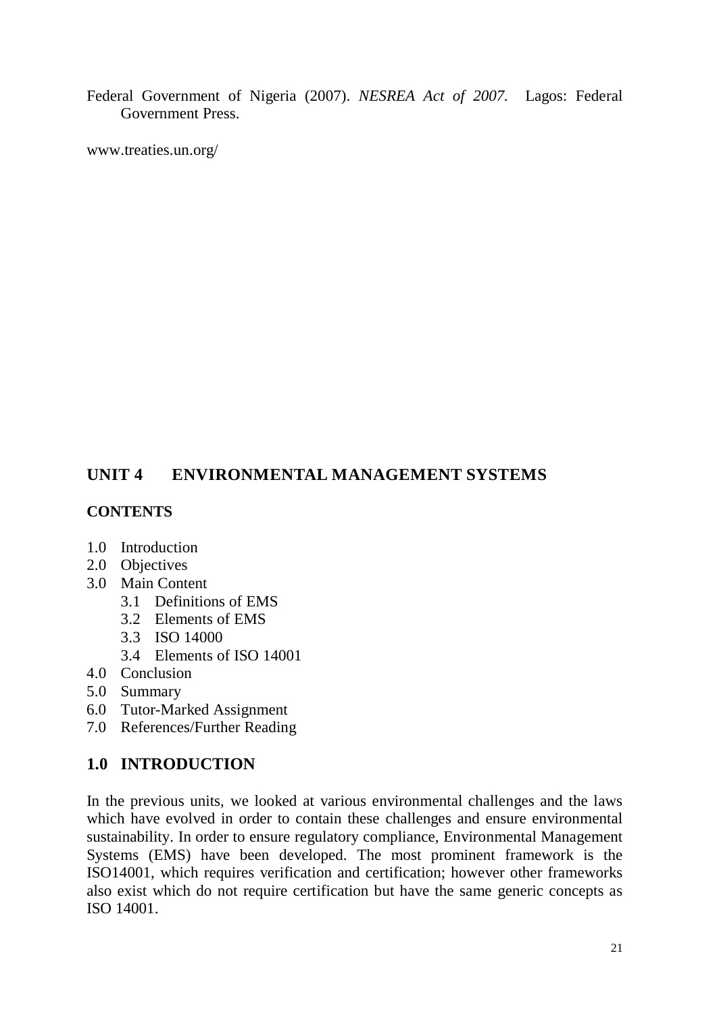Federal Government of Nigeria (2007). *NESREA Act of 2007.* Lagos: Federal Government Press.

www.treaties.un.org/

# **UNIT 4 ENVIRONMENTAL MANAGEMENT SYSTEMS**

### **CONTENTS**

- 1.0 Introduction
- 2.0 Objectives
- 3.0 Main Content
	- 3.1 Definitions of EMS
	- 3.2 Elements of EMS
	- 3.3 ISO 14000
	- 3.4 Elements of ISO 14001
- 4.0 Conclusion
- 5.0 Summary
- 6.0 Tutor-Marked Assignment
- 7.0 References/Further Reading

## **1.0 INTRODUCTION**

In the previous units, we looked at various environmental challenges and the laws which have evolved in order to contain these challenges and ensure environmental sustainability. In order to ensure regulatory compliance, Environmental Management Systems (EMS) have been developed. The most prominent framework is the ISO14001, which requires verification and certification; however other frameworks also exist which do not require certification but have the same generic concepts as ISO 14001.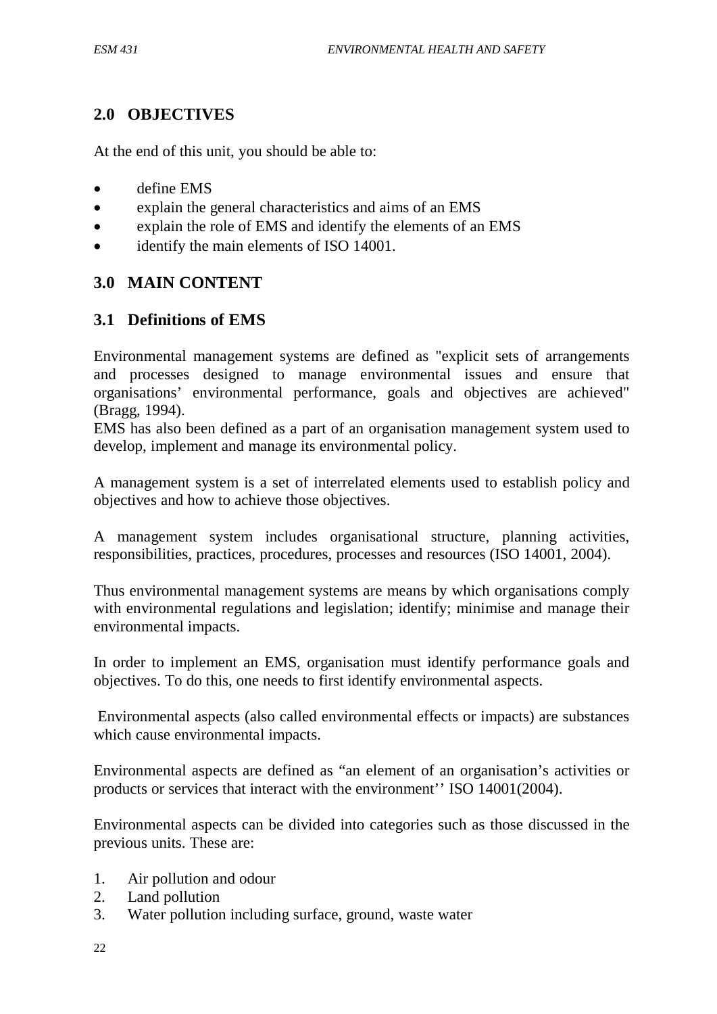## **2.0 OBJECTIVES**

At the end of this unit, you should be able to:

- define EMS
- explain the general characteristics and aims of an EMS
- explain the role of EMS and identify the elements of an EMS
- identify the main elements of ISO 14001.

### **3.0 MAIN CONTENT**

### **3.1 Definitions of EMS**

Environmental management systems are defined as "explicit sets of arrangements and processes designed to manage environmental issues and ensure that organisations' environmental performance, goals and objectives are achieved" (Bragg, 1994).

EMS has also been defined as a part of an organisation management system used to develop, implement and manage its environmental policy.

A management system is a set of interrelated elements used to establish policy and objectives and how to achieve those objectives.

A management system includes organisational structure, planning activities, responsibilities, practices, procedures, processes and resources (ISO 14001, 2004).

Thus environmental management systems are means by which organisations comply with environmental regulations and legislation; identify; minimise and manage their environmental impacts.

In order to implement an EMS, organisation must identify performance goals and objectives. To do this, one needs to first identify environmental aspects.

Environmental aspects (also called environmental effects or impacts) are substances which cause environmental impacts.

Environmental aspects are defined as "an element of an organisation's activities or products or services that interact with the environment'' ISO 14001(2004).

Environmental aspects can be divided into categories such as those discussed in the previous units. These are:

- 1. Air pollution and odour
- 2. Land pollution
- 3. Water pollution including surface, ground, waste water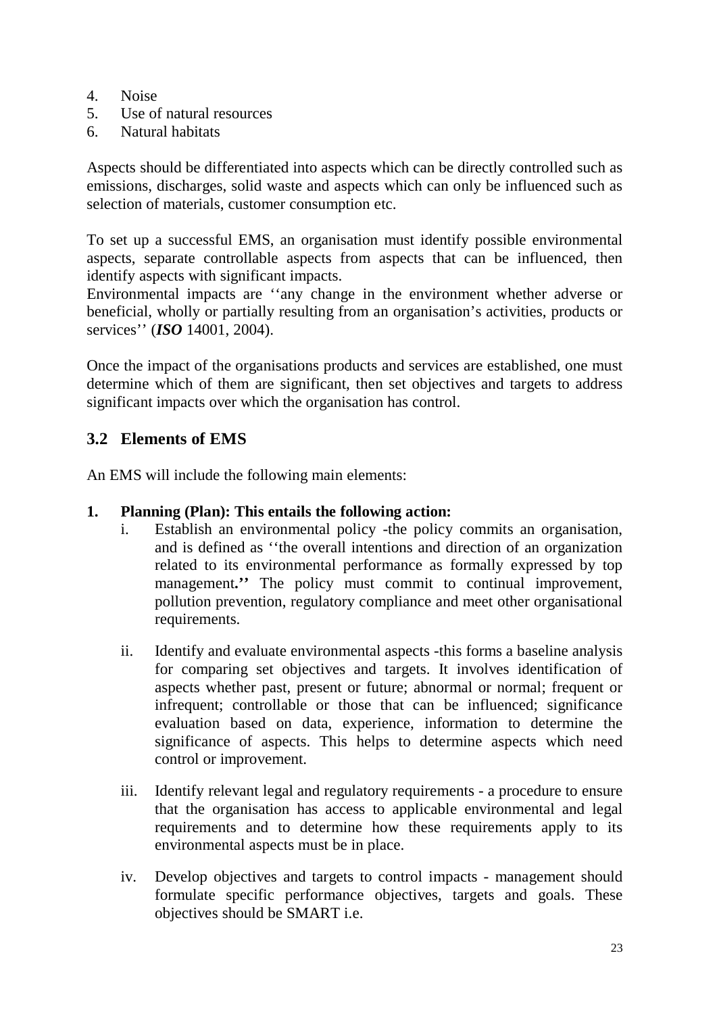- 4. Noise
- 5. Use of natural resources
- 6. Natural habitats

Aspects should be differentiated into aspects which can be directly controlled such as emissions, discharges, solid waste and aspects which can only be influenced such as selection of materials, customer consumption etc.

To set up a successful EMS, an organisation must identify possible environmental aspects, separate controllable aspects from aspects that can be influenced, then identify aspects with significant impacts.

Environmental impacts are ''any change in the environment whether adverse or beneficial, wholly or partially resulting from an organisation's activities, products or services'' (*ISO* 14001, 2004).

Once the impact of the organisations products and services are established, one must determine which of them are significant, then set objectives and targets to address significant impacts over which the organisation has control.

# **3.2 Elements of EMS**

An EMS will include the following main elements:

## **1. Planning (Plan): This entails the following action:**

- i. Establish an environmental policy -the policy commits an organisation, and is defined as ''the overall intentions and direction of an organization related to its environmental performance as formally expressed by top management." The policy must commit to continual improvement, pollution prevention, regulatory compliance and meet other organisational requirements.
- ii. Identify and evaluate environmental aspects -this forms a baseline analysis for comparing set objectives and targets. It involves identification of aspects whether past, present or future; abnormal or normal; frequent or infrequent; controllable or those that can be influenced; significance evaluation based on data, experience, information to determine the significance of aspects. This helps to determine aspects which need control or improvement.
- iii. Identify relevant legal and regulatory requirements a procedure to ensure that the organisation has access to applicable environmental and legal requirements and to determine how these requirements apply to its environmental aspects must be in place.
- iv. Develop objectives and targets to control impacts management should formulate specific performance objectives, targets and goals. These objectives should be SMART i.e.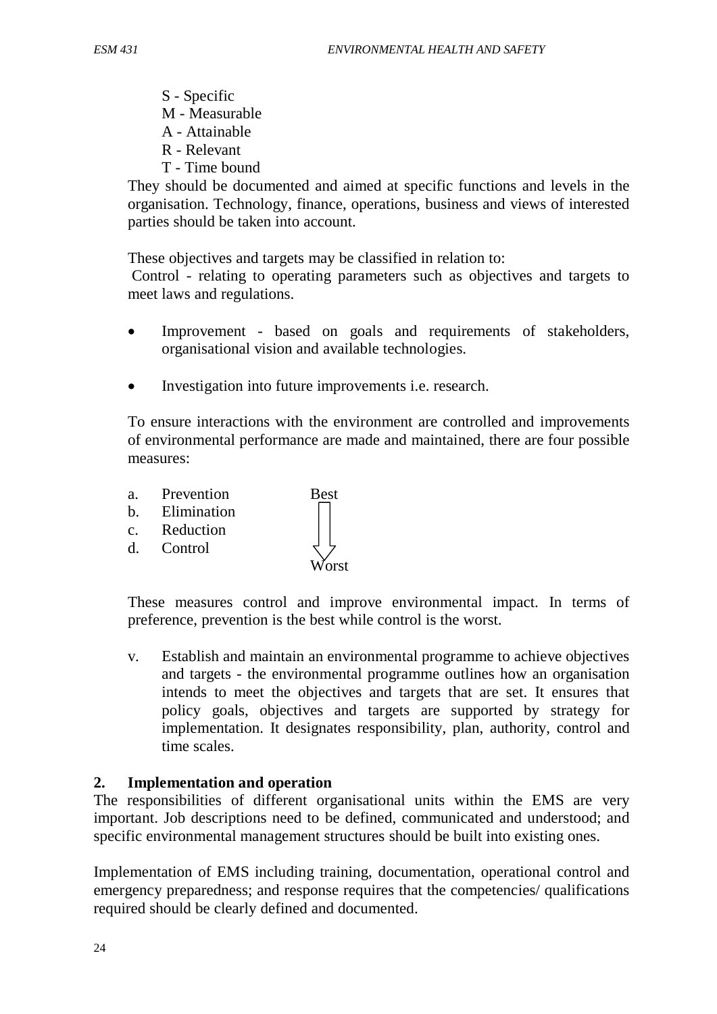S - Specific M - Measurable A - Attainable R - Relevant T - Time bound

They should be documented and aimed at specific functions and levels in the organisation. Technology, finance, operations, business and views of interested parties should be taken into account.

These objectives and targets may be classified in relation to:

Control - relating to operating parameters such as objectives and targets to meet laws and regulations.

- Improvement based on goals and requirements of stakeholders, organisational vision and available technologies.
- Investigation into future improvements i.e. research.

To ensure interactions with the environment are controlled and improvements of environmental performance are made and maintained, there are four possible measures:

- a. Prevention Best
- b. Elimination
- c. Reduction
- d. Control



These measures control and improve environmental impact. In terms of preference, prevention is the best while control is the worst.

v. Establish and maintain an environmental programme to achieve objectives and targets - the environmental programme outlines how an organisation intends to meet the objectives and targets that are set. It ensures that policy goals, objectives and targets are supported by strategy for implementation. It designates responsibility, plan, authority, control and time scales.

#### **2. Implementation and operation**

The responsibilities of different organisational units within the EMS are very important. Job descriptions need to be defined, communicated and understood; and specific environmental management structures should be built into existing ones.

Implementation of EMS including training, documentation, operational control and emergency preparedness; and response requires that the competencies/ qualifications required should be clearly defined and documented.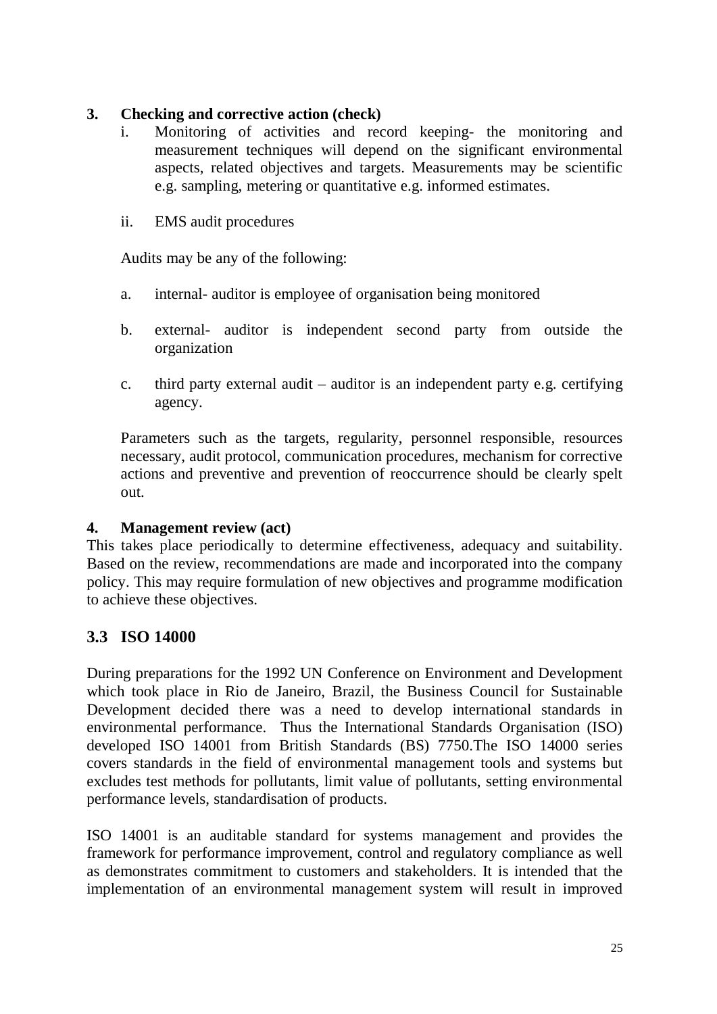### **3. Checking and corrective action (check)**

- i. Monitoring of activities and record keeping- the monitoring and measurement techniques will depend on the significant environmental aspects, related objectives and targets. Measurements may be scientific e.g. sampling, metering or quantitative e.g. informed estimates.
- ii. EMS audit procedures

Audits may be any of the following:

- a. internal- auditor is employee of organisation being monitored
- b. external- auditor is independent second party from outside the organization
- c. third party external audit auditor is an independent party e.g. certifying agency.

Parameters such as the targets, regularity, personnel responsible, resources necessary, audit protocol, communication procedures, mechanism for corrective actions and preventive and prevention of reoccurrence should be clearly spelt out.

#### **4. Management review (act)**

This takes place periodically to determine effectiveness, adequacy and suitability. Based on the review, recommendations are made and incorporated into the company policy. This may require formulation of new objectives and programme modification to achieve these objectives.

## **3.3 ISO 14000**

During preparations for the 1992 UN Conference on Environment and Development which took place in Rio de Janeiro, Brazil, the Business Council for Sustainable Development decided there was a need to develop international standards in environmental performance. Thus the International Standards Organisation (ISO) developed ISO 14001 from British Standards (BS) 7750.The ISO 14000 series covers standards in the field of environmental management tools and systems but excludes test methods for pollutants, limit value of pollutants, setting environmental performance levels, standardisation of products.

ISO 14001 is an auditable standard for systems management and provides the framework for performance improvement, control and regulatory compliance as well as demonstrates commitment to customers and stakeholders. It is intended that the implementation of an environmental management system will result in improved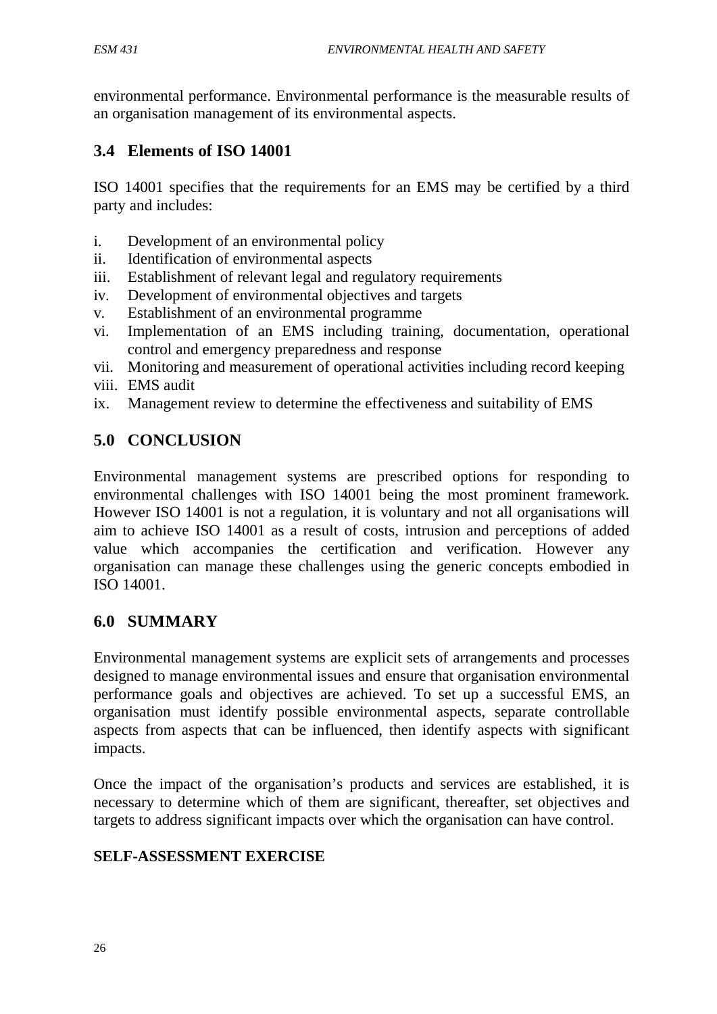environmental performance. Environmental performance is the measurable results of an organisation management of its environmental aspects.

## **3.4 Elements of ISO 14001**

ISO 14001 specifies that the requirements for an EMS may be certified by a third party and includes:

- i. Development of an environmental policy
- ii. Identification of environmental aspects
- iii. Establishment of relevant legal and regulatory requirements
- iv. Development of environmental objectives and targets
- v. Establishment of an environmental programme
- vi. Implementation of an EMS including training, documentation, operational control and emergency preparedness and response
- vii. Monitoring and measurement of operational activities including record keeping
- viii. EMS audit
- ix. Management review to determine the effectiveness and suitability of EMS

## **5.0 CONCLUSION**

Environmental management systems are prescribed options for responding to environmental challenges with ISO 14001 being the most prominent framework. However ISO 14001 is not a regulation, it is voluntary and not all organisations will aim to achieve ISO 14001 as a result of costs, intrusion and perceptions of added value which accompanies the certification and verification. However any organisation can manage these challenges using the generic concepts embodied in ISO 14001.

## **6.0 SUMMARY**

Environmental management systems are explicit sets of arrangements and processes designed to manage environmental issues and ensure that organisation environmental performance goals and objectives are achieved. To set up a successful EMS, an organisation must identify possible environmental aspects, separate controllable aspects from aspects that can be influenced, then identify aspects with significant impacts.

Once the impact of the organisation's products and services are established, it is necessary to determine which of them are significant, thereafter, set objectives and targets to address significant impacts over which the organisation can have control.

## **SELF-ASSESSMENT EXERCISE**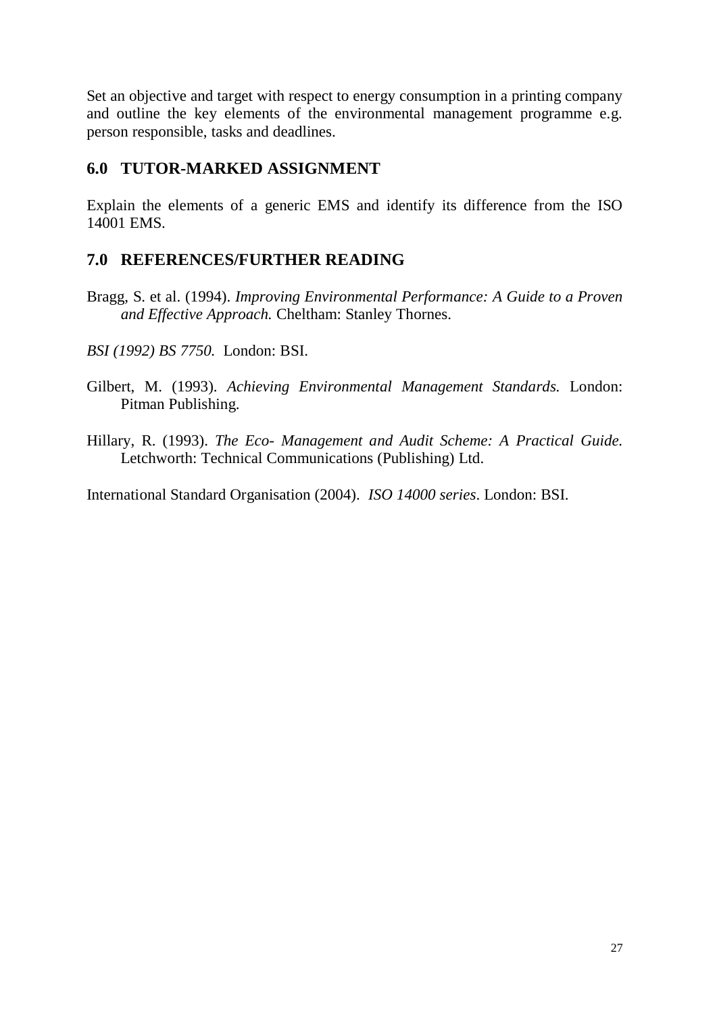Set an objective and target with respect to energy consumption in a printing company and outline the key elements of the environmental management programme e.g. person responsible, tasks and deadlines.

## **6.0 TUTOR-MARKED ASSIGNMENT**

Explain the elements of a generic EMS and identify its difference from the ISO 14001 EMS.

## **7.0 REFERENCES/FURTHER READING**

- Bragg, S. et al. (1994). *Improving Environmental Performance: A Guide to a Proven and Effective Approach.* Cheltham: Stanley Thornes.
- *BSI (1992) BS 7750.* London: BSI.
- Gilbert, M. (1993). *Achieving Environmental Management Standards.* London: Pitman Publishing.
- Hillary, R. (1993). *The Eco- Management and Audit Scheme: A Practical Guide.* Letchworth: Technical Communications (Publishing) Ltd.

International Standard Organisation (2004). *ISO 14000 series*. London: BSI.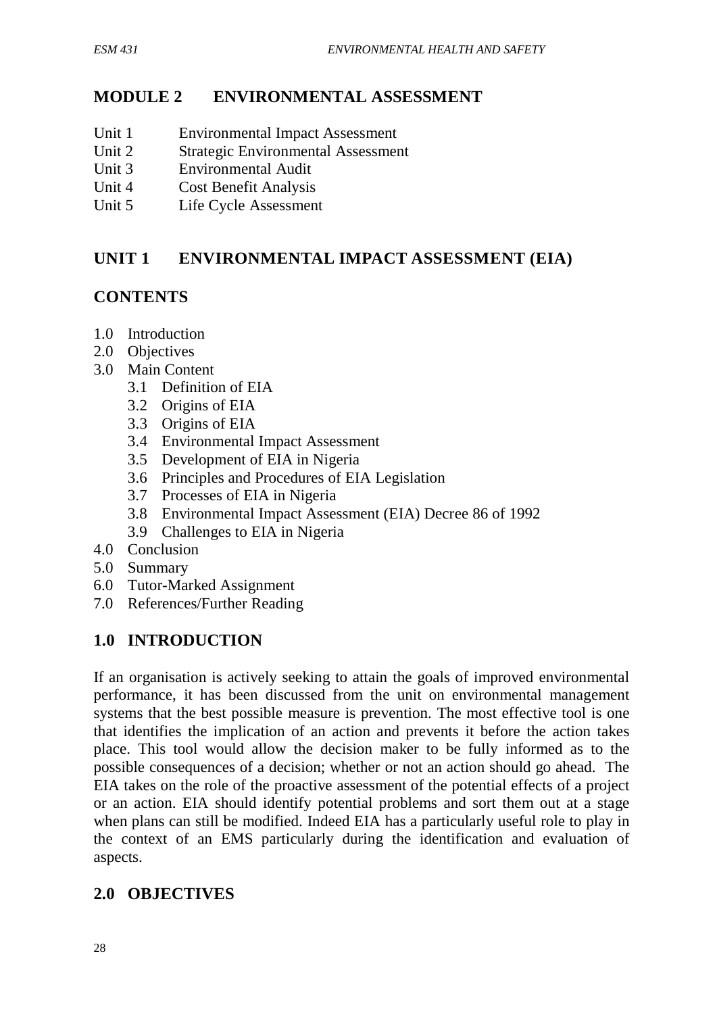## **MODULE 2 ENVIRONMENTAL ASSESSMENT**

- Unit 1 Environmental Impact Assessment
- Unit 2 Strategic Environmental Assessment
- Unit 3 Environmental Audit
- Unit 4 Cost Benefit Analysis
- Unit 5 Life Cycle Assessment

## **UNIT 1 ENVIRONMENTAL IMPACT ASSESSMENT (EIA)**

## **CONTENTS**

- 1.0 Introduction
- 2.0 Objectives
- 3.0 Main Content
	- 3.1 Definition of EIA
	- 3.2 Origins of EIA
	- 3.3 Origins of EIA
	- 3.4 Environmental Impact Assessment
	- 3.5 Development of EIA in Nigeria
	- 3.6 Principles and Procedures of EIA Legislation
	- 3.7 Processes of EIA in Nigeria
	- 3.8 Environmental Impact Assessment (EIA) Decree 86 of 1992
	- 3.9 Challenges to EIA in Nigeria
- 4.0 Conclusion
- 5.0 Summary
- 6.0 Tutor-Marked Assignment
- 7.0 References/Further Reading

## **1.0 INTRODUCTION**

If an organisation is actively seeking to attain the goals of improved environmental performance, it has been discussed from the unit on environmental management systems that the best possible measure is prevention. The most effective tool is one that identifies the implication of an action and prevents it before the action takes place. This tool would allow the decision maker to be fully informed as to the possible consequences of a decision; whether or not an action should go ahead. The EIA takes on the role of the proactive assessment of the potential effects of a project or an action. EIA should identify potential problems and sort them out at a stage when plans can still be modified. Indeed EIA has a particularly useful role to play in the context of an EMS particularly during the identification and evaluation of aspects.

## **2.0 OBJECTIVES**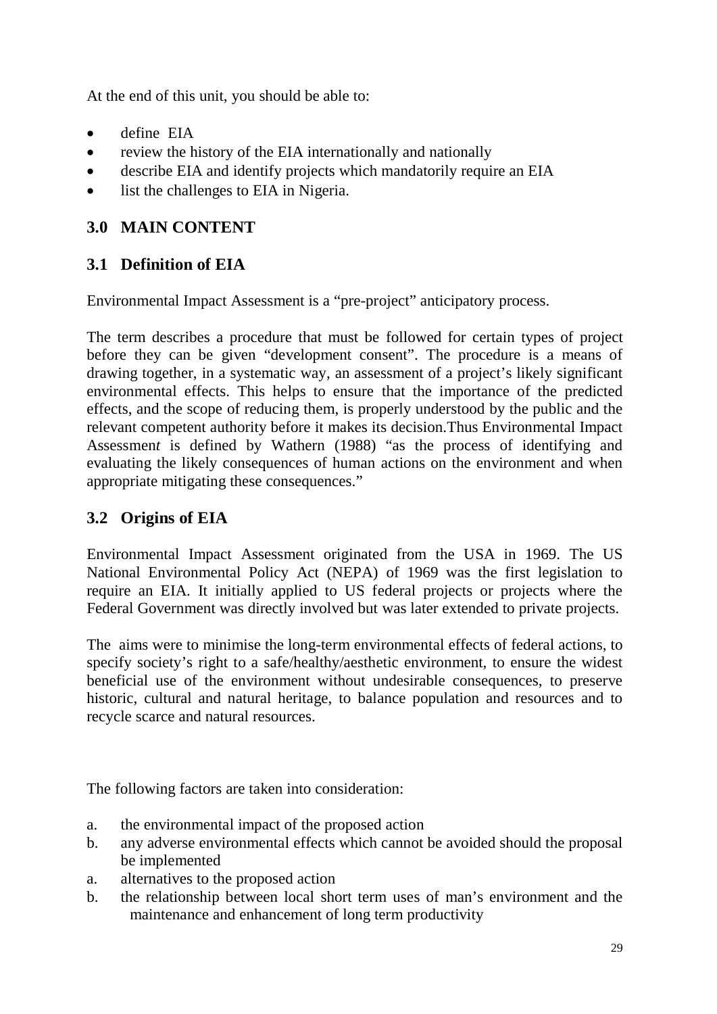At the end of this unit, you should be able to:

- define EIA
- review the history of the EIA internationally and nationally
- describe EIA and identify projects which mandatorily require an EIA
- list the challenges to EIA in Nigeria.

## **3.0 MAIN CONTENT**

# **3.1 Definition of EIA**

Environmental Impact Assessment is a "pre-project" anticipatory process.

The term describes a procedure that must be followed for certain types of project before they can be given "development consent". The procedure is a means of drawing together, in a systematic way, an assessment of a project's likely significant environmental effects. This helps to ensure that the importance of the predicted effects, and the scope of reducing them, is properly understood by the public and the relevant competent authority before it makes its decision.Thus Environmental Impact Assessmen*t* is defined by Wathern (1988) "as the process of identifying and evaluating the likely consequences of human actions on the environment and when appropriate mitigating these consequences."

## **3.2 Origins of EIA**

Environmental Impact Assessment originated from the USA in 1969. The US National Environmental Policy Act (NEPA) of 1969 was the first legislation to require an EIA. It initially applied to US federal projects or projects where the Federal Government was directly involved but was later extended to private projects.

The aims were to minimise the long-term environmental effects of federal actions, to specify society's right to a safe/healthy/aesthetic environment, to ensure the widest beneficial use of the environment without undesirable consequences, to preserve historic, cultural and natural heritage, to balance population and resources and to recycle scarce and natural resources.

The following factors are taken into consideration:

- a. the environmental impact of the proposed action
- b. any adverse environmental effects which cannot be avoided should the proposal be implemented
- a. alternatives to the proposed action
- b. the relationship between local short term uses of man's environment and the maintenance and enhancement of long term productivity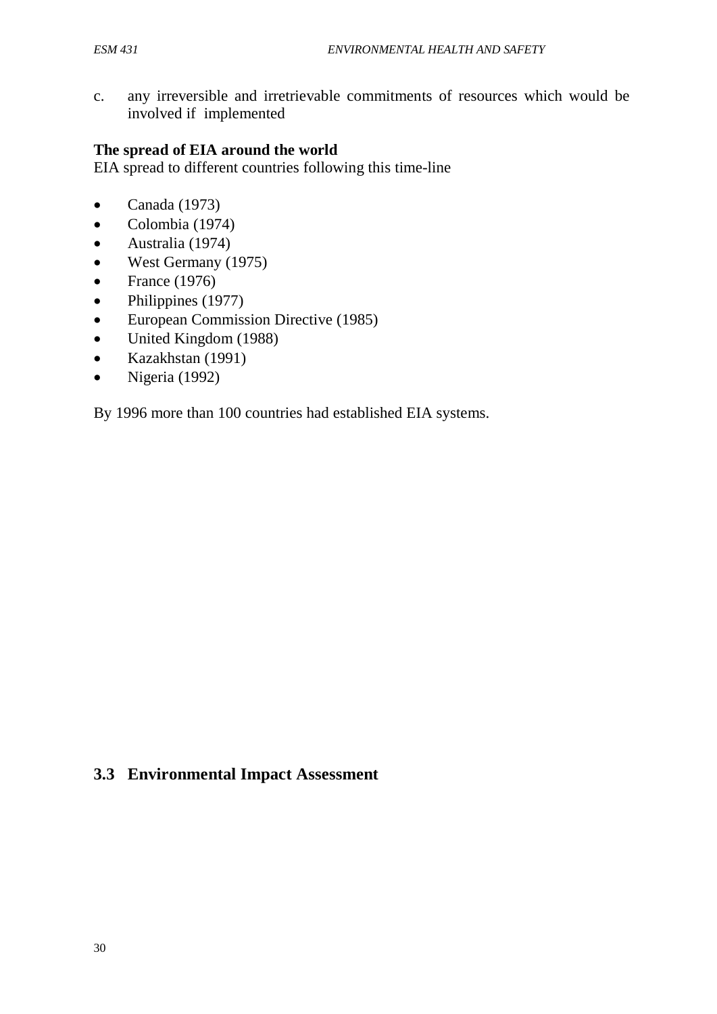c. any irreversible and irretrievable commitments of resources which would be involved if implemented

#### **The spread of EIA around the world**

EIA spread to different countries following this time-line

- Canada  $(1973)$
- Colombia (1974)
- Australia (1974)
- West Germany (1975)
- France  $(1976)$
- Philippines (1977)
- European Commission Directive (1985)
- United Kingdom (1988)
- Kazakhstan (1991)
- Nigeria (1992)

By 1996 more than 100 countries had established EIA systems.

## **3.3 Environmental Impact Assessment**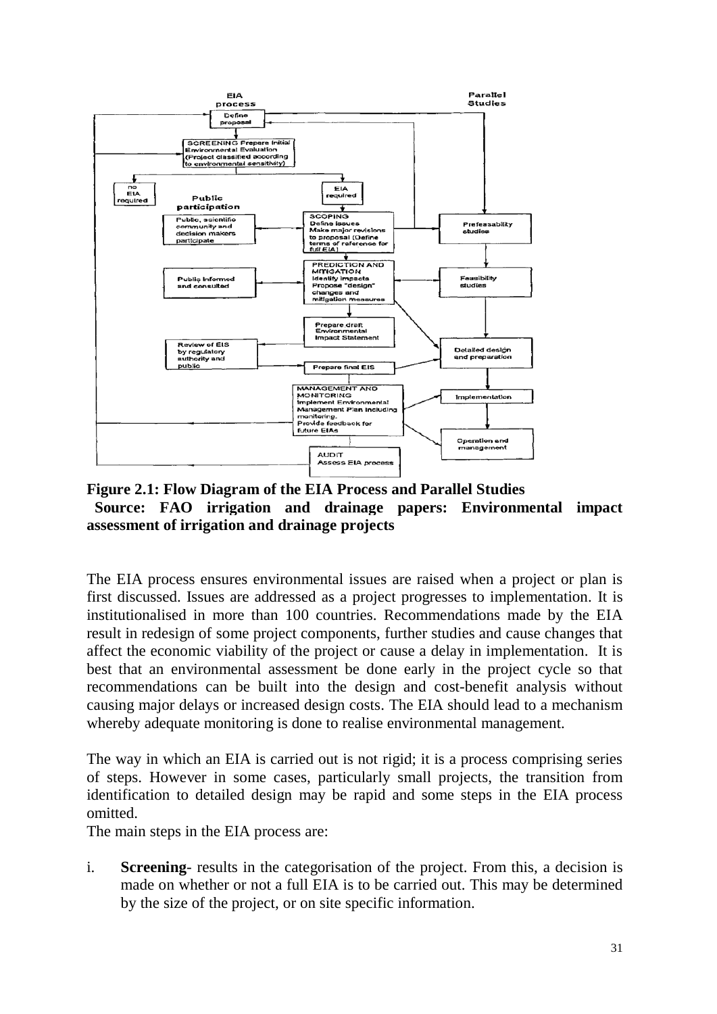

**Figure 2.1: Flow Diagram of the EIA Process and Parallel Studies Source: FAO irrigation and drainage papers: Environmental impact assessment of irrigation and drainage projects** 

The EIA process ensures environmental issues are raised when a project or plan is first discussed. Issues are addressed as a project progresses to implementation. It is institutionalised in more than 100 countries. Recommendations made by the EIA result in redesign of some project components, further studies and cause changes that affect the economic viability of the project or cause a delay in implementation. It is best that an environmental assessment be done early in the project cycle so that recommendations can be built into the design and cost-benefit analysis without causing major delays or increased design costs. The EIA should lead to a mechanism whereby adequate monitoring is done to realise environmental management.

The way in which an EIA is carried out is not rigid; it is a process comprising series of steps. However in some cases, particularly small projects, the transition from identification to detailed design may be rapid and some steps in the EIA process omitted.

The main steps in the EIA process are:

i. **Screening**- results in the categorisation of the project. From this, a decision is made on whether or not a full EIA is to be carried out. This may be determined by the size of the project, or on site specific information.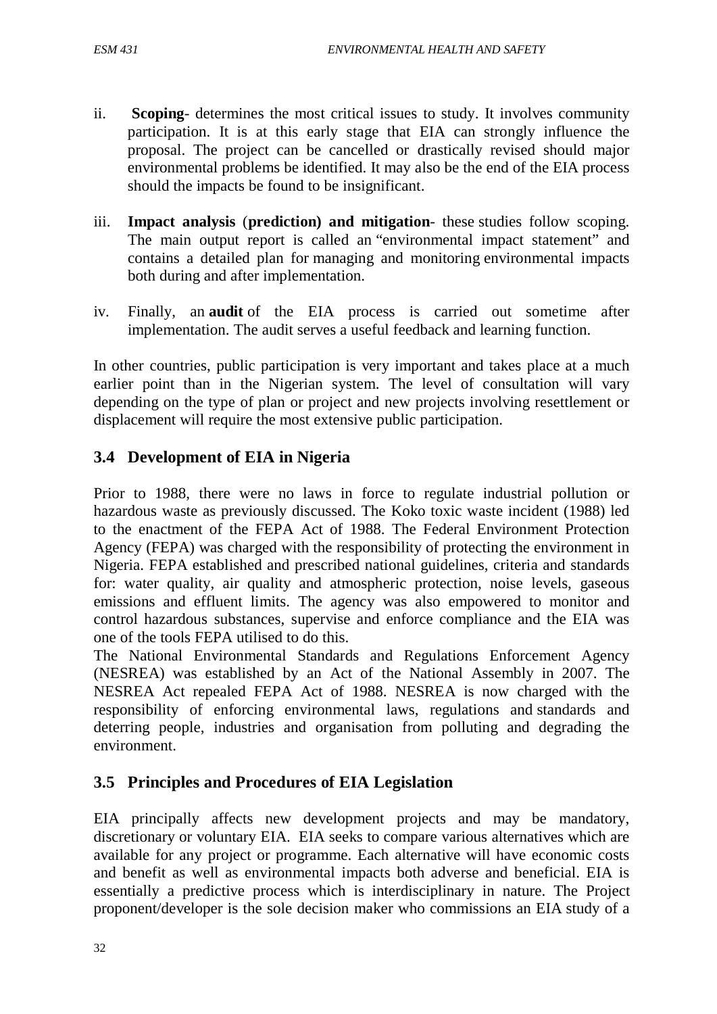- ii. **Scoping** determines the most critical issues to study. It involves community participation. It is at this early stage that EIA can strongly influence the proposal. The project can be cancelled or drastically revised should major environmental problems be identified. It may also be the end of the EIA process should the impacts be found to be insignificant.
- iii. **Impact analysis** (**prediction) and mitigation** these studies follow scoping. The main output report is called an "environmental impact statement" and contains a detailed plan for managing and monitoring environmental impacts both during and after implementation.
- iv. Finally, an **audit** of the EIA process is carried out sometime after implementation. The audit serves a useful feedback and learning function.

In other countries, public participation is very important and takes place at a much earlier point than in the Nigerian system. The level of consultation will vary depending on the type of plan or project and new projects involving resettlement or displacement will require the most extensive public participation.

## **3.4 Development of EIA in Nigeria**

Prior to 1988, there were no laws in force to regulate industrial pollution or hazardous waste as previously discussed. The Koko toxic waste incident (1988) led to the enactment of the FEPA Act of 1988. The Federal Environment Protection Agency (FEPA) was charged with the responsibility of protecting the environment in Nigeria. FEPA established and prescribed national guidelines, criteria and standards for: water quality, air quality and atmospheric protection, noise levels, gaseous emissions and effluent limits. The agency was also empowered to monitor and control hazardous substances, supervise and enforce compliance and the EIA was one of the tools FEPA utilised to do this.

The National Environmental Standards and Regulations Enforcement Agency (NESREA) was established by an Act of the National Assembly in 2007. The NESREA Act repealed FEPA Act of 1988. NESREA is now charged with the responsibility of enforcing environmental laws, regulations and standards and deterring people, industries and organisation from polluting and degrading the environment.

## **3.5 Principles and Procedures of EIA Legislation**

EIA principally affects new development projects and may be mandatory, discretionary or voluntary EIA. EIA seeks to compare various alternatives which are available for any project or programme. Each alternative will have economic costs and benefit as well as environmental impacts both adverse and beneficial. EIA is essentially a predictive process which is interdisciplinary in nature. The Project proponent/developer is the sole decision maker who commissions an EIA study of a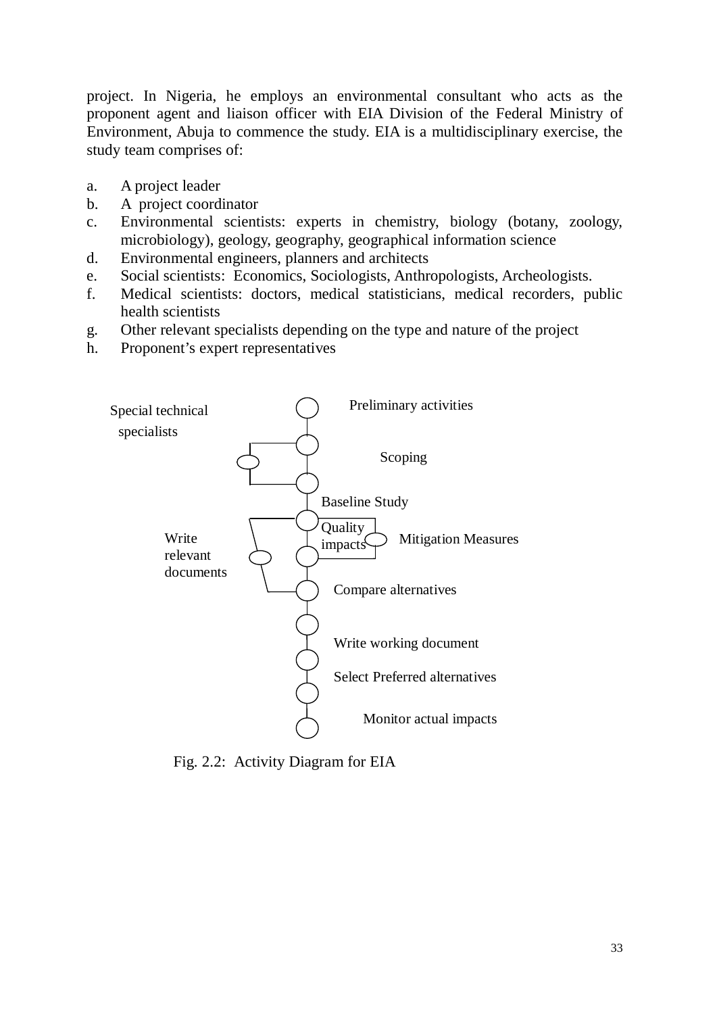project. In Nigeria, he employs an environmental consultant who acts as the proponent agent and liaison officer with EIA Division of the Federal Ministry of Environment, Abuja to commence the study. EIA is a multidisciplinary exercise, the study team comprises of:

- a. A project leader
- b. A project coordinator
- c. Environmental scientists: experts in chemistry, biology (botany, zoology, microbiology), geology, geography, geographical information science
- d. Environmental engineers, planners and architects
- e. Social scientists: Economics, Sociologists, Anthropologists, Archeologists.
- f. Medical scientists: doctors, medical statisticians, medical recorders, public health scientists
- g. Other relevant specialists depending on the type and nature of the project
- h. Proponent's expert representatives



Fig. 2.2: Activity Diagram for EIA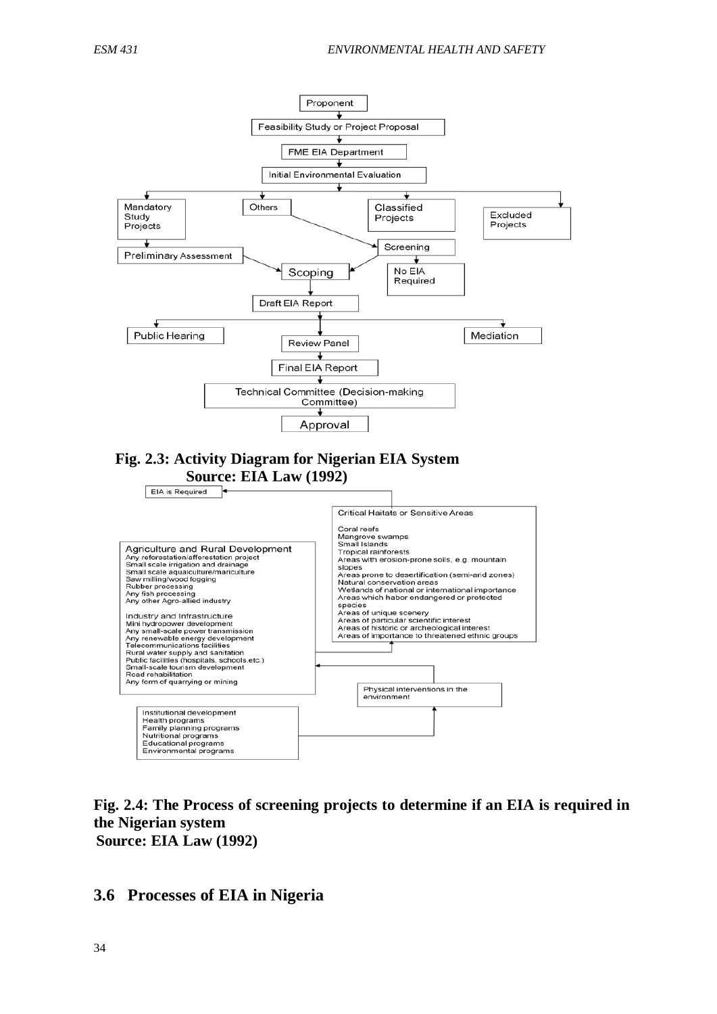

**Fig. 2.4: The Process of screening projects to determine if an EIA is required in the Nigerian system Source: EIA Law (1992)** 

**3.6 Processes of EIA in Nigeria**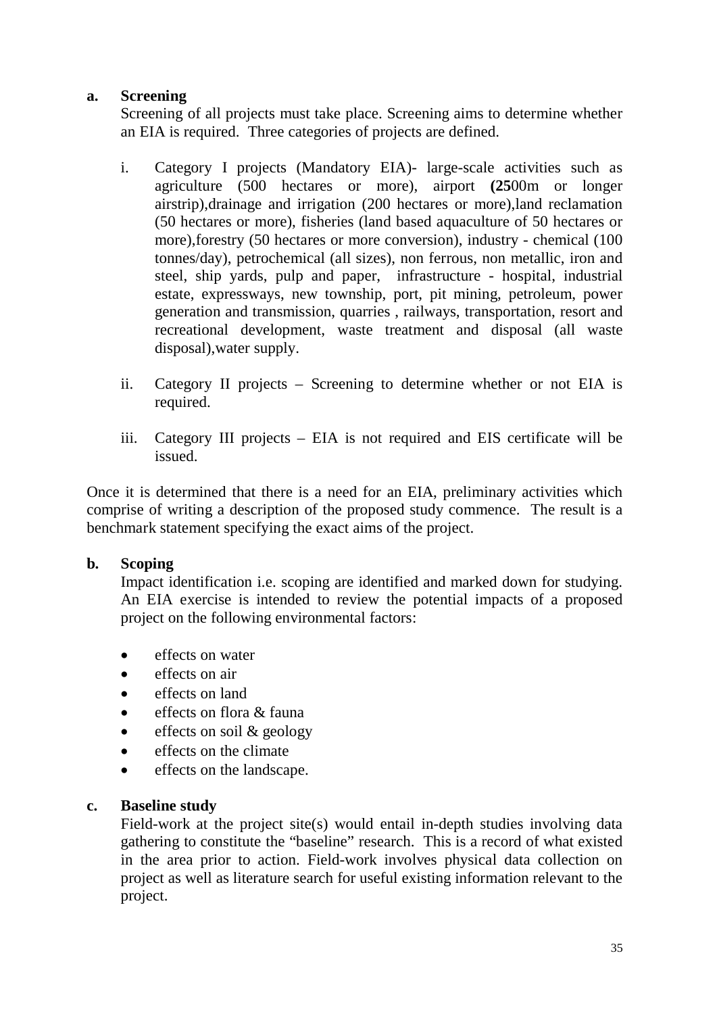#### **a. Screening**

Screening of all projects must take place. Screening aims to determine whether an EIA is required. Three categories of projects are defined.

- i. Category I projects (Mandatory EIA)- large-scale activities such as agriculture (500 hectares or more), airport **(25**00m or longer airstrip),drainage and irrigation (200 hectares or more),land reclamation (50 hectares or more), fisheries (land based aquaculture of 50 hectares or more),forestry (50 hectares or more conversion), industry - chemical (100 tonnes/day), petrochemical (all sizes), non ferrous, non metallic, iron and steel, ship yards, pulp and paper, infrastructure - hospital, industrial estate, expressways, new township, port, pit mining, petroleum, power generation and transmission, quarries , railways, transportation, resort and recreational development, waste treatment and disposal (all waste disposal),water supply.
- ii. Category II projects Screening to determine whether or not EIA is required.
- iii. Category III projects EIA is not required and EIS certificate will be issued.

Once it is determined that there is a need for an EIA, preliminary activities which comprise of writing a description of the proposed study commence. The result is a benchmark statement specifying the exact aims of the project.

#### **b. Scoping**

Impact identification i.e. scoping are identified and marked down for studying. An EIA exercise is intended to review the potential impacts of a proposed project on the following environmental factors:

- effects on water
- effects on air
- effects on land
- effects on flora & fauna
- effects on soil & geology
- effects on the climate
- effects on the landscape.

#### **c. Baseline study**

Field-work at the project site(s) would entail in-depth studies involving data gathering to constitute the "baseline" research. This is a record of what existed in the area prior to action. Field-work involves physical data collection on project as well as literature search for useful existing information relevant to the project.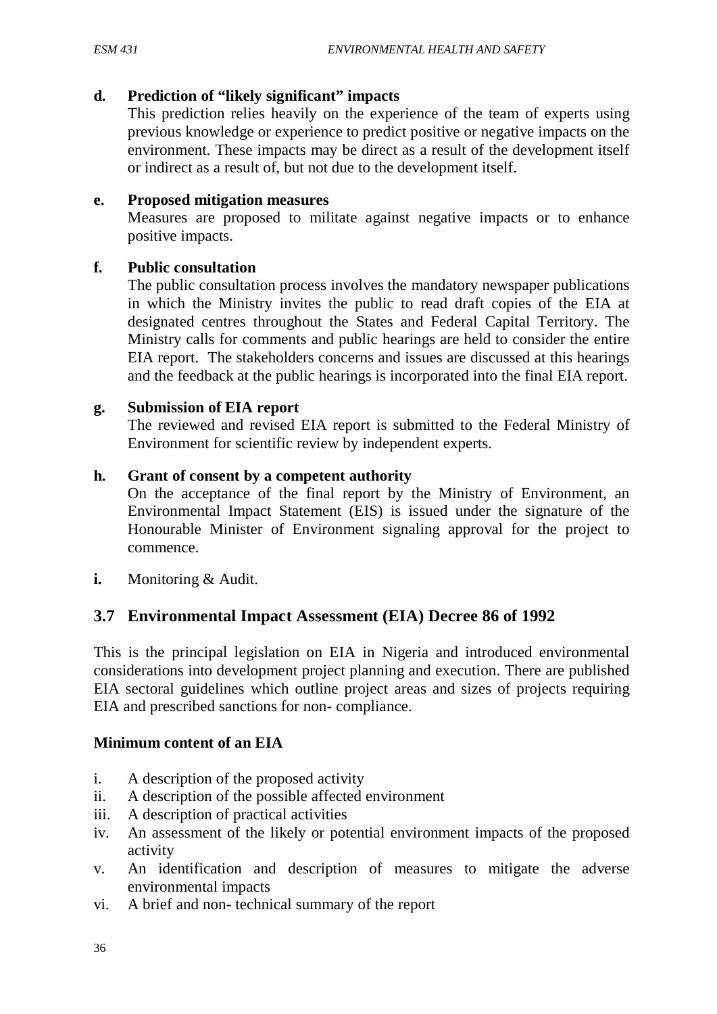#### **d. Prediction of "likely significant" impacts**

This prediction relies heavily on the experience of the team of experts using previous knowledge or experience to predict positive or negative impacts on the environment. These impacts may be direct as a result of the development itself or indirect as a result of, but not due to the development itself.

#### **e. Proposed mitigation measures**

Measures are proposed to militate against negative impacts or to enhance positive impacts.

#### **f. Public consultation**

The public consultation process involves the mandatory newspaper publications in which the Ministry invites the public to read draft copies of the EIA at designated centres throughout the States and Federal Capital Territory. The Ministry calls for comments and public hearings are held to consider the entire EIA report. The stakeholders concerns and issues are discussed at this hearings and the feedback at the public hearings is incorporated into the final EIA report.

#### **g. Submission of EIA report**

The reviewed and revised EIA report is submitted to the Federal Ministry of Environment for scientific review by independent experts.

#### **h. Grant of consent by a competent authority**

On the acceptance of the final report by the Ministry of Environment, an Environmental Impact Statement (EIS) is issued under the signature of the Honourable Minister of Environment signaling approval for the project to commence.

**i.** Monitoring & Audit.

## **3.7 Environmental Impact Assessment (EIA) Decree 86 of 1992**

This is the principal legislation on EIA in Nigeria and introduced environmental considerations into development project planning and execution. There are published EIA sectoral guidelines which outline project areas and sizes of projects requiring EIA and prescribed sanctions for non- compliance.

#### **Minimum content of an EIA**

- i. A description of the proposed activity
- ii. A description of the possible affected environment
- iii. A description of practical activities
- iv. An assessment of the likely or potential environment impacts of the proposed activity
- v. An identification and description of measures to mitigate the adverse environmental impacts
- vi. A brief and non- technical summary of the report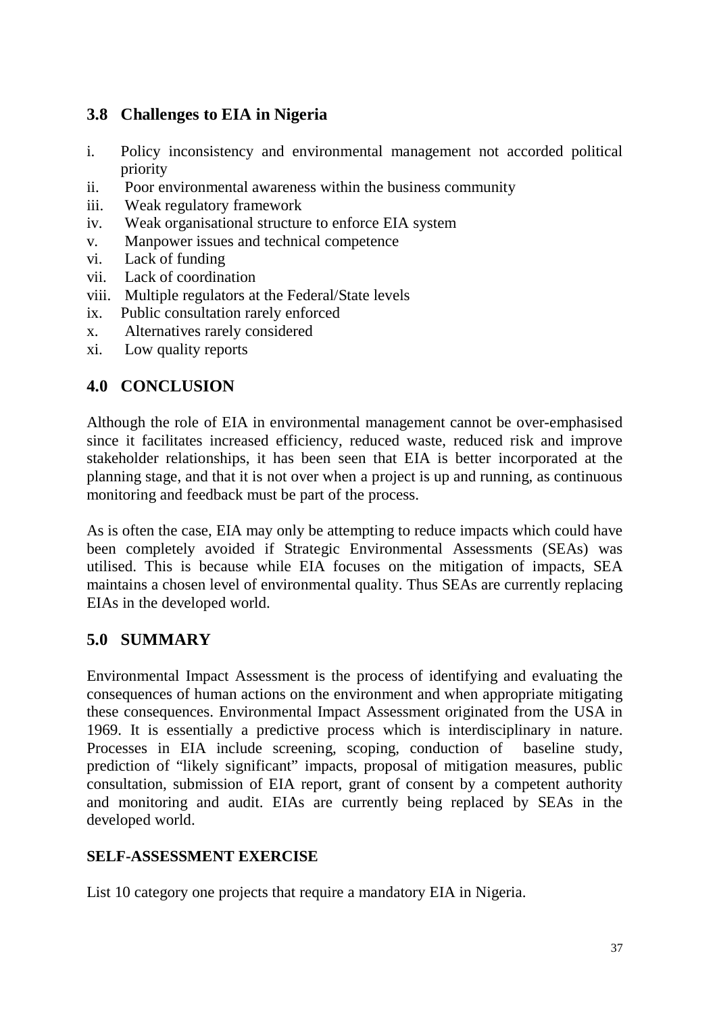# **3.8 Challenges to EIA in Nigeria**

- i. Policy inconsistency and environmental management not accorded political priority
- ii. Poor environmental awareness within the business community
- iii. Weak regulatory framework
- iv. Weak organisational structure to enforce EIA system
- v. Manpower issues and technical competence
- vi. Lack of funding
- vii. Lack of coordination
- viii. Multiple regulators at the Federal/State levels
- ix. Public consultation rarely enforced
- x. Alternatives rarely considered
- xi. Low quality reports

# **4.0 CONCLUSION**

Although the role of EIA in environmental management cannot be over-emphasised since it facilitates increased efficiency, reduced waste, reduced risk and improve stakeholder relationships, it has been seen that EIA is better incorporated at the planning stage, and that it is not over when a project is up and running, as continuous monitoring and feedback must be part of the process.

As is often the case, EIA may only be attempting to reduce impacts which could have been completely avoided if Strategic Environmental Assessments (SEAs) was utilised. This is because while EIA focuses on the mitigation of impacts, SEA maintains a chosen level of environmental quality. Thus SEAs are currently replacing EIAs in the developed world.

# **5.0 SUMMARY**

Environmental Impact Assessment is the process of identifying and evaluating the consequences of human actions on the environment and when appropriate mitigating these consequences. Environmental Impact Assessment originated from the USA in 1969. It is essentially a predictive process which is interdisciplinary in nature. Processes in EIA include screening, scoping, conduction of baseline study, prediction of "likely significant" impacts, proposal of mitigation measures, public consultation, submission of EIA report, grant of consent by a competent authority and monitoring and audit. EIAs are currently being replaced by SEAs in the developed world.

# **SELF-ASSESSMENT EXERCISE**

List 10 category one projects that require a mandatory EIA in Nigeria.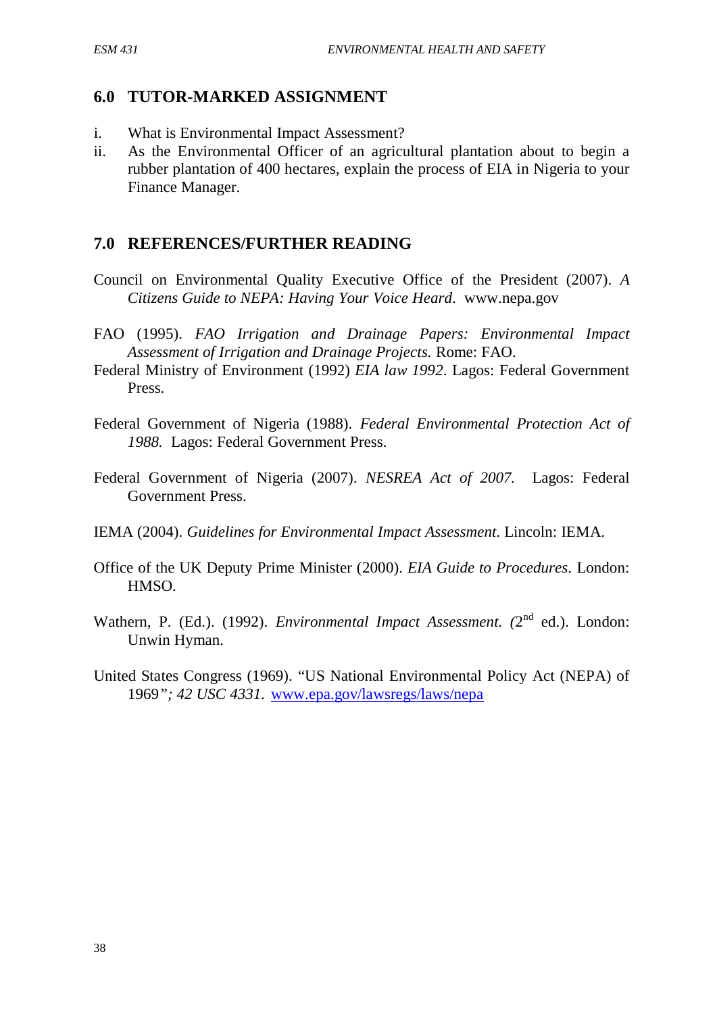# **6.0 TUTOR-MARKED ASSIGNMENT**

- i. What is Environmental Impact Assessment?
- ii. As the Environmental Officer of an agricultural plantation about to begin a rubber plantation of 400 hectares, explain the process of EIA in Nigeria to your Finance Manager.

# **7.0 REFERENCES/FURTHER READING**

- Council on Environmental Quality Executive Office of the President (2007). *A Citizens Guide to NEPA: Having Your Voice Heard*. www.nepa.gov
- FAO (1995). *FAO Irrigation and Drainage Papers: Environmental Impact Assessment of Irrigation and Drainage Projects.* Rome: FAO.
- Federal Ministry of Environment (1992) *EIA law 1992*. Lagos: Federal Government Press.
- Federal Government of Nigeria (1988). *Federal Environmental Protection Act of 1988.* Lagos: Federal Government Press.
- Federal Government of Nigeria (2007). *NESREA Act of 2007.* Lagos: Federal Government Press.
- IEMA (2004). *Guidelines for Environmental Impact Assessment*. Lincoln: IEMA.
- Office of the UK Deputy Prime Minister (2000). *EIA Guide to Procedures*. London: HMSO.
- Wathern, P. (Ed.). (1992). *Environmental Impact Assessment.* (2<sup>nd</sup> ed.). London: Unwin Hyman.
- United States Congress (1969). "US National Environmental Policy Act (NEPA) of 1969*"; 42 USC 4331.* [www.epa.gov/lawsregs/laws/nepa](http://www.epa.gov/lawsregs/laws/nepa)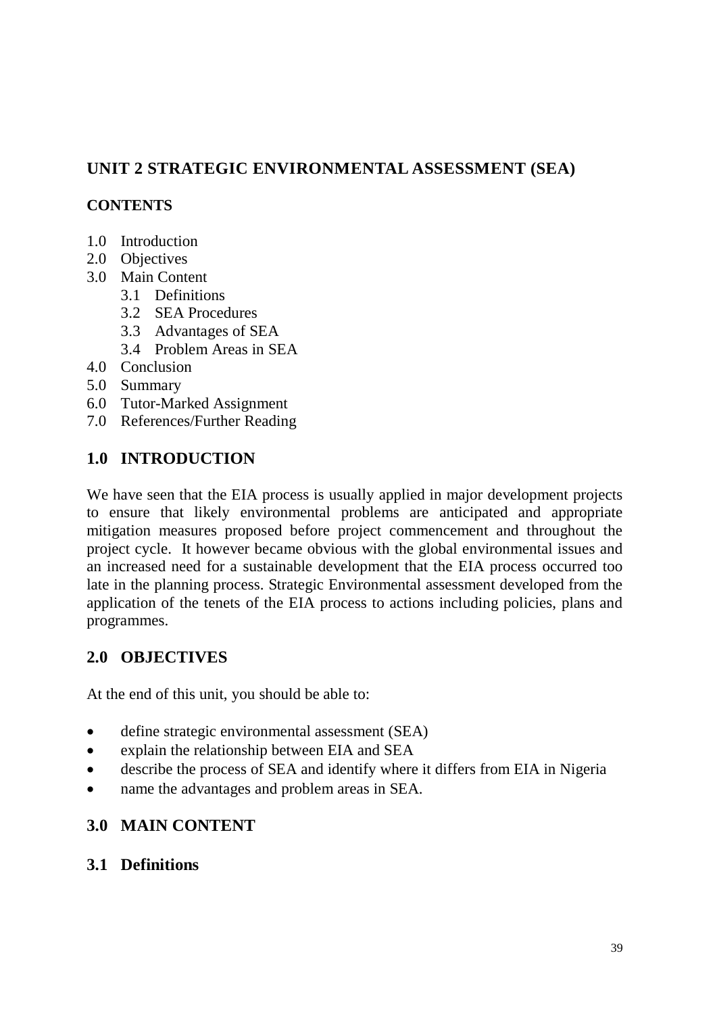# **UNIT 2 STRATEGIC ENVIRONMENTAL ASSESSMENT (SEA)**

### **CONTENTS**

- 1.0 Introduction
- 2.0 Objectives
- 3.0 Main Content
	- 3.1 Definitions
	- 3.2 SEA Procedures
	- 3.3 Advantages of SEA
	- 3.4 Problem Areas in SEA
- 4.0 Conclusion
- 5.0 Summary
- 6.0 Tutor-Marked Assignment
- 7.0 References/Further Reading

# **1.0 INTRODUCTION**

We have seen that the EIA process is usually applied in major development projects to ensure that likely environmental problems are anticipated and appropriate mitigation measures proposed before project commencement and throughout the project cycle. It however became obvious with the global environmental issues and an increased need for a sustainable development that the EIA process occurred too late in the planning process. Strategic Environmental assessment developed from the application of the tenets of the EIA process to actions including policies, plans and programmes.

# **2.0 OBJECTIVES**

At the end of this unit, you should be able to:

- define strategic environmental assessment (SEA)
- explain the relationship between EIA and SEA
- describe the process of SEA and identify where it differs from EIA in Nigeria
- name the advantages and problem areas in SEA.

### **3.0 MAIN CONTENT**

### **3.1 Definitions**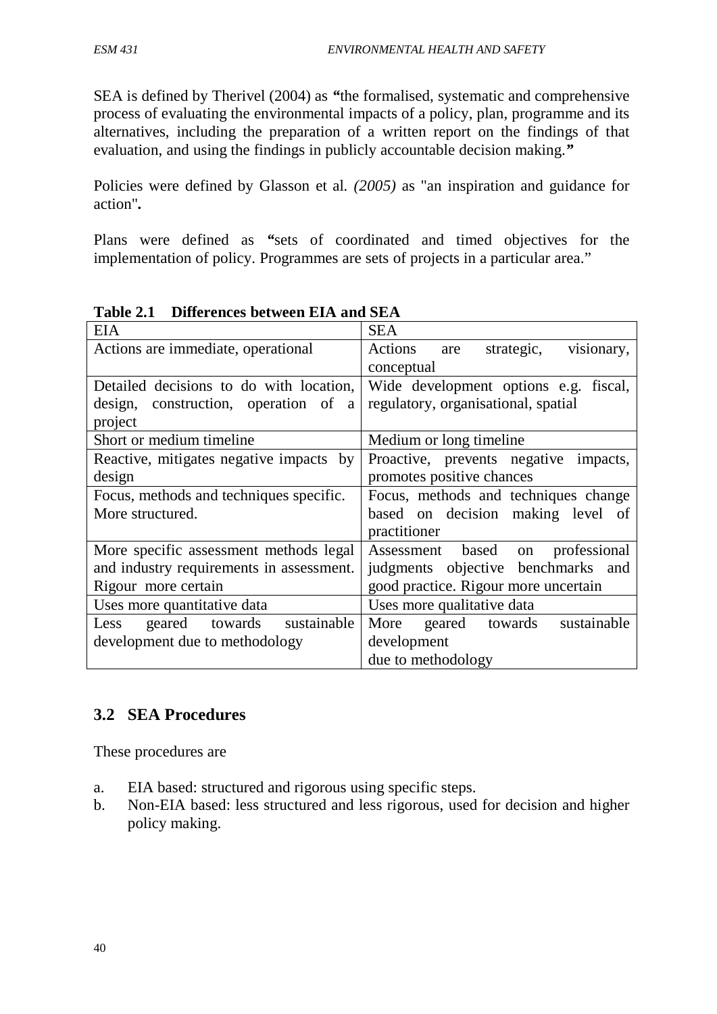SEA is defined by Therivel (2004) as *"*the formalised, systematic and comprehensive process of evaluating the environmental impacts of a policy, plan, programme and its alternatives, including the preparation of a written report on the findings of that evaluation, and using the findings in publicly accountable decision making.*"*

Policies were defined by Glasson et al*. (2005)* as "an inspiration and guidance for action"*.*

Plans were defined as *"*sets of coordinated and timed objectives for the implementation of policy. Programmes are sets of projects in a particular area."

| <b>EIA</b>                               | <b>SEA</b>                                 |  |  |
|------------------------------------------|--------------------------------------------|--|--|
| Actions are immediate, operational       | visionary,<br>Actions<br>strategic,<br>are |  |  |
|                                          | conceptual                                 |  |  |
| Detailed decisions to do with location,  | Wide development options e.g. fiscal,      |  |  |
| design, construction, operation of a     | regulatory, organisational, spatial        |  |  |
| project                                  |                                            |  |  |
| Short or medium timeline                 | Medium or long timeline                    |  |  |
| Reactive, mitigates negative impacts by  | Proactive, prevents negative impacts,      |  |  |
| design                                   | promotes positive chances                  |  |  |
| Focus, methods and techniques specific.  | Focus, methods and techniques change       |  |  |
| More structured.                         | based on decision making level of          |  |  |
|                                          | practitioner                               |  |  |
| More specific assessment methods legal   | Assessment based on<br>professional        |  |  |
| and industry requirements in assessment. | judgments objective benchmarks and         |  |  |
| Rigour more certain                      | good practice. Rigour more uncertain       |  |  |
| Uses more quantitative data              | Uses more qualitative data                 |  |  |
| geared towards sustainable<br>Less       | sustainable<br>More geared towards         |  |  |
| development due to methodology           | development                                |  |  |
|                                          | due to methodology                         |  |  |

|  |  | Table 2.1 Differences between EIA and SEA |  |  |  |  |
|--|--|-------------------------------------------|--|--|--|--|
|--|--|-------------------------------------------|--|--|--|--|

# **3.2 SEA Procedures**

These procedures are

- a. EIA based: structured and rigorous using specific steps.
- b. Non-EIA based: less structured and less rigorous, used for decision and higher policy making.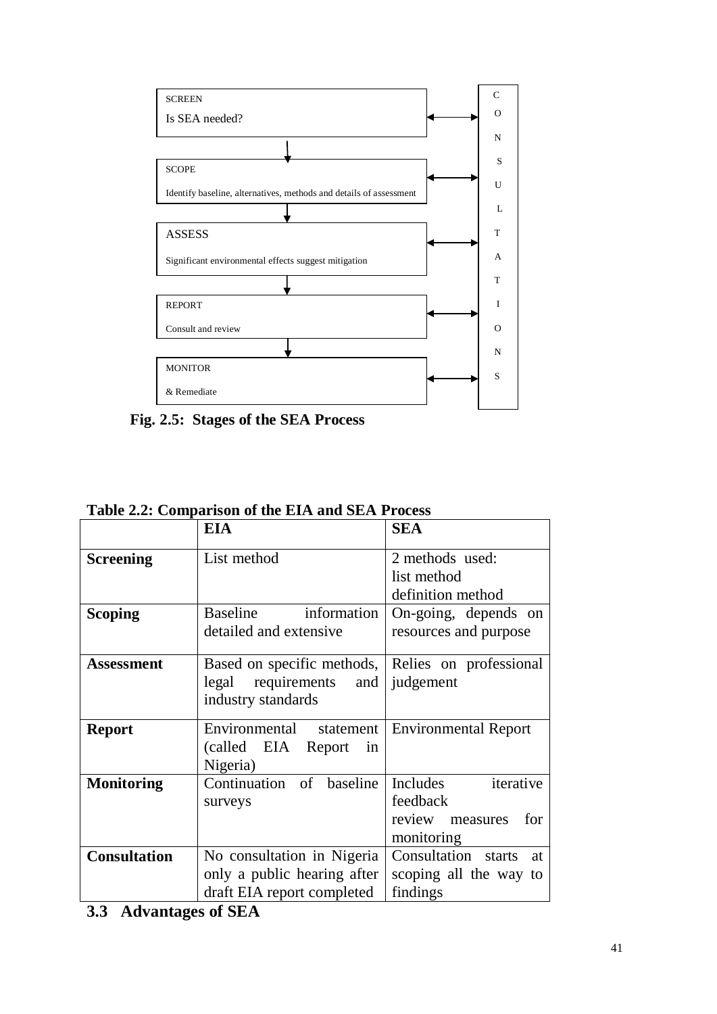

**Fig. 2.5: Stages of the SEA Process** 

|                     | rabic 2.2. Comparison or the Emir and SEM Frocess |                             |  |  |
|---------------------|---------------------------------------------------|-----------------------------|--|--|
|                     | <b>EIA</b><br><b>SEA</b>                          |                             |  |  |
| <b>Screening</b>    | List method                                       | 2 methods used:             |  |  |
|                     |                                                   | list method                 |  |  |
|                     |                                                   | definition method           |  |  |
|                     |                                                   |                             |  |  |
| <b>Scoping</b>      | information<br>Baseline                           | On-going, depends on        |  |  |
|                     | detailed and extensive                            | resources and purpose       |  |  |
|                     |                                                   |                             |  |  |
| <b>Assessment</b>   | Based on specific methods, Relies on professional |                             |  |  |
|                     | requirements and<br>legal                         | judgement                   |  |  |
|                     | industry standards                                |                             |  |  |
|                     |                                                   |                             |  |  |
| <b>Report</b>       | Environmental statement                           | <b>Environmental Report</b> |  |  |
|                     | (called EIA Report in                             |                             |  |  |
|                     | Nigeria)                                          |                             |  |  |
| <b>Monitoring</b>   | Continuation of baseline                          | Includes<br>iterative       |  |  |
|                     | surveys                                           | feedback                    |  |  |
|                     |                                                   | review measures<br>for      |  |  |
|                     |                                                   | monitoring                  |  |  |
| <b>Consultation</b> | No consultation in Nigeria                        | Consultation starts<br>at   |  |  |
|                     | only a public hearing after                       | scoping all the way to      |  |  |
|                     | draft EIA report completed                        | findings                    |  |  |
|                     |                                                   |                             |  |  |

**Table 2.2: Comparison of the EIA and SEA Process**

**<sup>3.3</sup> Advantages of SEA**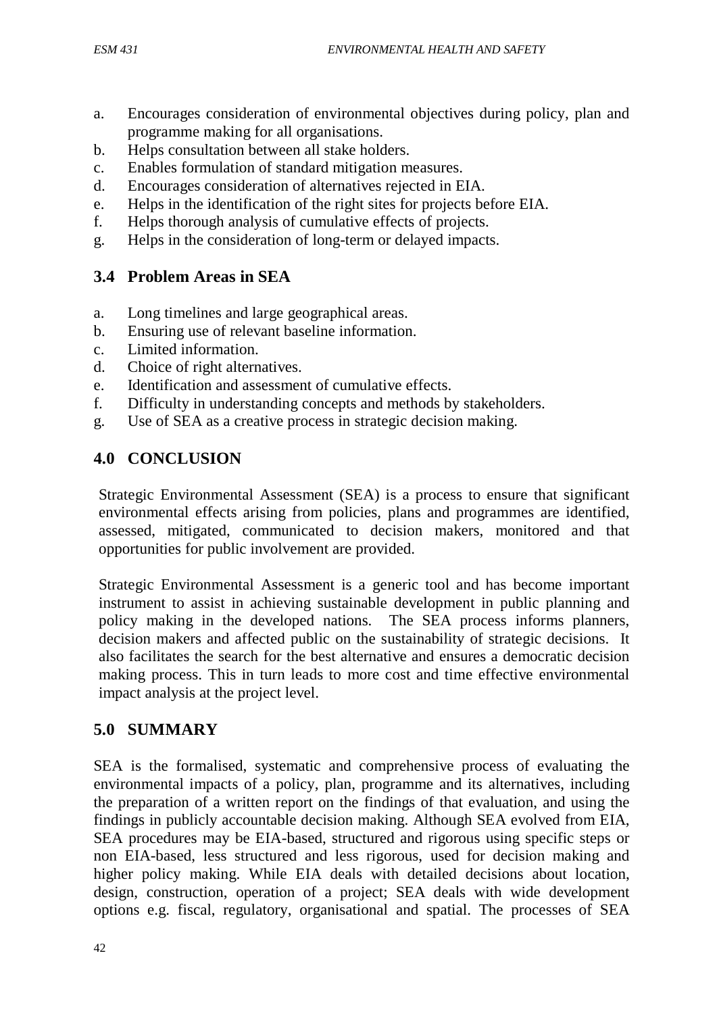- a. Encourages consideration of environmental objectives during policy, plan and programme making for all organisations.
- b. Helps consultation between all stake holders.
- c. Enables formulation of standard mitigation measures.
- d. Encourages consideration of alternatives rejected in EIA.
- e. Helps in the identification of the right sites for projects before EIA.
- f. Helps thorough analysis of cumulative effects of projects.
- g. Helps in the consideration of long-term or delayed impacts.

# **3.4 Problem Areas in SEA**

- a. Long timelines and large geographical areas.
- b. Ensuring use of relevant baseline information.
- c. Limited information.
- d. Choice of right alternatives.
- e. Identification and assessment of cumulative effects.
- f. Difficulty in understanding concepts and methods by stakeholders.
- g. Use of SEA as a creative process in strategic decision making.

# **4.0 CONCLUSION**

Strategic Environmental Assessment (SEA) is a process to ensure that significant environmental effects arising from policies, plans and programmes are identified, assessed, mitigated, communicated to decision makers, monitored and that opportunities for public involvement are provided.

Strategic Environmental Assessment is a generic tool and has become important instrument to assist in achieving sustainable development in public planning and policy making in the developed nations. The SEA process informs planners, decision makers and affected public on the sustainability of strategic decisions. It also facilitates the search for the best alternative and ensures a democratic decision making process. This in turn leads to more cost and time effective environmental impact analysis at the project level.

# **5.0 SUMMARY**

SEA is the formalised, systematic and comprehensive process of evaluating the environmental impacts of a policy, plan, programme and its alternatives, including the preparation of a written report on the findings of that evaluation, and using the findings in publicly accountable decision making. Although SEA evolved from EIA, SEA procedures may be EIA-based, structured and rigorous using specific steps or non EIA-based, less structured and less rigorous, used for decision making and higher policy making. While EIA deals with detailed decisions about location, design, construction, operation of a project; SEA deals with wide development options e.g. fiscal, regulatory, organisational and spatial. The processes of SEA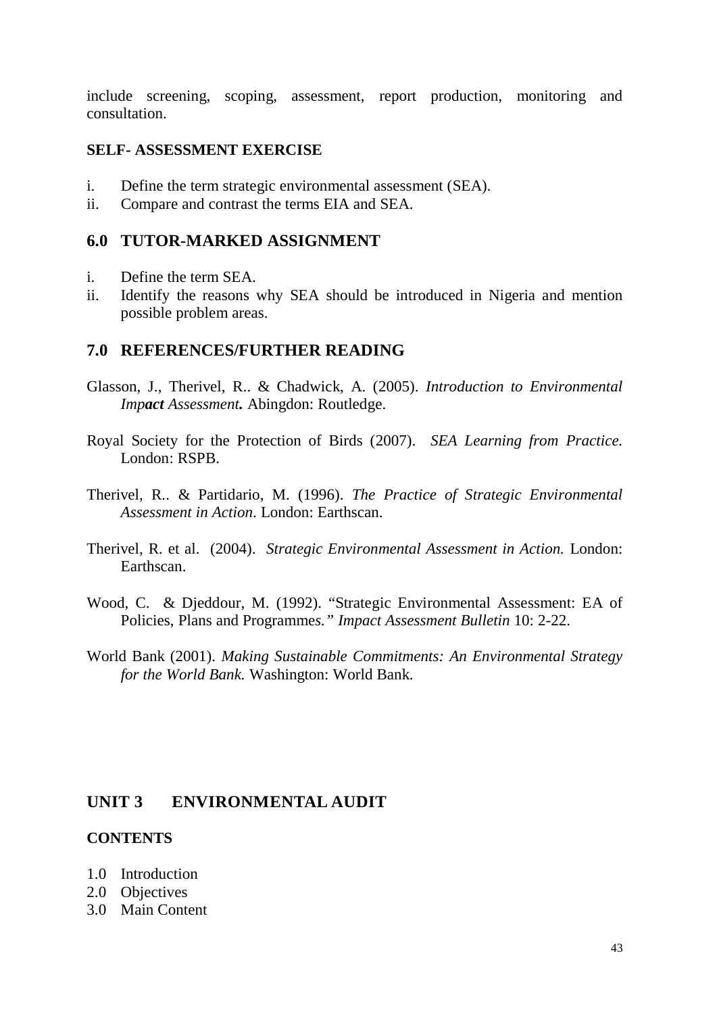include screening, scoping, assessment, report production, monitoring and consultation.

#### **SELF- ASSESSMENT EXERCISE**

- i. Define the term strategic environmental assessment (SEA).
- ii. Compare and contrast the terms EIA and SEA.

#### **6.0 TUTOR-MARKED ASSIGNMENT**

- i. Define the term SEA.
- ii. Identify the reasons why SEA should be introduced in Nigeria and mention possible problem areas.

### **7.0 REFERENCES/FURTHER READING**

- Glasson, J., Therivel, R.. & Chadwick, A. (2005). *Introduction to Environmental Impact Assessment.* Abingdon: Routledge.
- Royal Society for the Protection of Birds (2007). *SEA Learning from Practice.*  London: RSPB.
- Therivel, R.. & Partidario, M. (1996). *The Practice of Strategic Environmental Assessment in Action*. London: Earthscan.
- Therivel, R. et al. (2004). *Strategic Environmental Assessment in Action.* London: Earthscan.
- Wood, C. & Djeddour, M. (1992). "Strategic Environmental Assessment: EA of Policies, Plans and Programme*s." Impact Assessment Bulletin* 10: 2-22.
- World Bank (2001). *Making Sustainable Commitments: An Environmental Strategy for the World Bank.* Washington: World Bank.

### **UNIT 3 ENVIRONMENTAL AUDIT**

#### **CONTENTS**

- 1.0 Introduction
- 2.0 Objectives
- 3.0 Main Content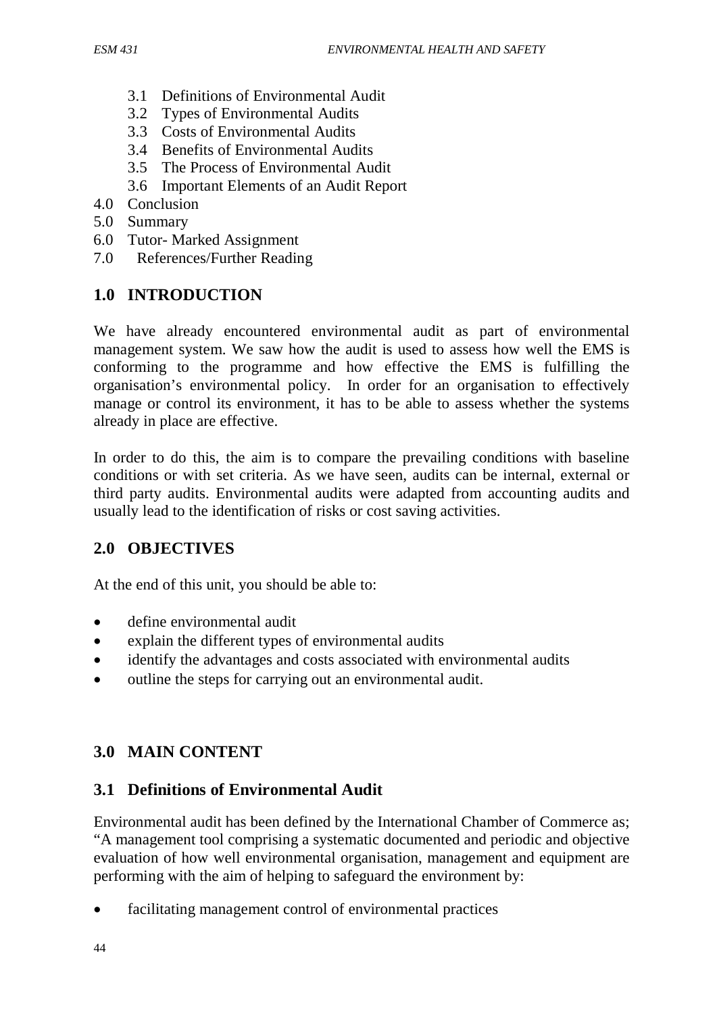- 3.1 Definitions of Environmental Audit
- 3.2 Types of Environmental Audits
- 3.3 Costs of Environmental Audits
- 3.4 Benefits of Environmental Audits
- 3.5 The Process of Environmental Audit
- 3.6 Important Elements of an Audit Report
- 4.0 Conclusion
- 5.0 Summary
- 6.0 Tutor- Marked Assignment
- 7.0 References/Further Reading

# **1.0 INTRODUCTION**

We have already encountered environmental audit as part of environmental management system. We saw how the audit is used to assess how well the EMS is conforming to the programme and how effective the EMS is fulfilling the organisation's environmental policy. In order for an organisation to effectively manage or control its environment, it has to be able to assess whether the systems already in place are effective.

In order to do this, the aim is to compare the prevailing conditions with baseline conditions or with set criteria. As we have seen, audits can be internal, external or third party audits. Environmental audits were adapted from accounting audits and usually lead to the identification of risks or cost saving activities.

# **2.0 OBJECTIVES**

At the end of this unit, you should be able to:

- define environmental audit
- explain the different types of environmental audits
- identify the advantages and costs associated with environmental audits
- outline the steps for carrying out an environmental audit.

# **3.0 MAIN CONTENT**

# **3.1 Definitions of Environmental Audit**

Environmental audit has been defined by the International Chamber of Commerce as; "A management tool comprising a systematic documented and periodic and objective evaluation of how well environmental organisation, management and equipment are performing with the aim of helping to safeguard the environment by:

facilitating management control of environmental practices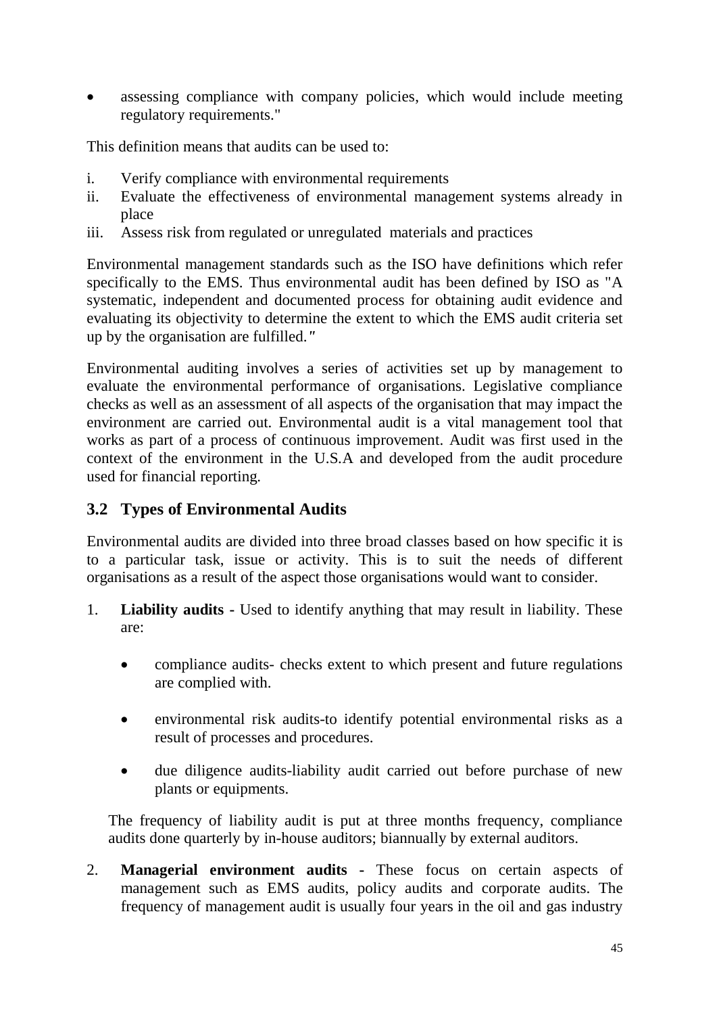assessing compliance with company policies, which would include meeting regulatory requirements."

This definition means that audits can be used to:

- i. Verify compliance with environmental requirements
- ii. Evaluate the effectiveness of environmental management systems already in place
- iii. Assess risk from regulated or unregulated materials and practices

Environmental management standards such as the ISO have definitions which refer specifically to the EMS. Thus environmental audit has been defined by ISO as "A systematic, independent and documented process for obtaining audit evidence and evaluating its objectivity to determine the extent to which the EMS audit criteria set up by the organisation are fulfilled.*"* 

Environmental auditing involves a series of activities set up by management to evaluate the environmental performance of organisations. Legislative compliance checks as well as an assessment of all aspects of the organisation that may impact the environment are carried out. Environmental audit is a vital management tool that works as part of a process of continuous improvement. Audit was first used in the context of the environment in the U.S.A and developed from the audit procedure used for financial reporting.

# **3.2 Types of Environmental Audits**

Environmental audits are divided into three broad classes based on how specific it is to a particular task, issue or activity. This is to suit the needs of different organisations as a result of the aspect those organisations would want to consider.

- 1. **Liability audits -** Used to identify anything that may result in liability. These are:
	- compliance audits- checks extent to which present and future regulations are complied with.
	- environmental risk audits-to identify potential environmental risks as a result of processes and procedures.
	- due diligence audits-liability audit carried out before purchase of new plants or equipments.

The frequency of liability audit is put at three months frequency, compliance audits done quarterly by in-house auditors; biannually by external auditors.

2. **Managerial environment audits -** These focus on certain aspects of management such as EMS audits, policy audits and corporate audits. The frequency of management audit is usually four years in the oil and gas industry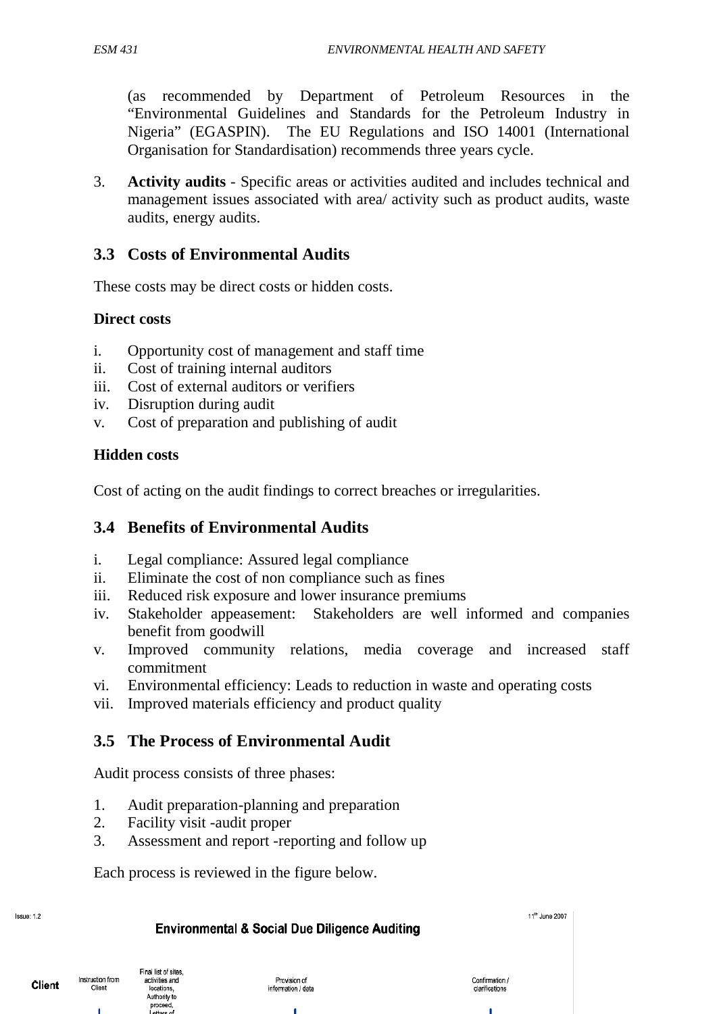(as recommended by Department of Petroleum Resources in the "Environmental Guidelines and Standards for the Petroleum Industry in Nigeria" (EGASPIN). The EU Regulations and ISO 14001 (International Organisation for Standardisation) recommends three years cycle.

3. **Activity audits** - Specific areas or activities audited and includes technical and management issues associated with area/ activity such as product audits, waste audits, energy audits.

# **3.3 Costs of Environmental Audits**

These costs may be direct costs or hidden costs.

#### **Direct costs**

- i. Opportunity cost of management and staff time
- ii. Cost of training internal auditors
- iii. Cost of external auditors or verifiers
- iv. Disruption during audit
- v. Cost of preparation and publishing of audit

#### **Hidden costs**

Cost of acting on the audit findings to correct breaches or irregularities.

### **3.4 Benefits of Environmental Audits**

- i. Legal compliance: Assured legal compliance
- ii. Eliminate the cost of non compliance such as fines
- iii. Reduced risk exposure and lower insurance premiums
- iv. Stakeholder appeasement: Stakeholders are well informed and companies benefit from goodwill
- v. Improved community relations, media coverage and increased staff commitment
- vi. Environmental efficiency: Leads to reduction in waste and operating costs
- vii. Improved materials efficiency and product quality

# **3.5 The Process of Environmental Audit**

Audit process consists of three phases:

- 1. Audit preparation-planning and preparation
- 2. Facility visit -audit proper

Final list of sites

activities and

Incations

Authority to proceed

Instruction from

Client

3. Assessment and report -reporting and follow up

Each process is reviewed in the figure below.

| <b>Environmental &amp; Social Due Diligence Auditing</b>        |                                    |                                  |  |
|-----------------------------------------------------------------|------------------------------------|----------------------------------|--|
| ist of sites.<br>vities and<br>cations.<br>thority to<br>oceed. | Provision of<br>information / data | Confirmation /<br>clarifications |  |

Issue: 1.2

Client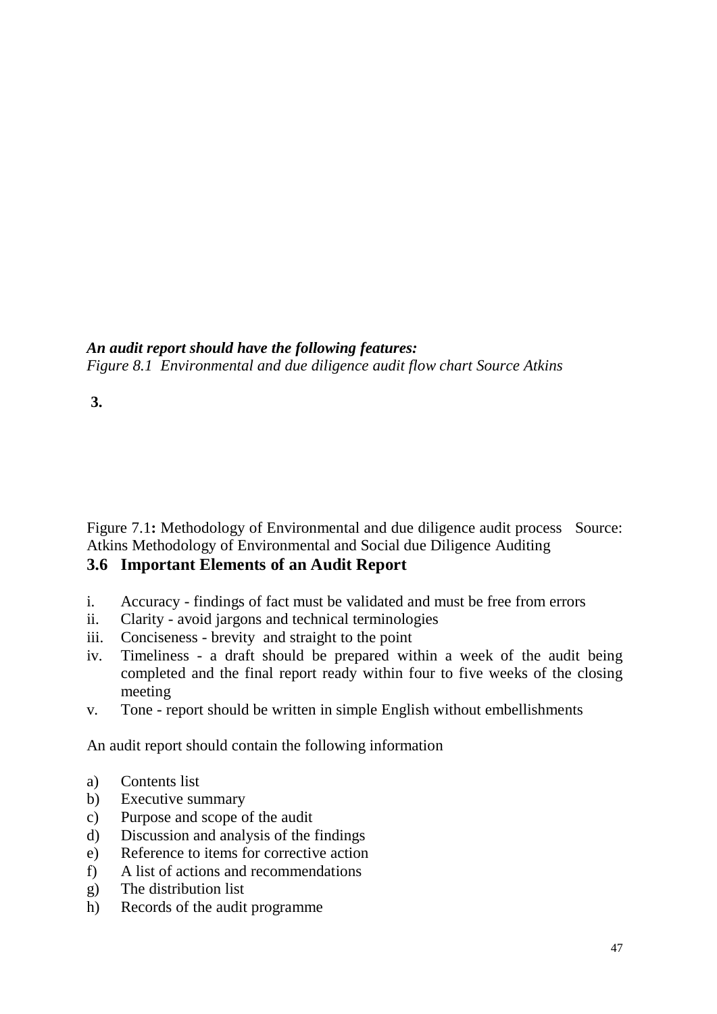### *An audit report should have the following features:*

*Figure 8.1 Environmental and due diligence audit flow chart Source Atkins* 

# **3.**

Figure 7.1: Methodology of Environmental and due diligence audit process Source: Atkins Methodology of Environmental and Social due Diligence Auditing

# **3.6 Important Elements of an Audit Report**

- i. Accuracy findings of fact must be validated and must be free from errors
- ii. Clarity avoid jargons and technical terminologies
- iii. Conciseness brevity and straight to the point
- iv. Timeliness a draft should be prepared within a week of the audit being completed and the final report ready within four to five weeks of the closing meeting
- v. Tone report should be written in simple English without embellishments

An audit report should contain the following information

- a) Contents list
- b) Executive summary
- c) Purpose and scope of the audit
- d) Discussion and analysis of the findings
- e) Reference to items for corrective action
- f) A list of actions and recommendations
- g) The distribution list
- h) Records of the audit programme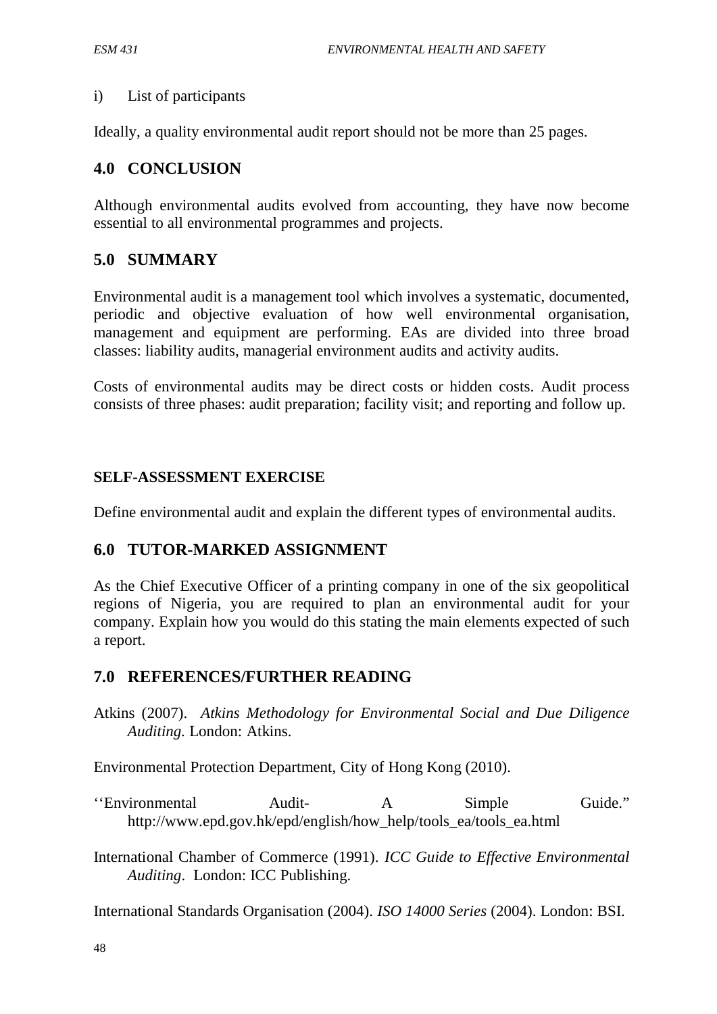#### i) List of participants

Ideally, a quality environmental audit report should not be more than 25 pages.

# **4.0 CONCLUSION**

Although environmental audits evolved from accounting, they have now become essential to all environmental programmes and projects.

# **5.0 SUMMARY**

Environmental audit is a management tool which involves a systematic, documented, periodic and objective evaluation of how well environmental organisation, management and equipment are performing. EAs are divided into three broad classes: liability audits, managerial environment audits and activity audits.

Costs of environmental audits may be direct costs or hidden costs. Audit process consists of three phases: audit preparation; facility visit; and reporting and follow up.

### **SELF-ASSESSMENT EXERCISE**

Define environmental audit and explain the different types of environmental audits.

### **6.0 TUTOR-MARKED ASSIGNMENT**

As the Chief Executive Officer of a printing company in one of the six geopolitical regions of Nigeria, you are required to plan an environmental audit for your company. Explain how you would do this stating the main elements expected of such a report.

### **7.0 REFERENCES/FURTHER READING**

Atkins (2007). *Atkins Methodology for Environmental Social and Due Diligence Auditing.* London: Atkins.

Environmental Protection Department, City of Hong Kong (2010).

- ''Environmental Audit- A Simple Guide." http://www.epd.gov.hk/epd/english/how\_help/tools\_ea/tools\_ea.html
- International Chamber of Commerce (1991). *ICC Guide to Effective Environmental Auditing*. London: ICC Publishing.

International Standards Organisation (2004). *ISO 14000 Series* (2004). London: BSI.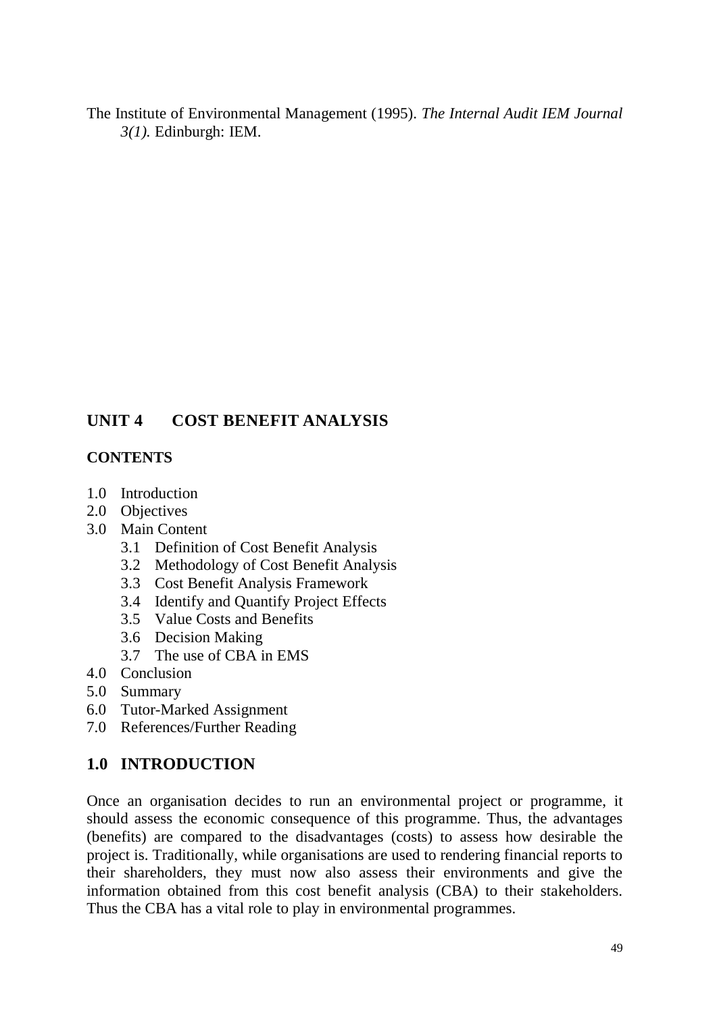The Institute of Environmental Management (1995). *The Internal Audit IEM Journal 3(1).* Edinburgh: IEM.

# **UNIT 4 COST BENEFIT ANALYSIS**

# **CONTENTS**

- 1.0 Introduction
- 2.0 Objectives
- 3.0 Main Content
	- 3.1 Definition of Cost Benefit Analysis
	- 3.2 Methodology of Cost Benefit Analysis
	- 3.3 Cost Benefit Analysis Framework
	- 3.4 Identify and Quantify Project Effects
	- 3.5 Value Costs and Benefits
	- 3.6 Decision Making
	- 3.7 The use of CBA in EMS
- 4.0 Conclusion
- 5.0 Summary
- 6.0 Tutor-Marked Assignment
- 7.0 References/Further Reading

# **1.0 INTRODUCTION**

Once an organisation decides to run an environmental project or programme, it should assess the economic consequence of this programme. Thus, the advantages (benefits) are compared to the disadvantages (costs) to assess how desirable the project is. Traditionally, while organisations are used to rendering financial reports to their shareholders, they must now also assess their environments and give the information obtained from this cost benefit analysis (CBA) to their stakeholders. Thus the CBA has a vital role to play in environmental programmes.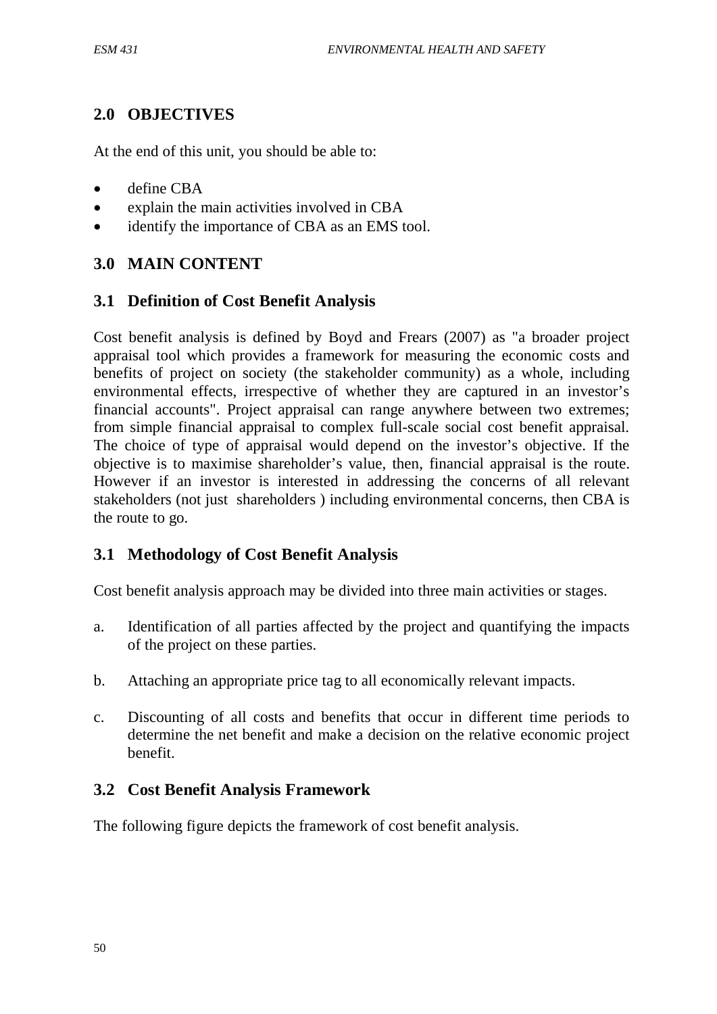# **2.0 OBJECTIVES**

At the end of this unit, you should be able to:

- define CBA
- explain the main activities involved in CBA
- identify the importance of CBA as an EMS tool.

# **3.0 MAIN CONTENT**

### **3.1 Definition of Cost Benefit Analysis**

Cost benefit analysis is defined by Boyd and Frears (2007) as "a broader project appraisal tool which provides a framework for measuring the economic costs and benefits of project on society (the stakeholder community) as a whole, including environmental effects, irrespective of whether they are captured in an investor's financial accounts". Project appraisal can range anywhere between two extremes; from simple financial appraisal to complex full-scale social cost benefit appraisal. The choice of type of appraisal would depend on the investor's objective. If the objective is to maximise shareholder's value, then, financial appraisal is the route. However if an investor is interested in addressing the concerns of all relevant stakeholders (not just shareholders ) including environmental concerns, then CBA is the route to go.

# **3.1 Methodology of Cost Benefit Analysis**

Cost benefit analysis approach may be divided into three main activities or stages.

- a. Identification of all parties affected by the project and quantifying the impacts of the project on these parties.
- b. Attaching an appropriate price tag to all economically relevant impacts.
- c. Discounting of all costs and benefits that occur in different time periods to determine the net benefit and make a decision on the relative economic project benefit.

# **3.2 Cost Benefit Analysis Framework**

The following figure depicts the framework of cost benefit analysis.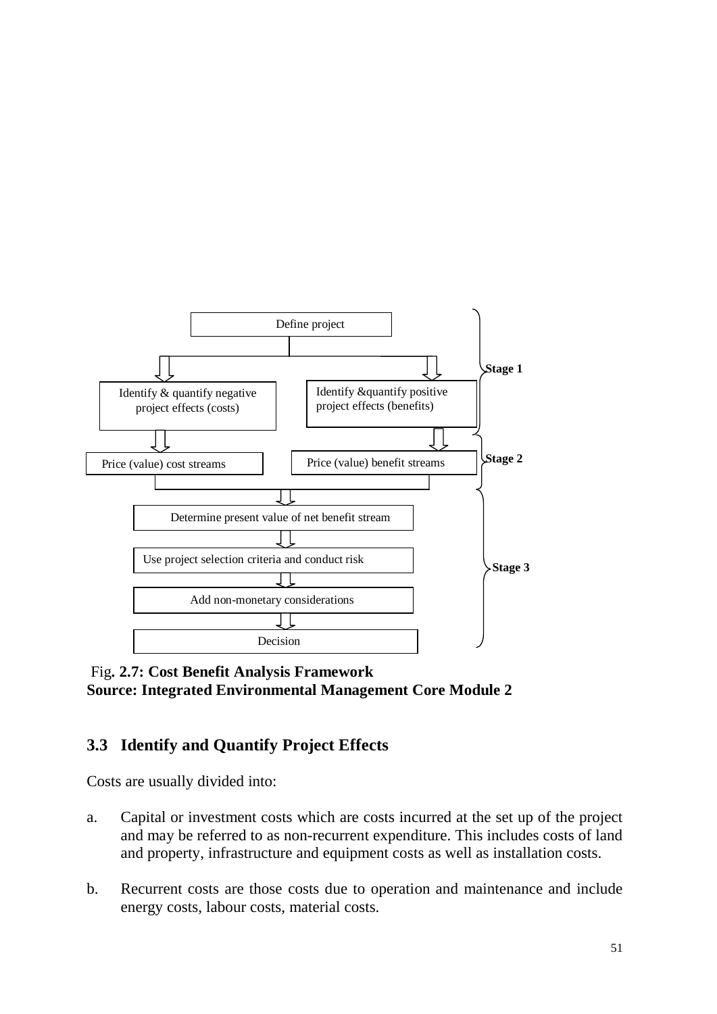

Fig**. 2.7: Cost Benefit Analysis Framework Source: Integrated Environmental Management Core Module 2** 

# **3.3 Identify and Quantify Project Effects**

Costs are usually divided into:

- a. Capital or investment costs which are costs incurred at the set up of the project and may be referred to as non-recurrent expenditure. This includes costs of land and property, infrastructure and equipment costs as well as installation costs.
- b. Recurrent costs are those costs due to operation and maintenance and include energy costs, labour costs, material costs.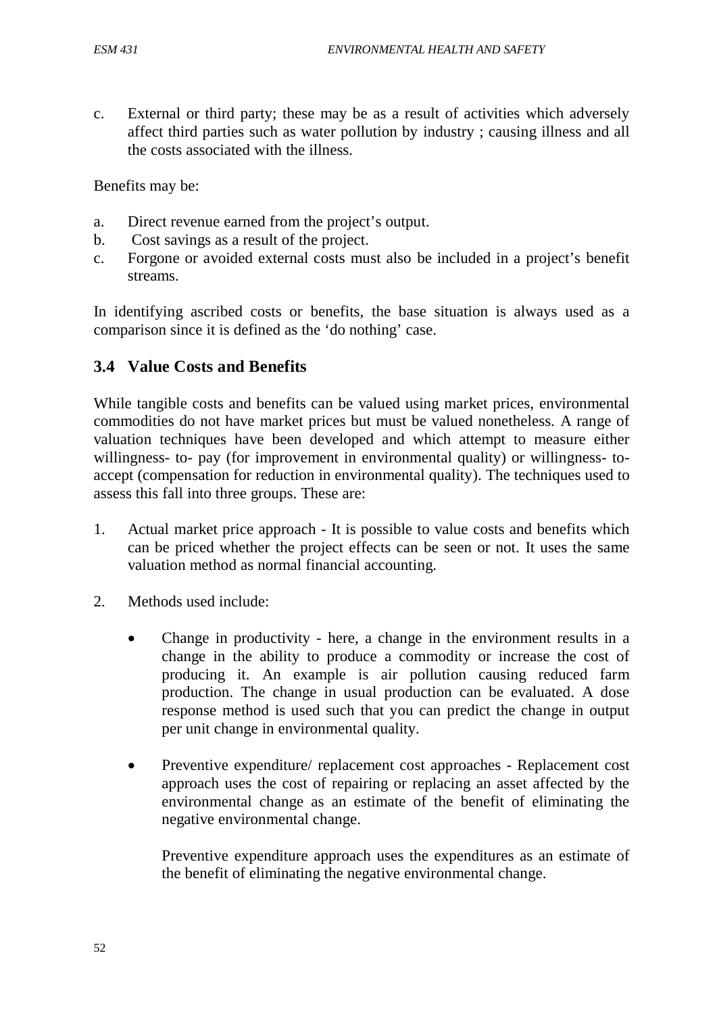c. External or third party; these may be as a result of activities which adversely affect third parties such as water pollution by industry ; causing illness and all the costs associated with the illness.

Benefits may be:

- a. Direct revenue earned from the project's output.
- b. Cost savings as a result of the project.
- c. Forgone or avoided external costs must also be included in a project's benefit streams.

In identifying ascribed costs or benefits, the base situation is always used as a comparison since it is defined as the 'do nothing' case.

# **3.4 Value Costs and Benefits**

While tangible costs and benefits can be valued using market prices, environmental commodities do not have market prices but must be valued nonetheless. A range of valuation techniques have been developed and which attempt to measure either willingness- to- pay (for improvement in environmental quality) or willingness- toaccept (compensation for reduction in environmental quality). The techniques used to assess this fall into three groups. These are:

- 1. Actual market price approach It is possible to value costs and benefits which can be priced whether the project effects can be seen or not. It uses the same valuation method as normal financial accounting.
- 2. Methods used include:
	- Change in productivity here, a change in the environment results in a change in the ability to produce a commodity or increase the cost of producing it. An example is air pollution causing reduced farm production. The change in usual production can be evaluated. A dose response method is used such that you can predict the change in output per unit change in environmental quality.
	- Preventive expenditure/ replacement cost approaches Replacement cost approach uses the cost of repairing or replacing an asset affected by the environmental change as an estimate of the benefit of eliminating the negative environmental change.

Preventive expenditure approach uses the expenditures as an estimate of the benefit of eliminating the negative environmental change.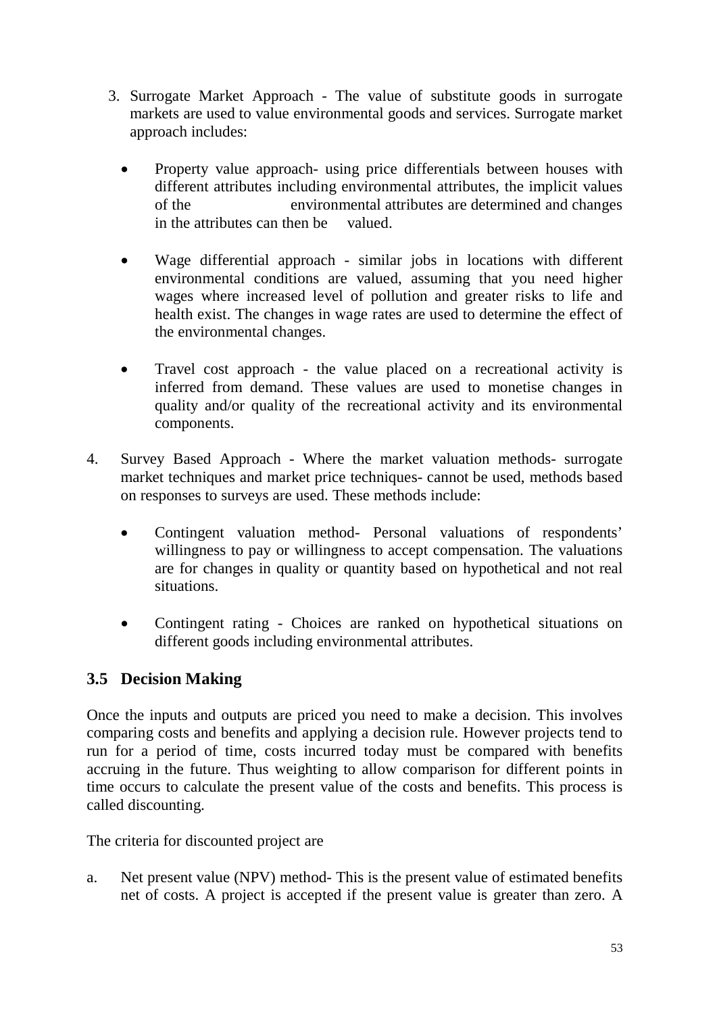- 3. Surrogate Market Approach The value of substitute goods in surrogate markets are used to value environmental goods and services. Surrogate market approach includes:
	- Property value approach- using price differentials between houses with different attributes including environmental attributes, the implicit values of the environmental attributes are determined and changes in the attributes can then be valued.
	- Wage differential approach similar jobs in locations with different environmental conditions are valued, assuming that you need higher wages where increased level of pollution and greater risks to life and health exist. The changes in wage rates are used to determine the effect of the environmental changes.
	- Travel cost approach the value placed on a recreational activity is inferred from demand. These values are used to monetise changes in quality and/or quality of the recreational activity and its environmental components.
- 4. Survey Based Approach Where the market valuation methods- surrogate market techniques and market price techniques- cannot be used, methods based on responses to surveys are used. These methods include:
	- Contingent valuation method- Personal valuations of respondents' willingness to pay or willingness to accept compensation. The valuations are for changes in quality or quantity based on hypothetical and not real situations.
	- Contingent rating Choices are ranked on hypothetical situations on different goods including environmental attributes.

# **3.5 Decision Making**

Once the inputs and outputs are priced you need to make a decision. This involves comparing costs and benefits and applying a decision rule. However projects tend to run for a period of time, costs incurred today must be compared with benefits accruing in the future. Thus weighting to allow comparison for different points in time occurs to calculate the present value of the costs and benefits. This process is called discounting.

The criteria for discounted project are

a. Net present value (NPV) method- This is the present value of estimated benefits net of costs. A project is accepted if the present value is greater than zero. A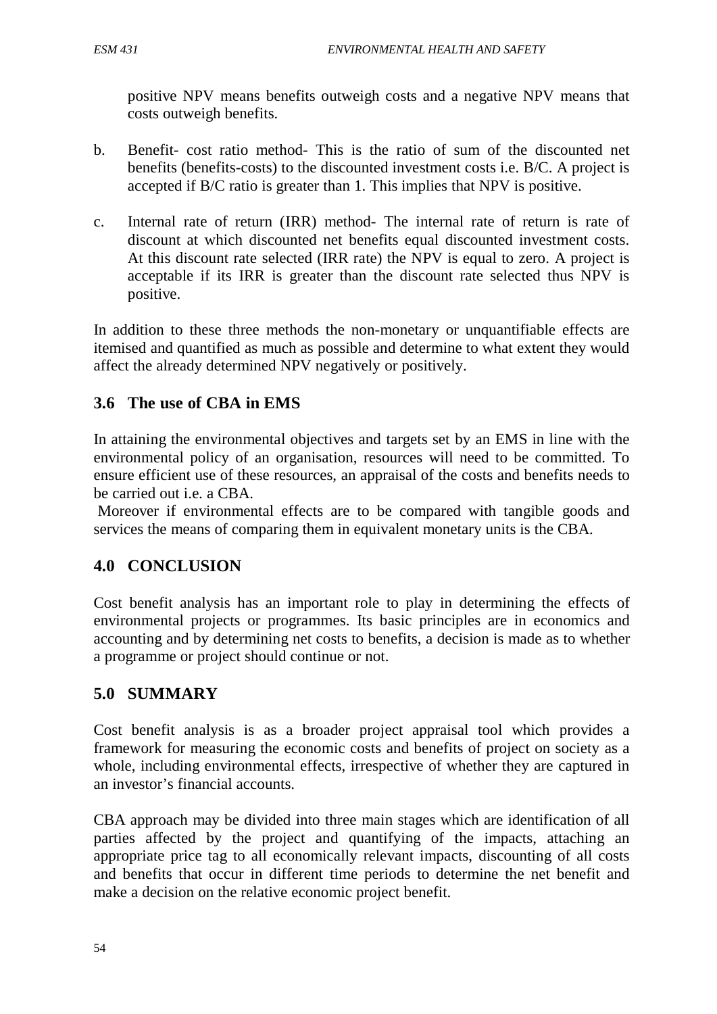positive NPV means benefits outweigh costs and a negative NPV means that costs outweigh benefits.

- b. Benefit- cost ratio method- This is the ratio of sum of the discounted net benefits (benefits-costs) to the discounted investment costs i.e. B/C. A project is accepted if B/C ratio is greater than 1. This implies that NPV is positive.
- c. Internal rate of return (IRR) method- The internal rate of return is rate of discount at which discounted net benefits equal discounted investment costs. At this discount rate selected (IRR rate) the NPV is equal to zero. A project is acceptable if its IRR is greater than the discount rate selected thus NPV is positive.

In addition to these three methods the non-monetary or unquantifiable effects are itemised and quantified as much as possible and determine to what extent they would affect the already determined NPV negatively or positively.

# **3.6 The use of CBA in EMS**

In attaining the environmental objectives and targets set by an EMS in line with the environmental policy of an organisation, resources will need to be committed. To ensure efficient use of these resources, an appraisal of the costs and benefits needs to be carried out i.e. a CBA.

Moreover if environmental effects are to be compared with tangible goods and services the means of comparing them in equivalent monetary units is the CBA.

# **4.0 CONCLUSION**

Cost benefit analysis has an important role to play in determining the effects of environmental projects or programmes. Its basic principles are in economics and accounting and by determining net costs to benefits, a decision is made as to whether a programme or project should continue or not.

# **5.0 SUMMARY**

Cost benefit analysis is as a broader project appraisal tool which provides a framework for measuring the economic costs and benefits of project on society as a whole, including environmental effects, irrespective of whether they are captured in an investor's financial accounts.

CBA approach may be divided into three main stages which are identification of all parties affected by the project and quantifying of the impacts, attaching an appropriate price tag to all economically relevant impacts, discounting of all costs and benefits that occur in different time periods to determine the net benefit and make a decision on the relative economic project benefit.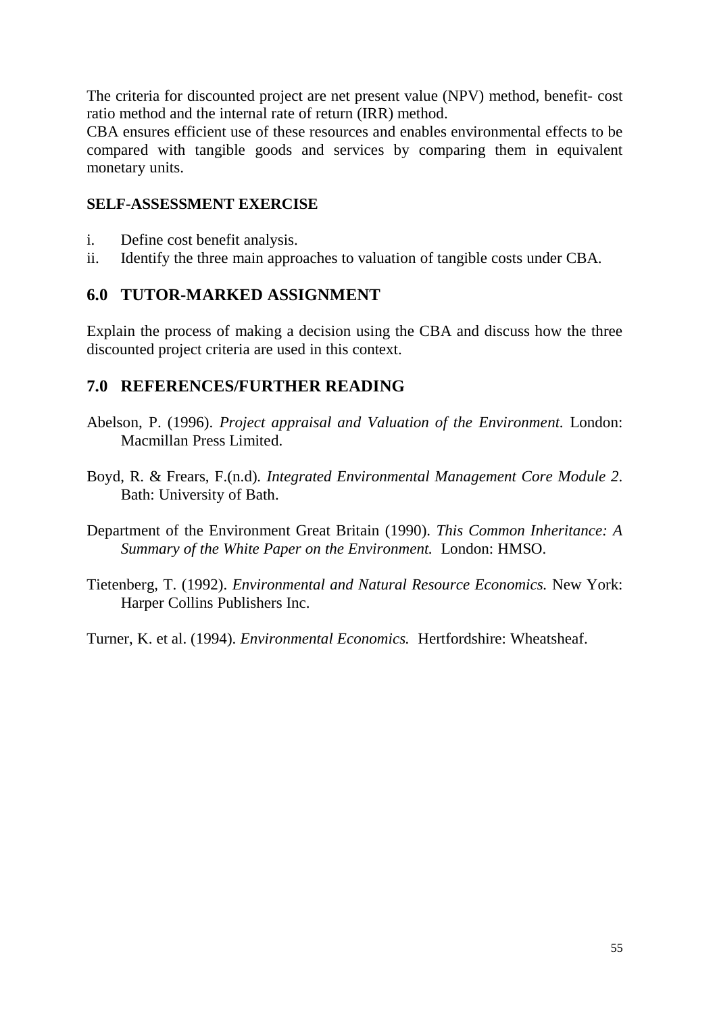The criteria for discounted project are net present value (NPV) method, benefit- cost ratio method and the internal rate of return (IRR) method.

CBA ensures efficient use of these resources and enables environmental effects to be compared with tangible goods and services by comparing them in equivalent monetary units.

### **SELF-ASSESSMENT EXERCISE**

- i. Define cost benefit analysis.
- ii. Identify the three main approaches to valuation of tangible costs under CBA.

# **6.0 TUTOR-MARKED ASSIGNMENT**

Explain the process of making a decision using the CBA and discuss how the three discounted project criteria are used in this context.

# **7.0 REFERENCES/FURTHER READING**

- Abelson, P. (1996). *Project appraisal and Valuation of the Environment.* London: Macmillan Press Limited.
- Boyd, R. & Frears, F.(n.d)*. Integrated Environmental Management Core Module 2*. Bath: University of Bath.
- Department of the Environment Great Britain (1990). *This Common Inheritance: A Summary of the White Paper on the Environment.* London: HMSO.
- Tietenberg, T. (1992). *Environmental and Natural Resource Economics.* New York: Harper Collins Publishers Inc.

Turner, K. et al. (1994). *Environmental Economics.* Hertfordshire: Wheatsheaf.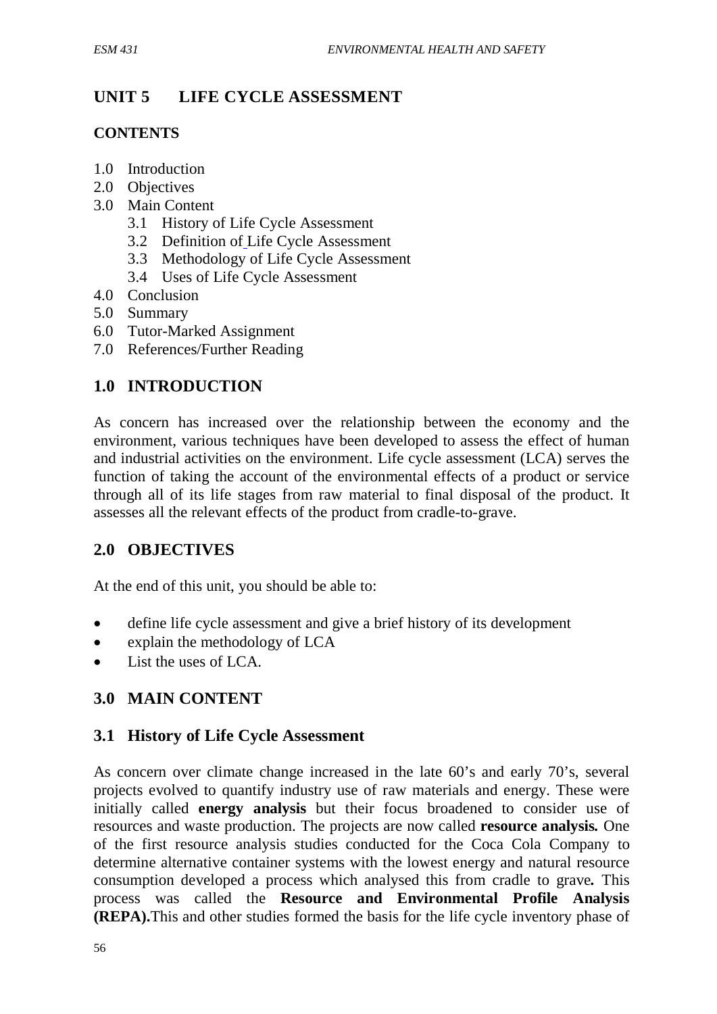# **UNIT 5 LIFE CYCLE ASSESSMENT**

### **CONTENTS**

- 1.0 Introduction
- 2.0 Objectives
- 3.0 Main Content
	- 3.1 History of Life Cycle Assessment
	- 3.2 Definition of Life Cycle Assessment
	- 3.3 Methodology of Life Cycle Assessment
	- 3.4 Uses of Life Cycle Assessment
- 4.0 Conclusion
- 5.0 Summary
- 6.0 Tutor-Marked Assignment
- 7.0 References/Further Reading

# **1.0 INTRODUCTION**

As concern has increased over the relationship between the economy and the environment, various techniques have been developed to assess the effect of human and industrial activities on the environment. Life cycle assessment (LCA) serves the function of taking the account of the environmental effects of a product or service through all of its life stages from raw material to final disposal of the product. It assesses all the relevant effects of the product from cradle-to-grave.

# **2.0 OBJECTIVES**

At the end of this unit, you should be able to:

- define life cycle assessment and give a brief history of its development
- explain the methodology of LCA
- List the uses of LCA.

# **3.0 MAIN CONTENT**

# **3.1 History of Life Cycle Assessment**

As concern over climate change increased in the late 60's and early 70's, several projects evolved to quantify industry use of raw materials and energy. These were initially called **energy analysis** but their focus broadened to consider use of resources and waste production. The projects are now called **resource analysis***.* One of the first resource analysis studies conducted for the Coca Cola Company to determine alternative container systems with the lowest energy and natural resource consumption developed a process which analysed this from cradle to grave*.* This process was called the **Resource and Environmental Profile Analysis (REPA).**This and other studies formed the basis for the life cycle inventory phase of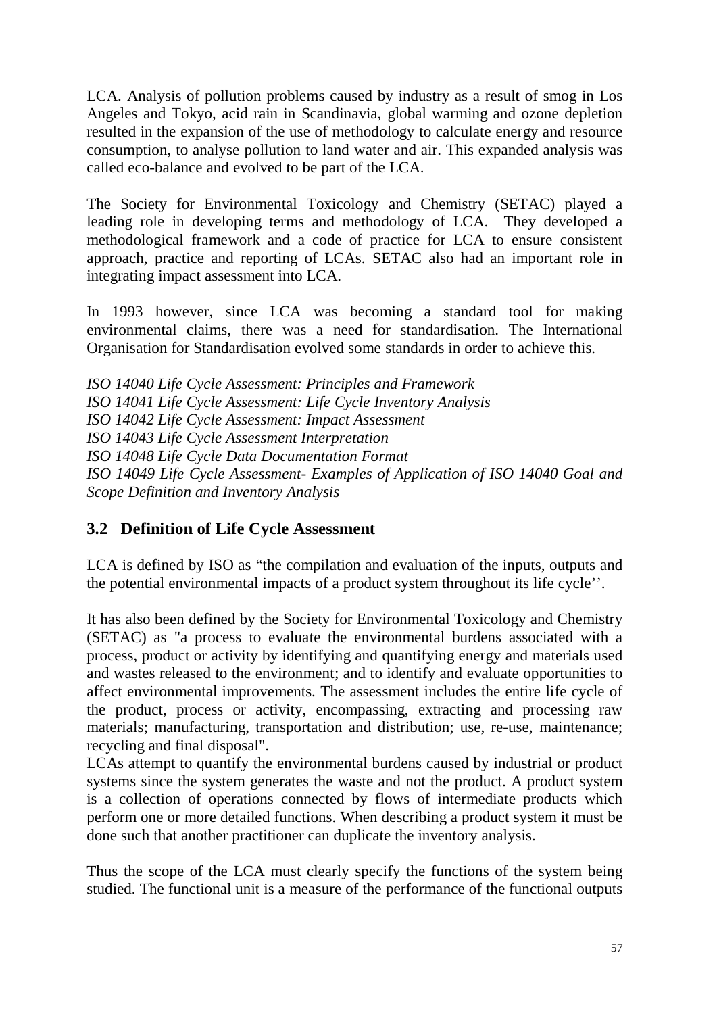LCA. Analysis of pollution problems caused by industry as a result of smog in Los Angeles and Tokyo, acid rain in Scandinavia, global warming and ozone depletion resulted in the expansion of the use of methodology to calculate energy and resource consumption, to analyse pollution to land water and air. This expanded analysis was called eco-balance and evolved to be part of the LCA.

The Society for Environmental Toxicology and Chemistry (SETAC) played a leading role in developing terms and methodology of LCA. They developed a methodological framework and a code of practice for LCA to ensure consistent approach, practice and reporting of LCAs. SETAC also had an important role in integrating impact assessment into LCA.

In 1993 however, since LCA was becoming a standard tool for making environmental claims, there was a need for standardisation. The International Organisation for Standardisation evolved some standards in order to achieve this.

*ISO 14040 Life Cycle Assessment: Principles and Framework ISO 14041 Life Cycle Assessment: Life Cycle Inventory Analysis ISO 14042 Life Cycle Assessment: Impact Assessment ISO 14043 Life Cycle Assessment Interpretation ISO 14048 Life Cycle Data Documentation Format ISO 14049 Life Cycle Assessment- Examples of Application of ISO 14040 Goal and Scope Definition and Inventory Analysis*

# **3.2 Definition of Life Cycle Assessment**

LCA is defined by ISO as "the compilation and evaluation of the inputs, outputs and the potential environmental impacts of a product system throughout its life cycle''.

It has also been defined by the Society for Environmental Toxicology and Chemistry (SETAC) as "a process to evaluate the environmental burdens associated with a process, product or activity by identifying and quantifying energy and materials used and wastes released to the environment; and to identify and evaluate opportunities to affect environmental improvements. The assessment includes the entire life cycle of the product, process or activity, encompassing, extracting and processing raw materials; manufacturing, transportation and distribution; use, re-use, maintenance; recycling and final disposal".

LCAs attempt to quantify the environmental burdens caused by industrial or product systems since the system generates the waste and not the product. A product system is a collection of operations connected by flows of intermediate products which perform one or more detailed functions. When describing a product system it must be done such that another practitioner can duplicate the inventory analysis.

Thus the scope of the LCA must clearly specify the functions of the system being studied. The functional unit is a measure of the performance of the functional outputs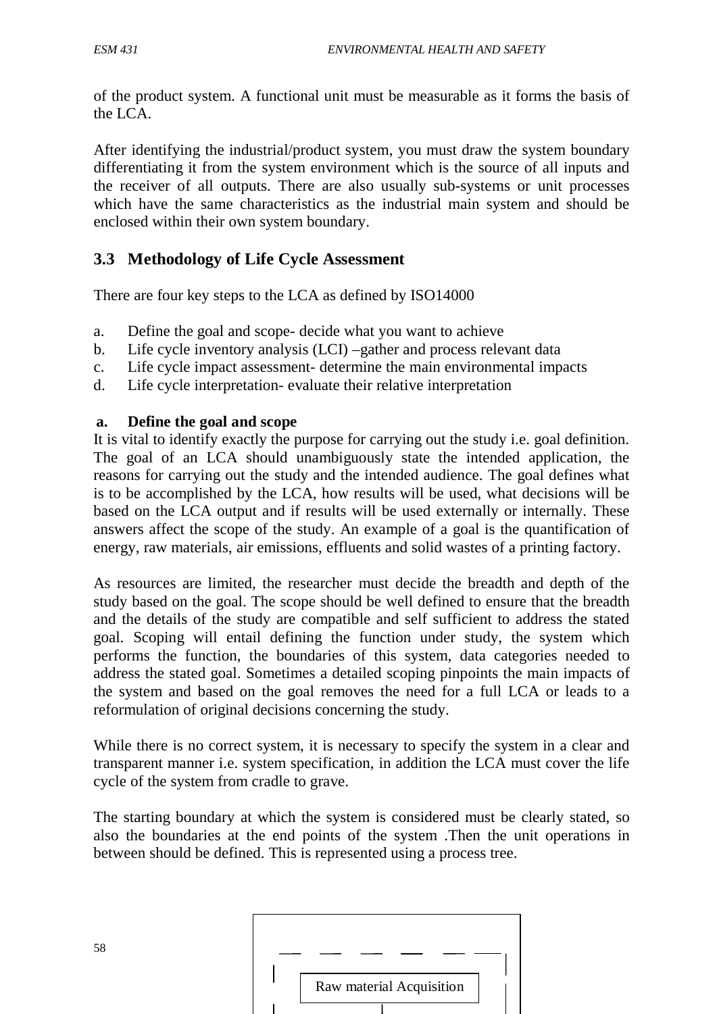58

of the product system. A functional unit must be measurable as it forms the basis of the LCA.

After identifying the industrial/product system, you must draw the system boundary differentiating it from the system environment which is the source of all inputs and the receiver of all outputs. There are also usually sub-systems or unit processes which have the same characteristics as the industrial main system and should be enclosed within their own system boundary.

# **3.3 Methodology of Life Cycle Assessment**

There are four key steps to the LCA as defined by ISO14000

- a. Define the goal and scope- decide what you want to achieve
- b. Life cycle inventory analysis (LCI) –gather and process relevant data
- c. Life cycle impact assessment- determine the main environmental impacts
- d. Life cycle interpretation- evaluate their relative interpretation

#### **a. Define the goal and scope**

It is vital to identify exactly the purpose for carrying out the study i.e. goal definition. The goal of an LCA should unambiguously state the intended application, the reasons for carrying out the study and the intended audience. The goal defines what is to be accomplished by the LCA, how results will be used, what decisions will be based on the LCA output and if results will be used externally or internally. These answers affect the scope of the study. An example of a goal is the quantification of energy, raw materials, air emissions, effluents and solid wastes of a printing factory.

As resources are limited, the researcher must decide the breadth and depth of the study based on the goal. The scope should be well defined to ensure that the breadth and the details of the study are compatible and self sufficient to address the stated goal. Scoping will entail defining the function under study, the system which performs the function, the boundaries of this system, data categories needed to address the stated goal. Sometimes a detailed scoping pinpoints the main impacts of the system and based on the goal removes the need for a full LCA or leads to a reformulation of original decisions concerning the study.

While there is no correct system, it is necessary to specify the system in a clear and transparent manner i.e. system specification, in addition the LCA must cover the life cycle of the system from cradle to grave.

The starting boundary at which the system is considered must be clearly stated, so also the boundaries at the end points of the system .Then the unit operations in between should be defined. This is represented using a process tree.

|  | Raw material Acquisition |
|--|--------------------------|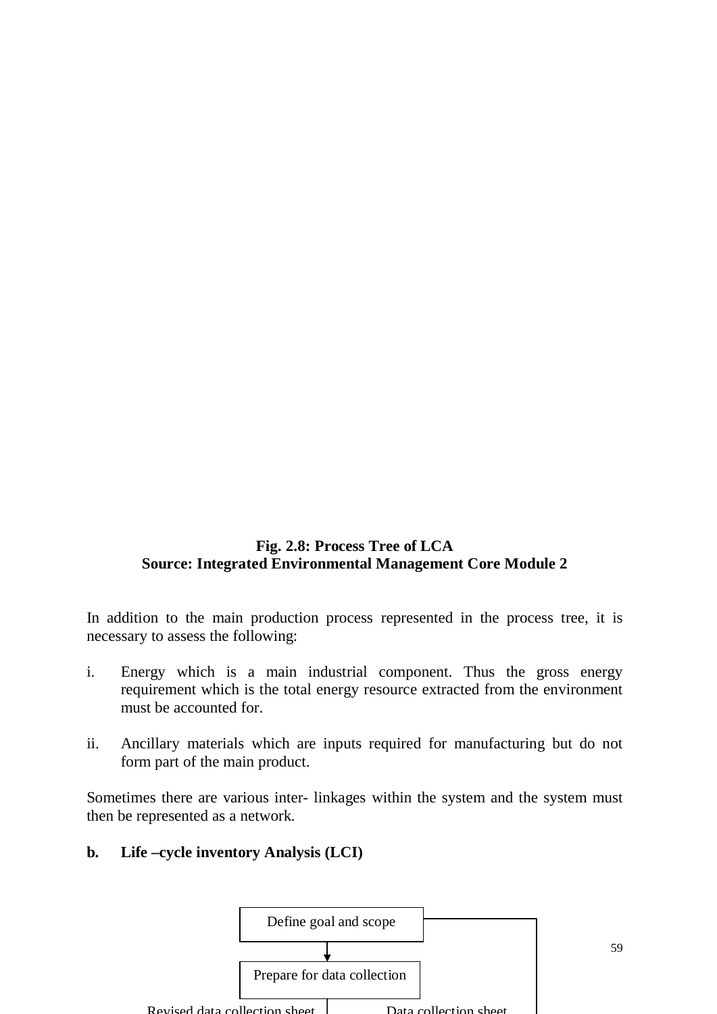### **Fig. 2.8: Process Tree of LCA Source: Integrated Environmental Management Core Module 2**

In addition to the main production process represented in the process tree, it is necessary to assess the following:

- i. Energy which is a main industrial component. Thus the gross energy requirement which is the total energy resource extracted from the environment must be accounted for.
- ii. Ancillary materials which are inputs required for manufacturing but do not form part of the main product.

Sometimes there are various inter- linkages within the system and the system must then be represented as a network.

**b. Life –cycle inventory Analysis (LCI)**



59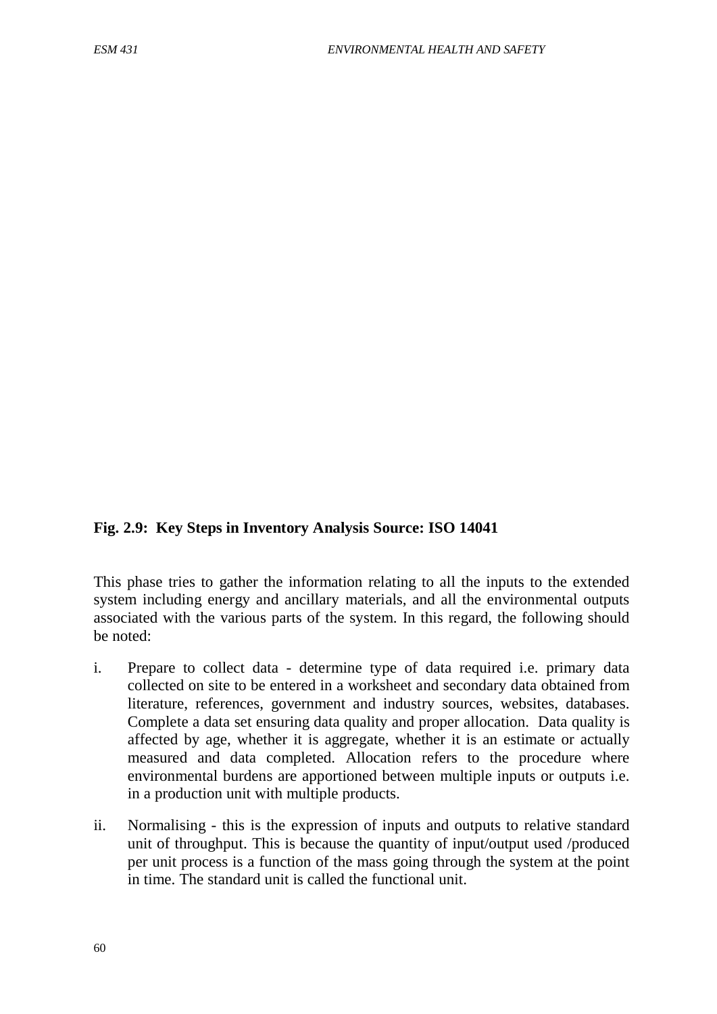#### **Fig. 2.9: Key Steps in Inventory Analysis Source: ISO 14041**

This phase tries to gather the information relating to all the inputs to the extended system including energy and ancillary materials, and all the environmental outputs associated with the various parts of the system. In this regard, the following should be noted:

- i. Prepare to collect data determine type of data required i.e. primary data collected on site to be entered in a worksheet and secondary data obtained from literature, references, government and industry sources, websites, databases. Complete a data set ensuring data quality and proper allocation. Data quality is affected by age, whether it is aggregate, whether it is an estimate or actually measured and data completed. Allocation refers to the procedure where environmental burdens are apportioned between multiple inputs or outputs i.e. in a production unit with multiple products.
- ii. Normalising this is the expression of inputs and outputs to relative standard unit of throughput. This is because the quantity of input/output used /produced per unit process is a function of the mass going through the system at the point in time. The standard unit is called the functional unit.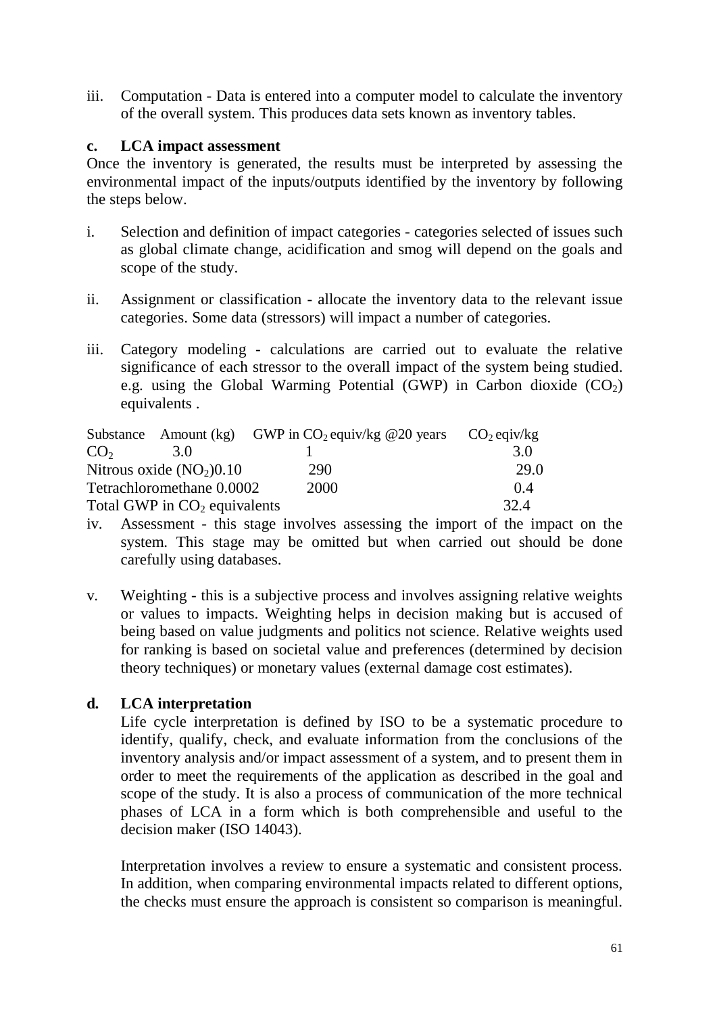iii. Computation - Data is entered into a computer model to calculate the inventory of the overall system. This produces data sets known as inventory tables.

#### **c. LCA impact assessment**

Once the inventory is generated, the results must be interpreted by assessing the environmental impact of the inputs/outputs identified by the inventory by following the steps below.

- i. Selection and definition of impact categories categories selected of issues such as global climate change, acidification and smog will depend on the goals and scope of the study.
- ii. Assignment or classification allocate the inventory data to the relevant issue categories. Some data (stressors) will impact a number of categories.
- iii. Category modeling calculations are carried out to evaluate the relative significance of each stressor to the overall impact of the system being studied. e.g. using the Global Warming Potential (GWP) in Carbon dioxide  $(CO<sub>2</sub>)$ equivalents .

|                 | Substance Amount (kg)          | GWP in $CO_2$ equiv/kg @20 years | $CO2$ eqiv/kg |
|-----------------|--------------------------------|----------------------------------|---------------|
| CO <sub>2</sub> | 3 O                            |                                  | 3.0           |
|                 | Nitrous oxide $(NO2)0.10$      | 290                              | 29.0          |
|                 | Tetrachloromethane 0.0002      | 2000                             | 04            |
|                 | Total GWP in $CO2$ equivalents |                                  | 32.4          |

- iv. Assessment this stage involves assessing the import of the impact on the system. This stage may be omitted but when carried out should be done carefully using databases.
- v. Weighting this is a subjective process and involves assigning relative weights or values to impacts. Weighting helps in decision making but is accused of being based on value judgments and politics not science. Relative weights used for ranking is based on societal value and preferences (determined by decision theory techniques) or monetary values (external damage cost estimates).

# **d. LCA interpretation**

Life cycle interpretation is defined by ISO to be a systematic procedure to identify, qualify, check, and evaluate information from the conclusions of the inventory analysis and/or impact assessment of a system, and to present them in order to meet the requirements of the application as described in the goal and scope of the study. It is also a process of communication of the more technical phases of LCA in a form which is both comprehensible and useful to the decision maker (ISO 14043).

Interpretation involves a review to ensure a systematic and consistent process. In addition, when comparing environmental impacts related to different options, the checks must ensure the approach is consistent so comparison is meaningful.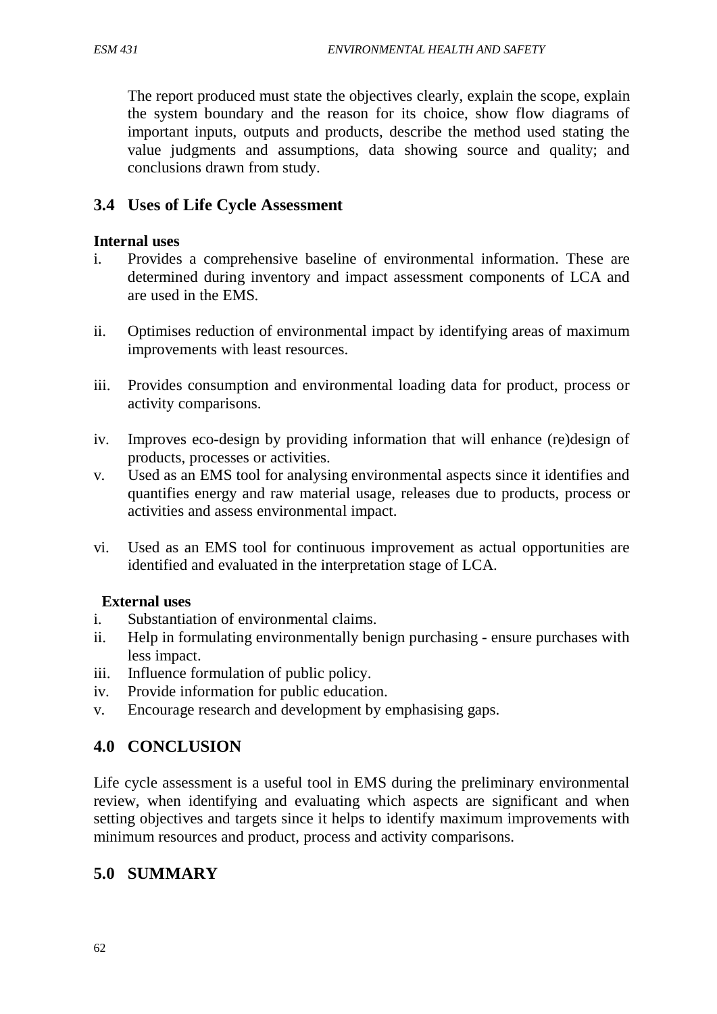The report produced must state the objectives clearly, explain the scope, explain the system boundary and the reason for its choice, show flow diagrams of important inputs, outputs and products, describe the method used stating the value judgments and assumptions, data showing source and quality; and conclusions drawn from study.

# **3.4 Uses of Life Cycle Assessment**

### **Internal uses**

- i. Provides a comprehensive baseline of environmental information. These are determined during inventory and impact assessment components of LCA and are used in the EMS.
- ii. Optimises reduction of environmental impact by identifying areas of maximum improvements with least resources.
- iii. Provides consumption and environmental loading data for product, process or activity comparisons.
- iv. Improves eco-design by providing information that will enhance (re)design of products, processes or activities.
- v. Used as an EMS tool for analysing environmental aspects since it identifies and quantifies energy and raw material usage, releases due to products, process or activities and assess environmental impact.
- vi. Used as an EMS tool for continuous improvement as actual opportunities are identified and evaluated in the interpretation stage of LCA.

### **External uses**

- i. Substantiation of environmental claims.
- ii. Help in formulating environmentally benign purchasing ensure purchases with less impact.
- iii. Influence formulation of public policy.
- iv. Provide information for public education.
- v. Encourage research and development by emphasising gaps.

# **4.0 CONCLUSION**

Life cycle assessment is a useful tool in EMS during the preliminary environmental review, when identifying and evaluating which aspects are significant and when setting objectives and targets since it helps to identify maximum improvements with minimum resources and product, process and activity comparisons.

# **5.0 SUMMARY**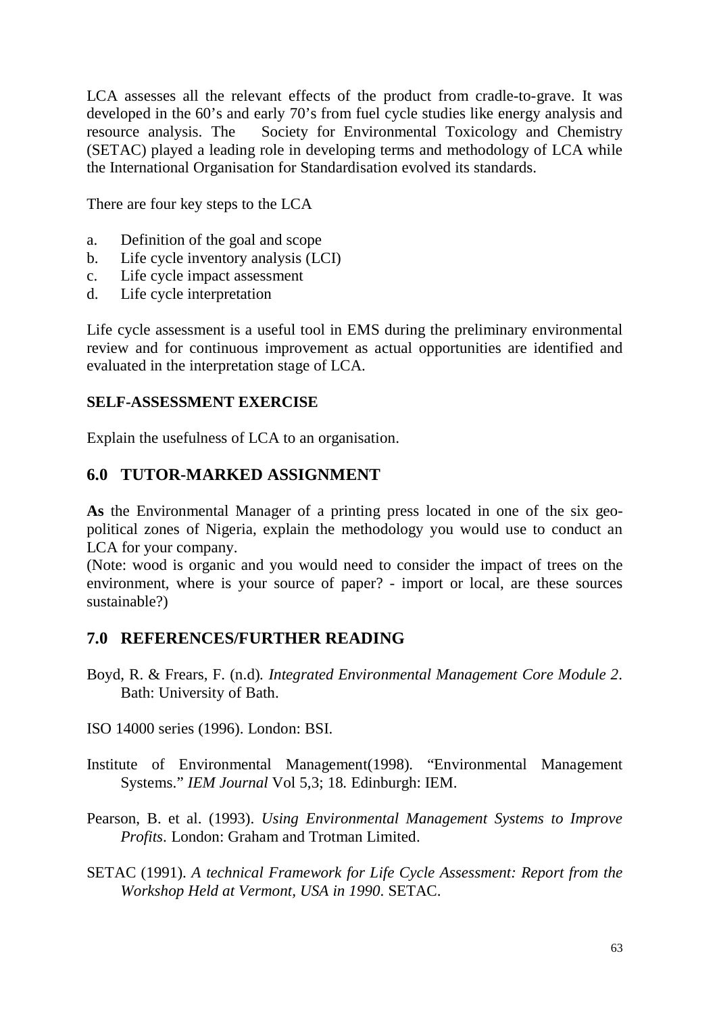LCA assesses all the relevant effects of the product from cradle-to-grave. It was developed in the 60's and early 70's from fuel cycle studies like energy analysis and resource analysis. TheSociety for Environmental Toxicology and Chemistry (SETAC) played a leading role in developing terms and methodology of LCA while the International Organisation for Standardisation evolved its standards.

There are four key steps to the LCA

- a. Definition of the goal and scope
- b. Life cycle inventory analysis (LCI)
- c. Life cycle impact assessment
- d. Life cycle interpretation

Life cycle assessment is a useful tool in EMS during the preliminary environmental review and for continuous improvement as actual opportunities are identified and evaluated in the interpretation stage of LCA.

#### **SELF-ASSESSMENT EXERCISE**

Explain the usefulness of LCA to an organisation.

### **6.0 TUTOR-MARKED ASSIGNMENT**

**As** the Environmental Manager of a printing press located in one of the six geopolitical zones of Nigeria, explain the methodology you would use to conduct an LCA for your company.

(Note: wood is organic and you would need to consider the impact of trees on the environment, where is your source of paper? - import or local, are these sources sustainable?)

### **7.0 REFERENCES/FURTHER READING**

- Boyd, R. & Frears, F. (n.d)*. Integrated Environmental Management Core Module 2*. Bath: University of Bath.
- ISO 14000 series (1996). London: BSI.
- Institute of Environmental Management(1998)*.* "Environmental Management Systems." *IEM Journal* Vol 5,3; 18. Edinburgh: IEM.
- Pearson, B. et al. (1993). *Using Environmental Management Systems to Improve Profits*. London: Graham and Trotman Limited.
- SETAC (1991). *A technical Framework for Life Cycle Assessment: Report from the Workshop Held at Vermont, USA in 1990*. SETAC.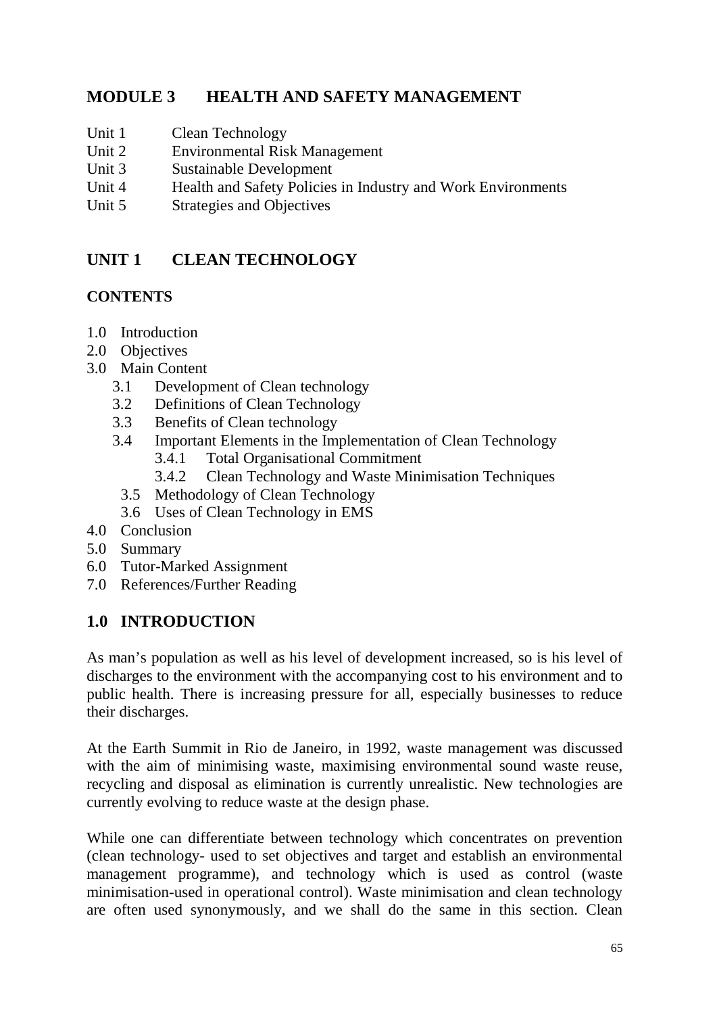# **MODULE 3 HEALTH AND SAFETY MANAGEMENT**

- Unit 1 Clean Technology
- Unit 2 Environmental Risk Management
- Unit 3 Sustainable Development
- Unit 4 Health and Safety Policies in Industry and Work Environments
- Unit 5 Strategies and Objectives

# **UNIT 1 CLEAN TECHNOLOGY**

### **CONTENTS**

- 1.0 Introduction
- 2.0 Objectives
- 3.0 Main Content
	- 3.1 Development of Clean technology
	- 3.2 Definitions of Clean Technology
	- 3.3 Benefits of Clean technology
	- 3.4 Important Elements in the Implementation of Clean Technology 3.4.1 Total Organisational Commitment
		- 3.4.2 Clean Technology and Waste Minimisation Techniques
		- 3.5 Methodology of Clean Technology
		- 3.6 Uses of Clean Technology in EMS
- 4.0 Conclusion
- 5.0 Summary
- 6.0 Tutor-Marked Assignment
- 7.0 References/Further Reading

# **1.0 INTRODUCTION**

As man's population as well as his level of development increased, so is his level of discharges to the environment with the accompanying cost to his environment and to public health. There is increasing pressure for all, especially businesses to reduce their discharges.

At the Earth Summit in Rio de Janeiro, in 1992, waste management was discussed with the aim of minimising waste, maximising environmental sound waste reuse, recycling and disposal as elimination is currently unrealistic. New technologies are currently evolving to reduce waste at the design phase.

While one can differentiate between technology which concentrates on prevention (clean technology- used to set objectives and target and establish an environmental management programme), and technology which is used as control (waste minimisation-used in operational control). Waste minimisation and clean technology are often used synonymously, and we shall do the same in this section. Clean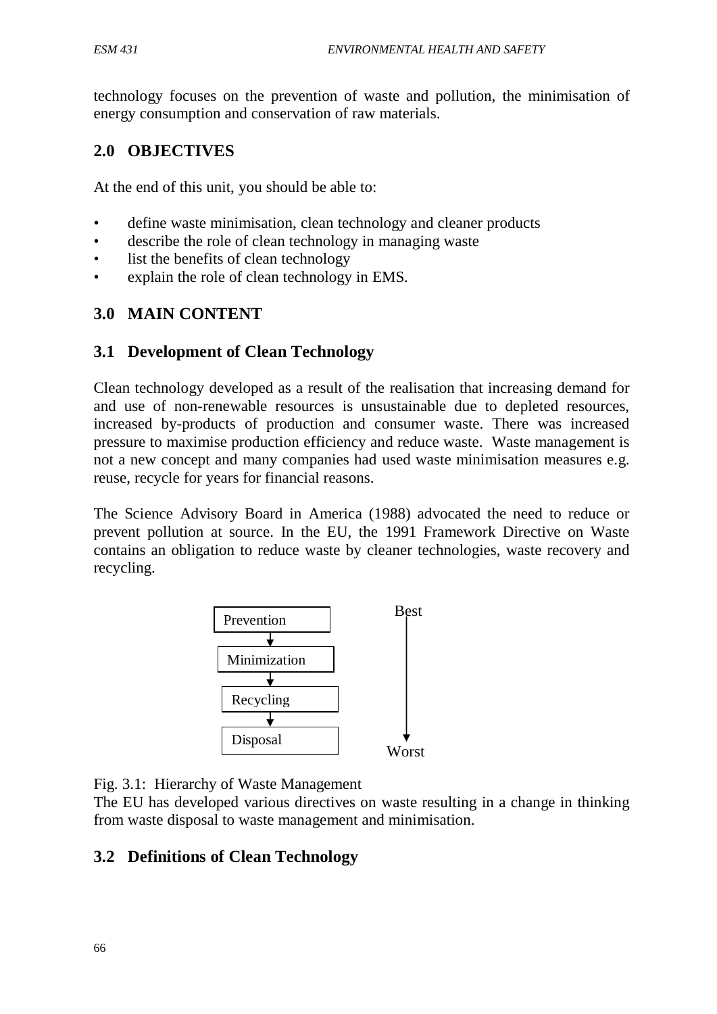technology focuses on the prevention of waste and pollution, the minimisation of energy consumption and conservation of raw materials.

# **2.0 OBJECTIVES**

At the end of this unit, you should be able to:

- define waste minimisation, clean technology and cleaner products
- describe the role of clean technology in managing waste
- list the benefits of clean technology
- explain the role of clean technology in EMS.

# **3.0 MAIN CONTENT**

# **3.1 Development of Clean Technology**

Clean technology developed as a result of the realisation that increasing demand for and use of non-renewable resources is unsustainable due to depleted resources, increased by-products of production and consumer waste. There was increased pressure to maximise production efficiency and reduce waste. Waste management is not a new concept and many companies had used waste minimisation measures e.g. reuse, recycle for years for financial reasons.

The Science Advisory Board in America (1988) advocated the need to reduce or prevent pollution at source. In the EU, the 1991 Framework Directive on Waste contains an obligation to reduce waste by cleaner technologies, waste recovery and recycling.



Fig. 3.1: Hierarchy of Waste Management

The EU has developed various directives on waste resulting in a change in thinking from waste disposal to waste management and minimisation.

# **3.2 Definitions of Clean Technology**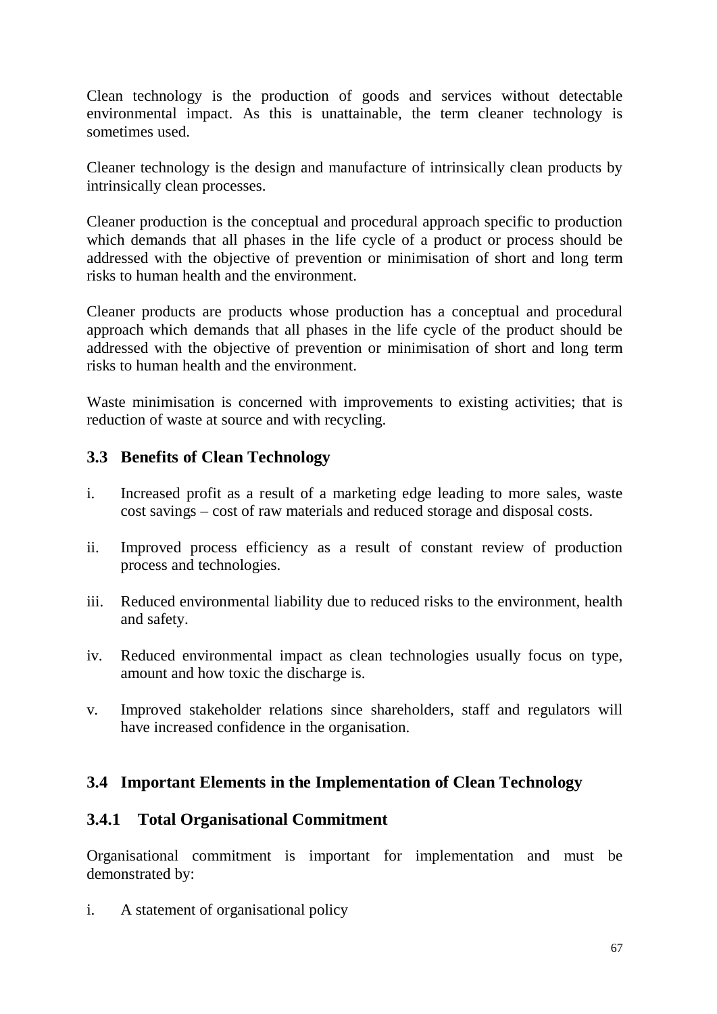Clean technology is the production of goods and services without detectable environmental impact. As this is unattainable, the term cleaner technology is sometimes used.

Cleaner technology is the design and manufacture of intrinsically clean products by intrinsically clean processes.

Cleaner production is the conceptual and procedural approach specific to production which demands that all phases in the life cycle of a product or process should be addressed with the objective of prevention or minimisation of short and long term risks to human health and the environment.

Cleaner products are products whose production has a conceptual and procedural approach which demands that all phases in the life cycle of the product should be addressed with the objective of prevention or minimisation of short and long term risks to human health and the environment.

Waste minimisation is concerned with improvements to existing activities; that is reduction of waste at source and with recycling.

# **3.3 Benefits of Clean Technology**

- i. Increased profit as a result of a marketing edge leading to more sales, waste cost savings – cost of raw materials and reduced storage and disposal costs.
- ii. Improved process efficiency as a result of constant review of production process and technologies.
- iii. Reduced environmental liability due to reduced risks to the environment, health and safety.
- iv. Reduced environmental impact as clean technologies usually focus on type, amount and how toxic the discharge is.
- v. Improved stakeholder relations since shareholders, staff and regulators will have increased confidence in the organisation.

# **3.4 Important Elements in the Implementation of Clean Technology**

# **3.4.1 Total Organisational Commitment**

Organisational commitment is important for implementation and must be demonstrated by:

i. A statement of organisational policy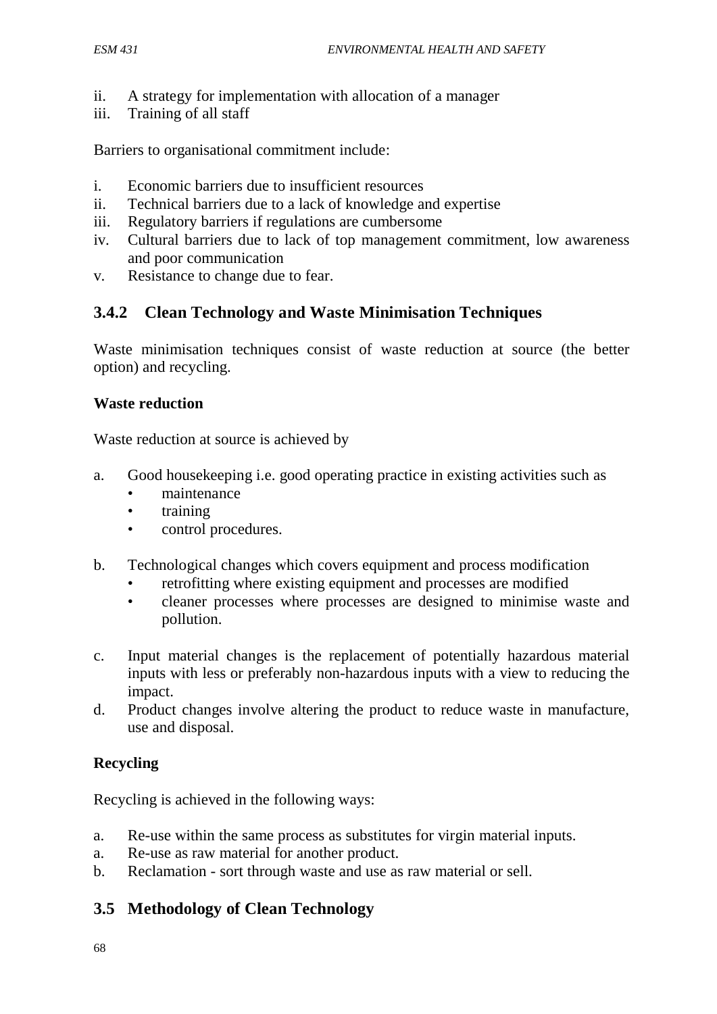- ii. A strategy for implementation with allocation of a manager
- iii. Training of all staff

Barriers to organisational commitment include:

- i. Economic barriers due to insufficient resources
- ii. Technical barriers due to a lack of knowledge and expertise
- iii. Regulatory barriers if regulations are cumbersome
- iv. Cultural barriers due to lack of top management commitment, low awareness and poor communication
- v. Resistance to change due to fear.

### **3.4.2 Clean Technology and Waste Minimisation Techniques**

Waste minimisation techniques consist of waste reduction at source (the better option) and recycling.

#### **Waste reduction**

Waste reduction at source is achieved by

- a. Good housekeeping i.e. good operating practice in existing activities such as
	- maintenance
	- training
	- control procedures.
- b. Technological changes which covers equipment and process modification
	- retrofitting where existing equipment and processes are modified
	- cleaner processes where processes are designed to minimise waste and pollution.
- c. Input material changes is the replacement of potentially hazardous material inputs with less or preferably non-hazardous inputs with a view to reducing the impact.
- d. Product changes involve altering the product to reduce waste in manufacture, use and disposal.

### **Recycling**

Recycling is achieved in the following ways:

- a. Re-use within the same process as substitutes for virgin material inputs.
- a. Re-use as raw material for another product.
- b. Reclamation sort through waste and use as raw material or sell.

### **3.5 Methodology of Clean Technology**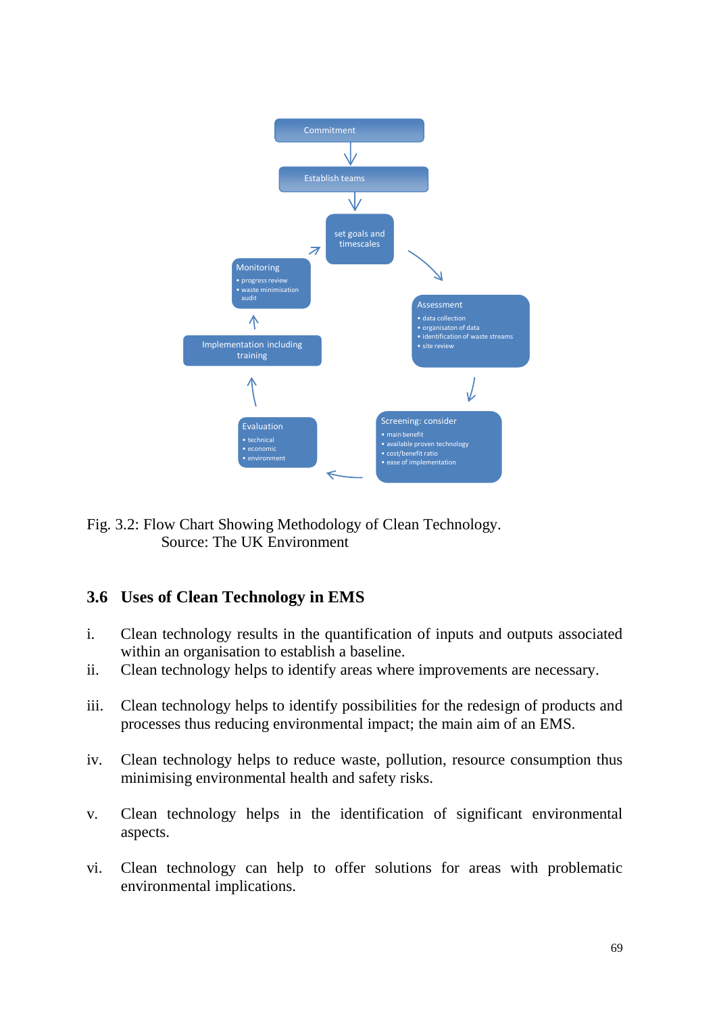

Fig. 3.2: Flow Chart Showing Methodology of Clean Technology. Source: The UK Environment

# **3.6 Uses of Clean Technology in EMS**

- i. Clean technology results in the quantification of inputs and outputs associated within an organisation to establish a baseline.
- ii. Clean technology helps to identify areas where improvements are necessary.
- iii. Clean technology helps to identify possibilities for the redesign of products and processes thus reducing environmental impact; the main aim of an EMS.
- iv. Clean technology helps to reduce waste, pollution, resource consumption thus minimising environmental health and safety risks.
- v. Clean technology helps in the identification of significant environmental aspects.
- vi. Clean technology can help to offer solutions for areas with problematic environmental implications.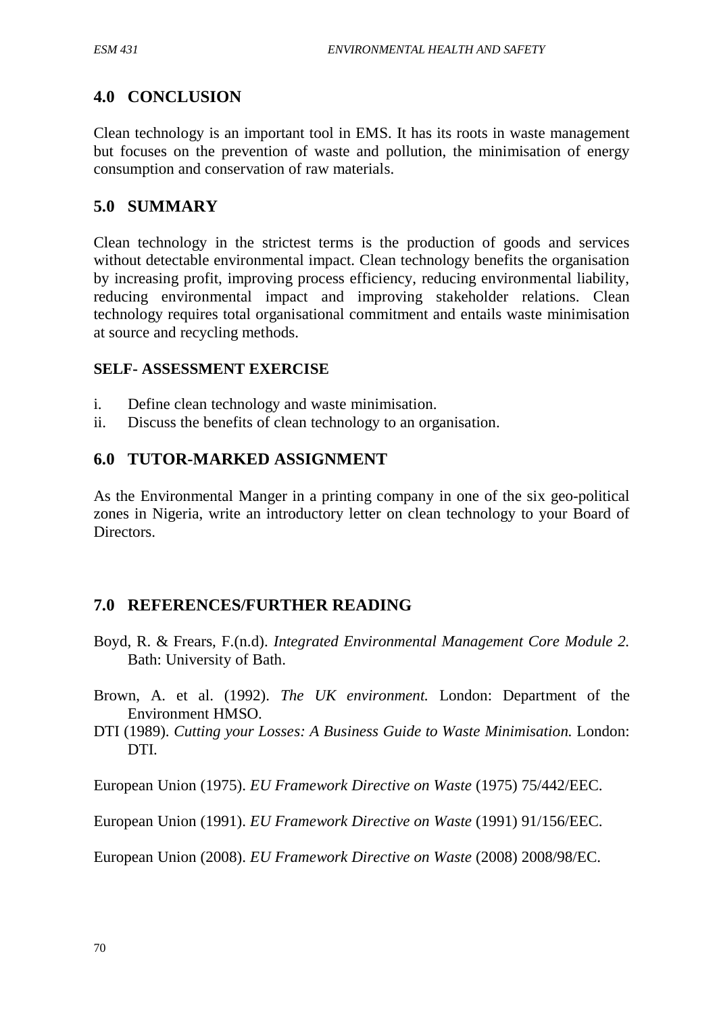# **4.0 CONCLUSION**

Clean technology is an important tool in EMS. It has its roots in waste management but focuses on the prevention of waste and pollution, the minimisation of energy consumption and conservation of raw materials.

# **5.0 SUMMARY**

Clean technology in the strictest terms is the production of goods and services without detectable environmental impact. Clean technology benefits the organisation by increasing profit, improving process efficiency, reducing environmental liability, reducing environmental impact and improving stakeholder relations. Clean technology requires total organisational commitment and entails waste minimisation at source and recycling methods.

#### **SELF- ASSESSMENT EXERCISE**

- i. Define clean technology and waste minimisation.
- ii. Discuss the benefits of clean technology to an organisation.

### **6.0 TUTOR-MARKED ASSIGNMENT**

As the Environmental Manger in a printing company in one of the six geo-political zones in Nigeria, write an introductory letter on clean technology to your Board of Directors.

# **7.0 REFERENCES/FURTHER READING**

- Boyd, R. & Frears, F.(n.d). *Integrated Environmental Management Core Module 2.* Bath: University of Bath.
- Brown, A. et al. (1992). *The UK environment.* London: Department of the Environment HMSO.
- DTI (1989). *Cutting your Losses: A Business Guide to Waste Minimisation.* London: DTI.

European Union (1975). *EU Framework Directive on Waste* (1975) 75/442/EEC.

European Union (1991). *EU Framework Directive on Waste* (1991) 91/156/EEC.

European Union (2008). *EU Framework Directive on Waste* (2008) 2008/98/EC.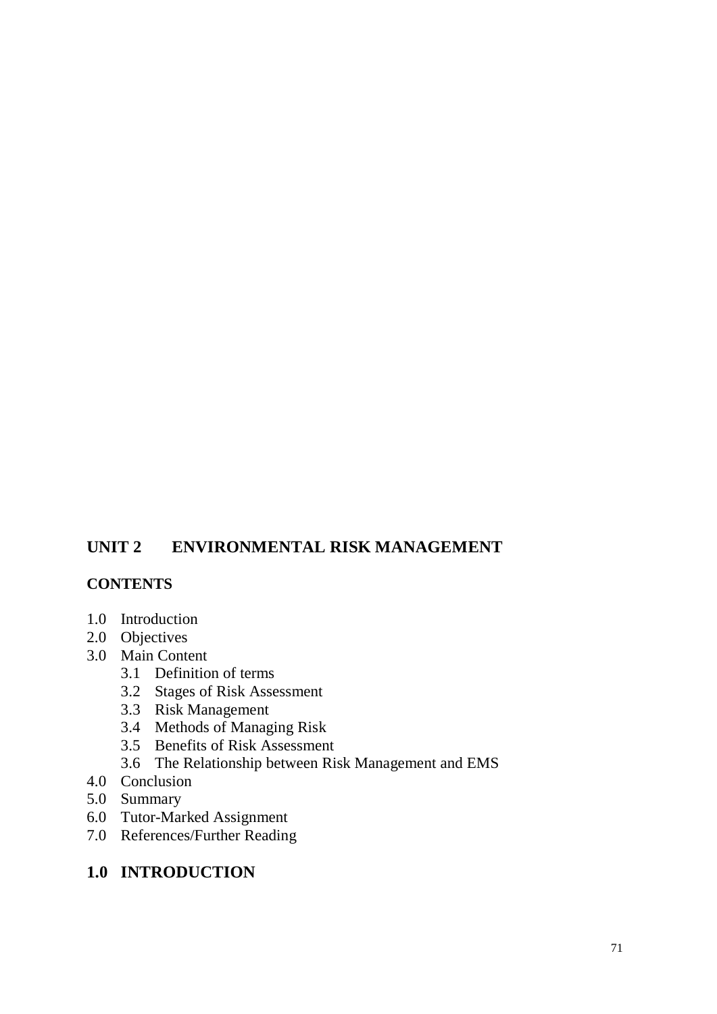# **UNIT 2 ENVIRONMENTAL RISK MANAGEMENT**

### **CONTENTS**

- 1.0 Introduction
- 2.0 Objectives
- 3.0 Main Content
	- 3.1 Definition of terms
	- 3.2 Stages of Risk Assessment
	- 3.3 Risk Management
	- 3.4 Methods of Managing Risk
	- 3.5 Benefits of Risk Assessment
	- 3.6 The Relationship between Risk Management and EMS
- 4.0 Conclusion
- 5.0 Summary
- 6.0 Tutor-Marked Assignment
- 7.0 References/Further Reading

# **1.0 INTRODUCTION**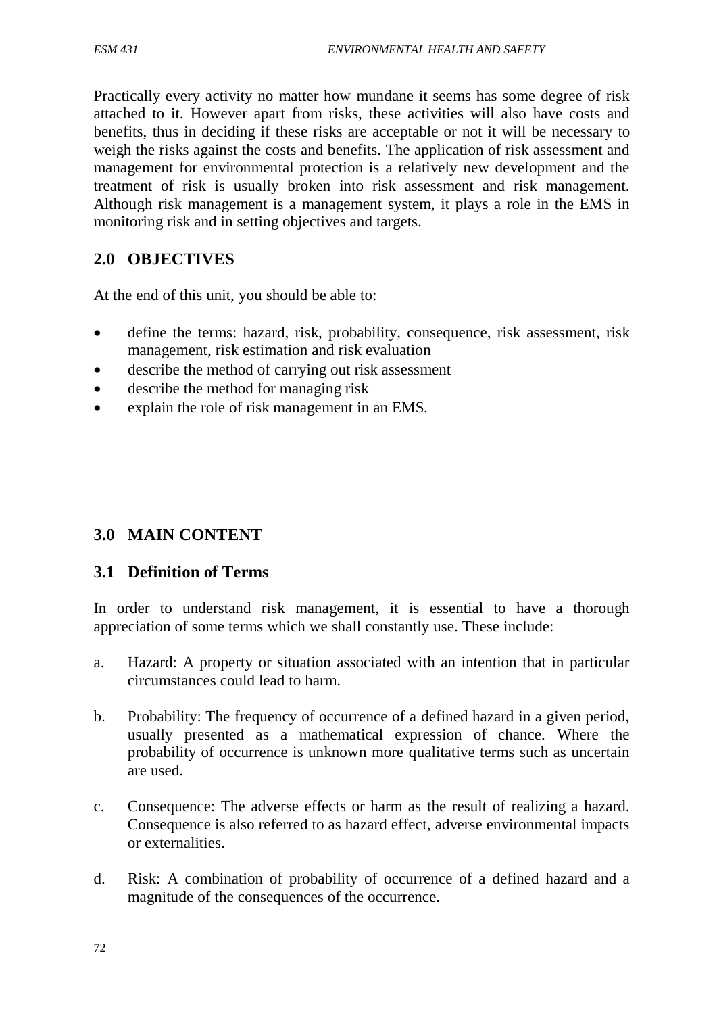Practically every activity no matter how mundane it seems has some degree of risk attached to it. However apart from risks, these activities will also have costs and benefits, thus in deciding if these risks are acceptable or not it will be necessary to weigh the risks against the costs and benefits. The application of risk assessment and management for environmental protection is a relatively new development and the treatment of risk is usually broken into risk assessment and risk management. Although risk management is a management system, it plays a role in the EMS in monitoring risk and in setting objectives and targets.

# **2.0 OBJECTIVES**

At the end of this unit, you should be able to:

- define the terms: hazard, risk, probability, consequence, risk assessment, risk management, risk estimation and risk evaluation
- describe the method of carrying out risk assessment
- describe the method for managing risk
- explain the role of risk management in an EMS.

# **3.0 MAIN CONTENT**

### **3.1 Definition of Terms**

In order to understand risk management, it is essential to have a thorough appreciation of some terms which we shall constantly use. These include:

- a. Hazard: A property or situation associated with an intention that in particular circumstances could lead to harm.
- b. Probability: The frequency of occurrence of a defined hazard in a given period, usually presented as a mathematical expression of chance. Where the probability of occurrence is unknown more qualitative terms such as uncertain are used.
- c. Consequence: The adverse effects or harm as the result of realizing a hazard. Consequence is also referred to as hazard effect, adverse environmental impacts or externalities.
- d. Risk: A combination of probability of occurrence of a defined hazard and a magnitude of the consequences of the occurrence.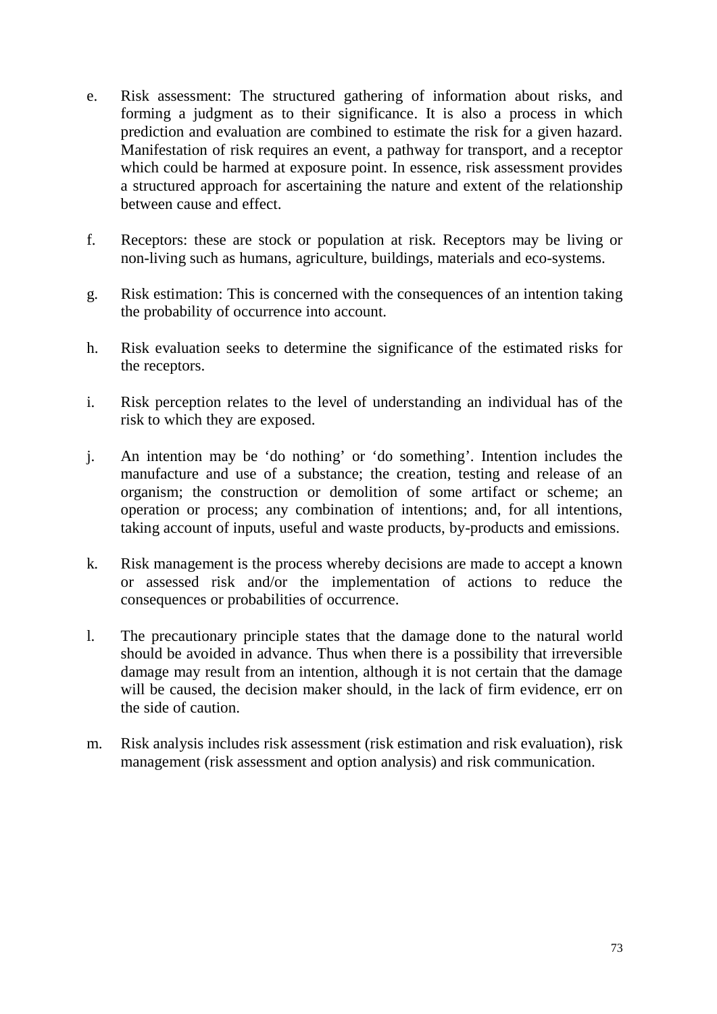- e. Risk assessment: The structured gathering of information about risks, and forming a judgment as to their significance. It is also a process in which prediction and evaluation are combined to estimate the risk for a given hazard. Manifestation of risk requires an event, a pathway for transport, and a receptor which could be harmed at exposure point. In essence, risk assessment provides a structured approach for ascertaining the nature and extent of the relationship between cause and effect.
- f. Receptors: these are stock or population at risk. Receptors may be living or non-living such as humans, agriculture, buildings, materials and eco-systems.
- g. Risk estimation: This is concerned with the consequences of an intention taking the probability of occurrence into account.
- h. Risk evaluation seeks to determine the significance of the estimated risks for the receptors.
- i. Risk perception relates to the level of understanding an individual has of the risk to which they are exposed.
- j. An intention may be 'do nothing' or 'do something'. Intention includes the manufacture and use of a substance; the creation, testing and release of an organism; the construction or demolition of some artifact or scheme; an operation or process; any combination of intentions; and, for all intentions, taking account of inputs, useful and waste products, by-products and emissions.
- k. Risk management is the process whereby decisions are made to accept a known or assessed risk and/or the implementation of actions to reduce the consequences or probabilities of occurrence.
- l. The precautionary principle states that the damage done to the natural world should be avoided in advance. Thus when there is a possibility that irreversible damage may result from an intention, although it is not certain that the damage will be caused, the decision maker should, in the lack of firm evidence, err on the side of caution.
- m. Risk analysis includes risk assessment (risk estimation and risk evaluation), risk management (risk assessment and option analysis) and risk communication.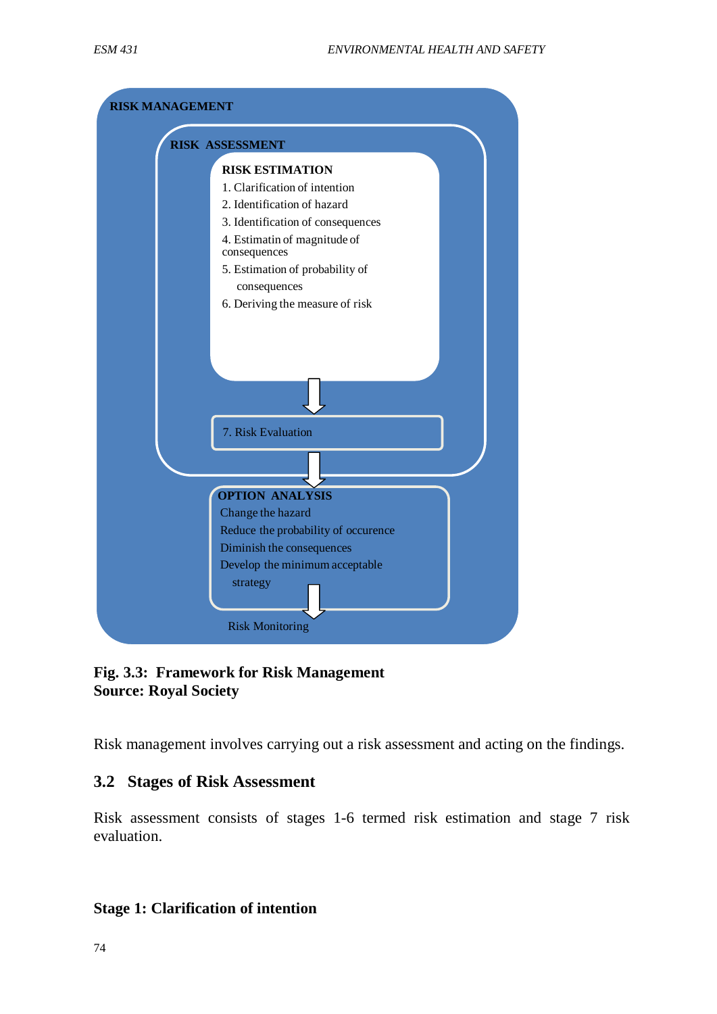

**Fig. 3.3: Framework for Risk Management Source: Royal Society**

Risk management involves carrying out a risk assessment and acting on the findings.

### **3.2 Stages of Risk Assessment**

Risk assessment consists of stages 1-6 termed risk estimation and stage 7 risk evaluation.

### **Stage 1: Clarification of intention**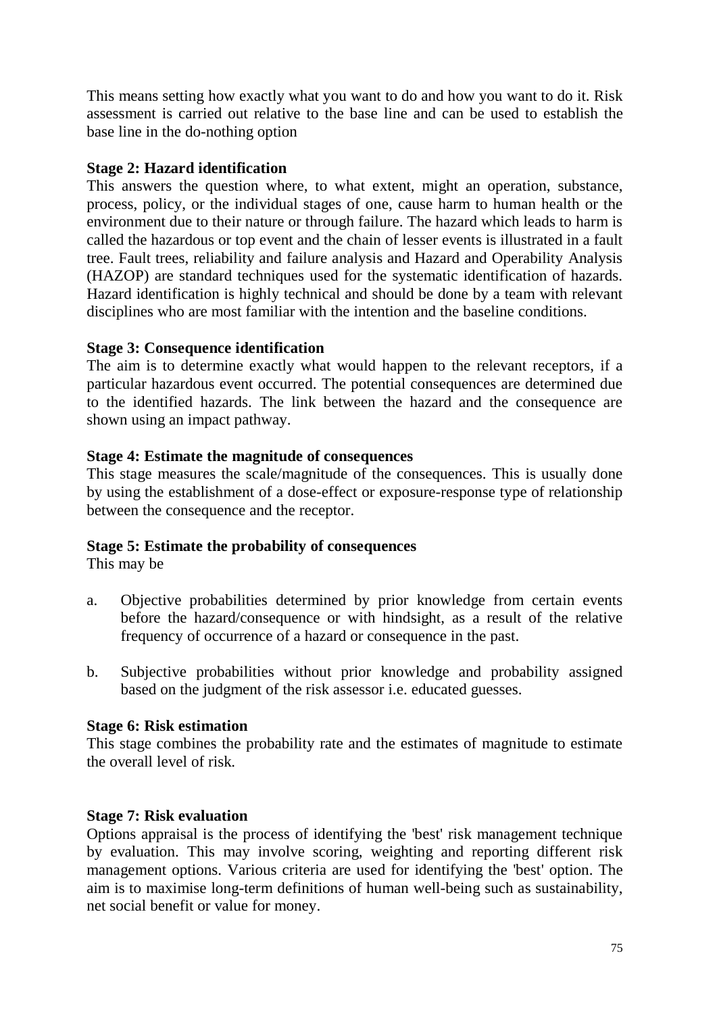This means setting how exactly what you want to do and how you want to do it. Risk assessment is carried out relative to the base line and can be used to establish the base line in the do-nothing option

### **Stage 2: Hazard identification**

This answers the question where, to what extent, might an operation, substance, process, policy, or the individual stages of one, cause harm to human health or the environment due to their nature or through failure. The hazard which leads to harm is called the hazardous or top event and the chain of lesser events is illustrated in a fault tree. Fault trees, reliability and failure analysis and Hazard and Operability Analysis (HAZOP) are standard techniques used for the systematic identification of hazards. Hazard identification is highly technical and should be done by a team with relevant disciplines who are most familiar with the intention and the baseline conditions.

### **Stage 3: Consequence identification**

The aim is to determine exactly what would happen to the relevant receptors, if a particular hazardous event occurred. The potential consequences are determined due to the identified hazards. The link between the hazard and the consequence are shown using an impact pathway.

### **Stage 4: Estimate the magnitude of consequences**

This stage measures the scale/magnitude of the consequences. This is usually done by using the establishment of a dose-effect or exposure-response type of relationship between the consequence and the receptor.

### **Stage 5: Estimate the probability of consequences**

This may be

- a. Objective probabilities determined by prior knowledge from certain events before the hazard/consequence or with hindsight, as a result of the relative frequency of occurrence of a hazard or consequence in the past.
- b. Subjective probabilities without prior knowledge and probability assigned based on the judgment of the risk assessor i.e. educated guesses.

### **Stage 6: Risk estimation**

This stage combines the probability rate and the estimates of magnitude to estimate the overall level of risk.

### **Stage 7: Risk evaluation**

Options appraisal is the process of identifying the 'best' risk management technique by evaluation. This may involve scoring, weighting and reporting different risk management options. Various criteria are used for identifying the 'best' option. The aim is to maximise long-term definitions of human well-being such as sustainability, net social benefit or value for money.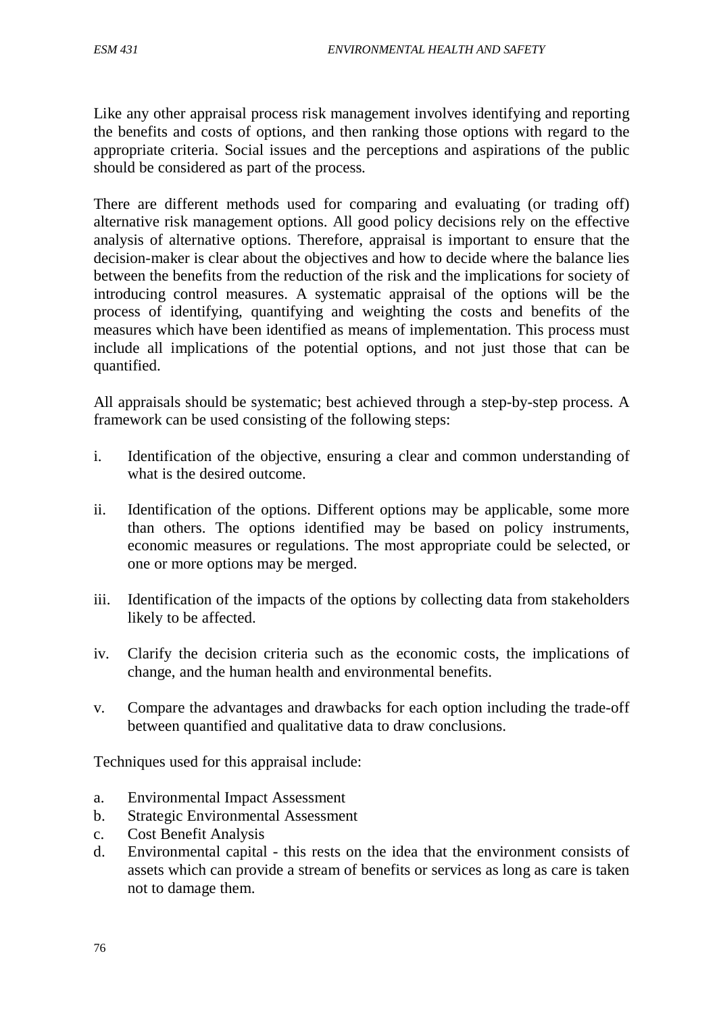Like any other appraisal process risk management involves identifying and reporting the benefits and costs of options, and then ranking those options with regard to the appropriate criteria. Social issues and the perceptions and aspirations of the public should be considered as part of the process.

There are different methods used for comparing and evaluating (or trading off) alternative risk management options. All good policy decisions rely on the effective analysis of alternative options. Therefore, appraisal is important to ensure that the decision-maker is clear about the objectives and how to decide where the balance lies between the benefits from the reduction of the risk and the implications for society of introducing control measures. A systematic appraisal of the options will be the process of identifying, quantifying and weighting the costs and benefits of the measures which have been identified as means of implementation. This process must include all implications of the potential options, and not just those that can be quantified.

All appraisals should be systematic; best achieved through a step-by-step process. A framework can be used consisting of the following steps:

- i. Identification of the objective, ensuring a clear and common understanding of what is the desired outcome.
- ii. Identification of the options. Different options may be applicable, some more than others. The options identified may be based on policy instruments, economic measures or regulations. The most appropriate could be selected, or one or more options may be merged.
- iii. Identification of the impacts of the options by collecting data from stakeholders likely to be affected.
- iv. Clarify the decision criteria such as the economic costs, the implications of change, and the human health and environmental benefits.
- v. Compare the advantages and drawbacks for each option including the trade-off between quantified and qualitative data to draw conclusions.

Techniques used for this appraisal include:

- a. Environmental Impact Assessment
- b. Strategic Environmental Assessment
- c. Cost Benefit Analysis
- d. Environmental capital this rests on the idea that the environment consists of assets which can provide a stream of benefits or services as long as care is taken not to damage them.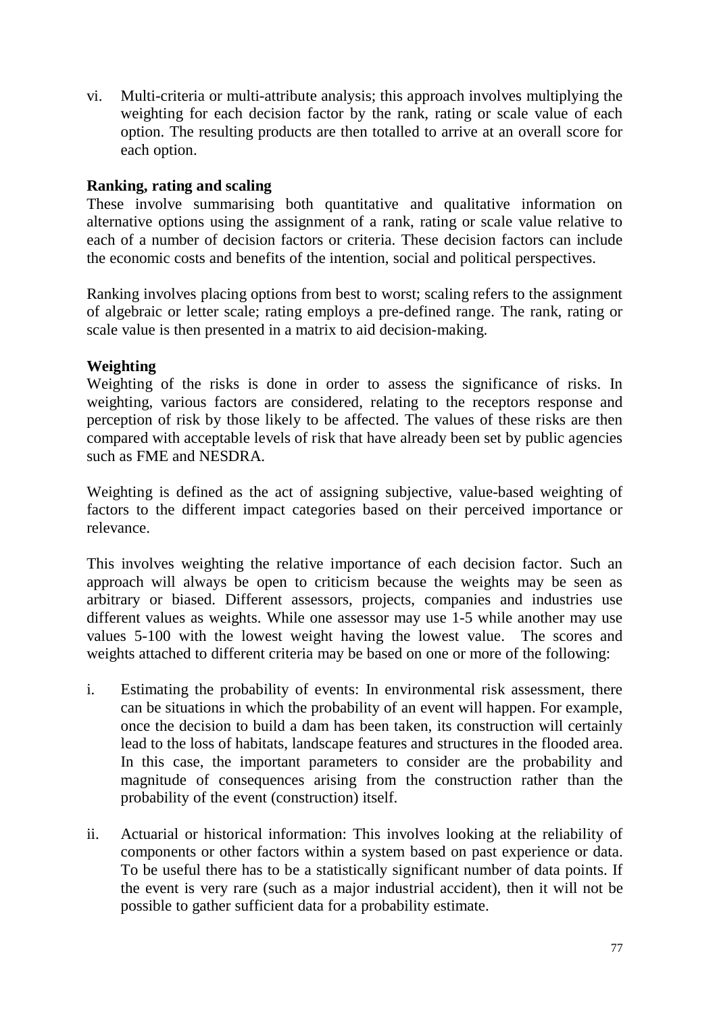vi. Multi-criteria or multi-attribute analysis; this approach involves multiplying the weighting for each decision factor by the rank, rating or scale value of each option. The resulting products are then totalled to arrive at an overall score for each option.

### **Ranking, rating and scaling**

These involve summarising both quantitative and qualitative information on alternative options using the assignment of a rank, rating or scale value relative to each of a number of decision factors or criteria. These decision factors can include the economic costs and benefits of the intention, social and political perspectives.

Ranking involves placing options from best to worst; scaling refers to the assignment of algebraic or letter scale; rating employs a pre-defined range. The rank, rating or scale value is then presented in a matrix to aid decision-making.

### **Weighting**

Weighting of the risks is done in order to assess the significance of risks. In weighting, various factors are considered, relating to the receptors response and perception of risk by those likely to be affected. The values of these risks are then compared with acceptable levels of risk that have already been set by public agencies such as FME and NESDRA.

Weighting is defined as the act of assigning subjective, value-based weighting of factors to the different impact categories based on their perceived importance or relevance.

This involves weighting the relative importance of each decision factor. Such an approach will always be open to criticism because the weights may be seen as arbitrary or biased. Different assessors, projects, companies and industries use different values as weights. While one assessor may use 1-5 while another may use values 5-100 with the lowest weight having the lowest value. The scores and weights attached to different criteria may be based on one or more of the following:

- i. Estimating the probability of events: In environmental risk assessment, there can be situations in which the probability of an event will happen. For example, once the decision to build a dam has been taken, its construction will certainly lead to the loss of habitats, landscape features and structures in the flooded area. In this case, the important parameters to consider are the probability and magnitude of consequences arising from the construction rather than the probability of the event (construction) itself.
- ii. Actuarial or historical information: This involves looking at the reliability of components or other factors within a system based on past experience or data. To be useful there has to be a statistically significant number of data points. If the event is very rare (such as a major industrial accident), then it will not be possible to gather sufficient data for a probability estimate.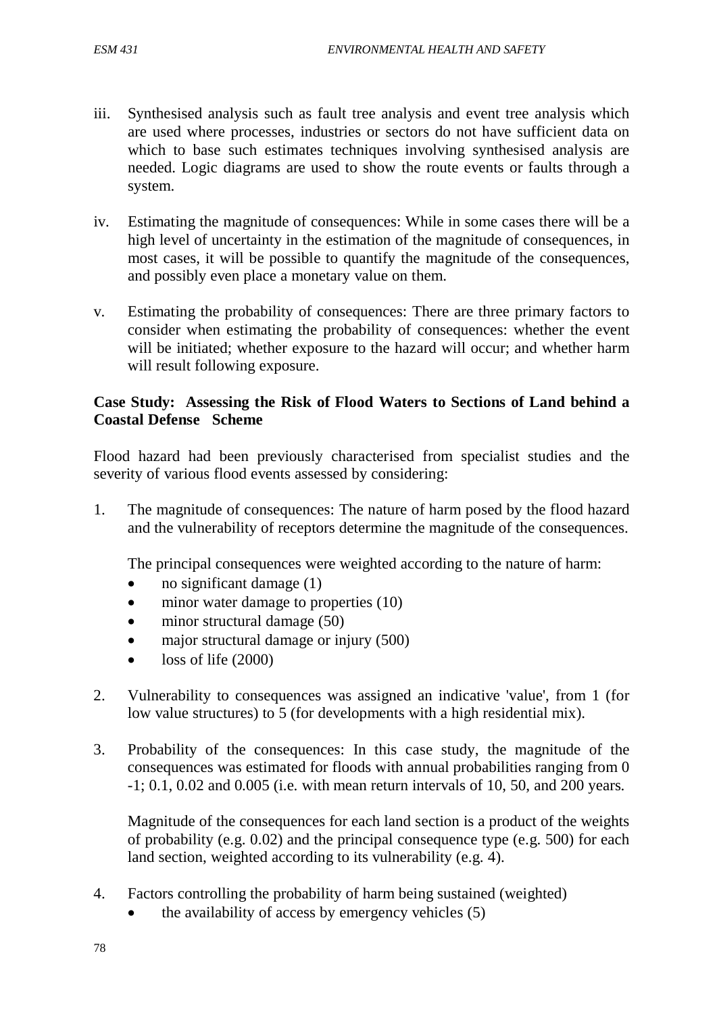- iii. Synthesised analysis such as fault tree analysis and event tree analysis which are used where processes, industries or sectors do not have sufficient data on which to base such estimates techniques involving synthesised analysis are needed. Logic diagrams are used to show the route events or faults through a system.
- iv. Estimating the magnitude of consequences: While in some cases there will be a high level of uncertainty in the estimation of the magnitude of consequences, in most cases, it will be possible to quantify the magnitude of the consequences, and possibly even place a monetary value on them.
- v. Estimating the probability of consequences: There are three primary factors to consider when estimating the probability of consequences: whether the event will be initiated; whether exposure to the hazard will occur; and whether harm will result following exposure.

### **Case Study: Assessing the Risk of Flood Waters to Sections of Land behind a Coastal Defense Scheme**

Flood hazard had been previously characterised from specialist studies and the severity of various flood events assessed by considering:

1. The magnitude of consequences: The nature of harm posed by the flood hazard and the vulnerability of receptors determine the magnitude of the consequences.

The principal consequences were weighted according to the nature of harm:

- no significant damage  $(1)$
- minor water damage to properties (10)
- minor structural damage (50)
- major structural damage or injury (500)
- loss of life (2000)
- 2. Vulnerability to consequences was assigned an indicative 'value', from 1 (for low value structures) to 5 (for developments with a high residential mix).
- 3. Probability of the consequences: In this case study, the magnitude of the consequences was estimated for floods with annual probabilities ranging from 0 -1; 0.1, 0.02 and 0.005 (i.e. with mean return intervals of 10, 50, and 200 years.

Magnitude of the consequences for each land section is a product of the weights of probability (e.g. 0.02) and the principal consequence type (e.g. 500) for each land section, weighted according to its vulnerability (e.g. 4).

- 4. Factors controlling the probability of harm being sustained (weighted)
	- the availability of access by emergency vehicles (5)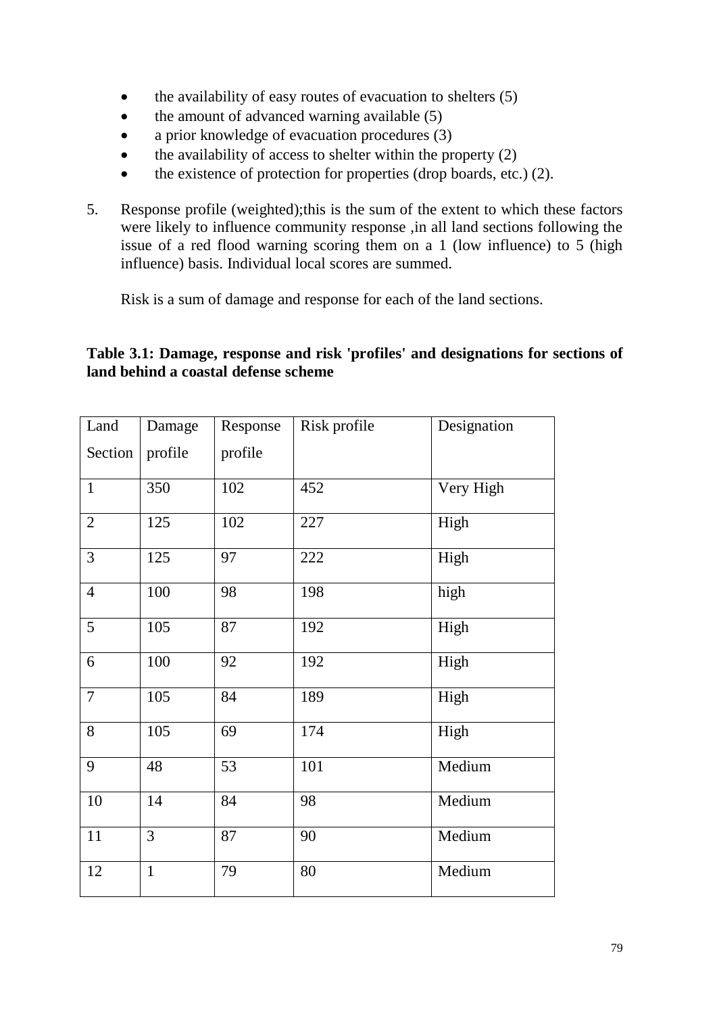- the availability of easy routes of evacuation to shelters (5)
- the amount of advanced warning available (5)
- a prior knowledge of evacuation procedures (3)
- $\bullet$  the availability of access to shelter within the property (2)
- the existence of protection for properties (drop boards, etc.)  $(2)$ .
- 5. Response profile (weighted);this is the sum of the extent to which these factors were likely to influence community response ,in all land sections following the issue of a red flood warning scoring them on a 1 (low influence) to 5 (high influence) basis. Individual local scores are summed.

Risk is a sum of damage and response for each of the land sections.

### **Table 3.1: Damage, response and risk 'profiles' and designations for sections of land behind a coastal defense scheme**

| Land           | Damage       | Response | Risk profile | Designation |
|----------------|--------------|----------|--------------|-------------|
| Section        | profile      | profile  |              |             |
| $\mathbf{1}$   | 350          | 102      | 452          | Very High   |
| $\overline{2}$ | 125          | 102      | 227          | High        |
| 3              | 125          | 97       | 222          | High        |
| $\overline{4}$ | 100          | 98       | 198          | high        |
| $\overline{5}$ | 105          | 87       | 192          | High        |
| 6              | 100          | 92       | 192          | High        |
| $\tau$         | 105          | 84       | 189          | High        |
| 8              | 105          | 69       | 174          | High        |
| 9              | 48           | 53       | 101          | Medium      |
| 10             | 14           | 84       | 98           | Medium      |
| $11\,$         | 3            | 87       | 90           | Medium      |
| 12             | $\mathbf{1}$ | 79       | 80           | Medium      |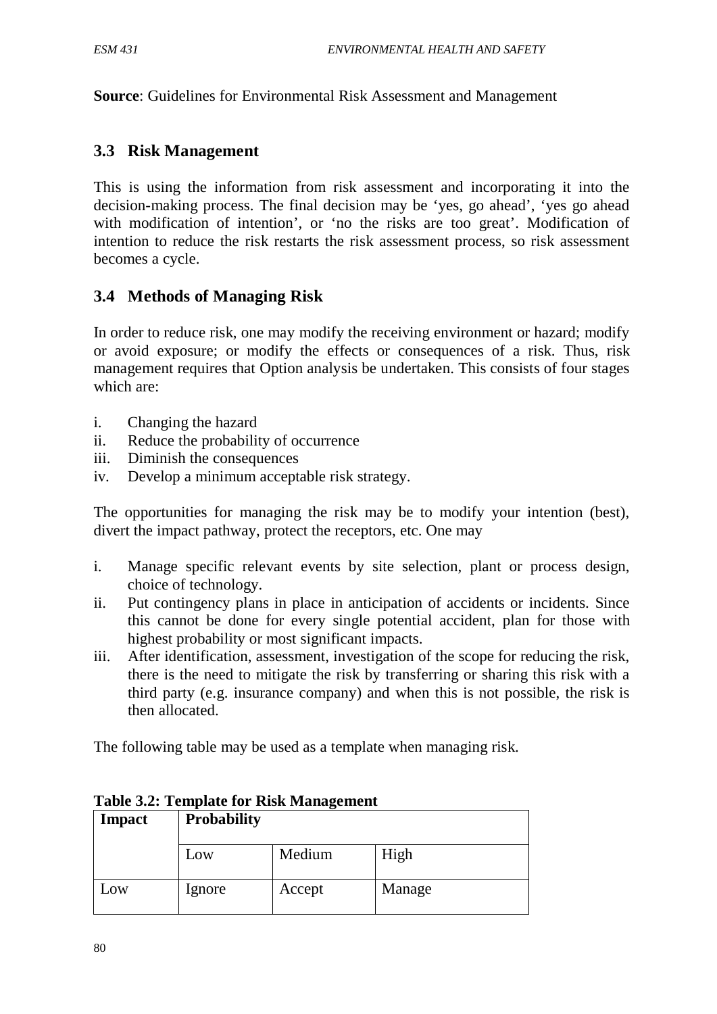**Source**: Guidelines for Environmental Risk Assessment and Management

### **3.3 Risk Management**

This is using the information from risk assessment and incorporating it into the decision-making process. The final decision may be 'yes, go ahead', 'yes go ahead with modification of intention', or 'no the risks are too great'. Modification of intention to reduce the risk restarts the risk assessment process, so risk assessment becomes a cycle.

### **3.4 Methods of Managing Risk**

In order to reduce risk, one may modify the receiving environment or hazard; modify or avoid exposure; or modify the effects or consequences of a risk. Thus, risk management requires that Option analysis be undertaken. This consists of four stages which are:

- i. Changing the hazard
- ii. Reduce the probability of occurrence
- iii. Diminish the consequences
- iv. Develop a minimum acceptable risk strategy.

The opportunities for managing the risk may be to modify your intention (best), divert the impact pathway, protect the receptors, etc. One may

- i. Manage specific relevant events by site selection, plant or process design, choice of technology.
- ii. Put contingency plans in place in anticipation of accidents or incidents. Since this cannot be done for every single potential accident, plan for those with highest probability or most significant impacts.
- iii. After identification, assessment, investigation of the scope for reducing the risk, there is the need to mitigate the risk by transferring or sharing this risk with a third party (e.g. insurance company) and when this is not possible, the risk is then allocated.

The following table may be used as a template when managing risk.

| Impact | <b>Probability</b> |        |        |
|--------|--------------------|--------|--------|
|        | Low                | Medium | High   |
| Low    | Ignore             | Accept | Manage |

**Table 3.2: Template for Risk Management**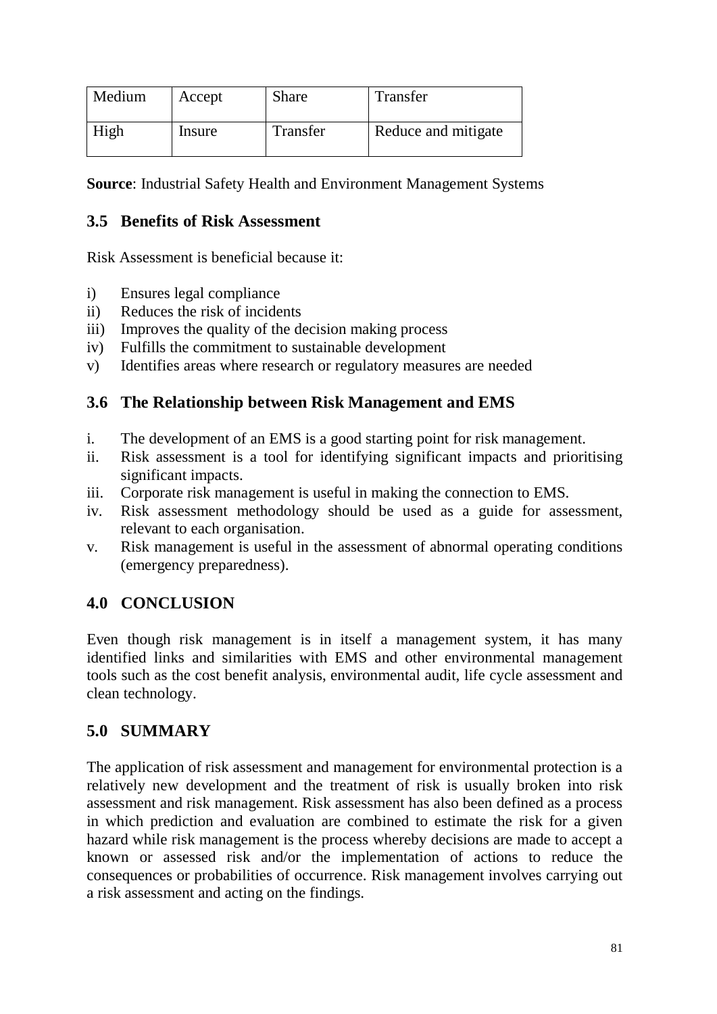| Medium | Accept | <b>Share</b> | Transfer            |
|--------|--------|--------------|---------------------|
| High   | Insure | Transfer     | Reduce and mitigate |

**Source**: Industrial Safety Health and Environment Management Systems

## **3.5 Benefits of Risk Assessment**

Risk Assessment is beneficial because it:

- i) Ensures legal compliance
- ii) Reduces the risk of incidents
- iii) Improves the quality of the decision making process
- iv) Fulfills the commitment to sustainable development
- v) Identifies areas where research or regulatory measures are needed

## **3.6 The Relationship between Risk Management and EMS**

- i. The development of an EMS is a good starting point for risk management.
- ii. Risk assessment is a tool for identifying significant impacts and prioritising significant impacts.
- iii. Corporate risk management is useful in making the connection to EMS.
- iv. Risk assessment methodology should be used as a guide for assessment, relevant to each organisation.
- v. Risk management is useful in the assessment of abnormal operating conditions (emergency preparedness).

# **4.0 CONCLUSION**

Even though risk management is in itself a management system, it has many identified links and similarities with EMS and other environmental management tools such as the cost benefit analysis, environmental audit, life cycle assessment and clean technology.

# **5.0 SUMMARY**

The application of risk assessment and management for environmental protection is a relatively new development and the treatment of risk is usually broken into risk assessment and risk management. Risk assessment has also been defined as a process in which prediction and evaluation are combined to estimate the risk for a given hazard while risk management is the process whereby decisions are made to accept a known or assessed risk and/or the implementation of actions to reduce the consequences or probabilities of occurrence. Risk management involves carrying out a risk assessment and acting on the findings.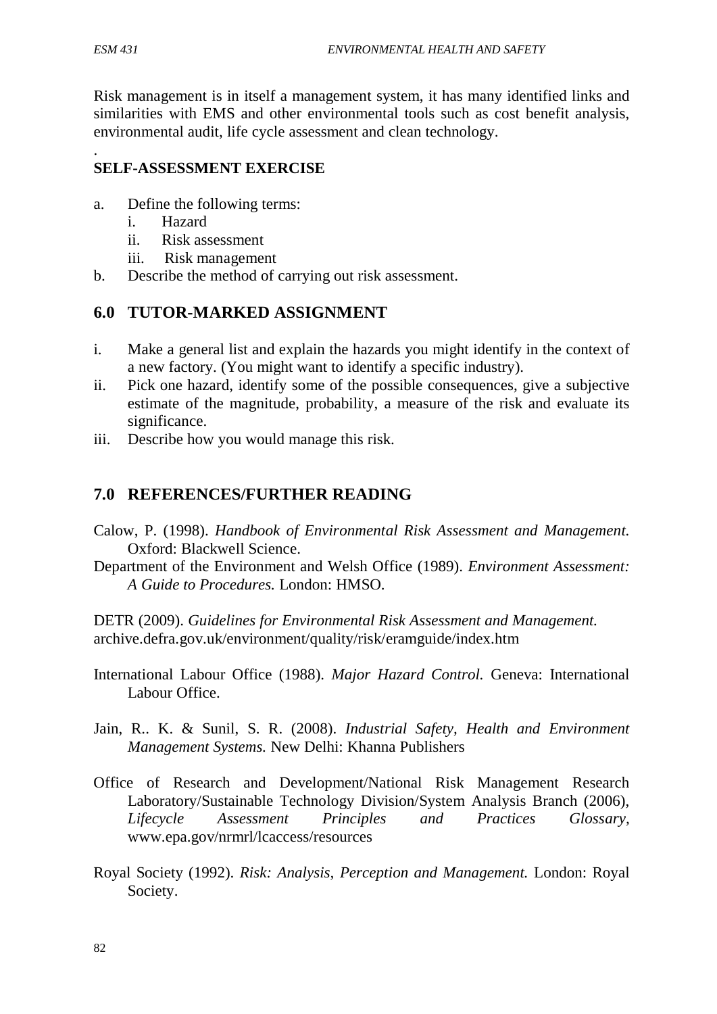Risk management is in itself a management system, it has many identified links and similarities with EMS and other environmental tools such as cost benefit analysis, environmental audit, life cycle assessment and clean technology.

### . **SELF-ASSESSMENT EXERCISE**

- a. Define the following terms:
	- i. Hazard
	- ii. Risk assessment
	- iii. Risk management
- b. Describe the method of carrying out risk assessment.

## **6.0 TUTOR-MARKED ASSIGNMENT**

- i. Make a general list and explain the hazards you might identify in the context of a new factory. (You might want to identify a specific industry).
- ii. Pick one hazard, identify some of the possible consequences, give a subjective estimate of the magnitude, probability, a measure of the risk and evaluate its significance.
- iii. Describe how you would manage this risk.

## **7.0 REFERENCES/FURTHER READING**

- Calow, P. (1998). *Handbook of Environmental Risk Assessment and Management.* Oxford: Blackwell Science.
- Department of the Environment and Welsh Office (1989). *Environment Assessment: A Guide to Procedures.* London: HMSO.

DETR (2009). *Guidelines for Environmental Risk Assessment and Management.* archive.defra.gov.uk/environment/quality/risk/eramguide/index.htm

- International Labour Office (1988). *Major Hazard Control.* Geneva: International Labour Office.
- Jain, R.. K. & Sunil, S. R. (2008). *Industrial Safety, Health and Environment Management Systems.* New Delhi: Khanna Publishers
- Office of Research and Development/National Risk Management Research Laboratory/Sustainable Technology Division/System Analysis Branch (2006), *Lifecycle Assessment Principles and Practices Glossary,* www.epa.gov/nrmrl/lcaccess/resources
- Royal Society (1992). *Risk: Analysis, Perception and Management.* London: Royal Society.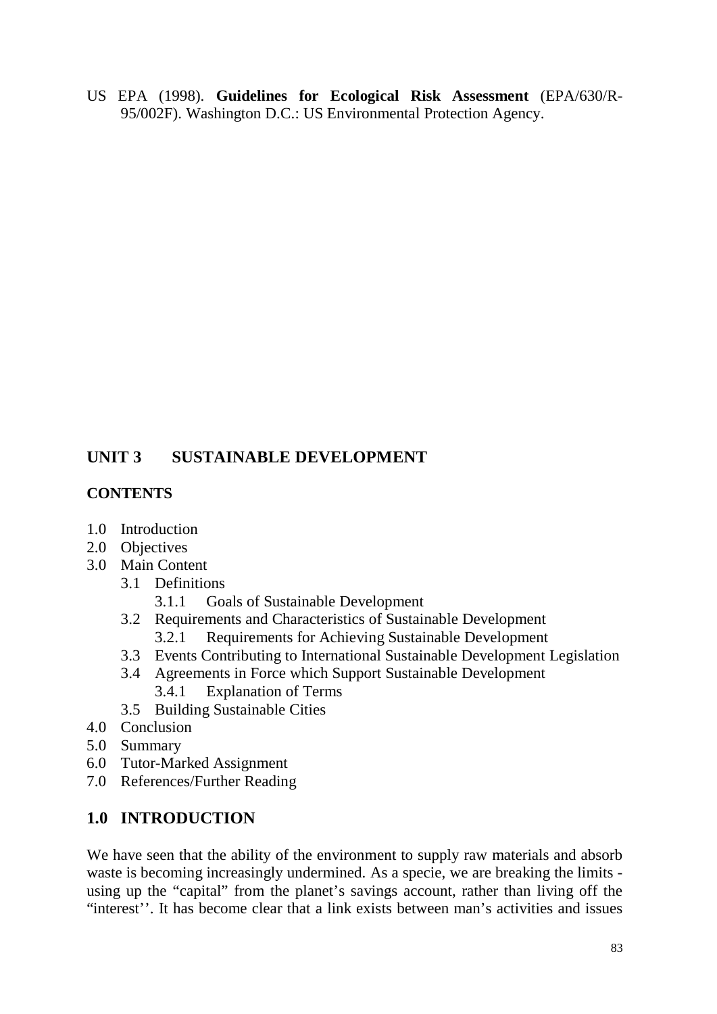US EPA (1998). **Guidelines for Ecological Risk Assessment** (EPA/630/R-95/002F). Washington D.C.: US Environmental Protection Agency.

# **UNIT 3 SUSTAINABLE DEVELOPMENT**

## **CONTENTS**

- 1.0 Introduction
- 2.0 Objectives
- 3.0 Main Content
	- 3.1 Definitions
		- 3.1.1 Goals of Sustainable Development
	- 3.2 Requirements and Characteristics of Sustainable Development 3.2.1 Requirements for Achieving Sustainable Development
	- 3.3 Events Contributing to International Sustainable Development Legislation
	- 3.4 Agreements in Force which Support Sustainable Development 3.4.1 Explanation of Terms
	- 3.5 Building Sustainable Cities
- 4.0 Conclusion
- 5.0 Summary
- 6.0 Tutor-Marked Assignment
- 7.0 References/Further Reading

# **1.0 INTRODUCTION**

We have seen that the ability of the environment to supply raw materials and absorb waste is becoming increasingly undermined. As a specie, we are breaking the limits using up the "capital" from the planet's savings account, rather than living off the "interest''. It has become clear that a link exists between man's activities and issues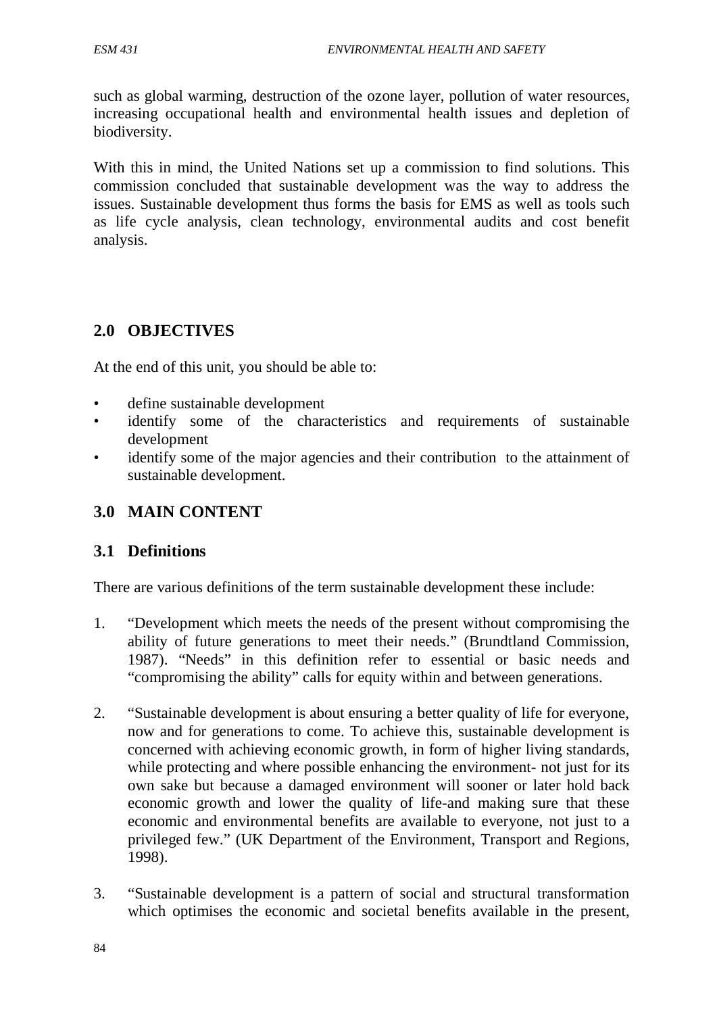such as global warming, destruction of the ozone layer, pollution of water resources, increasing occupational health and environmental health issues and depletion of biodiversity.

With this in mind, the United Nations set up a commission to find solutions. This commission concluded that sustainable development was the way to address the issues. Sustainable development thus forms the basis for EMS as well as tools such as life cycle analysis, clean technology, environmental audits and cost benefit analysis.

## **2.0 OBJECTIVES**

At the end of this unit, you should be able to:

- define sustainable development
- identify some of the characteristics and requirements of sustainable development
- identify some of the major agencies and their contribution to the attainment of sustainable development.

## **3.0 MAIN CONTENT**

## **3.1 Definitions**

There are various definitions of the term sustainable development these include:

- 1. "Development which meets the needs of the present without compromising the ability of future generations to meet their needs." (Brundtland Commission, 1987). "Needs" in this definition refer to essential or basic needs and "compromising the ability" calls for equity within and between generations.
- 2. "Sustainable development is about ensuring a better quality of life for everyone, now and for generations to come. To achieve this, sustainable development is concerned with achieving economic growth, in form of higher living standards, while protecting and where possible enhancing the environment- not just for its own sake but because a damaged environment will sooner or later hold back economic growth and lower the quality of life-and making sure that these economic and environmental benefits are available to everyone, not just to a privileged few." (UK Department of the Environment, Transport and Regions, 1998).
- 3. "Sustainable development is a pattern of social and structural transformation which optimises the economic and societal benefits available in the present,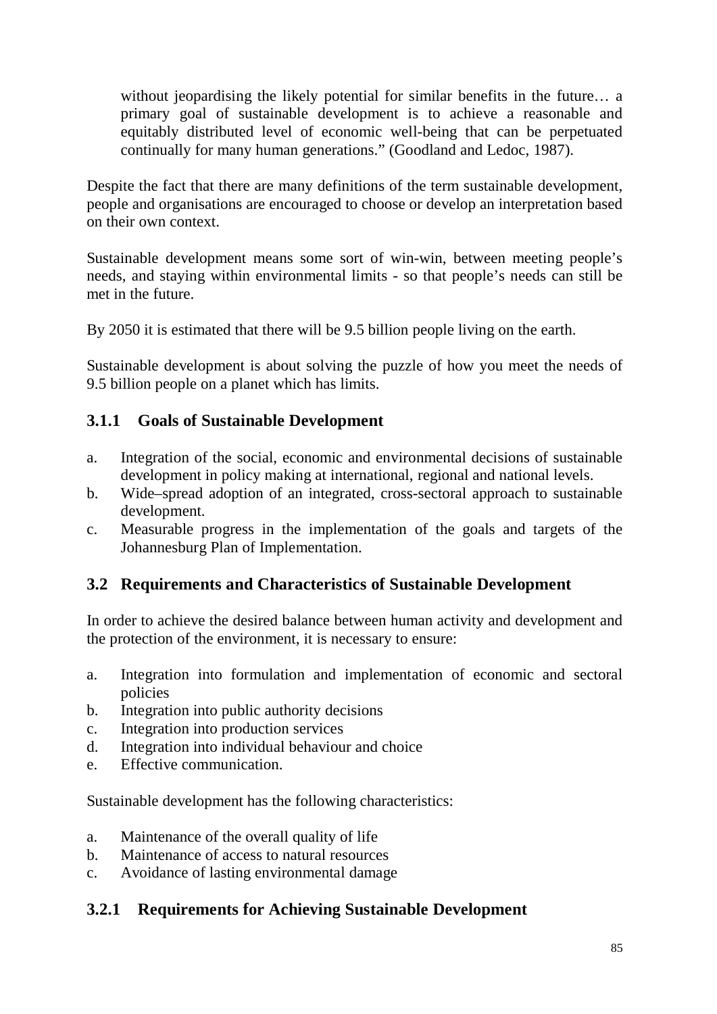without jeopardising the likely potential for similar benefits in the future... a primary goal of sustainable development is to achieve a reasonable and equitably distributed level of economic well-being that can be perpetuated continually for many human generations." (Goodland and Ledoc, 1987).

Despite the fact that there are many definitions of the term sustainable development, people and organisations are encouraged to choose or develop an interpretation based on their own context.

Sustainable development means some sort of win-win, between meeting people's needs, and staying within environmental limits - so that people's needs can still be met in the future.

By 2050 it is estimated that there will be 9.5 billion people living on the earth.

Sustainable development is about solving the puzzle of how you meet the needs of 9.5 billion people on a planet which has limits.

## **3.1.1 Goals of Sustainable Development**

- a. Integration of the social, economic and environmental decisions of sustainable development in policy making at international, regional and national levels.
- b. Wide–spread adoption of an integrated, cross-sectoral approach to sustainable development.
- c. Measurable progress in the implementation of the goals and targets of the Johannesburg Plan of Implementation.

# **3.2 Requirements and Characteristics of Sustainable Development**

In order to achieve the desired balance between human activity and development and the protection of the environment, it is necessary to ensure:

- a. Integration into formulation and implementation of economic and sectoral policies
- b. Integration into public authority decisions
- c. Integration into production services
- d. Integration into individual behaviour and choice
- e. Effective communication.

Sustainable development has the following characteristics:

- a. Maintenance of the overall quality of life
- b. Maintenance of access to natural resources
- c. Avoidance of lasting environmental damage

## **3.2.1 Requirements for Achieving Sustainable Development**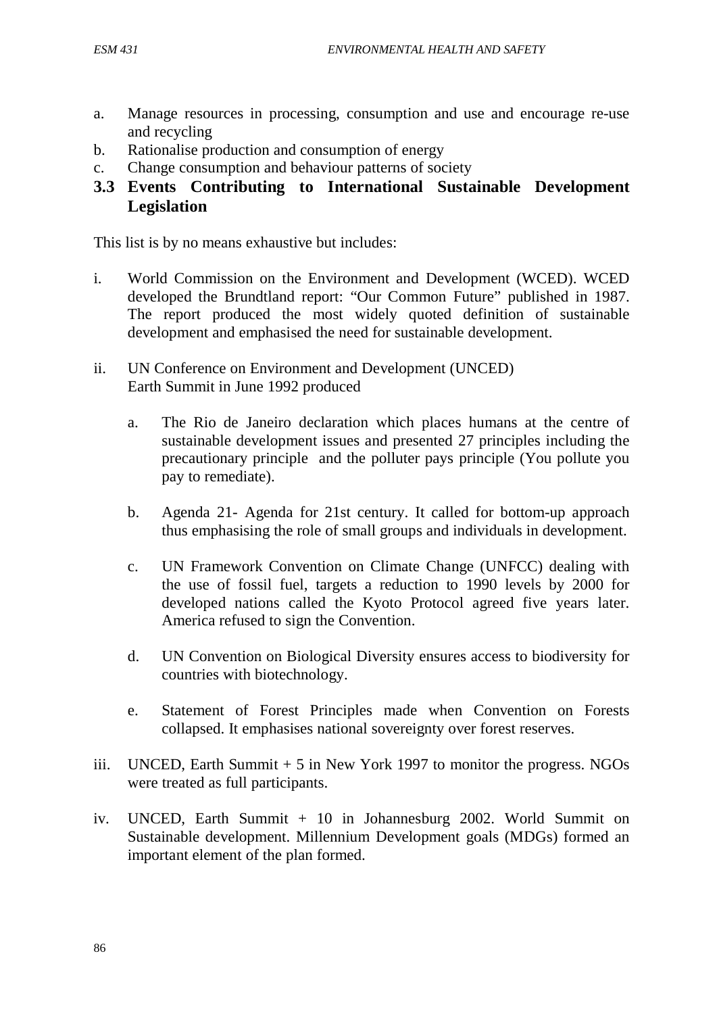- a. Manage resources in processing, consumption and use and encourage re-use and recycling
- b. Rationalise production and consumption of energy
- c. Change consumption and behaviour patterns of society
- **3.3 Events Contributing to International Sustainable Development Legislation**

This list is by no means exhaustive but includes:

- i. World Commission on the Environment and Development (WCED). WCED developed the Brundtland report: "Our Common Future" published in 1987. The report produced the most widely quoted definition of sustainable development and emphasised the need for sustainable development.
- ii. UN Conference on Environment and Development (UNCED) Earth Summit in June 1992 produced
	- a. The Rio de Janeiro declaration which places humans at the centre of sustainable development issues and presented 27 principles including the precautionary principle and the polluter pays principle (You pollute you pay to remediate).
	- b. Agenda 21- Agenda for 21st century. It called for bottom-up approach thus emphasising the role of small groups and individuals in development.
	- c. UN Framework Convention on Climate Change (UNFCC) dealing with the use of fossil fuel, targets a reduction to 1990 levels by 2000 for developed nations called the Kyoto Protocol agreed five years later. America refused to sign the Convention.
	- d. UN Convention on Biological Diversity ensures access to biodiversity for countries with biotechnology.
	- e. Statement of Forest Principles made when Convention on Forests collapsed. It emphasises national sovereignty over forest reserves.
- iii. UNCED, Earth Summit + 5 in New York 1997 to monitor the progress. NGOs were treated as full participants.
- iv. UNCED, Earth Summit + 10 in Johannesburg 2002. World Summit on Sustainable development. Millennium Development goals (MDGs) formed an important element of the plan formed.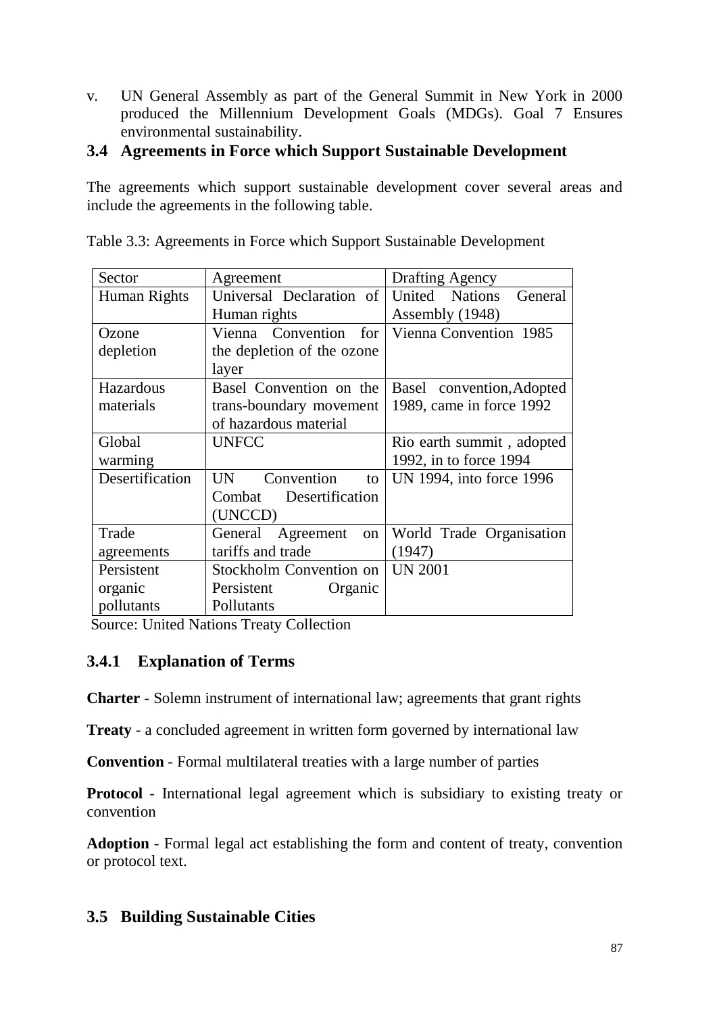v. UN General Assembly as part of the General Summit in New York in 2000 produced the Millennium Development Goals (MDGs). Goal 7 Ensures environmental sustainability.

# **3.4 Agreements in Force which Support Sustainable Development**

The agreements which support sustainable development cover several areas and include the agreements in the following table.

| Sector          | Agreement                     | <b>Drafting Agency</b>    |
|-----------------|-------------------------------|---------------------------|
| Human Rights    | Universal Declaration of      | United Nations<br>General |
|                 | Human rights                  | Assembly (1948)           |
| Ozone           | Vienna Convention for         | Vienna Convention 1985    |
| depletion       | the depletion of the ozone    |                           |
|                 | layer                         |                           |
| Hazardous       | Basel Convention on the       | Basel convention, Adopted |
| materials       | trans-boundary movement       | 1989, came in force 1992  |
|                 | of hazardous material         |                           |
| Global          | <b>UNFCC</b>                  | Rio earth summit, adopted |
| warming         |                               | 1992, in to force 1994    |
| Desertification | Convention<br><b>UN</b><br>to | UN 1994, into force 1996  |
|                 | Desertification<br>Combat     |                           |
|                 | (UNCCD)                       |                           |
| Trade           | Agreement<br>General<br>on    | World Trade Organisation  |
| agreements      | tariffs and trade             | (1947)                    |
| Persistent      | Stockholm Convention on       | <b>UN 2001</b>            |
| organic         | Persistent<br>Organic         |                           |
| pollutants      | Pollutants                    |                           |

Table 3.3: Agreements in Force which Support Sustainable Development

Source: United Nations Treaty Collection

## **3.4.1 Explanation of Terms**

**Charter** - Solemn instrument of international law; agreements that grant rights

**Treaty** - a concluded agreement in written form governed by international law

**Convention** - Formal multilateral treaties with a large number of parties

**Protocol** - International legal agreement which is subsidiary to existing treaty or convention

**Adoption** - Formal legal act establishing the form and content of treaty, convention or protocol text.

# **3.5 Building Sustainable Cities**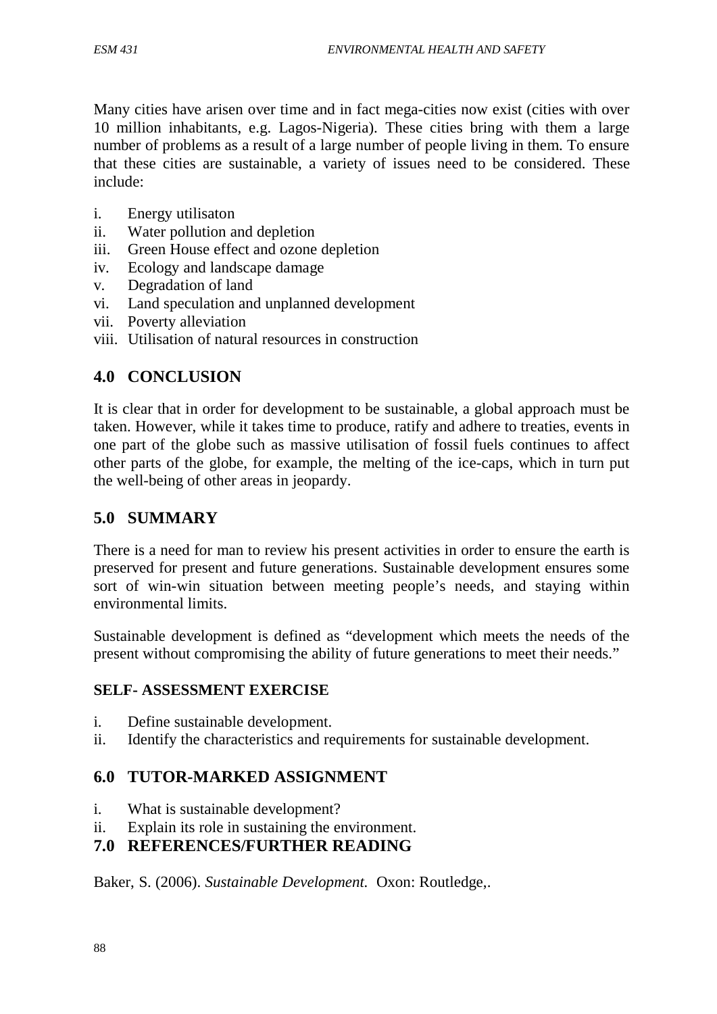Many cities have arisen over time and in fact mega-cities now exist (cities with over 10 million inhabitants, e.g. Lagos-Nigeria). These cities bring with them a large number of problems as a result of a large number of people living in them. To ensure that these cities are sustainable, a variety of issues need to be considered. These include:

- i. Energy utilisaton
- ii. Water pollution and depletion
- iii. Green House effect and ozone depletion
- iv. Ecology and landscape damage
- v. Degradation of land
- vi. Land speculation and unplanned development
- vii. Poverty alleviation
- viii. Utilisation of natural resources in construction

## **4.0 CONCLUSION**

It is clear that in order for development to be sustainable, a global approach must be taken. However, while it takes time to produce, ratify and adhere to treaties, events in one part of the globe such as massive utilisation of fossil fuels continues to affect other parts of the globe, for example, the melting of the ice-caps, which in turn put the well-being of other areas in jeopardy.

## **5.0 SUMMARY**

There is a need for man to review his present activities in order to ensure the earth is preserved for present and future generations. Sustainable development ensures some sort of win-win situation between meeting people's needs, and staying within environmental limits.

Sustainable development is defined as "development which meets the needs of the present without compromising the ability of future generations to meet their needs."

## **SELF- ASSESSMENT EXERCISE**

- i. Define sustainable development.
- ii. Identify the characteristics and requirements for sustainable development.

# **6.0 TUTOR-MARKED ASSIGNMENT**

- i. What is sustainable development?
- ii. Explain its role in sustaining the environment.

# **7.0 REFERENCES/FURTHER READING**

Baker, S. (2006). *Sustainable Development.* Oxon: Routledge,.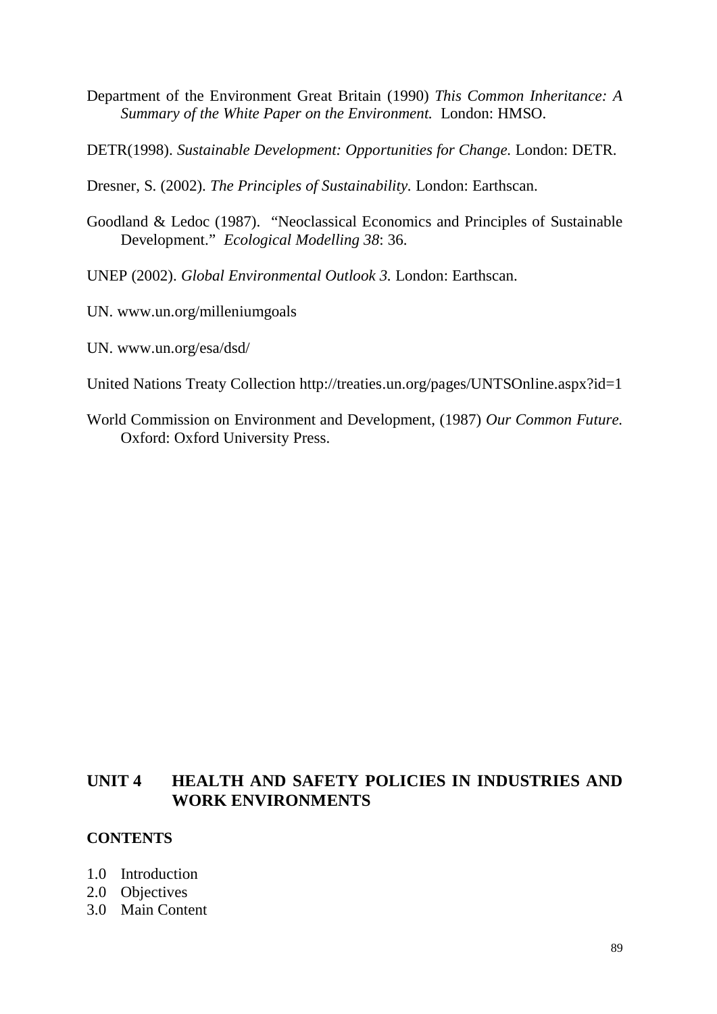- Department of the Environment Great Britain (1990) *This Common Inheritance: A Summary of the White Paper on the Environment.* London: HMSO.
- DETR(1998). *Sustainable Development: Opportunities for Change.* London: DETR.

Dresner, S. (2002). *The Principles of Sustainability.* London: Earthscan.

Goodland & Ledoc (1987). "Neoclassical Economics and Principles of Sustainable Development." *Ecological Modelling 38*: 36.

UNEP (2002). *Global Environmental Outlook 3.* London: Earthscan.

- UN. www.un.org/milleniumgoals
- UN. www.un.org/esa/dsd/
- United Nations Treaty Collection http://treaties.un.org/pages/UNTSOnline.aspx?id=1
- World Commission on Environment and Development, (1987) *Our Common Future.* Oxford: Oxford University Press.

## **UNIT 4 HEALTH AND SAFETY POLICIES IN INDUSTRIES AND WORK ENVIRONMENTS**

#### **CONTENTS**

- 1.0 Introduction
- 2.0 Objectives
- 3.0 Main Content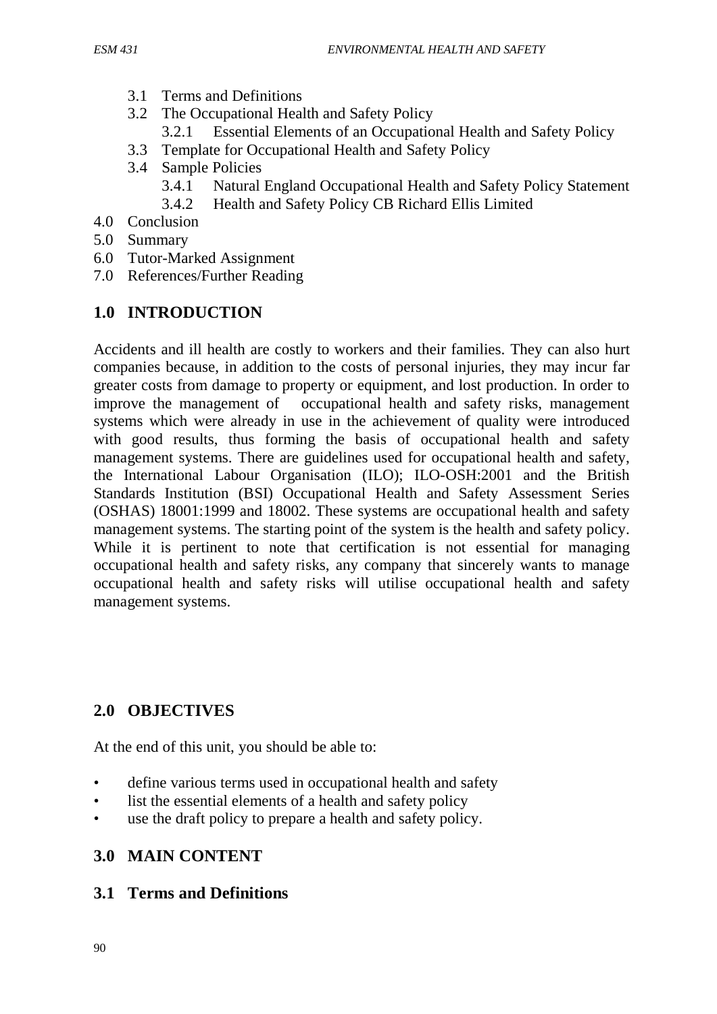- 3.1 Terms and Definitions
- 3.2 The Occupational Health and Safety Policy
	- 3.2.1 Essential Elements of an Occupational Health and Safety Policy
- 3.3 Template for Occupational Health and Safety Policy
- 3.4 Sample Policies
	- 3.4.1 Natural England Occupational Health and Safety Policy Statement
	- 3.4.2 Health and Safety Policy CB Richard Ellis Limited
- 4.0 Conclusion
- 5.0 Summary
- 6.0 Tutor-Marked Assignment
- 7.0 References/Further Reading

# **1.0 INTRODUCTION**

Accidents and ill health are costly to workers and their families. They can also hurt companies because, in addition to the costs of personal injuries, they may incur far greater costs from damage to property or equipment, and lost production. In order to improve the management of occupational health and safety risks, management systems which were already in use in the achievement of quality were introduced with good results, thus forming the basis of occupational health and safety management systems. There are guidelines used for occupational health and safety, the International Labour Organisation (ILO); ILO-OSH:2001 and the British Standards Institution (BSI) Occupational Health and Safety Assessment Series (OSHAS) 18001:1999 and 18002. These systems are occupational health and safety management systems. The starting point of the system is the health and safety policy. While it is pertinent to note that certification is not essential for managing occupational health and safety risks, any company that sincerely wants to manage occupational health and safety risks will utilise occupational health and safety management systems.

# **2.0 OBJECTIVES**

At the end of this unit, you should be able to:

- define various terms used in occupational health and safety
- list the essential elements of a health and safety policy
- use the draft policy to prepare a health and safety policy.

# **3.0 MAIN CONTENT**

# **3.1 Terms and Definitions**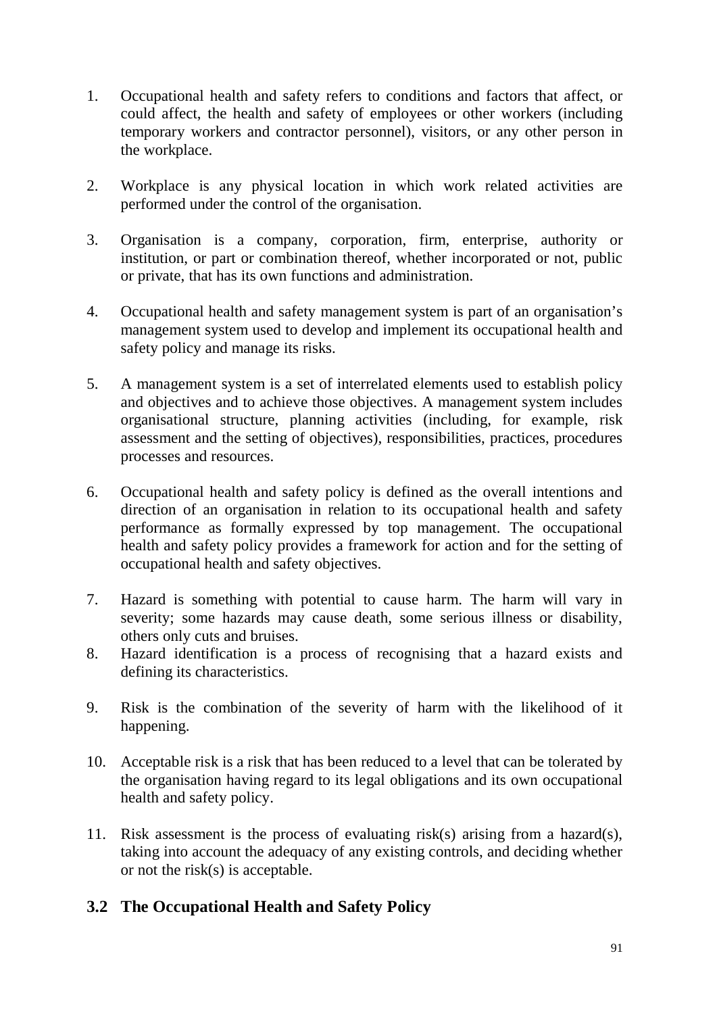- 1. Occupational health and safety refers to conditions and factors that affect, or could affect, the health and safety of employees or other workers (including temporary workers and contractor personnel), visitors, or any other person in the workplace.
- 2. Workplace is any physical location in which work related activities are performed under the control of the organisation.
- 3. Organisation is a company, corporation, firm, enterprise, authority or institution, or part or combination thereof, whether incorporated or not, public or private, that has its own functions and administration.
- 4. Occupational health and safety management system is part of an organisation's management system used to develop and implement its occupational health and safety policy and manage its risks.
- 5. A management system is a set of interrelated elements used to establish policy and objectives and to achieve those objectives. A management system includes organisational structure, planning activities (including, for example, risk assessment and the setting of objectives), responsibilities, practices, procedures processes and resources.
- 6. Occupational health and safety policy is defined as the overall intentions and direction of an organisation in relation to its occupational health and safety performance as formally expressed by top management. The occupational health and safety policy provides a framework for action and for the setting of occupational health and safety objectives.
- 7. Hazard is something with potential to cause harm. The harm will vary in severity; some hazards may cause death, some serious illness or disability, others only cuts and bruises.
- 8. Hazard identification is a process of recognising that a hazard exists and defining its characteristics.
- 9. Risk is the combination of the severity of harm with the likelihood of it happening.
- 10. Acceptable risk is a risk that has been reduced to a level that can be tolerated by the organisation having regard to its legal obligations and its own occupational health and safety policy.
- 11. Risk assessment is the process of evaluating risk(s) arising from a hazard(s), taking into account the adequacy of any existing controls, and deciding whether or not the risk(s) is acceptable.

# **3.2 The Occupational Health and Safety Policy**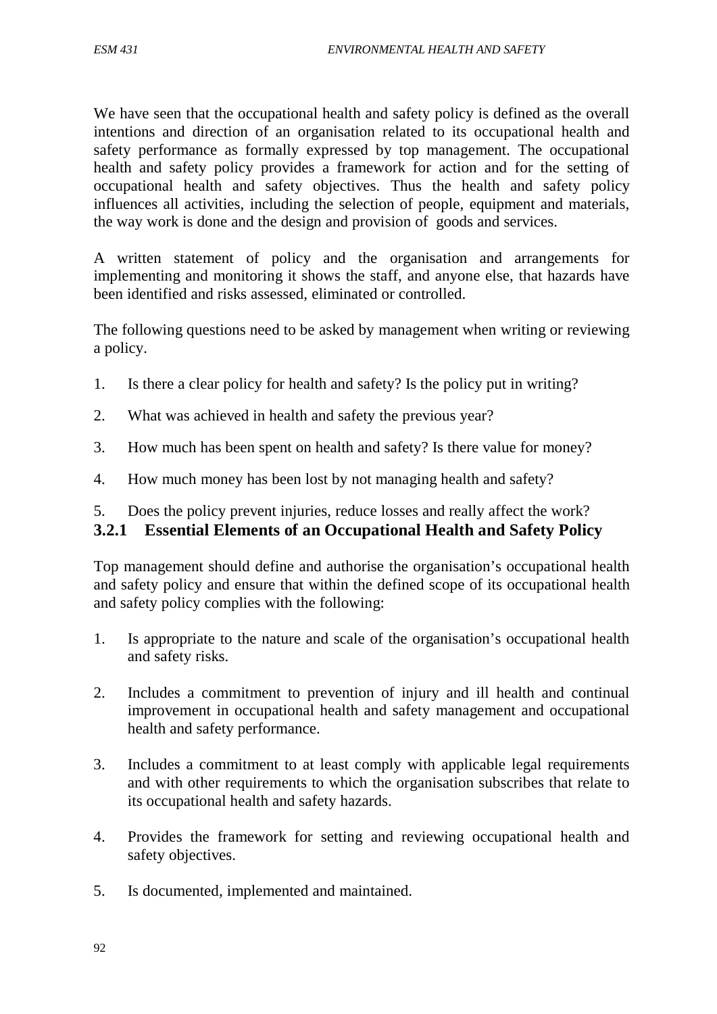We have seen that the occupational health and safety policy is defined as the overall intentions and direction of an organisation related to its occupational health and safety performance as formally expressed by top management. The occupational health and safety policy provides a framework for action and for the setting of occupational health and safety objectives. Thus the health and safety policy influences all activities, including the selection of people, equipment and materials, the way work is done and the design and provision of goods and services.

A written statement of policy and the organisation and arrangements for implementing and monitoring it shows the staff, and anyone else, that hazards have been identified and risks assessed, eliminated or controlled.

The following questions need to be asked by management when writing or reviewing a policy.

- 1. Is there a clear policy for health and safety? Is the policy put in writing?
- 2. What was achieved in health and safety the previous year?
- 3. How much has been spent on health and safety? Is there value for money?
- 4. How much money has been lost by not managing health and safety?
- 5. Does the policy prevent injuries, reduce losses and really affect the work?

## **3.2.1 Essential Elements of an Occupational Health and Safety Policy**

Top management should define and authorise the organisation's occupational health and safety policy and ensure that within the defined scope of its occupational health and safety policy complies with the following:

- 1. Is appropriate to the nature and scale of the organisation's occupational health and safety risks.
- 2. Includes a commitment to prevention of injury and ill health and continual improvement in occupational health and safety management and occupational health and safety performance.
- 3. Includes a commitment to at least comply with applicable legal requirements and with other requirements to which the organisation subscribes that relate to its occupational health and safety hazards.
- 4. Provides the framework for setting and reviewing occupational health and safety objectives.
- 5. Is documented, implemented and maintained.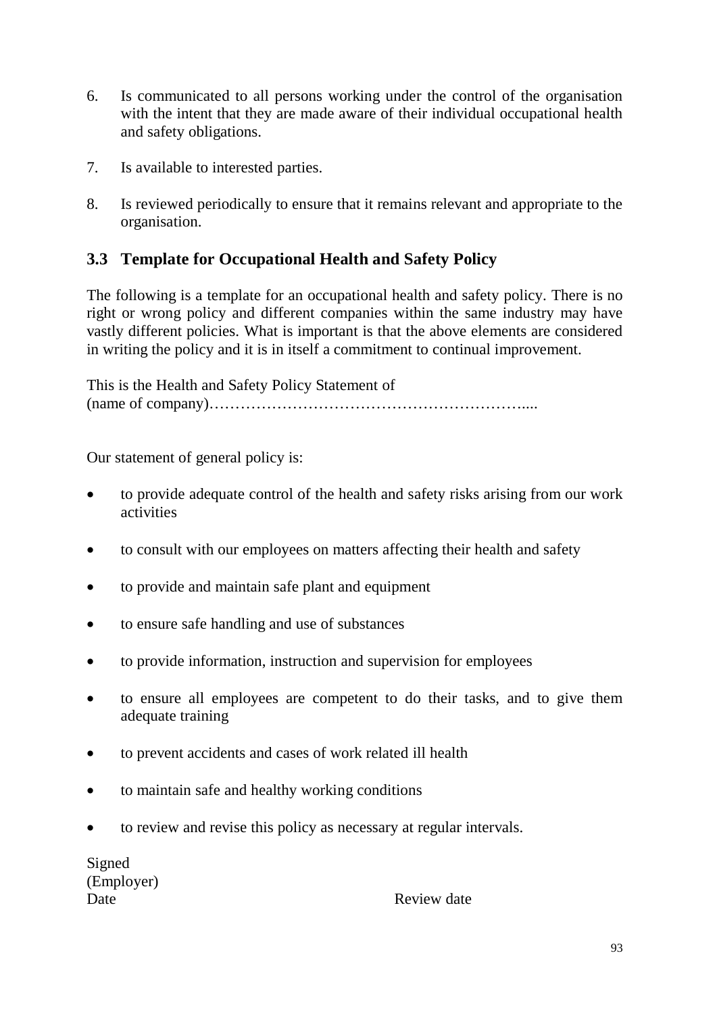- 6. Is communicated to all persons working under the control of the organisation with the intent that they are made aware of their individual occupational health and safety obligations.
- 7. Is available to interested parties.
- 8. Is reviewed periodically to ensure that it remains relevant and appropriate to the organisation.

# **3.3 Template for Occupational Health and Safety Policy**

The following is a template for an occupational health and safety policy. There is no right or wrong policy and different companies within the same industry may have vastly different policies. What is important is that the above elements are considered in writing the policy and it is in itself a commitment to continual improvement.

This is the Health and Safety Policy Statement of (name of company)……………………………………………………....

Our statement of general policy is:

- to provide adequate control of the health and safety risks arising from our work activities
- to consult with our employees on matters affecting their health and safety
- to provide and maintain safe plant and equipment
- to ensure safe handling and use of substances
- to provide information, instruction and supervision for employees
- to ensure all employees are competent to do their tasks, and to give them adequate training
- to prevent accidents and cases of work related ill health
- to maintain safe and healthy working conditions
- to review and revise this policy as necessary at regular intervals.

Signed (Employer)

Date Review date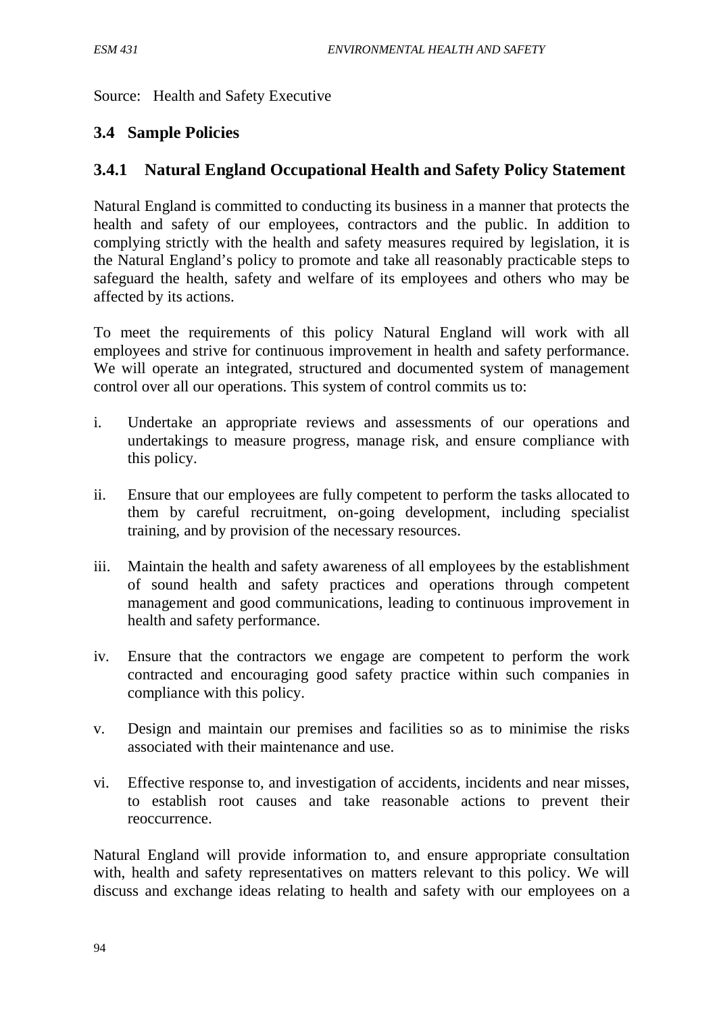Source: Health and Safety Executive

## **3.4 Sample Policies**

## **3.4.1 Natural England Occupational Health and Safety Policy Statement**

Natural England is committed to conducting its business in a manner that protects the health and safety of our employees, contractors and the public. In addition to complying strictly with the health and safety measures required by legislation, it is the Natural England's policy to promote and take all reasonably practicable steps to safeguard the health, safety and welfare of its employees and others who may be affected by its actions.

To meet the requirements of this policy Natural England will work with all employees and strive for continuous improvement in health and safety performance. We will operate an integrated, structured and documented system of management control over all our operations. This system of control commits us to:

- i. Undertake an appropriate reviews and assessments of our operations and undertakings to measure progress, manage risk, and ensure compliance with this policy.
- ii. Ensure that our employees are fully competent to perform the tasks allocated to them by careful recruitment, on-going development, including specialist training, and by provision of the necessary resources.
- iii. Maintain the health and safety awareness of all employees by the establishment of sound health and safety practices and operations through competent management and good communications, leading to continuous improvement in health and safety performance.
- iv. Ensure that the contractors we engage are competent to perform the work contracted and encouraging good safety practice within such companies in compliance with this policy.
- v. Design and maintain our premises and facilities so as to minimise the risks associated with their maintenance and use.
- vi. Effective response to, and investigation of accidents, incidents and near misses, to establish root causes and take reasonable actions to prevent their reoccurrence.

Natural England will provide information to, and ensure appropriate consultation with, health and safety representatives on matters relevant to this policy. We will discuss and exchange ideas relating to health and safety with our employees on a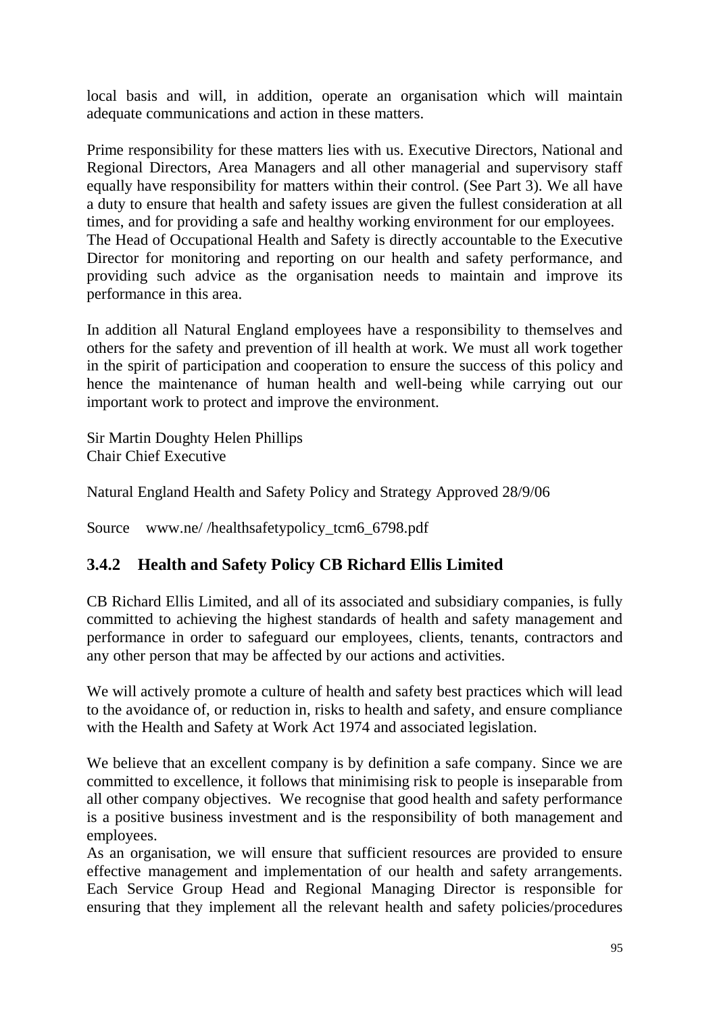local basis and will, in addition, operate an organisation which will maintain adequate communications and action in these matters.

Prime responsibility for these matters lies with us. Executive Directors, National and Regional Directors, Area Managers and all other managerial and supervisory staff equally have responsibility for matters within their control. (See Part 3). We all have a duty to ensure that health and safety issues are given the fullest consideration at all times, and for providing a safe and healthy working environment for our employees. The Head of Occupational Health and Safety is directly accountable to the Executive Director for monitoring and reporting on our health and safety performance, and providing such advice as the organisation needs to maintain and improve its performance in this area.

In addition all Natural England employees have a responsibility to themselves and others for the safety and prevention of ill health at work. We must all work together in the spirit of participation and cooperation to ensure the success of this policy and hence the maintenance of human health and well-being while carrying out our important work to protect and improve the environment.

Sir Martin Doughty Helen Phillips Chair Chief Executive

Natural England Health and Safety Policy and Strategy Approved 28/9/06

Source www.ne//healthsafetypolicy tcm6\_6798.pdf

# **3.4.2 Health and Safety Policy CB Richard Ellis Limited**

CB Richard Ellis Limited, and all of its associated and subsidiary companies, is fully committed to achieving the highest standards of health and safety management and performance in order to safeguard our employees, clients, tenants, contractors and any other person that may be affected by our actions and activities.

We will actively promote a culture of health and safety best practices which will lead to the avoidance of, or reduction in, risks to health and safety, and ensure compliance with the Health and Safety at Work Act 1974 and associated legislation.

We believe that an excellent company is by definition a safe company. Since we are committed to excellence, it follows that minimising risk to people is inseparable from all other company objectives. We recognise that good health and safety performance is a positive business investment and is the responsibility of both management and employees.

As an organisation, we will ensure that sufficient resources are provided to ensure effective management and implementation of our health and safety arrangements. Each Service Group Head and Regional Managing Director is responsible for ensuring that they implement all the relevant health and safety policies/procedures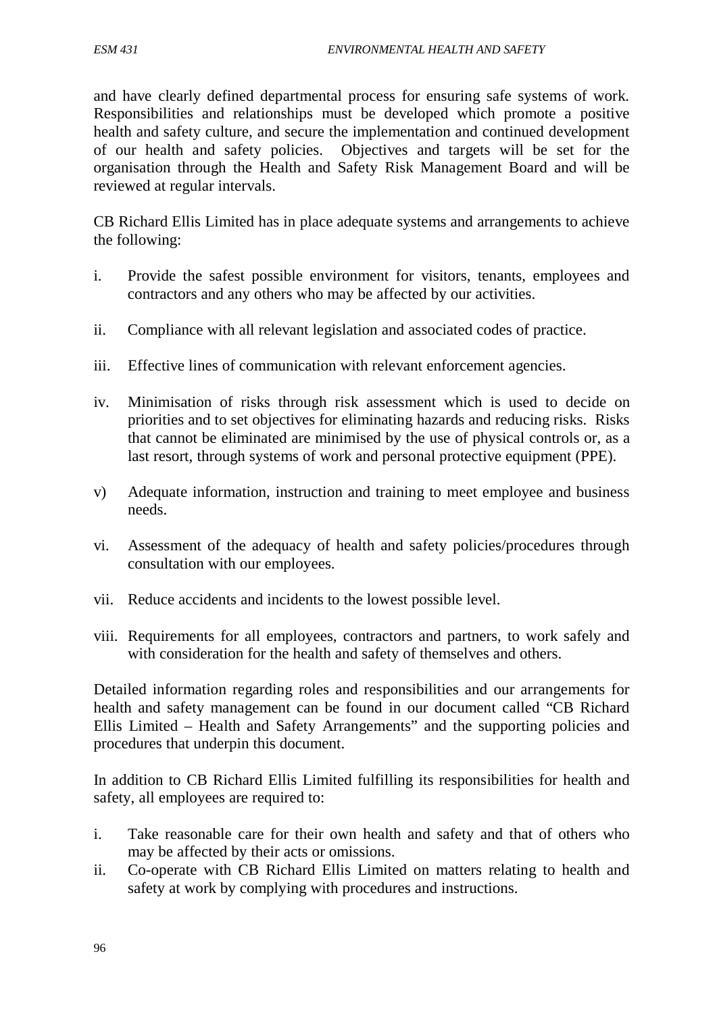and have clearly defined departmental process for ensuring safe systems of work. Responsibilities and relationships must be developed which promote a positive health and safety culture, and secure the implementation and continued development of our health and safety policies. Objectives and targets will be set for the organisation through the Health and Safety Risk Management Board and will be reviewed at regular intervals.

CB Richard Ellis Limited has in place adequate systems and arrangements to achieve the following:

- i. Provide the safest possible environment for visitors, tenants, employees and contractors and any others who may be affected by our activities.
- ii. Compliance with all relevant legislation and associated codes of practice.
- iii. Effective lines of communication with relevant enforcement agencies.
- iv. Minimisation of risks through risk assessment which is used to decide on priorities and to set objectives for eliminating hazards and reducing risks. Risks that cannot be eliminated are minimised by the use of physical controls or, as a last resort, through systems of work and personal protective equipment (PPE).
- v) Adequate information, instruction and training to meet employee and business needs.
- vi. Assessment of the adequacy of health and safety policies/procedures through consultation with our employees.
- vii. Reduce accidents and incidents to the lowest possible level.
- viii. Requirements for all employees, contractors and partners, to work safely and with consideration for the health and safety of themselves and others.

Detailed information regarding roles and responsibilities and our arrangements for health and safety management can be found in our document called "CB Richard Ellis Limited – Health and Safety Arrangements" and the supporting policies and procedures that underpin this document.

In addition to CB Richard Ellis Limited fulfilling its responsibilities for health and safety, all employees are required to:

- i. Take reasonable care for their own health and safety and that of others who may be affected by their acts or omissions.
- ii. Co-operate with CB Richard Ellis Limited on matters relating to health and safety at work by complying with procedures and instructions.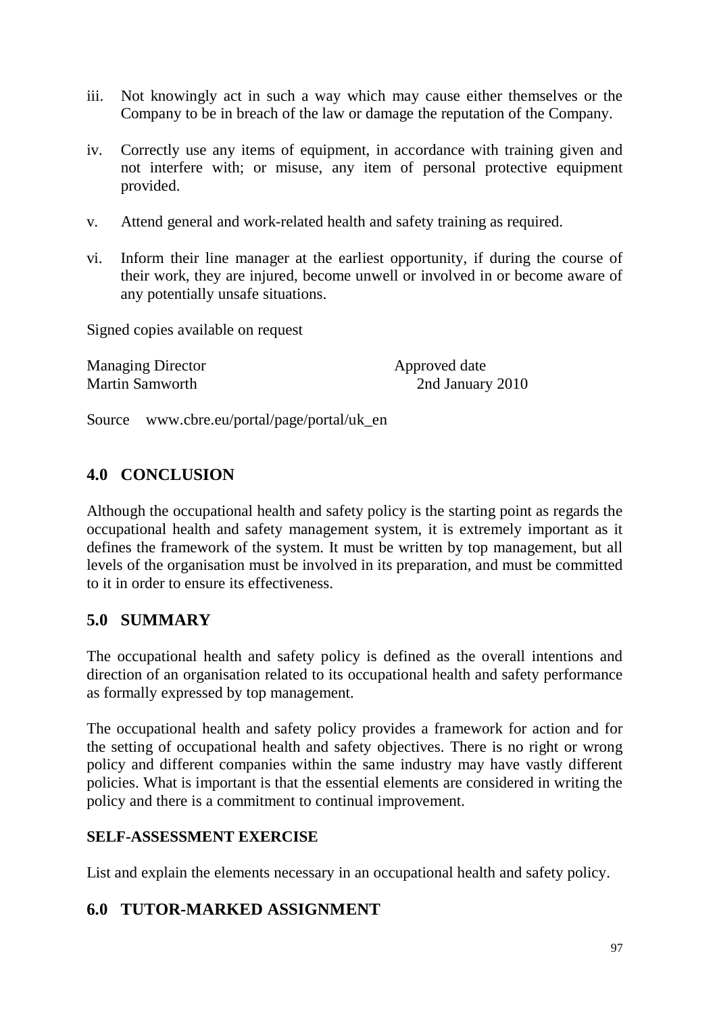- iii. Not knowingly act in such a way which may cause either themselves or the Company to be in breach of the law or damage the reputation of the Company.
- iv. Correctly use any items of equipment, in accordance with training given and not interfere with; or misuse, any item of personal protective equipment provided.
- v. Attend general and work-related health and safety training as required.
- vi. Inform their line manager at the earliest opportunity, if during the course of their work, they are injured, become unwell or involved in or become aware of any potentially unsafe situations.

Signed copies available on request

Managing Director **Approved date** 

Martin Samworth 2nd January 2010

Source www.cbre.eu/portal/page/portal/uk\_en

## **4.0 CONCLUSION**

Although the occupational health and safety policy is the starting point as regards the occupational health and safety management system, it is extremely important as it defines the framework of the system. It must be written by top management, but all levels of the organisation must be involved in its preparation, and must be committed to it in order to ensure its effectiveness.

## **5.0 SUMMARY**

The occupational health and safety policy is defined as the overall intentions and direction of an organisation related to its occupational health and safety performance as formally expressed by top management.

The occupational health and safety policy provides a framework for action and for the setting of occupational health and safety objectives. There is no right or wrong policy and different companies within the same industry may have vastly different policies. What is important is that the essential elements are considered in writing the policy and there is a commitment to continual improvement.

### **SELF-ASSESSMENT EXERCISE**

List and explain the elements necessary in an occupational health and safety policy.

## **6.0 TUTOR-MARKED ASSIGNMENT**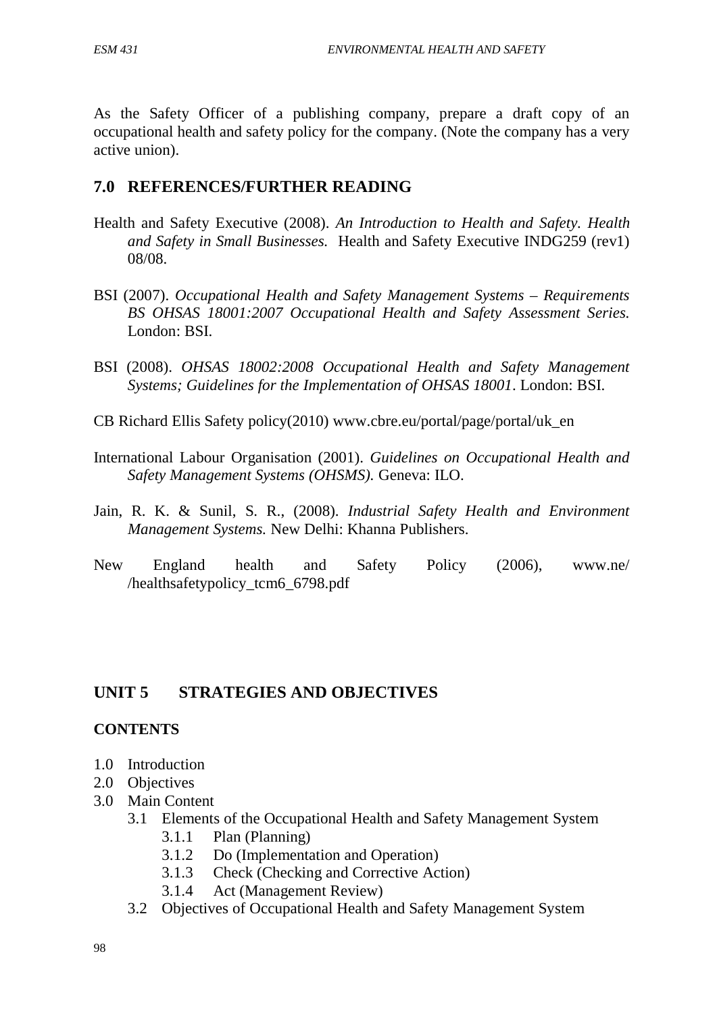As the Safety Officer of a publishing company, prepare a draft copy of an occupational health and safety policy for the company. (Note the company has a very active union).

### **7.0 REFERENCES/FURTHER READING**

- Health and Safety Executive (2008). *An Introduction to Health and Safety. Health and Safety in Small Businesses.* Health and Safety Executive INDG259 (rev1) 08/08.
- BSI (2007). *Occupational Health and Safety Management Systems – Requirements BS OHSAS 18001:2007 Occupational Health and Safety Assessment Series.* London: BSI.
- BSI (2008). *OHSAS 18002:2008 Occupational Health and Safety Management Systems; Guidelines for the Implementation of OHSAS 18001*. London: BSI.
- CB Richard Ellis Safety policy(2010) www.cbre.eu/portal/page/portal/uk\_en
- International Labour Organisation (2001). *Guidelines on Occupational Health and Safety Management Systems (OHSMS).* Geneva: ILO.
- Jain, R. K. & Sunil, S. R., (2008). *Industrial Safety Health and Environment Management Systems.* New Delhi: Khanna Publishers.
- New England health and Safety Policy (2006), www.ne/ /healthsafetypolicy\_tcm6\_6798.pdf

## **UNIT 5 STRATEGIES AND OBJECTIVES**

### **CONTENTS**

- 1.0 Introduction
- 2.0 Objectives
- 3.0 Main Content
	- 3.1 Elements of the Occupational Health and Safety Management System
		- 3.1.1 Plan (Planning)
		- 3.1.2 Do (Implementation and Operation)
		- 3.1.3 Check (Checking and Corrective Action)
		- 3.1.4 Act (Management Review)
	- 3.2 Objectives of Occupational Health and Safety Management System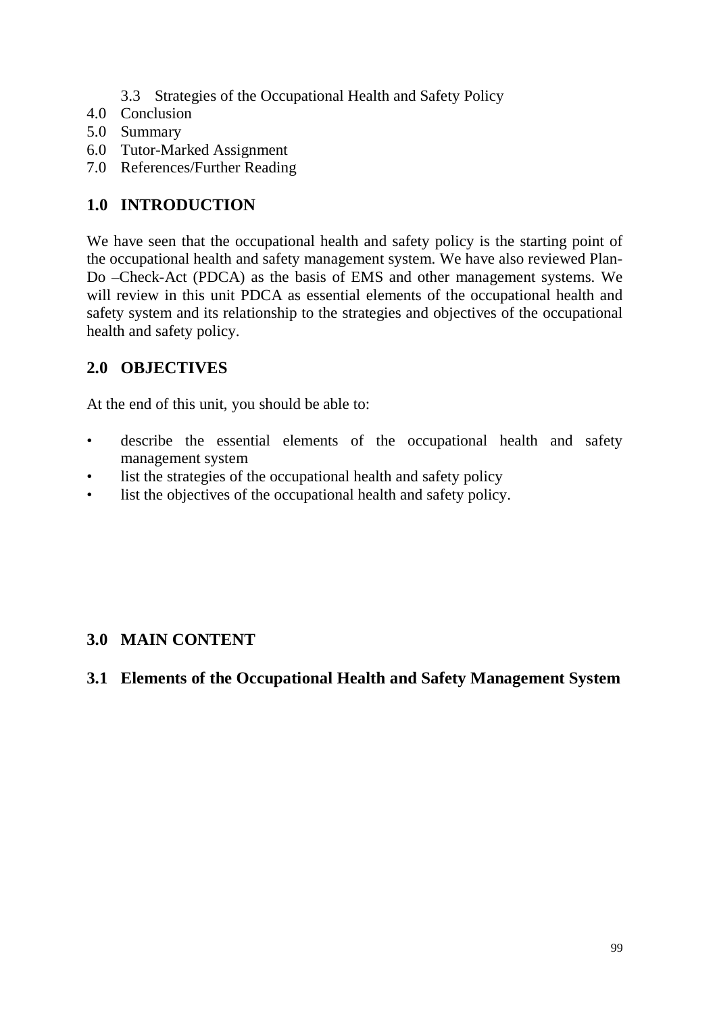- 3.3 Strategies of the Occupational Health and Safety Policy
- 4.0 Conclusion
- 5.0 Summary
- 6.0 Tutor-Marked Assignment
- 7.0 References/Further Reading

# **1.0 INTRODUCTION**

We have seen that the occupational health and safety policy is the starting point of the occupational health and safety management system. We have also reviewed Plan-Do –Check-Act (PDCA) as the basis of EMS and other management systems. We will review in this unit PDCA as essential elements of the occupational health and safety system and its relationship to the strategies and objectives of the occupational health and safety policy.

# **2.0 OBJECTIVES**

At the end of this unit, you should be able to:

- describe the essential elements of the occupational health and safety management system
- list the strategies of the occupational health and safety policy
- list the objectives of the occupational health and safety policy.

# **3.0 MAIN CONTENT**

# **3.1 Elements of the Occupational Health and Safety Management System**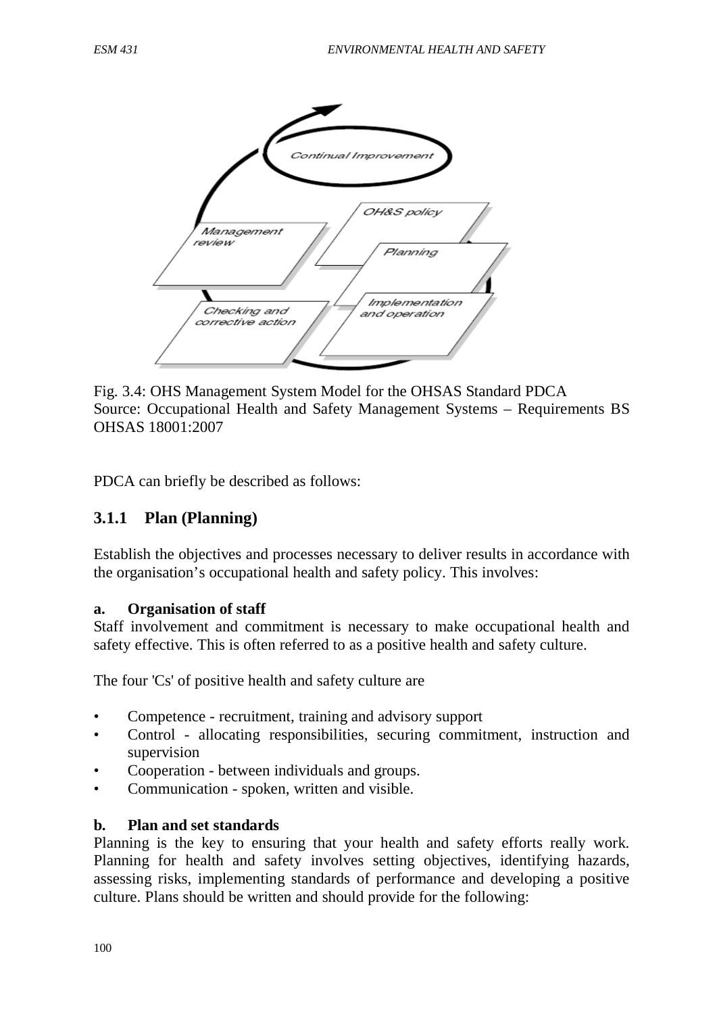

Fig. 3.4: OHS Management System Model for the OHSAS Standard PDCA Source: Occupational Health and Safety Management Systems – Requirements BS OHSAS 18001:2007

PDCA can briefly be described as follows:

### **3.1.1 Plan (Planning)**

Establish the objectives and processes necessary to deliver results in accordance with the organisation's occupational health and safety policy. This involves:

### **a. Organisation of staff**

Staff involvement and commitment is necessary to make occupational health and safety effective. This is often referred to as a positive health and safety culture.

The four 'Cs' of positive health and safety culture are

- Competence recruitment, training and advisory support
- Control allocating responsibilities, securing commitment, instruction and supervision
- Cooperation between individuals and groups.
- Communication spoken, written and visible.

### **b. Plan and set standards**

Planning is the key to ensuring that your health and safety efforts really work. Planning for health and safety involves setting objectives, identifying hazards, assessing risks, implementing standards of performance and developing a positive culture. Plans should be written and should provide for the following: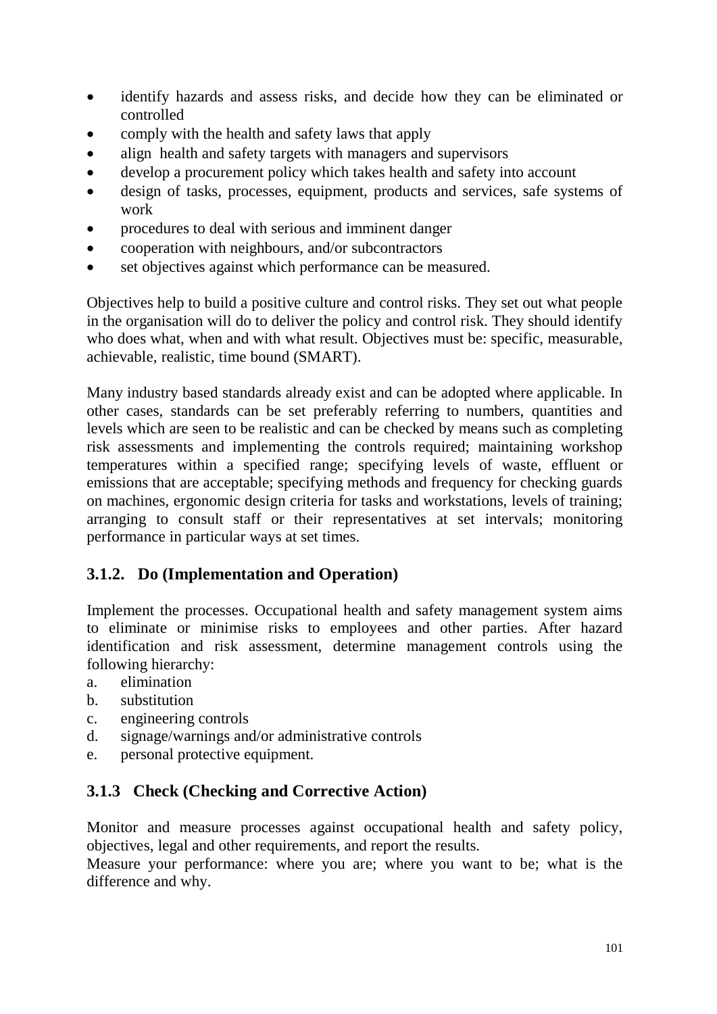- identify hazards and assess risks, and decide how they can be eliminated or controlled
- comply with the health and safety laws that apply
- align health and safety targets with managers and supervisors
- develop a procurement policy which takes health and safety into account
- design of tasks, processes, equipment, products and services, safe systems of work
- procedures to deal with serious and imminent danger
- cooperation with neighbours, and/or subcontractors
- set objectives against which performance can be measured.

Objectives help to build a positive culture and control risks. They set out what people in the organisation will do to deliver the policy and control risk. They should identify who does what, when and with what result. Objectives must be: specific, measurable, achievable, realistic, time bound (SMART).

Many industry based standards already exist and can be adopted where applicable. In other cases, standards can be set preferably referring to numbers, quantities and levels which are seen to be realistic and can be checked by means such as completing risk assessments and implementing the controls required; maintaining workshop temperatures within a specified range; specifying levels of waste, effluent or emissions that are acceptable; specifying methods and frequency for checking guards on machines, ergonomic design criteria for tasks and workstations, levels of training; arranging to consult staff or their representatives at set intervals; monitoring performance in particular ways at set times.

# **3.1.2. Do (Implementation and Operation)**

Implement the processes. Occupational health and safety management system aims to eliminate or minimise risks to employees and other parties. After hazard identification and risk assessment, determine management controls using the following hierarchy:

- a. elimination
- b. substitution
- c. engineering controls
- d. signage/warnings and/or administrative controls
- e. personal protective equipment.

## **3.1.3 Check (Checking and Corrective Action)**

Monitor and measure processes against occupational health and safety policy, objectives, legal and other requirements, and report the results.

Measure your performance: where you are; where you want to be; what is the difference and why.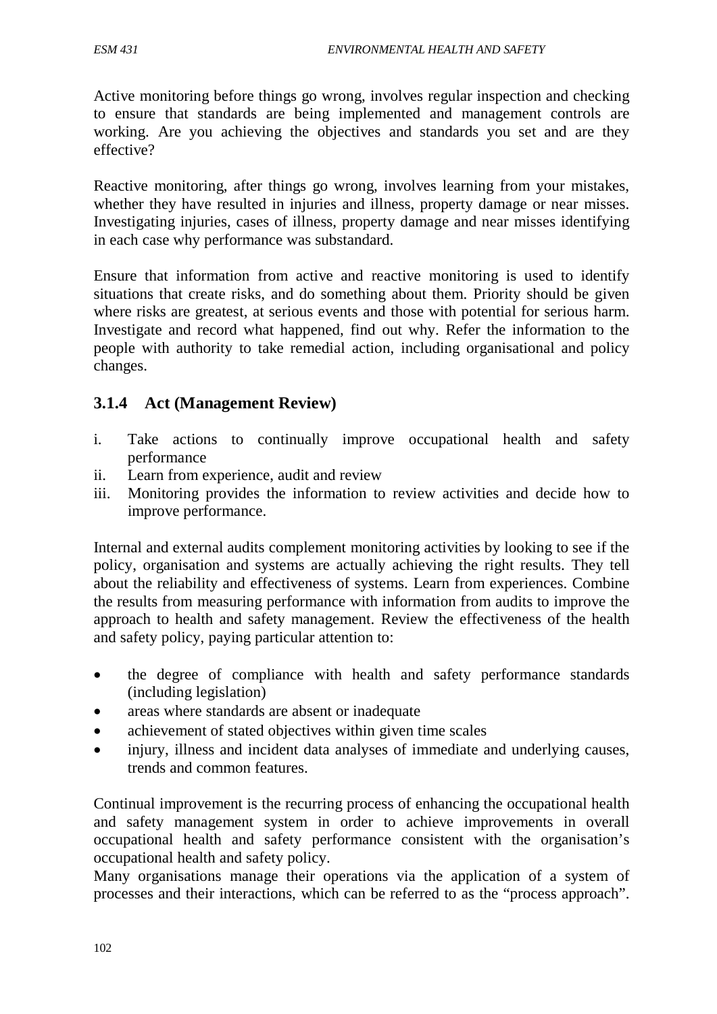Active monitoring before things go wrong, involves regular inspection and checking to ensure that standards are being implemented and management controls are working. Are you achieving the objectives and standards you set and are they effective?

Reactive monitoring, after things go wrong, involves learning from your mistakes, whether they have resulted in injuries and illness, property damage or near misses. Investigating injuries, cases of illness, property damage and near misses identifying in each case why performance was substandard.

Ensure that information from active and reactive monitoring is used to identify situations that create risks, and do something about them. Priority should be given where risks are greatest, at serious events and those with potential for serious harm. Investigate and record what happened, find out why. Refer the information to the people with authority to take remedial action, including organisational and policy changes.

## **3.1.4 Act (Management Review)**

- i. Take actions to continually improve occupational health and safety performance
- ii. Learn from experience, audit and review
- iii. Monitoring provides the information to review activities and decide how to improve performance.

Internal and external audits complement monitoring activities by looking to see if the policy, organisation and systems are actually achieving the right results. They tell about the reliability and effectiveness of systems. Learn from experiences. Combine the results from measuring performance with information from audits to improve the approach to health and safety management. Review the effectiveness of the health and safety policy, paying particular attention to:

- the degree of compliance with health and safety performance standards (including legislation)
- areas where standards are absent or inadequate
- achievement of stated objectives within given time scales
- injury, illness and incident data analyses of immediate and underlying causes, trends and common features.

Continual improvement is the recurring process of enhancing the occupational health and safety management system in order to achieve improvements in overall occupational health and safety performance consistent with the organisation's occupational health and safety policy.

Many organisations manage their operations via the application of a system of processes and their interactions, which can be referred to as the "process approach".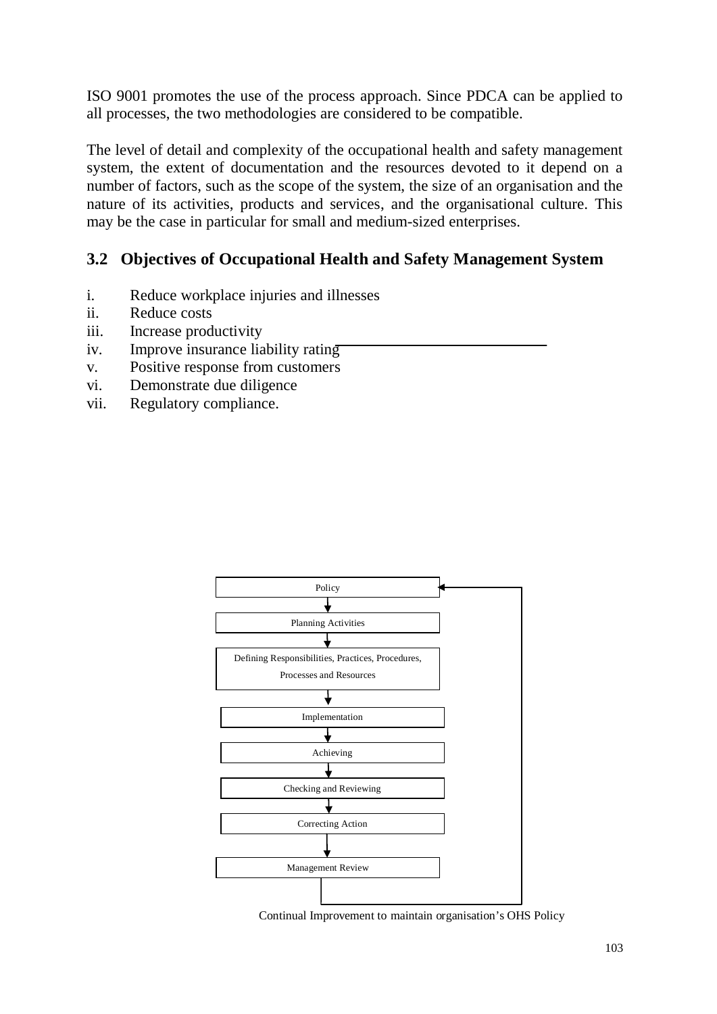ISO 9001 promotes the use of the process approach. Since PDCA can be applied to all processes, the two methodologies are considered to be compatible.

The level of detail and complexity of the occupational health and safety management system, the extent of documentation and the resources devoted to it depend on a number of factors, such as the scope of the system, the size of an organisation and the nature of its activities, products and services, and the organisational culture. This may be the case in particular for small and medium-sized enterprises.

## **3.2 Objectives of Occupational Health and Safety Management System**

- i. Reduce workplace injuries and illnesses
- ii. Reduce costs
- iii. Increase productivity
- iv. Improve insurance liability rating
- v. Positive response from customers
- vi. Demonstrate due diligence
- vii. Regulatory compliance.



Continual Improvement to maintain organisation's OHS Policy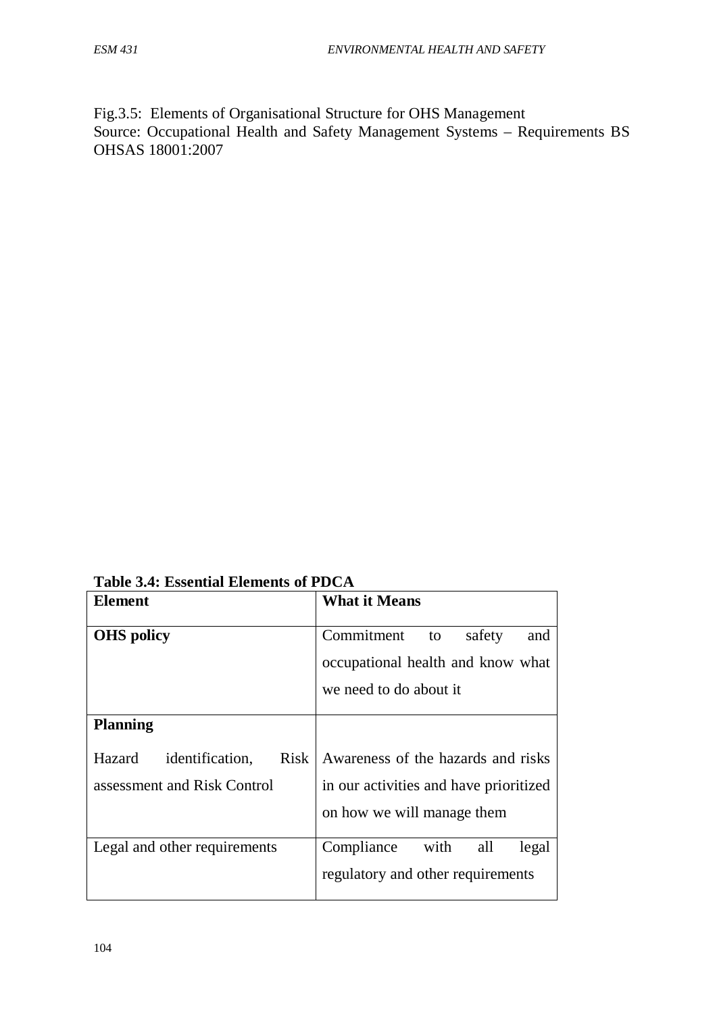Fig.3.5: Elements of Organisational Structure for OHS Management Source: Occupational Health and Safety Management Systems – Requirements BS OHSAS 18001:2007

**Table 3.4: Essential Elements of PDCA** 

| Element                                                                 | <b>What it Means</b>                                                                             |
|-------------------------------------------------------------------------|--------------------------------------------------------------------------------------------------|
| <b>OHS</b> policy                                                       | Commitment<br>safety<br>to<br>and<br>occupational health and know what<br>we need to do about it |
| <b>Planning</b>                                                         |                                                                                                  |
| identification,<br><b>Risk</b><br>Hazard<br>assessment and Risk Control | Awareness of the hazards and risks<br>in our activities and have prioritized                     |
|                                                                         | on how we will manage them                                                                       |
| Legal and other requirements                                            | with<br>Compliance<br>all<br>legal<br>regulatory and other requirements                          |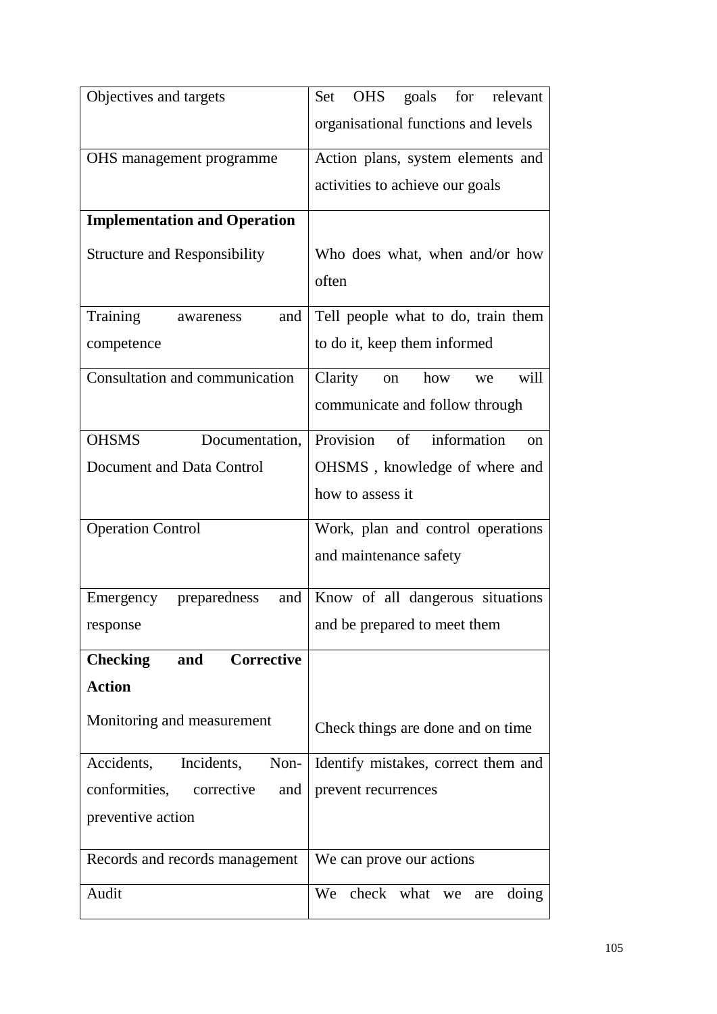| Objectives and targets               | goals for relevant<br>Set OHS                |
|--------------------------------------|----------------------------------------------|
|                                      | organisational functions and levels          |
| OHS management programme             | Action plans, system elements and            |
|                                      | activities to achieve our goals              |
| <b>Implementation and Operation</b>  |                                              |
| <b>Structure and Responsibility</b>  | Who does what, when and/or how               |
|                                      | often                                        |
| Training<br>and<br>awareness         | Tell people what to do, train them           |
| competence                           | to do it, keep them informed                 |
| Consultation and communication       | will<br>Clarity<br>how<br>on<br>we           |
|                                      | communicate and follow through               |
| <b>OHSMS</b><br>Documentation,       | Provision<br>of information<br><sub>on</sub> |
| Document and Data Control            | OHSMS, knowledge of where and                |
|                                      | how to assess it                             |
| <b>Operation Control</b>             | Work, plan and control operations            |
|                                      | and maintenance safety                       |
| preparedness<br>and<br>Emergency     | Know of all dangerous situations             |
| response                             | and be prepared to meet them                 |
| Corrective<br><b>Checking</b><br>and |                                              |
| <b>Action</b>                        |                                              |
| Monitoring and measurement           | Check things are done and on time            |
| Incidents,<br>Non-<br>Accidents,     | Identify mistakes, correct them and          |
| conformities,<br>corrective<br>and   | prevent recurrences                          |
| preventive action                    |                                              |
| Records and records management       | We can prove our actions                     |
| Audit                                | check what we<br>We<br>doing<br>are          |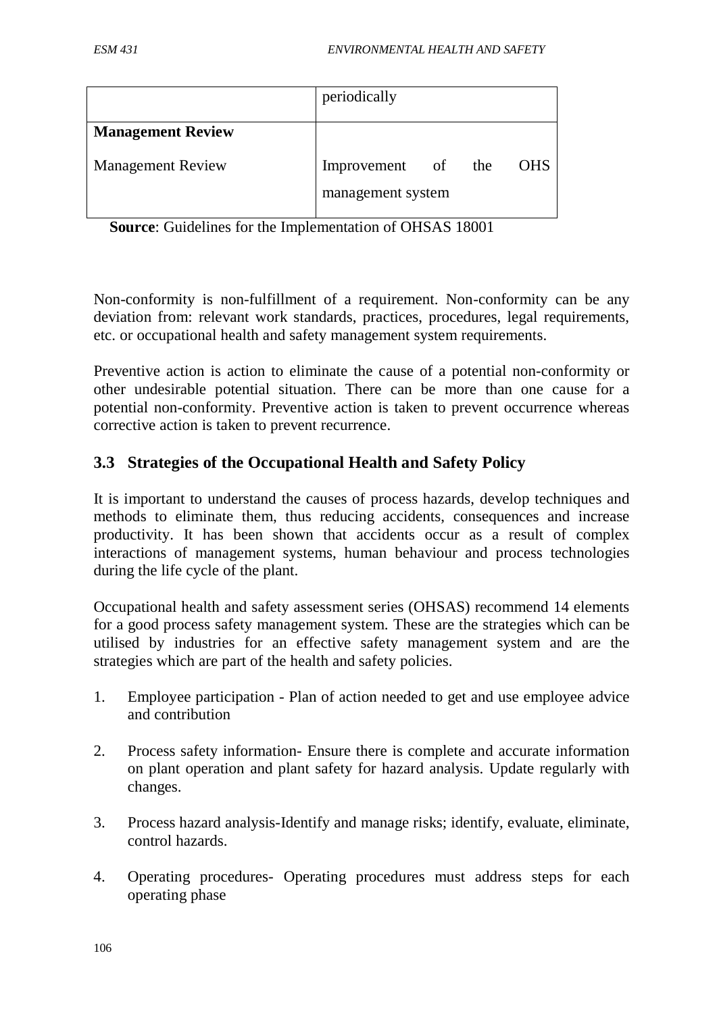|                          | periodically                            |            |
|--------------------------|-----------------------------------------|------------|
| <b>Management Review</b> |                                         |            |
| <b>Management Review</b> | Improvement of the<br>management system | <b>OHS</b> |

**Source**: Guidelines for the Implementation of OHSAS 18001

Non-conformity is non-fulfillment of a requirement. Non-conformity can be any deviation from: relevant work standards, practices, procedures, legal requirements, etc. or occupational health and safety management system requirements.

Preventive action is action to eliminate the cause of a potential non-conformity or other undesirable potential situation. There can be more than one cause for a potential non-conformity. Preventive action is taken to prevent occurrence whereas corrective action is taken to prevent recurrence.

## **3.3 Strategies of the Occupational Health and Safety Policy**

It is important to understand the causes of process hazards, develop techniques and methods to eliminate them, thus reducing accidents, consequences and increase productivity. It has been shown that accidents occur as a result of complex interactions of management systems, human behaviour and process technologies during the life cycle of the plant.

Occupational health and safety assessment series (OHSAS) recommend 14 elements for a good process safety management system. These are the strategies which can be utilised by industries for an effective safety management system and are the strategies which are part of the health and safety policies.

- 1. Employee participation Plan of action needed to get and use employee advice and contribution
- 2. Process safety information- Ensure there is complete and accurate information on plant operation and plant safety for hazard analysis. Update regularly with changes.
- 3. Process hazard analysis-Identify and manage risks; identify, evaluate, eliminate, control hazards.
- 4. Operating procedures- Operating procedures must address steps for each operating phase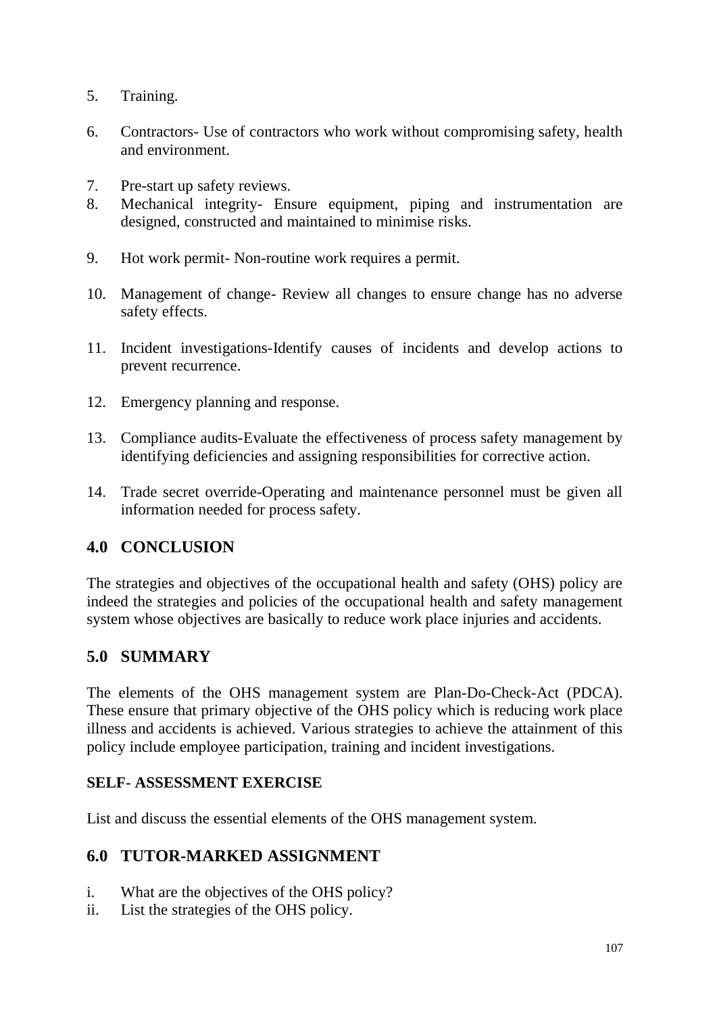- 5. Training.
- 6. Contractors- Use of contractors who work without compromising safety, health and environment.
- 7. Pre-start up safety reviews.
- 8. Mechanical integrity- Ensure equipment, piping and instrumentation are designed, constructed and maintained to minimise risks.
- 9. Hot work permit- Non-routine work requires a permit.
- 10. Management of change- Review all changes to ensure change has no adverse safety effects.
- 11. Incident investigations-Identify causes of incidents and develop actions to prevent recurrence.
- 12. Emergency planning and response.
- 13. Compliance audits-Evaluate the effectiveness of process safety management by identifying deficiencies and assigning responsibilities for corrective action.
- 14. Trade secret override-Operating and maintenance personnel must be given all information needed for process safety.

# **4.0 CONCLUSION**

The strategies and objectives of the occupational health and safety (OHS) policy are indeed the strategies and policies of the occupational health and safety management system whose objectives are basically to reduce work place injuries and accidents.

# **5.0 SUMMARY**

The elements of the OHS management system are Plan-Do-Check-Act (PDCA). These ensure that primary objective of the OHS policy which is reducing work place illness and accidents is achieved. Various strategies to achieve the attainment of this policy include employee participation, training and incident investigations.

### **SELF- ASSESSMENT EXERCISE**

List and discuss the essential elements of the OHS management system.

# **6.0 TUTOR-MARKED ASSIGNMENT**

- i. What are the objectives of the OHS policy?
- ii. List the strategies of the OHS policy.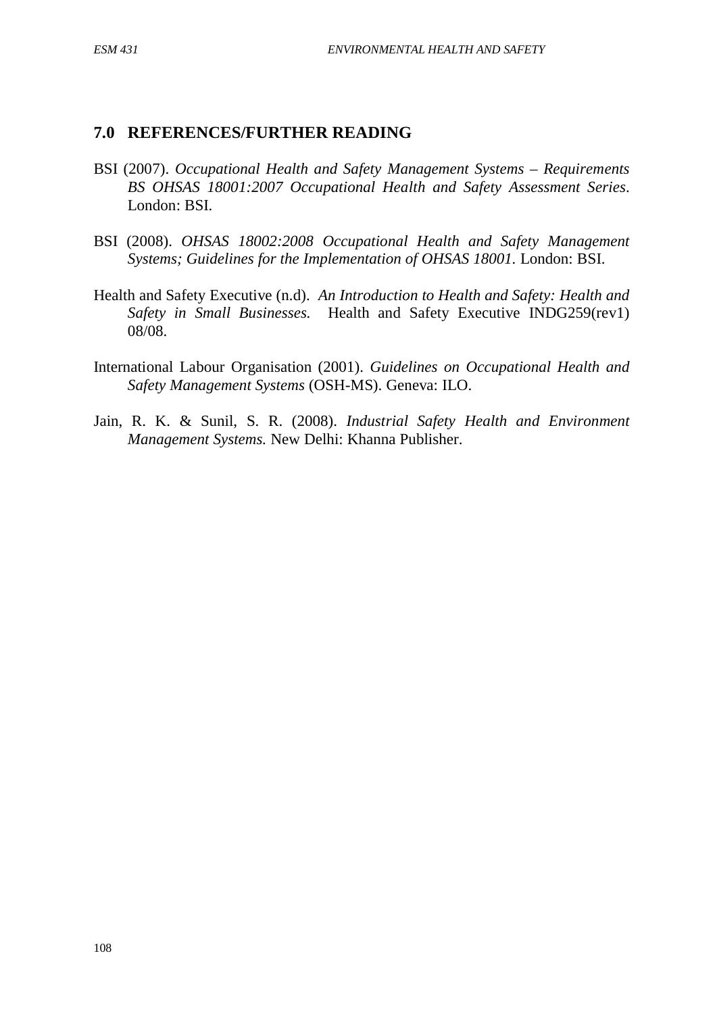### **7.0 REFERENCES/FURTHER READING**

- BSI (2007). *Occupational Health and Safety Management Systems – Requirements BS OHSAS 18001:2007 Occupational Health and Safety Assessment Series*. London: BSI.
- BSI (2008). *OHSAS 18002:2008 Occupational Health and Safety Management Systems; Guidelines for the Implementation of OHSAS 18001.* London: BSI.
- Health and Safety Executive (n.d). *An Introduction to Health and Safety: Health and Safety in Small Businesses.* Health and Safety Executive INDG259(rev1) 08/08.
- International Labour Organisation (2001). *Guidelines on Occupational Health and Safety Management Systems* (OSH-MS). Geneva: ILO.
- Jain, R. K. & Sunil, S. R. (2008). *Industrial Safety Health and Environment Management Systems.* New Delhi: Khanna Publisher.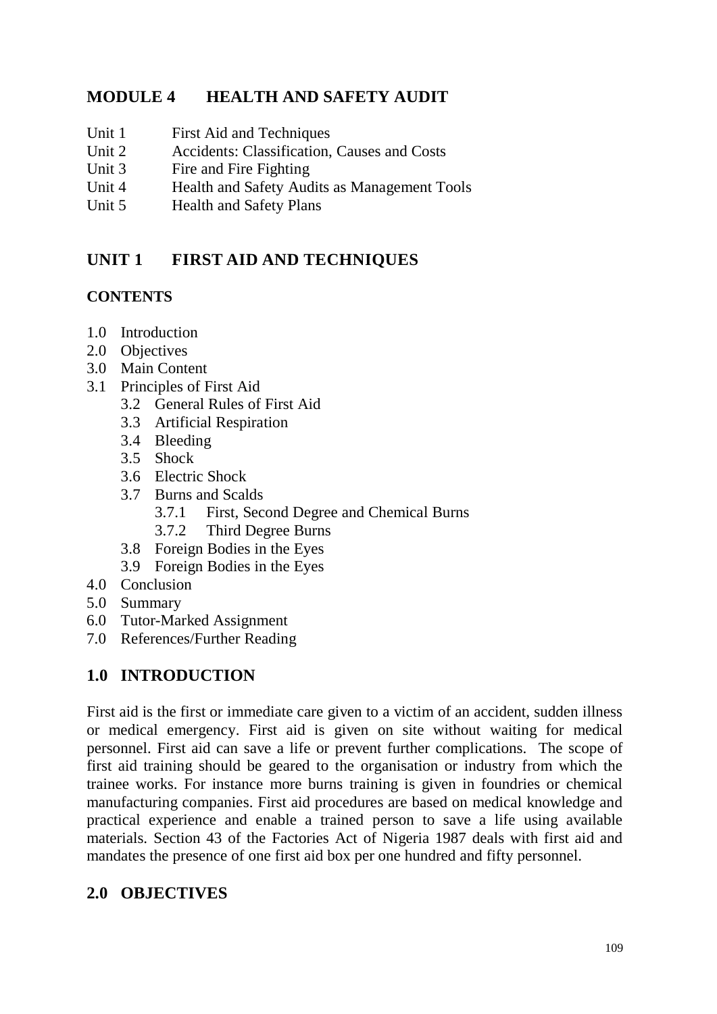## **MODULE 4 HEALTH AND SAFETY AUDIT**

- Unit 1 First Aid and Techniques
- Unit 2 Accidents: Classification, Causes and Costs
- Unit 3 Fire and Fire Fighting
- Unit 4 Health and Safety Audits as Management Tools
- Unit 5 Health and Safety Plans

# **UNIT 1 FIRST AID AND TECHNIQUES**

### **CONTENTS**

- 1.0 Introduction
- 2.0 Objectives
- 3.0 Main Content
- 3.1 Principles of First Aid
	- 3.2 General Rules of First Aid
	- 3.3 Artificial Respiration
	- 3.4 Bleeding
	- 3.5 Shock
	- 3.6 Electric Shock
	- 3.7 Burns and Scalds
		- 3.7.1 First, Second Degree and Chemical Burns
		- 3.7.2 Third Degree Burns
	- 3.8 Foreign Bodies in the Eyes
	- 3.9 Foreign Bodies in the Eyes
- 4.0 Conclusion
- 5.0 Summary
- 6.0 Tutor-Marked Assignment
- 7.0 References/Further Reading

# **1.0 INTRODUCTION**

First aid is the first or immediate care given to a victim of an accident, sudden illness or medical emergency. First aid is given on site without waiting for medical personnel. First aid can save a life or prevent further complications. The scope of first aid training should be geared to the organisation or industry from which the trainee works. For instance more burns training is given in foundries or chemical manufacturing companies. First aid procedures are based on medical knowledge and practical experience and enable a trained person to save a life using available materials. Section 43 of the Factories Act of Nigeria 1987 deals with first aid and mandates the presence of one first aid box per one hundred and fifty personnel.

# **2.0 OBJECTIVES**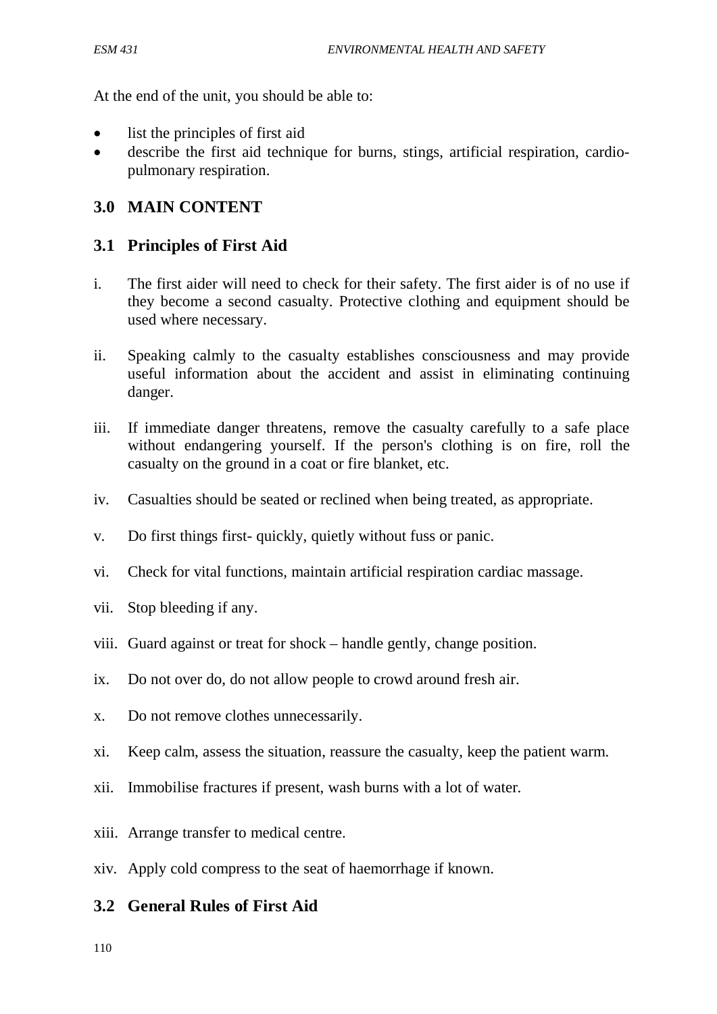At the end of the unit, you should be able to:

- list the principles of first aid
- describe the first aid technique for burns, stings, artificial respiration, cardiopulmonary respiration.

## **3.0 MAIN CONTENT**

### **3.1 Principles of First Aid**

- i. The first aider will need to check for their safety. The first aider is of no use if they become a second casualty. Protective clothing and equipment should be used where necessary.
- ii. Speaking calmly to the casualty establishes consciousness and may provide useful information about the accident and assist in eliminating continuing danger.
- iii. If immediate danger threatens, remove the casualty carefully to a safe place without endangering yourself. If the person's clothing is on fire, roll the casualty on the ground in a coat or fire blanket, etc.
- iv. Casualties should be seated or reclined when being treated, as appropriate.
- v. Do first things first- quickly, quietly without fuss or panic.
- vi. Check for vital functions, maintain artificial respiration cardiac massage.
- vii. Stop bleeding if any.
- viii. Guard against or treat for shock handle gently, change position.
- ix. Do not over do, do not allow people to crowd around fresh air.
- x. Do not remove clothes unnecessarily.
- xi. Keep calm, assess the situation, reassure the casualty, keep the patient warm.
- xii. Immobilise fractures if present, wash burns with a lot of water.
- xiii. Arrange transfer to medical centre.
- xiv. Apply cold compress to the seat of haemorrhage if known.

### **3.2 General Rules of First Aid**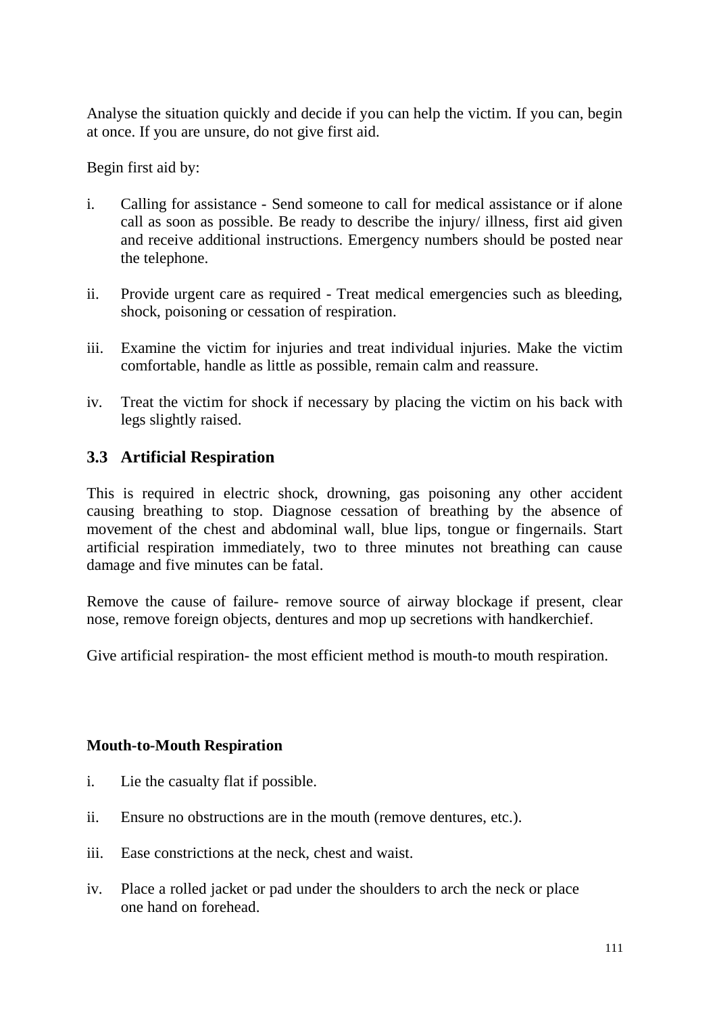Analyse the situation quickly and decide if you can help the victim. If you can, begin at once. If you are unsure, do not give first aid.

Begin first aid by:

- i. Calling for assistance Send someone to call for medical assistance or if alone call as soon as possible. Be ready to describe the injury/ illness, first aid given and receive additional instructions. Emergency numbers should be posted near the telephone.
- ii. Provide urgent care as required Treat medical emergencies such as bleeding, shock, poisoning or cessation of respiration.
- iii. Examine the victim for injuries and treat individual injuries. Make the victim comfortable, handle as little as possible, remain calm and reassure.
- iv. Treat the victim for shock if necessary by placing the victim on his back with legs slightly raised.

## **3.3 Artificial Respiration**

This is required in electric shock, drowning, gas poisoning any other accident causing breathing to stop. Diagnose cessation of breathing by the absence of movement of the chest and abdominal wall, blue lips, tongue or fingernails. Start artificial respiration immediately, two to three minutes not breathing can cause damage and five minutes can be fatal.

Remove the cause of failure- remove source of airway blockage if present, clear nose, remove foreign objects, dentures and mop up secretions with handkerchief.

Give artificial respiration- the most efficient method is mouth-to mouth respiration.

### **Mouth-to-Mouth Respiration**

- i. Lie the casualty flat if possible.
- ii. Ensure no obstructions are in the mouth (remove dentures, etc.).
- iii. Ease constrictions at the neck, chest and waist.
- iv. Place a rolled jacket or pad under the shoulders to arch the neck or place one hand on forehead.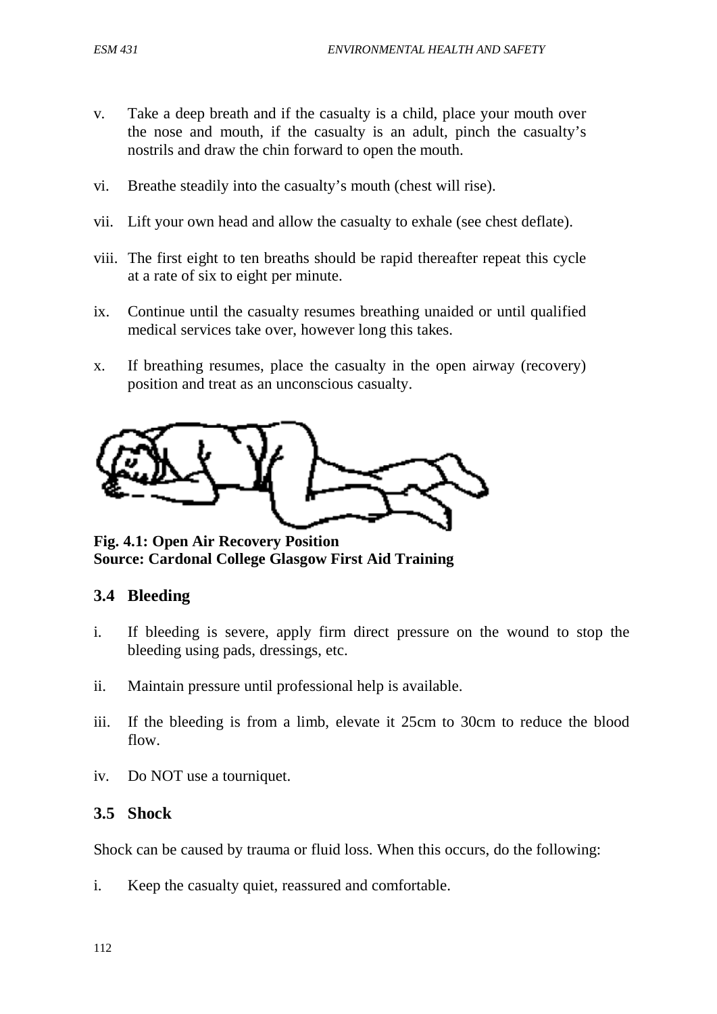- v. Take a deep breath and if the casualty is a child, place your mouth over the nose and mouth, if the casualty is an adult, pinch the casualty's nostrils and draw the chin forward to open the mouth.
- vi. Breathe steadily into the casualty's mouth (chest will rise).
- vii. Lift your own head and allow the casualty to exhale (see chest deflate).
- viii. The first eight to ten breaths should be rapid thereafter repeat this cycle at a rate of six to eight per minute.
- ix. Continue until the casualty resumes breathing unaided or until qualified medical services take over, however long this takes.
- x. If breathing resumes, place the casualty in the open airway (recovery) position and treat as an unconscious casualty.



**Fig. 4.1: Open Air Recovery Position Source: Cardonal College Glasgow First Aid Training**

## **3.4 Bleeding**

- i. If bleeding is severe, apply firm direct pressure on the wound to stop the bleeding using pads, dressings, etc.
- ii. Maintain pressure until professional help is available.
- iii. If the bleeding is from a limb, elevate it 25cm to 30cm to reduce the blood flow.
- iv. Do NOT use a tourniquet.

### **3.5 Shock**

Shock can be caused by trauma or fluid loss. When this occurs, do the following:

i. Keep the casualty quiet, reassured and comfortable.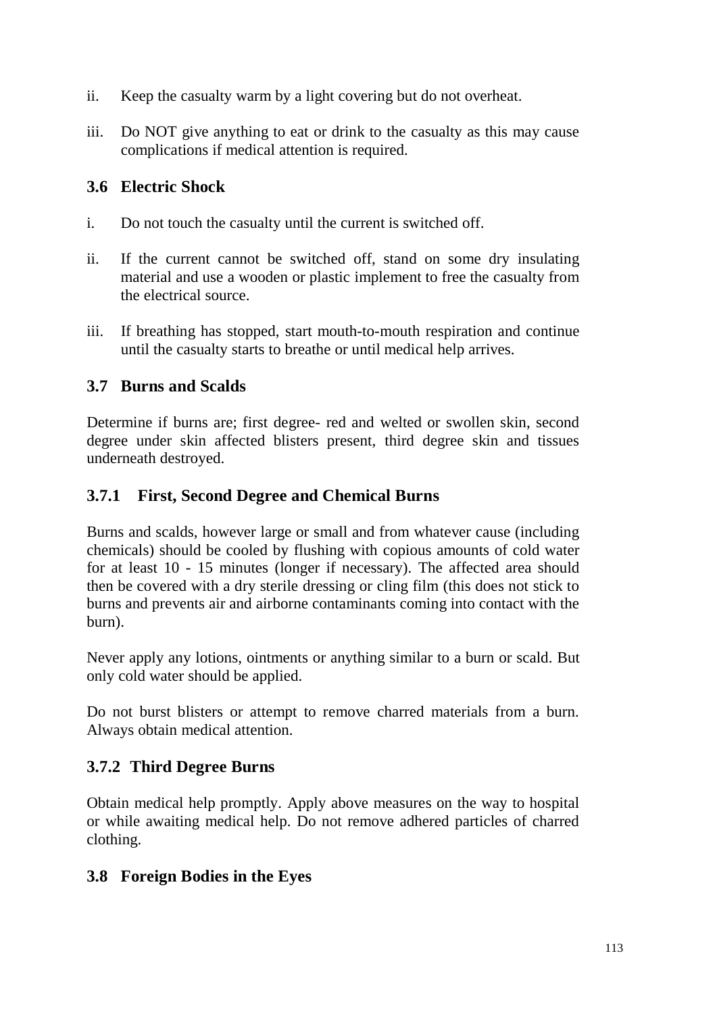- ii. Keep the casualty warm by a light covering but do not overheat.
- iii. Do NOT give anything to eat or drink to the casualty as this may cause complications if medical attention is required.

## **3.6 Electric Shock**

- i. Do not touch the casualty until the current is switched off.
- ii. If the current cannot be switched off, stand on some dry insulating material and use a wooden or plastic implement to free the casualty from the electrical source.
- iii. If breathing has stopped, start mouth-to-mouth respiration and continue until the casualty starts to breathe or until medical help arrives.

## **3.7 Burns and Scalds**

Determine if burns are; first degree- red and welted or swollen skin, second degree under skin affected blisters present, third degree skin and tissues underneath destroyed.

## **3.7.1 First, Second Degree and Chemical Burns**

Burns and scalds, however large or small and from whatever cause (including chemicals) should be cooled by flushing with copious amounts of cold water for at least 10 - 15 minutes (longer if necessary). The affected area should then be covered with a dry sterile dressing or cling film (this does not stick to burns and prevents air and airborne contaminants coming into contact with the burn).

Never apply any lotions, ointments or anything similar to a burn or scald. But only cold water should be applied.

Do not burst blisters or attempt to remove charred materials from a burn. Always obtain medical attention.

# **3.7.2 Third Degree Burns**

Obtain medical help promptly. Apply above measures on the way to hospital or while awaiting medical help. Do not remove adhered particles of charred clothing.

# **3.8 Foreign Bodies in the Eyes**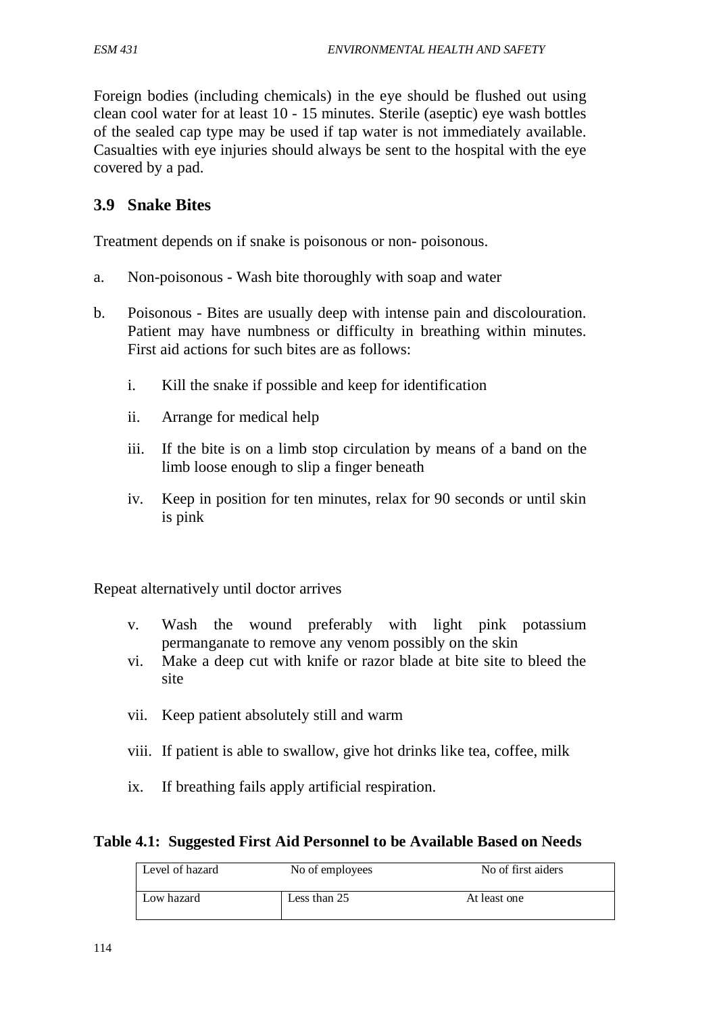Foreign bodies (including chemicals) in the eye should be flushed out using clean cool water for at least 10 - 15 minutes. Sterile (aseptic) eye wash bottles of the sealed cap type may be used if tap water is not immediately available. Casualties with eye injuries should always be sent to the hospital with the eye covered by a pad.

### **3.9 Snake Bites**

Treatment depends on if snake is poisonous or non- poisonous.

- a. Non-poisonous Wash bite thoroughly with soap and water
- b. Poisonous Bites are usually deep with intense pain and discolouration. Patient may have numbness or difficulty in breathing within minutes. First aid actions for such bites are as follows:
	- i. Kill the snake if possible and keep for identification
	- ii. Arrange for medical help
	- iii. If the bite is on a limb stop circulation by means of a band on the limb loose enough to slip a finger beneath
	- iv. Keep in position for ten minutes, relax for 90 seconds or until skin is pink

Repeat alternatively until doctor arrives

- v. Wash the wound preferably with light pink potassium permanganate to remove any venom possibly on the skin
- vi. Make a deep cut with knife or razor blade at bite site to bleed the site
- vii. Keep patient absolutely still and warm
- viii. If patient is able to swallow, give hot drinks like tea, coffee, milk
- ix. If breathing fails apply artificial respiration.

#### **Table 4.1: Suggested First Aid Personnel to be Available Based on Needs**

| Level of hazard | No of employees | No of first aiders |
|-----------------|-----------------|--------------------|
|                 |                 |                    |
| Low hazard      | Less than 25    | At least one       |
|                 |                 |                    |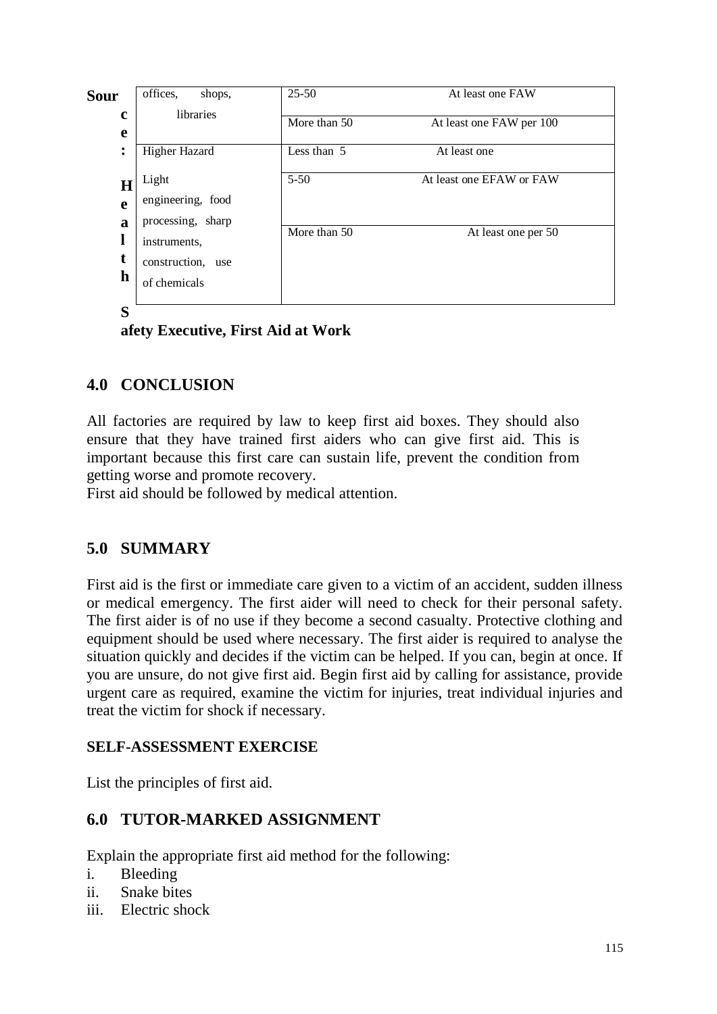| <b>Sour</b>       | offices,<br>shops,                              | $25 - 50$    | At least one FAW         |
|-------------------|-------------------------------------------------|--------------|--------------------------|
| $\mathbf c$<br>e  | libraries                                       | More than 50 | At least one FAW per 100 |
| ٠<br>٠            | Higher Hazard                                   | Less than 5  | At least one             |
| $\bf H$<br>e<br>a | Light<br>engineering, food<br>processing, sharp | $5 - 50$     | At least one EFAW or FAW |
| t                 | instruments,<br>construction, use<br>h          | More than 50 | At least one per 50      |
| S                 | of chemicals                                    |              |                          |

**afety Executive, First Aid at Work**

# **4.0 CONCLUSION**

All factories are required by law to keep first aid boxes. They should also ensure that they have trained first aiders who can give first aid. This is important because this first care can sustain life, prevent the condition from getting worse and promote recovery.

First aid should be followed by medical attention.

# **5.0 SUMMARY**

First aid is the first or immediate care given to a victim of an accident, sudden illness or medical emergency. The first aider will need to check for their personal safety. The first aider is of no use if they become a second casualty. Protective clothing and equipment should be used where necessary. The first aider is required to analyse the situation quickly and decides if the victim can be helped. If you can, begin at once. If you are unsure, do not give first aid. Begin first aid by calling for assistance, provide urgent care as required, examine the victim for injuries, treat individual injuries and treat the victim for shock if necessary.

## **SELF-ASSESSMENT EXERCISE**

List the principles of first aid.

# **6.0 TUTOR-MARKED ASSIGNMENT**

Explain the appropriate first aid method for the following:

- i. Bleeding
- ii. Snake bites
- iii. Electric shock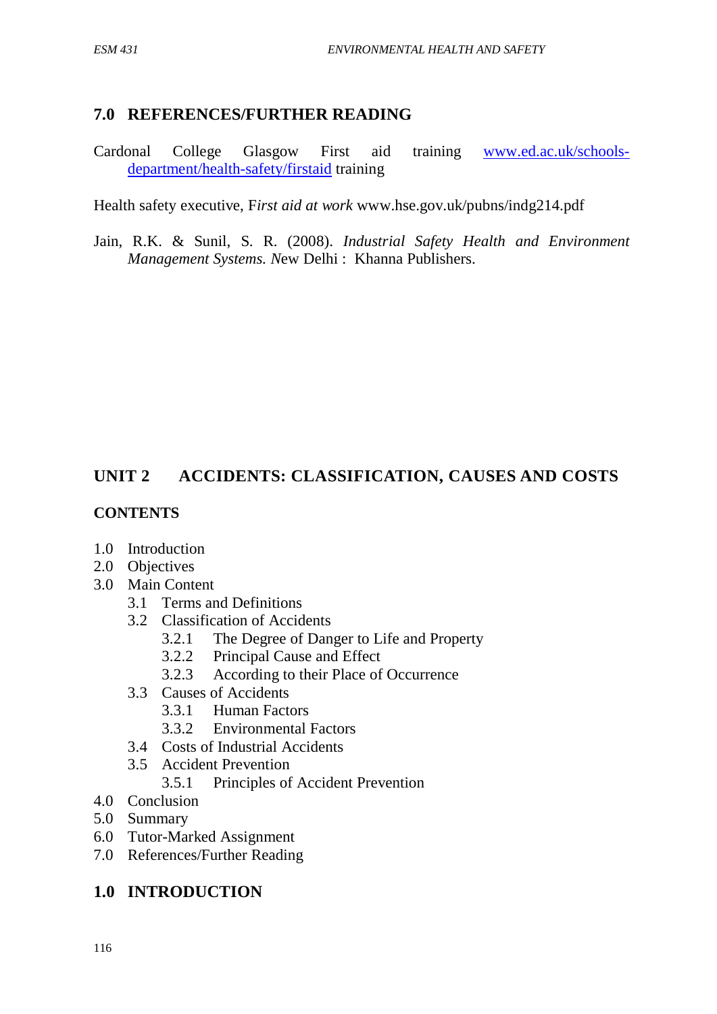### **7.0 REFERENCES/FURTHER READING**

Cardonal College Glasgow First aid training [www.ed.ac.uk/schools](http://www.ed.ac.uk/schools-department/health-safety/firstaid)[department/health-safety/firstaid](http://www.ed.ac.uk/schools-department/health-safety/firstaid) training

Health safety executive, F*irst aid at work* www.hse.gov.uk/pubns/indg214.pdf

Jain, R.K. & Sunil, S. R. (2008). *Industrial Safety Health and Environment Management Systems. N*ew Delhi : Khanna Publishers.

# **UNIT 2 ACCIDENTS: CLASSIFICATION, CAUSES AND COSTS**

### **CONTENTS**

- 1.0 Introduction
- 2.0 Objectives
- 3.0 Main Content
	- 3.1 Terms and Definitions
	- 3.2 Classification of Accidents
		- 3.2.1 The Degree of Danger to Life and Property
		- 3.2.2 Principal Cause and Effect
		- 3.2.3 According to their Place of Occurrence
	- 3.3 Causes of Accidents
		- 3.3.1 Human Factors
		- 3.3.2 Environmental Factors
	- 3.4 Costs of Industrial Accidents
	- 3.5 Accident Prevention
		- 3.5.1 Principles of Accident Prevention
- 4.0 Conclusion
- 5.0 Summary
- 6.0 Tutor-Marked Assignment
- 7.0 References/Further Reading

## **1.0 INTRODUCTION**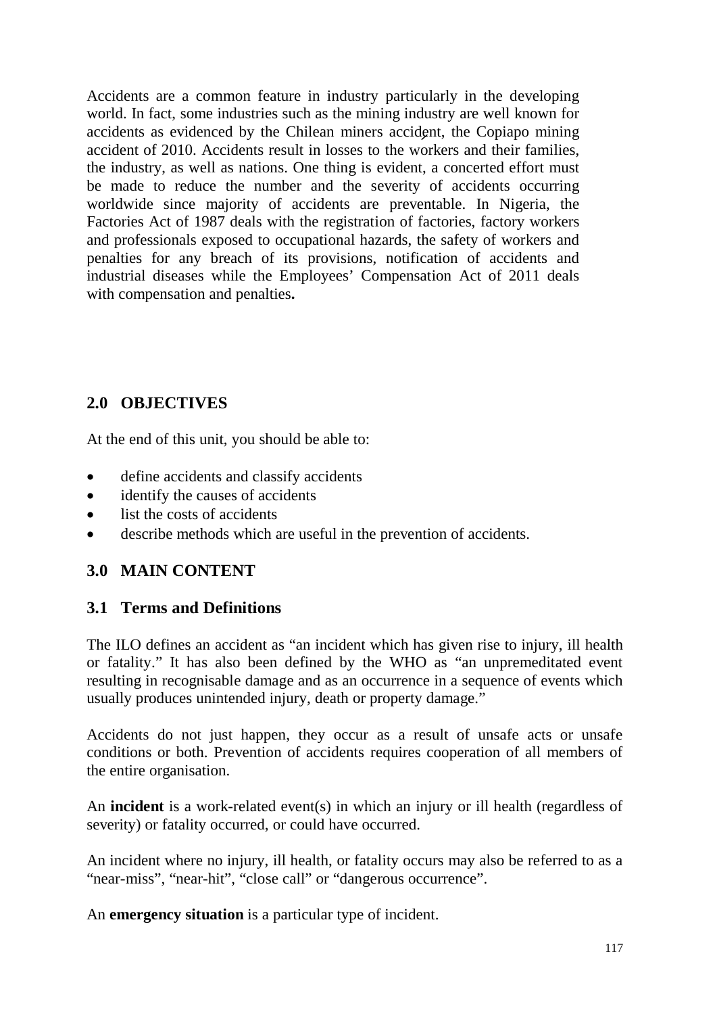Accidents are a common feature in industry particularly in the developing world. In fact, some industries such as the mining industry are well known for accidents as evidenced by the Chilean miners accident, the Copiapo mining accident of 2010. Accidents result in losses to the workers and their families, the industry, as well as nations. One thing is evident, a concerted effort must be made to reduce the number and the severity of accidents occurring worldwide since majority of accidents are preventable. In Nigeria, the Factories Act of 1987 deals with the registration of factories, factory workers and professionals exposed to occupational hazards, the safety of workers and penalties for any breach of its provisions, notification of accidents and industrial diseases while the Employees' Compensation Act of 2011 deals with compensation and penalties**.**

# **2.0 OBJECTIVES**

At the end of this unit, you should be able to:

- define accidents and classify accidents
- identify the causes of accidents
- list the costs of accidents
- describe methods which are useful in the prevention of accidents.

## **3.0 MAIN CONTENT**

## **3.1 Terms and Definitions**

The ILO defines an accident as "an incident which has given rise to injury, ill health or fatality." It has also been defined by the WHO as "an unpremeditated event resulting in recognisable damage and as an occurrence in a sequence of events which usually produces unintended injury, death or property damage."

Accidents do not just happen, they occur as a result of unsafe acts or unsafe conditions or both. Prevention of accidents requires cooperation of all members of the entire organisation.

An **incident** is a work-related event(s) in which an injury or ill health (regardless of severity) or fatality occurred, or could have occurred.

An incident where no injury, ill health, or fatality occurs may also be referred to as a "near-miss", "near-hit", "close call" or "dangerous occurrence".

An **emergency situation** is a particular type of incident.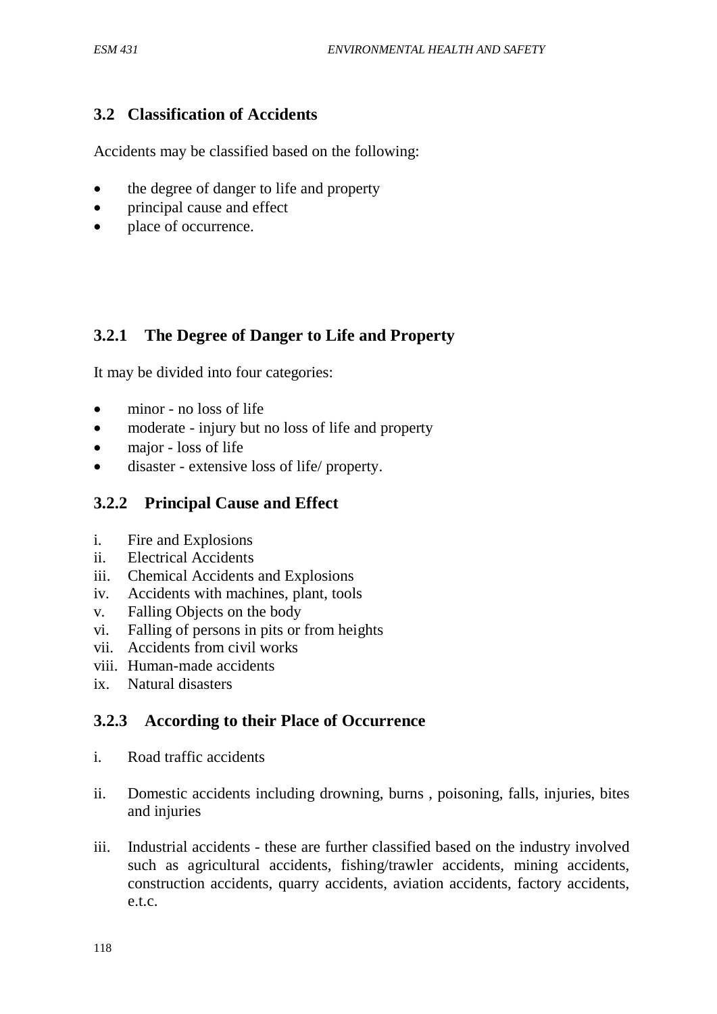# **3.2 Classification of Accidents**

Accidents may be classified based on the following:

- the degree of danger to life and property
- principal cause and effect
- place of occurrence.

# **3.2.1 The Degree of Danger to Life and Property**

It may be divided into four categories:

- minor no loss of life
- moderate injury but no loss of life and property
- major loss of life
- disaster extensive loss of life/ property.

## **3.2.2 Principal Cause and Effect**

- i. Fire and Explosions
- ii. Electrical Accidents
- iii. Chemical Accidents and Explosions
- iv. Accidents with machines, plant, tools
- v. Falling Objects on the body
- vi. Falling of persons in pits or from heights
- vii. Accidents from civil works
- viii. Human-made accidents
- ix. Natural disasters

# **3.2.3 According to their Place of Occurrence**

- i. Road traffic accidents
- ii. Domestic accidents including drowning, burns , poisoning, falls, injuries, bites and injuries
- iii. Industrial accidents these are further classified based on the industry involved such as agricultural accidents, fishing/trawler accidents, mining accidents, construction accidents, quarry accidents, aviation accidents, factory accidents, e.t.c.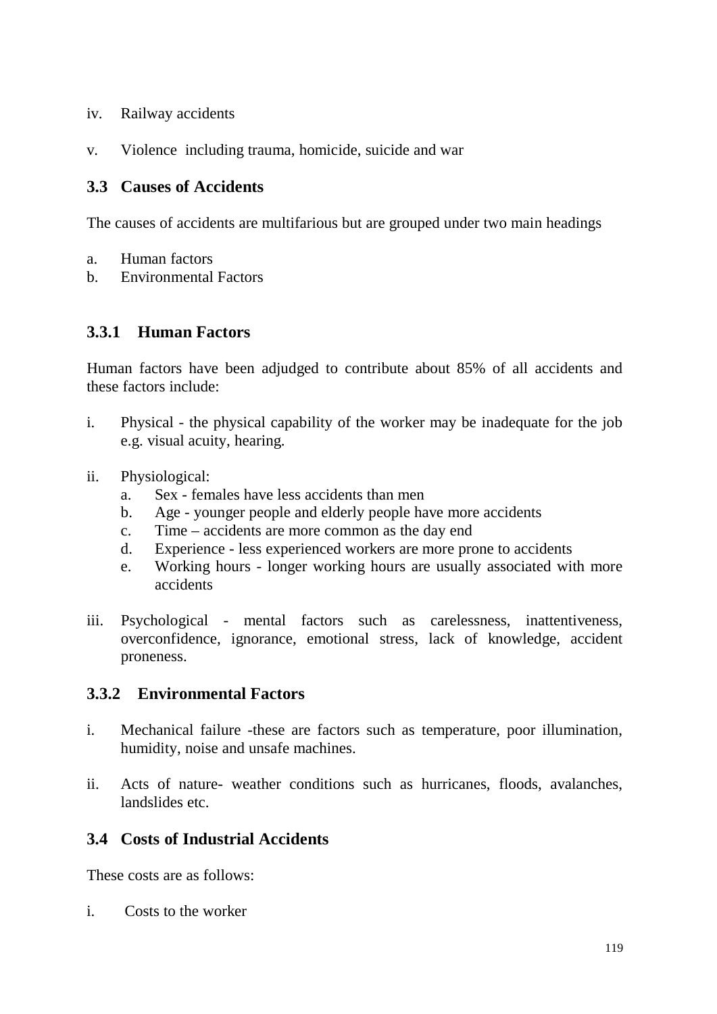- iv. Railway accidents
- v. Violence including trauma, homicide, suicide and war

## **3.3 Causes of Accidents**

The causes of accidents are multifarious but are grouped under two main headings

- a. Human factors
- b. Environmental Factors

## **3.3.1 Human Factors**

Human factors have been adjudged to contribute about 85% of all accidents and these factors include:

- i. Physical the physical capability of the worker may be inadequate for the job e.g. visual acuity, hearing.
- ii. Physiological:
	- a. Sex females have less accidents than men
	- b. Age younger people and elderly people have more accidents
	- c. Time accidents are more common as the day end
	- d. Experience less experienced workers are more prone to accidents
	- e. Working hours longer working hours are usually associated with more accidents
- iii. Psychological mental factors such as carelessness, inattentiveness, overconfidence, ignorance, emotional stress, lack of knowledge, accident proneness.

## **3.3.2 Environmental Factors**

- i. Mechanical failure -these are factors such as temperature, poor illumination, humidity, noise and unsafe machines.
- ii. Acts of nature- weather conditions such as hurricanes, floods, avalanches, landslides etc.

## **3.4 Costs of Industrial Accidents**

These costs are as follows:

i. Costs to the worker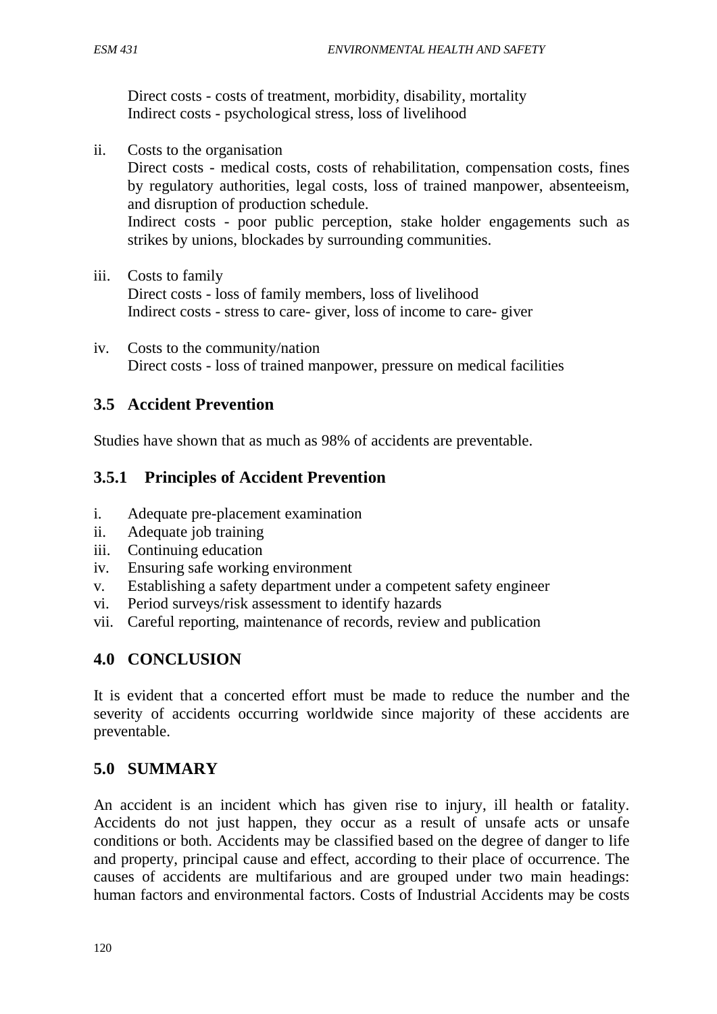Direct costs - costs of treatment, morbidity, disability, mortality Indirect costs - psychological stress, loss of livelihood

- ii. Costs to the organisation Direct costs - medical costs, costs of rehabilitation, compensation costs, fines by regulatory authorities, legal costs, loss of trained manpower, absenteeism, and disruption of production schedule. Indirect costs - poor public perception, stake holder engagements such as strikes by unions, blockades by surrounding communities.
- iii. Costs to family Direct costs - loss of family members, loss of livelihood Indirect costs - stress to care- giver, loss of income to care- giver
- iv. Costs to the community/nation Direct costs - loss of trained manpower, pressure on medical facilities

## **3.5 Accident Prevention**

Studies have shown that as much as 98% of accidents are preventable.

## **3.5.1 Principles of Accident Prevention**

- i. Adequate pre-placement examination
- ii. Adequate job training
- iii. Continuing education
- iv. Ensuring safe working environment
- v. Establishing a safety department under a competent safety engineer
- vi. Period surveys/risk assessment to identify hazards
- vii. Careful reporting, maintenance of records, review and publication

### **4.0 CONCLUSION**

It is evident that a concerted effort must be made to reduce the number and the severity of accidents occurring worldwide since majority of these accidents are preventable.

## **5.0 SUMMARY**

An accident is an incident which has given rise to injury, ill health or fatality. Accidents do not just happen, they occur as a result of unsafe acts or unsafe conditions or both. Accidents may be classified based on the degree of danger to life and property, principal cause and effect, according to their place of occurrence. The causes of accidents are multifarious and are grouped under two main headings: human factors and environmental factors. Costs of Industrial Accidents may be costs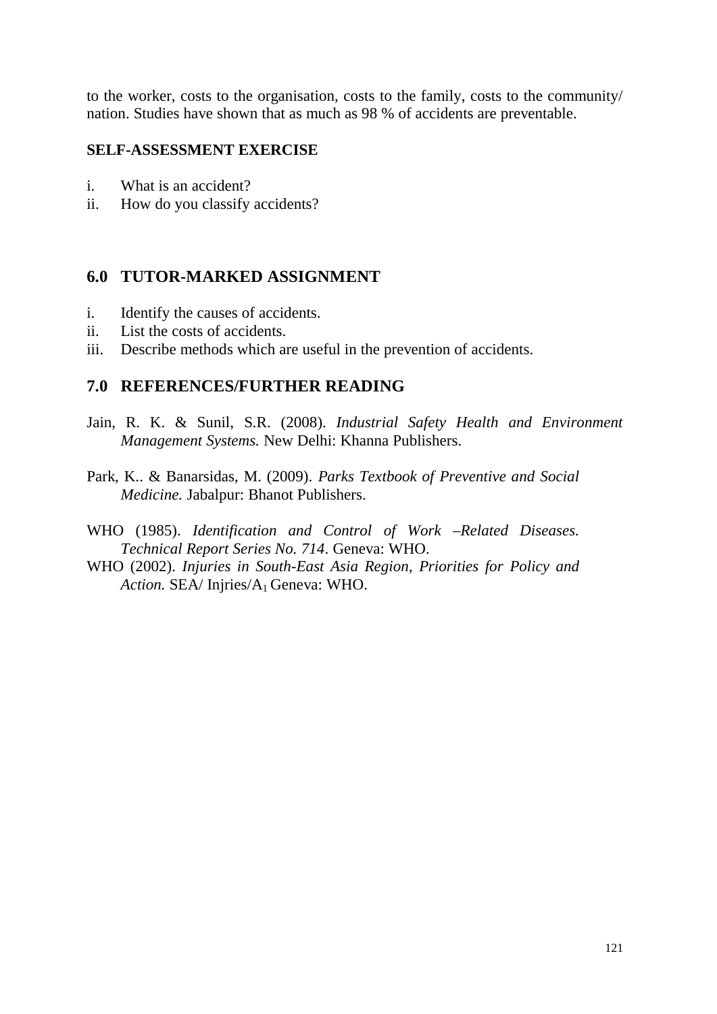to the worker, costs to the organisation, costs to the family, costs to the community/ nation. Studies have shown that as much as 98 % of accidents are preventable.

#### **SELF-ASSESSMENT EXERCISE**

- i. What is an accident?
- ii. How do you classify accidents?

## **6.0 TUTOR-MARKED ASSIGNMENT**

- i. Identify the causes of accidents.
- ii. List the costs of accidents.
- iii. Describe methods which are useful in the prevention of accidents.

### **7.0 REFERENCES/FURTHER READING**

- Jain, R. K. & Sunil, S.R. (2008). *Industrial Safety Health and Environment Management Systems.* New Delhi: Khanna Publishers.
- Park, K.. & Banarsidas, M. (2009). *Parks Textbook of Preventive and Social Medicine.* Jabalpur: Bhanot Publishers.
- WHO (1985). *Identification and Control of Work –Related Diseases. Technical Report Series No. 714*. Geneva: WHO.
- WHO (2002). *Injuries in South-East Asia Region, Priorities for Policy and*  Action. **SEA/** Injries/A<sub>1</sub> Geneva: WHO.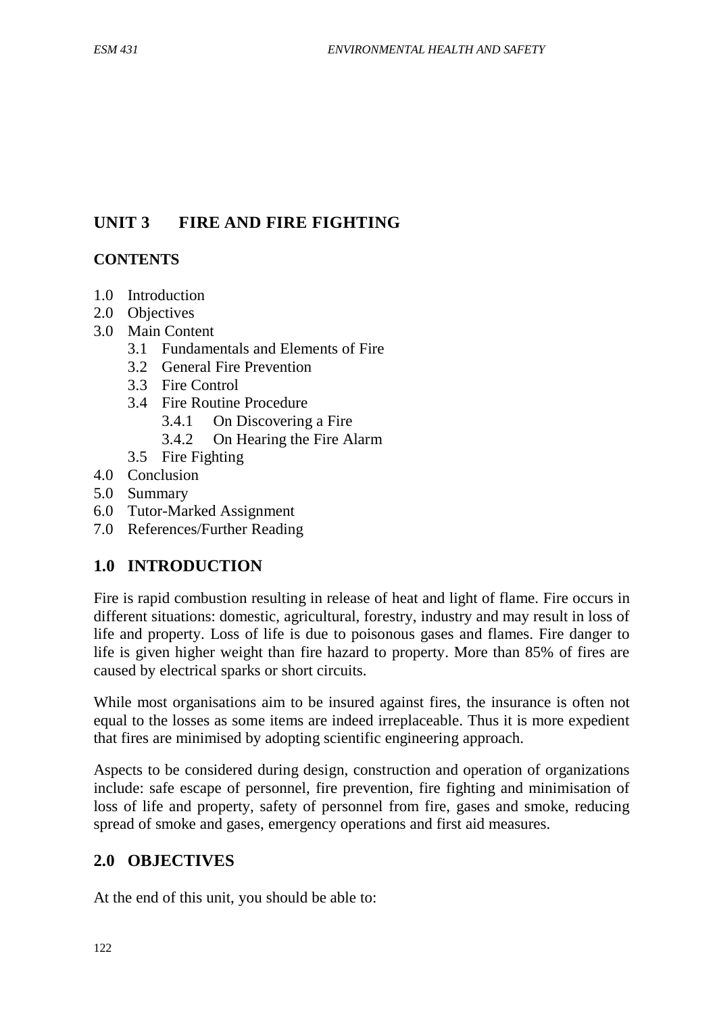# **UNIT 3 FIRE AND FIRE FIGHTING**

## **CONTENTS**

- 1.0 Introduction
- 2.0 Objectives
- 3.0 Main Content
	- 3.1 Fundamentals and Elements of Fire
	- 3.2 General Fire Prevention
	- 3.3 Fire Control
	- 3.4 Fire Routine Procedure
		- 3.4.1 On Discovering a Fire
		- 3.4.2 On Hearing the Fire Alarm
	- 3.5 Fire Fighting
- 4.0 Conclusion
- 5.0 Summary
- 6.0 Tutor-Marked Assignment
- 7.0 References/Further Reading

# **1.0 INTRODUCTION**

Fire is rapid combustion resulting in release of heat and light of flame. Fire occurs in different situations: domestic, agricultural, forestry, industry and may result in loss of life and property. Loss of life is due to poisonous gases and flames. Fire danger to life is given higher weight than fire hazard to property. More than 85% of fires are caused by electrical sparks or short circuits.

While most organisations aim to be insured against fires, the insurance is often not equal to the losses as some items are indeed irreplaceable. Thus it is more expedient that fires are minimised by adopting scientific engineering approach.

Aspects to be considered during design, construction and operation of organizations include: safe escape of personnel, fire prevention, fire fighting and minimisation of loss of life and property, safety of personnel from fire, gases and smoke, reducing spread of smoke and gases, emergency operations and first aid measures.

# **2.0 OBJECTIVES**

At the end of this unit, you should be able to: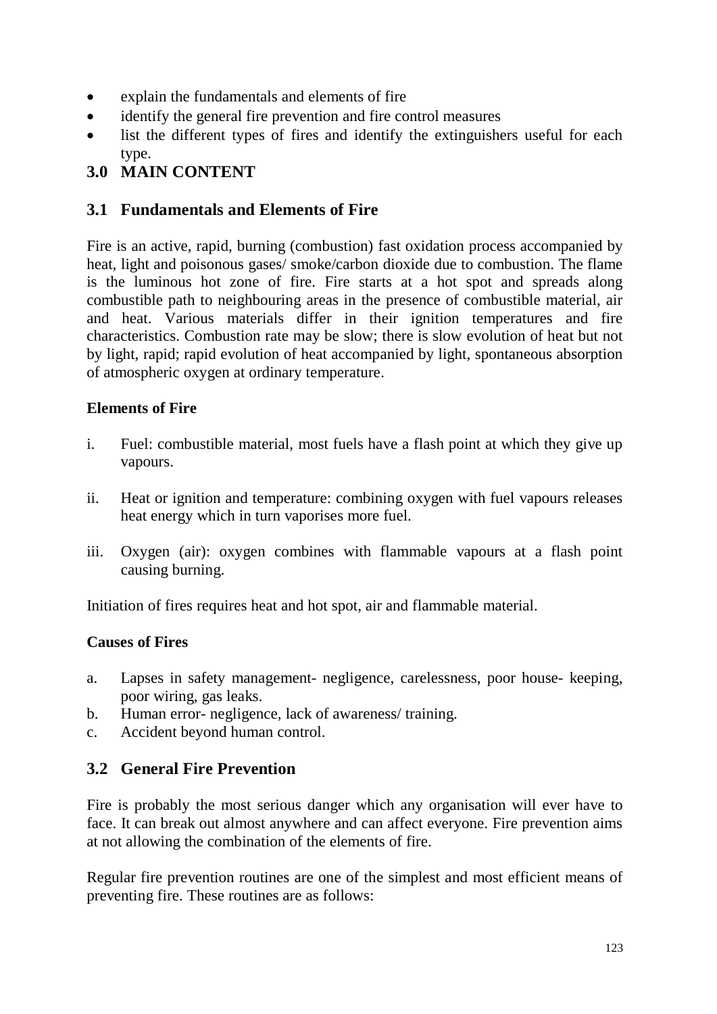- explain the fundamentals and elements of fire
- identify the general fire prevention and fire control measures
- list the different types of fires and identify the extinguishers useful for each type.

# **3.0 MAIN CONTENT**

### **3.1 Fundamentals and Elements of Fire**

Fire is an active, rapid, burning (combustion) fast oxidation process accompanied by heat, light and poisonous gases/ smoke/carbon dioxide due to combustion. The flame is the luminous hot zone of fire. Fire starts at a hot spot and spreads along combustible path to neighbouring areas in the presence of combustible material, air and heat. Various materials differ in their ignition temperatures and fire characteristics. Combustion rate may be slow; there is slow evolution of heat but not by light, rapid; rapid evolution of heat accompanied by light, spontaneous absorption of atmospheric oxygen at ordinary temperature.

### **Elements of Fire**

- i. Fuel: combustible material, most fuels have a flash point at which they give up vapours.
- ii. Heat or ignition and temperature: combining oxygen with fuel vapours releases heat energy which in turn vaporises more fuel.
- iii. Oxygen (air): oxygen combines with flammable vapours at a flash point causing burning.

Initiation of fires requires heat and hot spot, air and flammable material.

### **Causes of Fires**

- a. Lapses in safety management- negligence, carelessness, poor house- keeping, poor wiring, gas leaks.
- b. Human error- negligence, lack of awareness/ training.
- c. Accident beyond human control.

## **3.2 General Fire Prevention**

Fire is probably the most serious danger which any organisation will ever have to face. It can break out almost anywhere and can affect everyone. Fire prevention aims at not allowing the combination of the elements of fire.

Regular fire prevention routines are one of the simplest and most efficient means of preventing fire. These routines are as follows: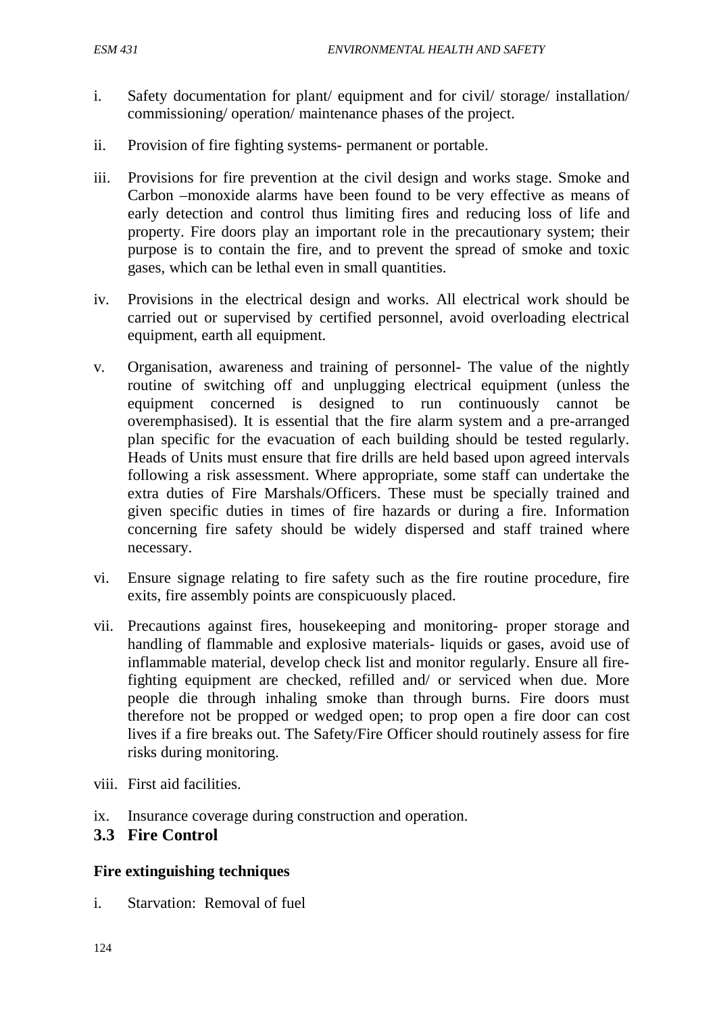- i. Safety documentation for plant/ equipment and for civil/ storage/ installation/ commissioning/ operation/ maintenance phases of the project.
- ii. Provision of fire fighting systems- permanent or portable.
- iii. Provisions for fire prevention at the civil design and works stage. Smoke and Carbon –monoxide alarms have been found to be very effective as means of early detection and control thus limiting fires and reducing loss of life and property. Fire doors play an important role in the precautionary system; their purpose is to contain the fire, and to prevent the spread of smoke and toxic gases, which can be lethal even in small quantities.
- iv. Provisions in the electrical design and works. All electrical work should be carried out or supervised by certified personnel, avoid overloading electrical equipment, earth all equipment.
- v. Organisation, awareness and training of personnel- The value of the nightly routine of switching off and unplugging electrical equipment (unless the equipment concerned is designed to run continuously cannot be overemphasised). It is essential that the fire alarm system and a pre-arranged plan specific for the evacuation of each building should be tested regularly. Heads of Units must ensure that fire drills are held based upon agreed intervals following a risk assessment. Where appropriate, some staff can undertake the extra duties of Fire Marshals/Officers. These must be specially trained and given specific duties in times of fire hazards or during a fire. Information concerning fire safety should be widely dispersed and staff trained where necessary.
- vi. Ensure signage relating to fire safety such as the fire routine procedure, fire exits, fire assembly points are conspicuously placed.
- vii. Precautions against fires, housekeeping and monitoring- proper storage and handling of flammable and explosive materials- liquids or gases, avoid use of inflammable material, develop check list and monitor regularly. Ensure all firefighting equipment are checked, refilled and/ or serviced when due. More people die through inhaling smoke than through burns. Fire doors must therefore not be propped or wedged open; to prop open a fire door can cost lives if a fire breaks out. The Safety/Fire Officer should routinely assess for fire risks during monitoring.
- viii. First aid facilities.
- ix. Insurance coverage during construction and operation.

### **3.3 Fire Control**

### **Fire extinguishing techniques**

i. Starvation: Removal of fuel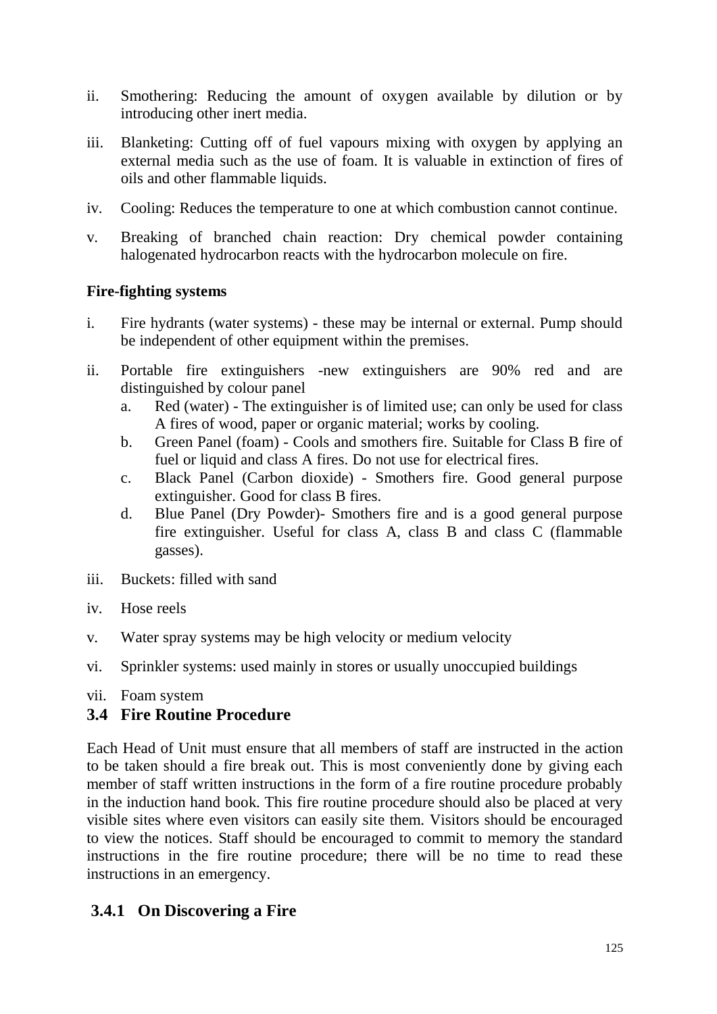- ii. Smothering: Reducing the amount of oxygen available by dilution or by introducing other inert media.
- iii. Blanketing: Cutting off of fuel vapours mixing with oxygen by applying an external media such as the use of foam. It is valuable in extinction of fires of oils and other flammable liquids.
- iv. Cooling: Reduces the temperature to one at which combustion cannot continue.
- v. Breaking of branched chain reaction: Dry chemical powder containing halogenated hydrocarbon reacts with the hydrocarbon molecule on fire.

### **Fire-fighting systems**

- i. Fire hydrants (water systems) these may be internal or external. Pump should be independent of other equipment within the premises.
- ii. Portable fire extinguishers -new extinguishers are 90% red and are distinguished by colour panel
	- a. Red (water) The extinguisher is of limited use; can only be used for class A fires of wood, paper or organic material; works by cooling.
	- b. Green Panel (foam) Cools and smothers fire. Suitable for Class B fire of fuel or liquid and class A fires. Do not use for electrical fires.
	- c. Black Panel (Carbon dioxide) Smothers fire. Good general purpose extinguisher. Good for class B fires.
	- d. Blue Panel (Dry Powder)- Smothers fire and is a good general purpose fire extinguisher. Useful for class A, class B and class C (flammable gasses).
- iii. Buckets: filled with sand
- iv. Hose reels
- v. Water spray systems may be high velocity or medium velocity
- vi. Sprinkler systems: used mainly in stores or usually unoccupied buildings
- vii. Foam system

### **3.4 Fire Routine Procedure**

Each Head of Unit must ensure that all members of staff are instructed in the action to be taken should a fire break out. This is most conveniently done by giving each member of staff written instructions in the form of a fire routine procedure probably in the induction hand book. This fire routine procedure should also be placed at very visible sites where even visitors can easily site them. Visitors should be encouraged to view the notices. Staff should be encouraged to commit to memory the standard instructions in the fire routine procedure; there will be no time to read these instructions in an emergency.

## **3.4.1 On Discovering a Fire**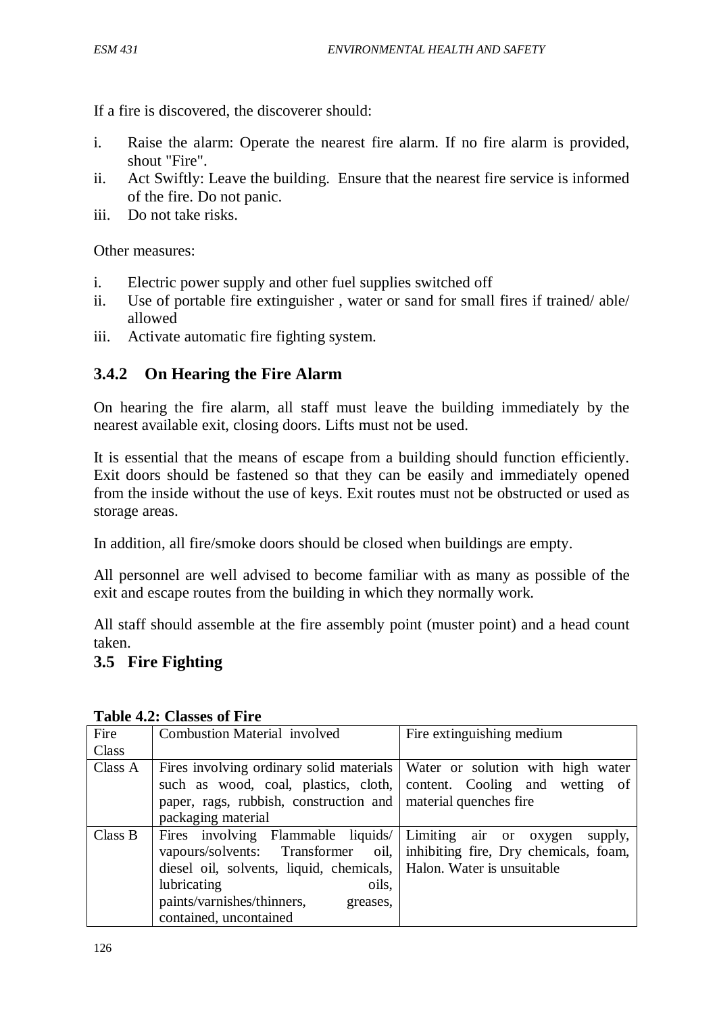If a fire is discovered, the discoverer should:

- i. Raise the alarm: Operate the nearest fire alarm. If no fire alarm is provided, shout "Fire".
- ii. Act Swiftly: Leave the building. Ensure that the nearest fire service is informed of the fire. Do not panic.
- iii. Do not take risks.

Other measures:

- i. Electric power supply and other fuel supplies switched off
- ii. Use of portable fire extinguisher , water or sand for small fires if trained/ able/ allowed
- iii. Activate automatic fire fighting system.

## **3.4.2 On Hearing the Fire Alarm**

On hearing the fire alarm, all staff must leave the building immediately by the nearest available exit, closing doors. Lifts must not be used.

It is essential that the means of escape from a building should function efficiently. Exit doors should be fastened so that they can be easily and immediately opened from the inside without the use of keys. Exit routes must not be obstructed or used as storage areas.

In addition, all fire/smoke doors should be closed when buildings are empty.

All personnel are well advised to become familiar with as many as possible of the exit and escape routes from the building in which they normally work.

All staff should assemble at the fire assembly point (muster point) and a head count taken.

# **3.5 Fire Fighting**

| Fire    | <b>Combustion Material involved</b>                                          | Fire extinguishing medium |
|---------|------------------------------------------------------------------------------|---------------------------|
| Class   |                                                                              |                           |
| Class A | Fires involving ordinary solid materials   Water or solution with high water |                           |
|         | such as wood, coal, plastics, cloth, content. Cooling and wetting of         |                           |
|         | paper, rags, rubbish, construction and material quenches fire                |                           |
|         | packaging material                                                           |                           |
| Class B | Fires involving Flammable liquids   Limiting air or oxygen                   | supply,                   |
|         | vapours/solvents: Transformer oil,   inhibiting fire, Dry chemicals, foam,   |                           |
|         | diesel oil, solvents, liquid, chemicals, Halon. Water is unsuitable          |                           |
|         | lubricating<br>oils,                                                         |                           |
|         | paints/varnishes/thinners,<br>greases,                                       |                           |
|         | contained, uncontained                                                       |                           |

**Table 4.2: Classes of Fire**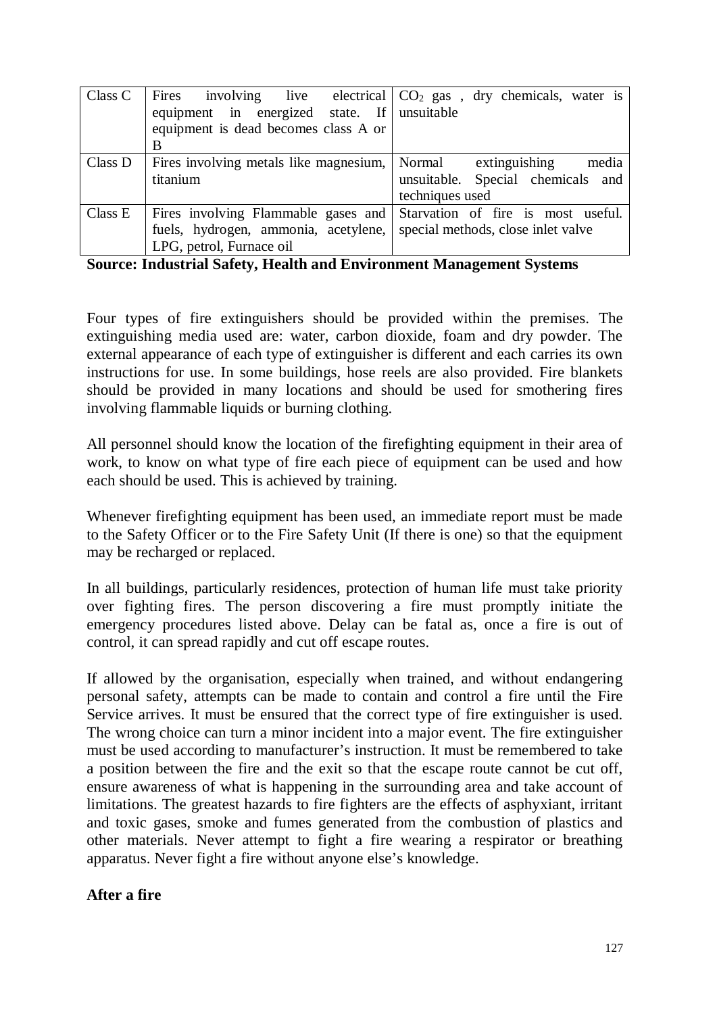| Class C | Fires involving live electrical $CO2$ gas, dry chemicals, water is     |                                    |
|---------|------------------------------------------------------------------------|------------------------------------|
|         | equipment in energized state. If unsuitable                            |                                    |
|         | equipment is dead becomes class A or                                   |                                    |
|         | B                                                                      |                                    |
| Class D | Fires involving metals like magnesium, Normal extinguishing            | media                              |
|         | titanium                                                               | unsuitable. Special chemicals and  |
|         |                                                                        | techniques used                    |
| Class E | Fires involving Flammable gases and Starvation of fire is most useful. |                                    |
|         | fuels, hydrogen, ammonia, acetylene,                                   | special methods, close inlet valve |
|         | LPG, petrol, Furnace oil                                               |                                    |

**Source: Industrial Safety, Health and Environment Management Systems**

Four types of fire extinguishers should be provided within the premises. The extinguishing media used are: water, carbon dioxide, foam and dry powder. The external appearance of each type of extinguisher is different and each carries its own instructions for use. In some buildings, hose reels are also provided. Fire blankets should be provided in many locations and should be used for smothering fires involving flammable liquids or burning clothing.

All personnel should know the location of the firefighting equipment in their area of work, to know on what type of fire each piece of equipment can be used and how each should be used. This is achieved by training.

Whenever firefighting equipment has been used, an immediate report must be made to the Safety Officer or to the Fire Safety Unit (If there is one) so that the equipment may be recharged or replaced.

In all buildings, particularly residences, protection of human life must take priority over fighting fires. The person discovering a fire must promptly initiate the emergency procedures listed above. Delay can be fatal as, once a fire is out of control, it can spread rapidly and cut off escape routes.

If allowed by the organisation, especially when trained, and without endangering personal safety, attempts can be made to contain and control a fire until the Fire Service arrives. It must be ensured that the correct type of fire extinguisher is used. The wrong choice can turn a minor incident into a major event. The fire extinguisher must be used according to manufacturer's instruction. It must be remembered to take a position between the fire and the exit so that the escape route cannot be cut off, ensure awareness of what is happening in the surrounding area and take account of limitations. The greatest hazards to fire fighters are the effects of asphyxiant, irritant and toxic gases, smoke and fumes generated from the combustion of plastics and other materials. Never attempt to fight a fire wearing a respirator or breathing apparatus. Never fight a fire without anyone else's knowledge.

### **After a fire**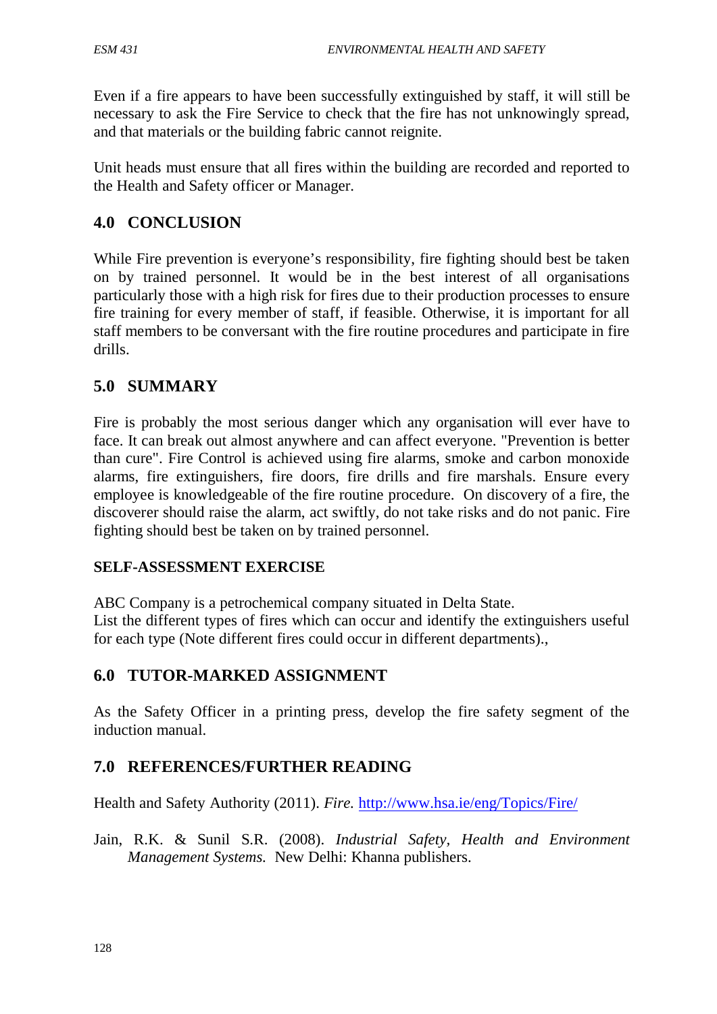Even if a fire appears to have been successfully extinguished by staff, it will still be necessary to ask the Fire Service to check that the fire has not unknowingly spread, and that materials or the building fabric cannot reignite.

Unit heads must ensure that all fires within the building are recorded and reported to the Health and Safety officer or Manager.

## **4.0 CONCLUSION**

While Fire prevention is everyone's responsibility, fire fighting should best be taken on by trained personnel. It would be in the best interest of all organisations particularly those with a high risk for fires due to their production processes to ensure fire training for every member of staff, if feasible. Otherwise, it is important for all staff members to be conversant with the fire routine procedures and participate in fire drills.

## **5.0 SUMMARY**

Fire is probably the most serious danger which any organisation will ever have to face. It can break out almost anywhere and can affect everyone. "Prevention is better than cure". Fire Control is achieved using fire alarms, smoke and carbon monoxide alarms, fire extinguishers, fire doors, fire drills and fire marshals. Ensure every employee is knowledgeable of the fire routine procedure. On discovery of a fire, the discoverer should raise the alarm, act swiftly, do not take risks and do not panic. Fire fighting should best be taken on by trained personnel.

## **SELF-ASSESSMENT EXERCISE**

ABC Company is a petrochemical company situated in Delta State.

List the different types of fires which can occur and identify the extinguishers useful for each type (Note different fires could occur in different departments).,

## **6.0 TUTOR-MARKED ASSIGNMENT**

As the Safety Officer in a printing press, develop the fire safety segment of the induction manual.

## **7.0 REFERENCES/FURTHER READING**

Health and Safety Authority (2011). *Fire.* <http://www.hsa.ie/eng/Topics/Fire/>

Jain, R.K. & Sunil S.R. (2008). *Industrial Safety, Health and Environment Management Systems.* New Delhi: Khanna publishers.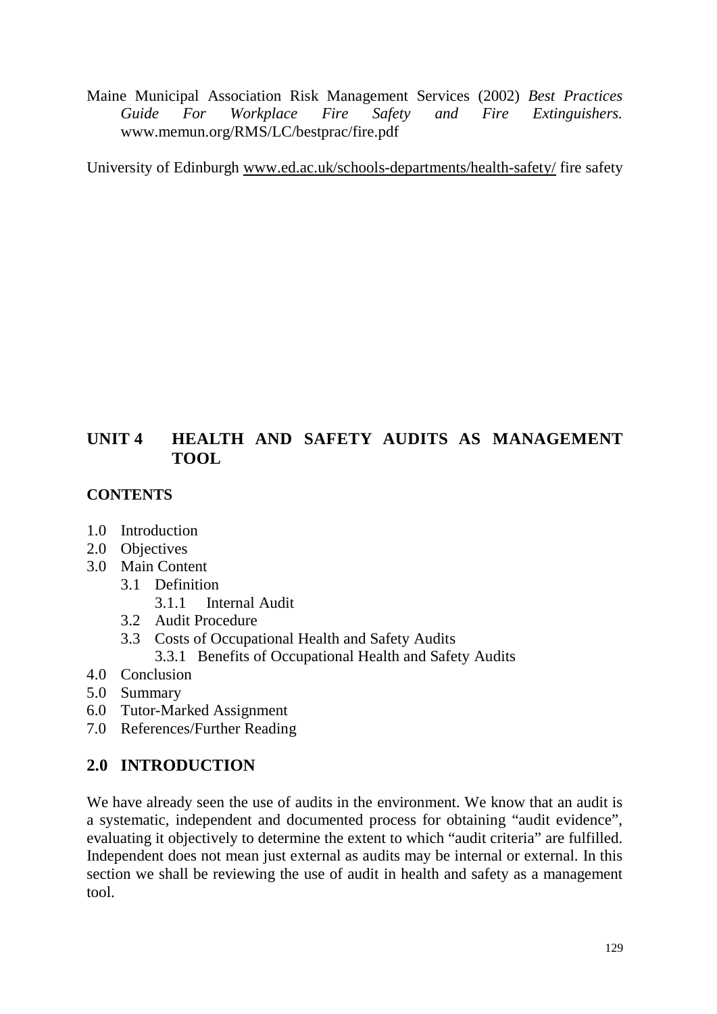Maine Municipal Association Risk Management Services (2002) *Best Practices Guide For Workplace Fire Safety and Fire Extinguishers.*  www.memun.org/RMS/LC/bestprac/fire.pdf

University of Edinburgh [www.ed.ac.uk/schools-departments/health-safety/](http://www.ed.ac.uk/schools-departments/health-safety/) fire safety

# **UNIT 4 HEALTH AND SAFETY AUDITS AS MANAGEMENT TOOL**

## **CONTENTS**

- 1.0 Introduction
- 2.0 Objectives
- 3.0 Main Content
	- 3.1 Definition
		- 3.1.1 Internal Audit
	- 3.2 Audit Procedure
	- 3.3 Costs of Occupational Health and Safety Audits
		- 3.3.1 Benefits of Occupational Health and Safety Audits
- 4.0 Conclusion
- 5.0 Summary
- 6.0 Tutor-Marked Assignment
- 7.0 References/Further Reading

# **2.0 INTRODUCTION**

We have already seen the use of audits in the environment. We know that an audit is a systematic, independent and documented process for obtaining "audit evidence", evaluating it objectively to determine the extent to which "audit criteria" are fulfilled. Independent does not mean just external as audits may be internal or external. In this section we shall be reviewing the use of audit in health and safety as a management tool.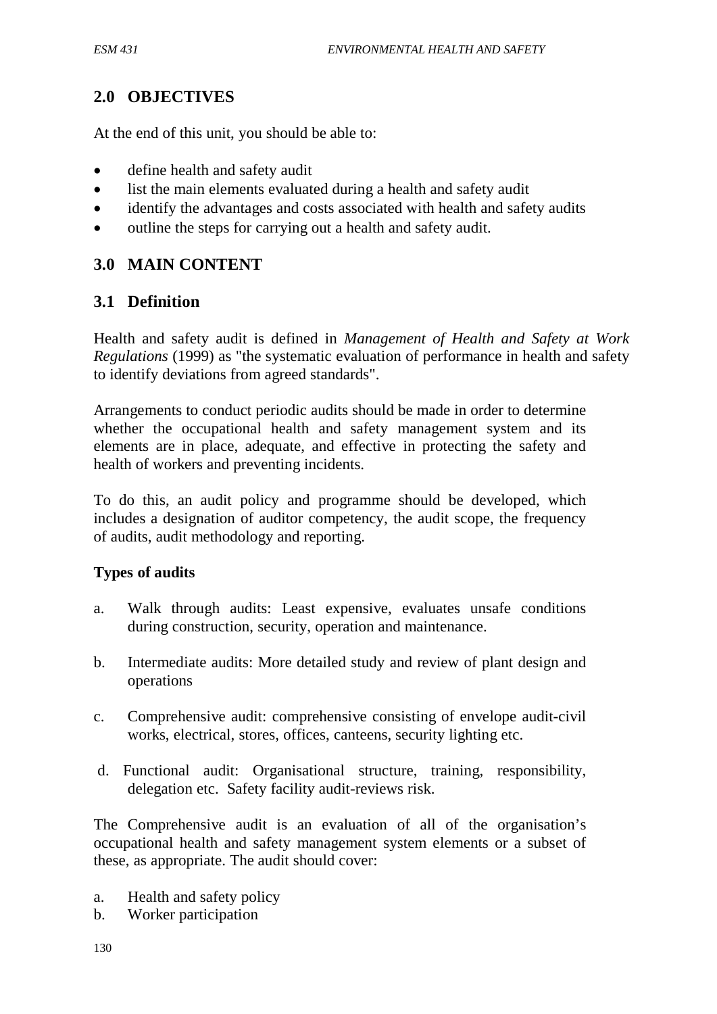# **2.0 OBJECTIVES**

At the end of this unit, you should be able to:

- define health and safety audit
- list the main elements evaluated during a health and safety audit
- identify the advantages and costs associated with health and safety audits
- outline the steps for carrying out a health and safety audit.

# **3.0 MAIN CONTENT**

## **3.1 Definition**

Health and safety audit is defined in *Management of Health and Safety at Work Regulations* (1999) as "the systematic evaluation of performance in health and safety to identify deviations from agreed standards".

Arrangements to conduct periodic audits should be made in order to determine whether the occupational health and safety management system and its elements are in place, adequate, and effective in protecting the safety and health of workers and preventing incidents.

To do this, an audit policy and programme should be developed, which includes a designation of auditor competency, the audit scope, the frequency of audits, audit methodology and reporting.

### **Types of audits**

- a. Walk through audits: Least expensive, evaluates unsafe conditions during construction, security, operation and maintenance.
- b. Intermediate audits: More detailed study and review of plant design and operations
- c. Comprehensive audit: comprehensive consisting of envelope audit-civil works, electrical, stores, offices, canteens, security lighting etc.
- d. Functional audit: Organisational structure, training, responsibility, delegation etc. Safety facility audit-reviews risk.

The Comprehensive audit is an evaluation of all of the organisation's occupational health and safety management system elements or a subset of these, as appropriate. The audit should cover:

- a. Health and safety policy
- b. Worker participation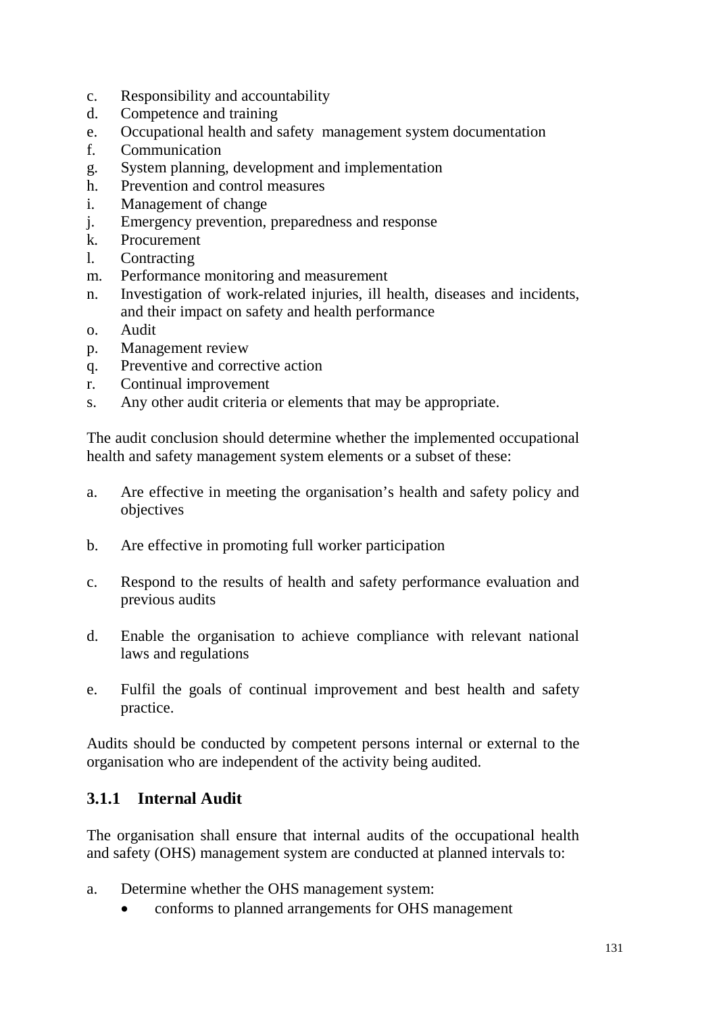- c. Responsibility and accountability
- d. Competence and training
- e. Occupational health and safety management system documentation
- f. Communication
- g. System planning, development and implementation
- h. Prevention and control measures
- i. Management of change
- j. Emergency prevention, preparedness and response
- k. Procurement
- l. Contracting
- m. Performance monitoring and measurement
- n. Investigation of work-related injuries, ill health, diseases and incidents, and their impact on safety and health performance
- o. Audit
- p. Management review
- q. Preventive and corrective action
- r. Continual improvement
- s. Any other audit criteria or elements that may be appropriate.

The audit conclusion should determine whether the implemented occupational health and safety management system elements or a subset of these:

- a. Are effective in meeting the organisation's health and safety policy and objectives
- b. Are effective in promoting full worker participation
- c. Respond to the results of health and safety performance evaluation and previous audits
- d. Enable the organisation to achieve compliance with relevant national laws and regulations
- e. Fulfil the goals of continual improvement and best health and safety practice.

Audits should be conducted by competent persons internal or external to the organisation who are independent of the activity being audited.

### **3.1.1 Internal Audit**

The organisation shall ensure that internal audits of the occupational health and safety (OHS) management system are conducted at planned intervals to:

- a. Determine whether the OHS management system:
	- conforms to planned arrangements for OHS management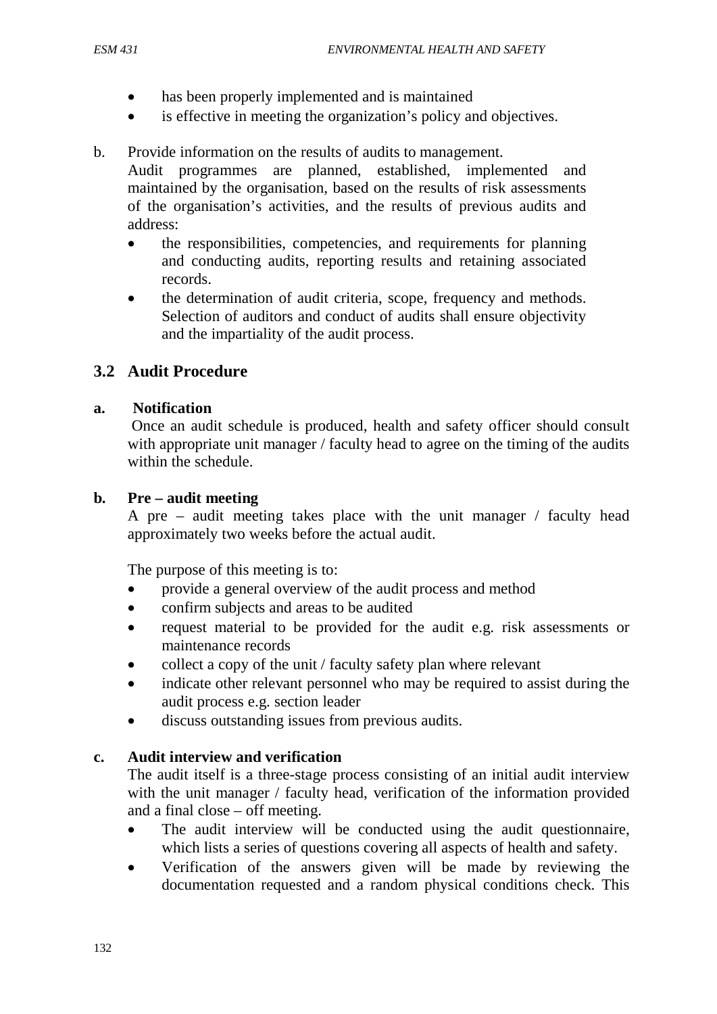- has been properly implemented and is maintained
- is effective in meeting the organization's policy and objectives.

### b. Provide information on the results of audits to management.

Audit programmes are planned, established, implemented and maintained by the organisation, based on the results of risk assessments of the organisation's activities, and the results of previous audits and address:

- the responsibilities, competencies, and requirements for planning and conducting audits, reporting results and retaining associated records.
- the determination of audit criteria, scope, frequency and methods. Selection of auditors and conduct of audits shall ensure objectivity and the impartiality of the audit process.

## **3.2 Audit Procedure**

### **a. Notification**

Once an audit schedule is produced, health and safety officer should consult with appropriate unit manager / faculty head to agree on the timing of the audits within the schedule.

### **b. Pre – audit meeting**

A pre – audit meeting takes place with the unit manager / faculty head approximately two weeks before the actual audit.

The purpose of this meeting is to:

- provide a general overview of the audit process and method
- confirm subjects and areas to be audited
- request material to be provided for the audit e.g. risk assessments or maintenance records
- collect a copy of the unit / faculty safety plan where relevant
- indicate other relevant personnel who may be required to assist during the audit process e.g. section leader
- discuss outstanding issues from previous audits.

### **c. Audit interview and verification**

The audit itself is a three-stage process consisting of an initial audit interview with the unit manager / faculty head, verification of the information provided and a final close – off meeting.

- The audit interview will be conducted using the audit questionnaire, which lists a series of questions covering all aspects of health and safety.
- Verification of the answers given will be made by reviewing the documentation requested and a random physical conditions check. This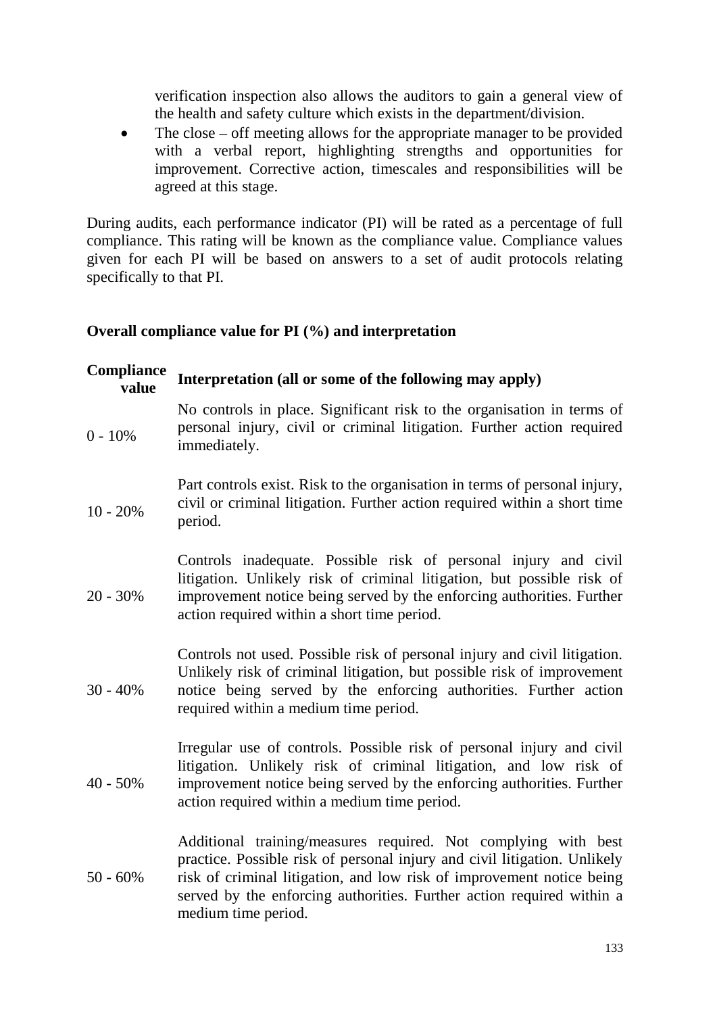verification inspection also allows the auditors to gain a general view of the health and safety culture which exists in the department/division.

• The close – off meeting allows for the appropriate manager to be provided with a verbal report, highlighting strengths and opportunities for improvement. Corrective action, timescales and responsibilities will be agreed at this stage.

During audits, each performance indicator (PI) will be rated as a percentage of full compliance. This rating will be known as the compliance value. Compliance values given for each PI will be based on answers to a set of audit protocols relating specifically to that PI.

#### **Overall compliance value for PI (%) and interpretation**

| Compliance<br>value | Interpretation (all or some of the following may apply)                                                                                                                                                                                                                                                              |  |
|---------------------|----------------------------------------------------------------------------------------------------------------------------------------------------------------------------------------------------------------------------------------------------------------------------------------------------------------------|--|
| $0 - 10%$           | No controls in place. Significant risk to the organisation in terms of<br>personal injury, civil or criminal litigation. Further action required<br>immediately.                                                                                                                                                     |  |
| $10 - 20%$          | Part controls exist. Risk to the organisation in terms of personal injury,<br>civil or criminal litigation. Further action required within a short time<br>period.                                                                                                                                                   |  |
| $20 - 30%$          | Controls inadequate. Possible risk of personal injury and civil<br>litigation. Unlikely risk of criminal litigation, but possible risk of<br>improvement notice being served by the enforcing authorities. Further<br>action required within a short time period.                                                    |  |
| $30 - 40%$          | Controls not used. Possible risk of personal injury and civil litigation.<br>Unlikely risk of criminal litigation, but possible risk of improvement<br>notice being served by the enforcing authorities. Further action<br>required within a medium time period.                                                     |  |
| $40 - 50\%$         | Irregular use of controls. Possible risk of personal injury and civil<br>litigation. Unlikely risk of criminal litigation, and low risk of<br>improvement notice being served by the enforcing authorities. Further<br>action required within a medium time period.                                                  |  |
| $50 - 60\%$         | Additional training/measures required. Not complying with best<br>practice. Possible risk of personal injury and civil litigation. Unlikely<br>risk of criminal litigation, and low risk of improvement notice being<br>served by the enforcing authorities. Further action required within a<br>medium time period. |  |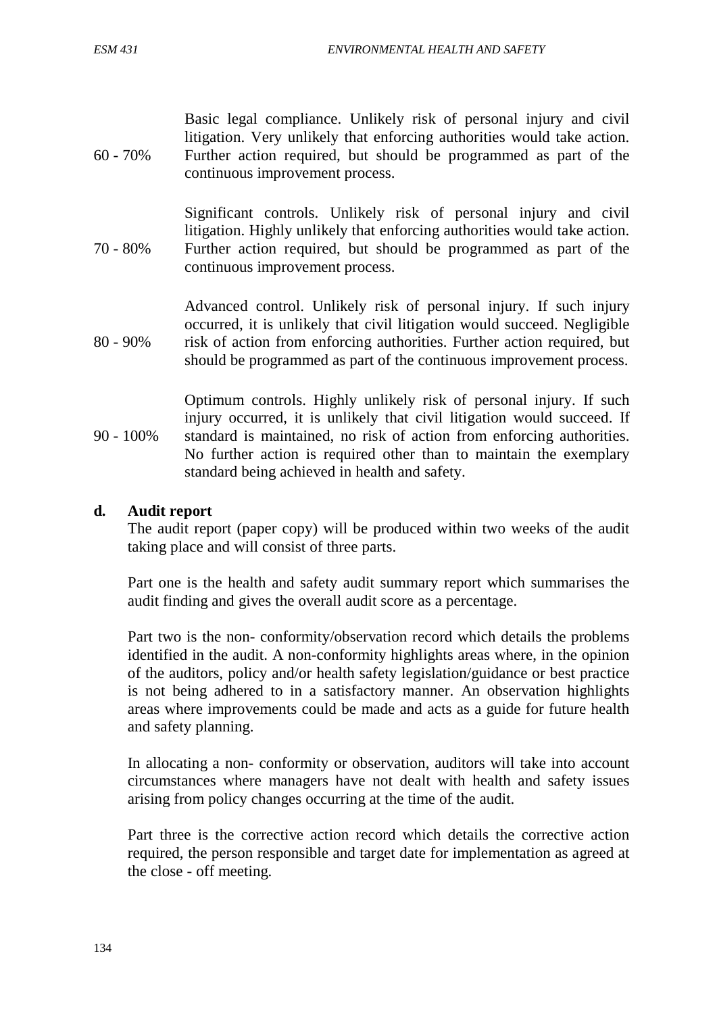60 - 70% Basic legal compliance. Unlikely risk of personal injury and civil litigation. Very unlikely that enforcing authorities would take action. Further action required, but should be programmed as part of the continuous improvement process.

70 - 80% Significant controls. Unlikely risk of personal injury and civil litigation. Highly unlikely that enforcing authorities would take action. Further action required, but should be programmed as part of the continuous improvement process.

80 - 90% Advanced control. Unlikely risk of personal injury. If such injury occurred, it is unlikely that civil litigation would succeed. Negligible risk of action from enforcing authorities. Further action required, but should be programmed as part of the continuous improvement process.

90 - 100% Optimum controls. Highly unlikely risk of personal injury. If such injury occurred, it is unlikely that civil litigation would succeed. If standard is maintained, no risk of action from enforcing authorities. No further action is required other than to maintain the exemplary standard being achieved in health and safety.

#### **d. Audit report**

The audit report (paper copy) will be produced within two weeks of the audit taking place and will consist of three parts.

Part one is the health and safety audit summary report which summarises the audit finding and gives the overall audit score as a percentage.

Part two is the non- conformity/observation record which details the problems identified in the audit. A non-conformity highlights areas where, in the opinion of the auditors, policy and/or health safety legislation/guidance or best practice is not being adhered to in a satisfactory manner. An observation highlights areas where improvements could be made and acts as a guide for future health and safety planning.

In allocating a non- conformity or observation, auditors will take into account circumstances where managers have not dealt with health and safety issues arising from policy changes occurring at the time of the audit.

Part three is the corrective action record which details the corrective action required, the person responsible and target date for implementation as agreed at the close - off meeting.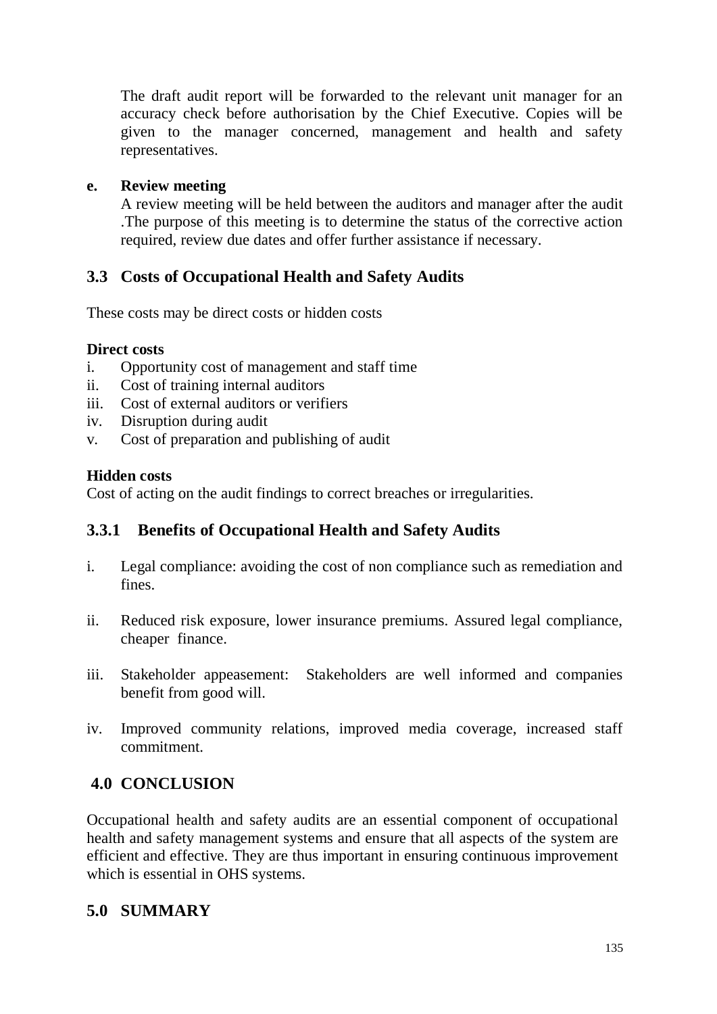The draft audit report will be forwarded to the relevant unit manager for an accuracy check before authorisation by the Chief Executive. Copies will be given to the manager concerned, management and health and safety representatives.

### **e. Review meeting**

A review meeting will be held between the auditors and manager after the audit .The purpose of this meeting is to determine the status of the corrective action required, review due dates and offer further assistance if necessary.

# **3.3 Costs of Occupational Health and Safety Audits**

These costs may be direct costs or hidden costs

#### **Direct costs**

- i. Opportunity cost of management and staff time
- ii. Cost of training internal auditors
- iii. Cost of external auditors or verifiers
- iv. Disruption during audit
- v. Cost of preparation and publishing of audit

#### **Hidden costs**

Cost of acting on the audit findings to correct breaches or irregularities.

## **3.3.1 Benefits of Occupational Health and Safety Audits**

- i. Legal compliance: avoiding the cost of non compliance such as remediation and fines.
- ii. Reduced risk exposure, lower insurance premiums. Assured legal compliance, cheaper finance.
- iii. Stakeholder appeasement: Stakeholders are well informed and companies benefit from good will.
- iv. Improved community relations, improved media coverage, increased staff commitment.

## **4.0 CONCLUSION**

Occupational health and safety audits are an essential component of occupational health and safety management systems and ensure that all aspects of the system are efficient and effective. They are thus important in ensuring continuous improvement which is essential in OHS systems.

## **5.0 SUMMARY**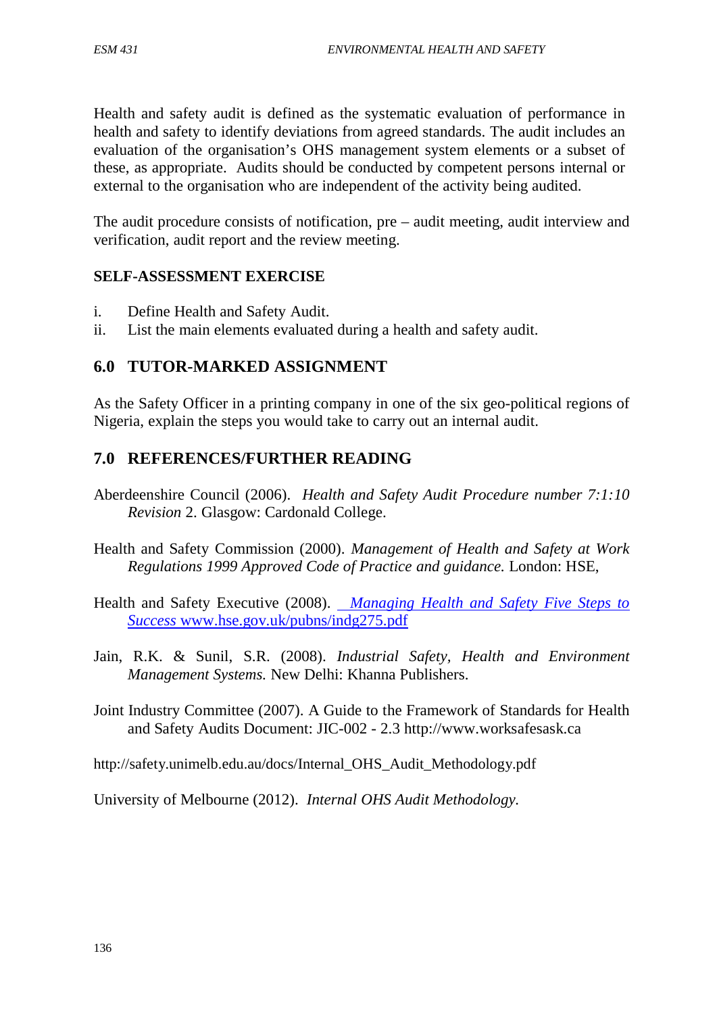Health and safety audit is defined as the systematic evaluation of performance in health and safety to identify deviations from agreed standards. The audit includes an evaluation of the organisation's OHS management system elements or a subset of these, as appropriate. Audits should be conducted by competent persons internal or external to the organisation who are independent of the activity being audited.

The audit procedure consists of notification, pre – audit meeting, audit interview and verification, audit report and the review meeting.

### **SELF-ASSESSMENT EXERCISE**

- i. Define Health and Safety Audit.
- ii. List the main elements evaluated during a health and safety audit.

### **6.0 TUTOR-MARKED ASSIGNMENT**

As the Safety Officer in a printing company in one of the six geo-political regions of Nigeria, explain the steps you would take to carry out an internal audit.

### **7.0 REFERENCES/FURTHER READING**

- Aberdeenshire Council (2006). *Health and Safety Audit Procedure number 7:1:10 Revision* 2. Glasgow: Cardonald College.
- Health and Safety Commission (2000). *Management of Health and Safety at Work Regulations 1999 Approved Code of Practice and guidance.* London: HSE,
- Health and Safety Executive (2008). *Managing Health and Safety Five Steps to Success* www.hse.gov.uk/pubns/indg275.pdf
- Jain, R.K. & Sunil, S.R. (2008). *Industrial Safety, Health and Environment Management Systems.* New Delhi: Khanna Publishers.
- Joint Industry Committee (2007). A Guide to the Framework of Standards for Health and Safety Audits Document: JIC-002 - 2.3 http://www.worksafesask.ca
- http://safety.unimelb.edu.au/docs/Internal\_OHS\_Audit\_Methodology.pdf

University of Melbourne (2012). *Internal OHS Audit Methodology.*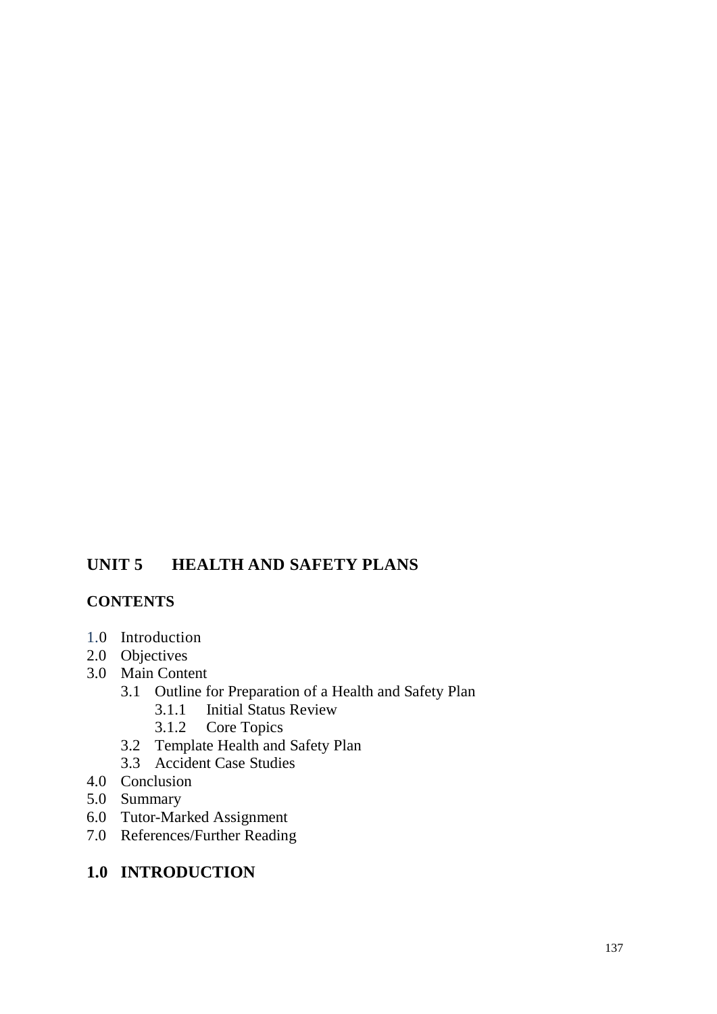# **UNIT 5 HEALTH AND SAFETY PLANS**

### **CONTENTS**

- 1.0 Introduction
- 2.0 Objectives
- 3.0 Main Content
	- 3.1 Outline for Preparation of a Health and Safety Plan<br>3.1.1 Initial Status Review
		- Initial Status Review
		- 3.1.2 Core Topics
	- 3.2 Template Health and Safety Plan
	- 3.3 Accident Case Studies
- 4.0 Conclusion
- 5.0 Summary
- 6.0 Tutor-Marked Assignment
- 7.0 References/Further Reading

# **1.0 INTRODUCTION**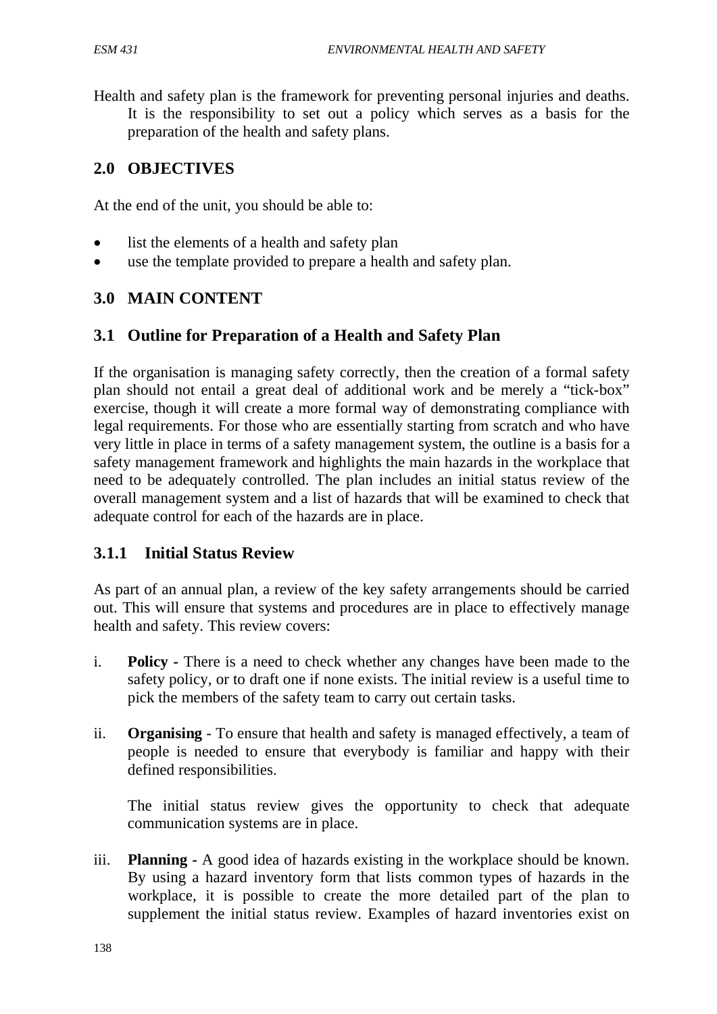Health and safety plan is the framework for preventing personal injuries and deaths. It is the responsibility to set out a policy which serves as a basis for the preparation of the health and safety plans.

## **2.0 OBJECTIVES**

At the end of the unit, you should be able to:

- list the elements of a health and safety plan
- use the template provided to prepare a health and safety plan.

### **3.0 MAIN CONTENT**

### **3.1 Outline for Preparation of a Health and Safety Plan**

If the organisation is managing safety correctly, then the creation of a formal safety plan should not entail a great deal of additional work and be merely a "tick-box" exercise, though it will create a more formal way of demonstrating compliance with legal requirements. For those who are essentially starting from scratch and who have very little in place in terms of a safety management system, the outline is a basis for a safety management framework and highlights the main hazards in the workplace that need to be adequately controlled. The plan includes an initial status review of the overall management system and a list of hazards that will be examined to check that adequate control for each of the hazards are in place.

## **3.1.1 Initial Status Review**

As part of an annual plan, a review of the key safety arrangements should be carried out. This will ensure that systems and procedures are in place to effectively manage health and safety. This review covers:

- i. **Policy** *-* There is a need to check whether any changes have been made to the safety policy, or to draft one if none exists. The initial review is a useful time to pick the members of the safety team to carry out certain tasks.
- ii. **Organising** To ensure that health and safety is managed effectively, a team of people is needed to ensure that everybody is familiar and happy with their defined responsibilities.

The initial status review gives the opportunity to check that adequate communication systems are in place.

iii. **Planning -** A good idea of hazards existing in the workplace should be known. By using a hazard inventory form that lists common types of hazards in the workplace, it is possible to create the more detailed part of the plan to supplement the initial status review. Examples of hazard inventories exist on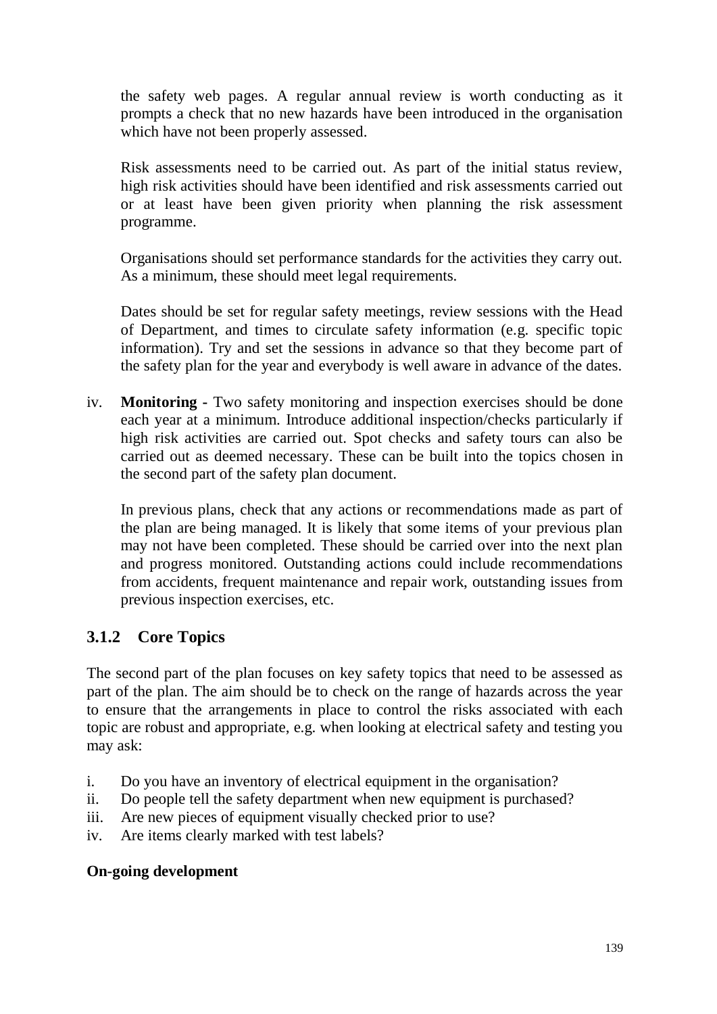the safety web pages. A regular annual review is worth conducting as it prompts a check that no new hazards have been introduced in the organisation which have not been properly assessed.

Risk assessments need to be carried out. As part of the initial status review, high risk activities should have been identified and risk assessments carried out or at least have been given priority when planning the risk assessment programme.

Organisations should set performance standards for the activities they carry out. As a minimum, these should meet legal requirements.

Dates should be set for regular safety meetings, review sessions with the Head of Department, and times to circulate safety information (e.g. specific topic information). Try and set the sessions in advance so that they become part of the safety plan for the year and everybody is well aware in advance of the dates.

iv. **Monitoring -** Two safety monitoring and inspection exercises should be done each year at a minimum. Introduce additional inspection/checks particularly if high risk activities are carried out. Spot checks and safety tours can also be carried out as deemed necessary. These can be built into the topics chosen in the second part of the safety plan document.

In previous plans, check that any actions or recommendations made as part of the plan are being managed. It is likely that some items of your previous plan may not have been completed. These should be carried over into the next plan and progress monitored. Outstanding actions could include recommendations from accidents, frequent maintenance and repair work, outstanding issues from previous inspection exercises, etc.

## **3.1.2 Core Topics**

The second part of the plan focuses on key safety topics that need to be assessed as part of the plan. The aim should be to check on the range of hazards across the year to ensure that the arrangements in place to control the risks associated with each topic are robust and appropriate, e.g. when looking at electrical safety and testing you may ask:

- i. Do you have an inventory of electrical equipment in the organisation?
- ii. Do people tell the safety department when new equipment is purchased?
- iii. Are new pieces of equipment visually checked prior to use?
- iv. Are items clearly marked with test labels?

#### **On-going development**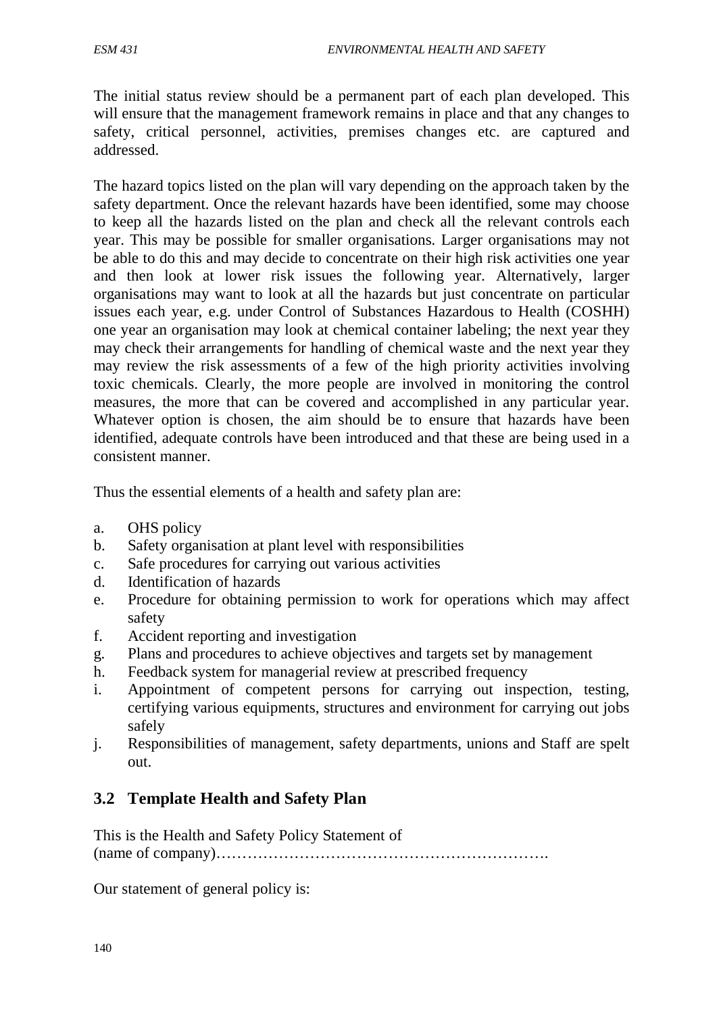The initial status review should be a permanent part of each plan developed. This will ensure that the management framework remains in place and that any changes to safety, critical personnel, activities, premises changes etc. are captured and addressed.

The hazard topics listed on the plan will vary depending on the approach taken by the safety department. Once the relevant hazards have been identified, some may choose to keep all the hazards listed on the plan and check all the relevant controls each year. This may be possible for smaller organisations. Larger organisations may not be able to do this and may decide to concentrate on their high risk activities one year and then look at lower risk issues the following year. Alternatively, larger organisations may want to look at all the hazards but just concentrate on particular issues each year, e.g. under Control of Substances Hazardous to Health (COSHH) one year an organisation may look at chemical container labeling; the next year they may check their arrangements for handling of chemical waste and the next year they may review the risk assessments of a few of the high priority activities involving toxic chemicals. Clearly, the more people are involved in monitoring the control measures, the more that can be covered and accomplished in any particular year. Whatever option is chosen, the aim should be to ensure that hazards have been identified, adequate controls have been introduced and that these are being used in a consistent manner.

Thus the essential elements of a health and safety plan are:

- a. OHS policy
- b. Safety organisation at plant level with responsibilities
- c. Safe procedures for carrying out various activities
- d. Identification of hazards
- e. Procedure for obtaining permission to work for operations which may affect safety
- f. Accident reporting and investigation
- g. Plans and procedures to achieve objectives and targets set by management
- h. Feedback system for managerial review at prescribed frequency
- i. Appointment of competent persons for carrying out inspection, testing, certifying various equipments, structures and environment for carrying out jobs safely
- j. Responsibilities of management, safety departments, unions and Staff are spelt out.

## **3.2 Template Health and Safety Plan**

This is the Health and Safety Policy Statement of (name of company)……………………………………………………….

Our statement of general policy is: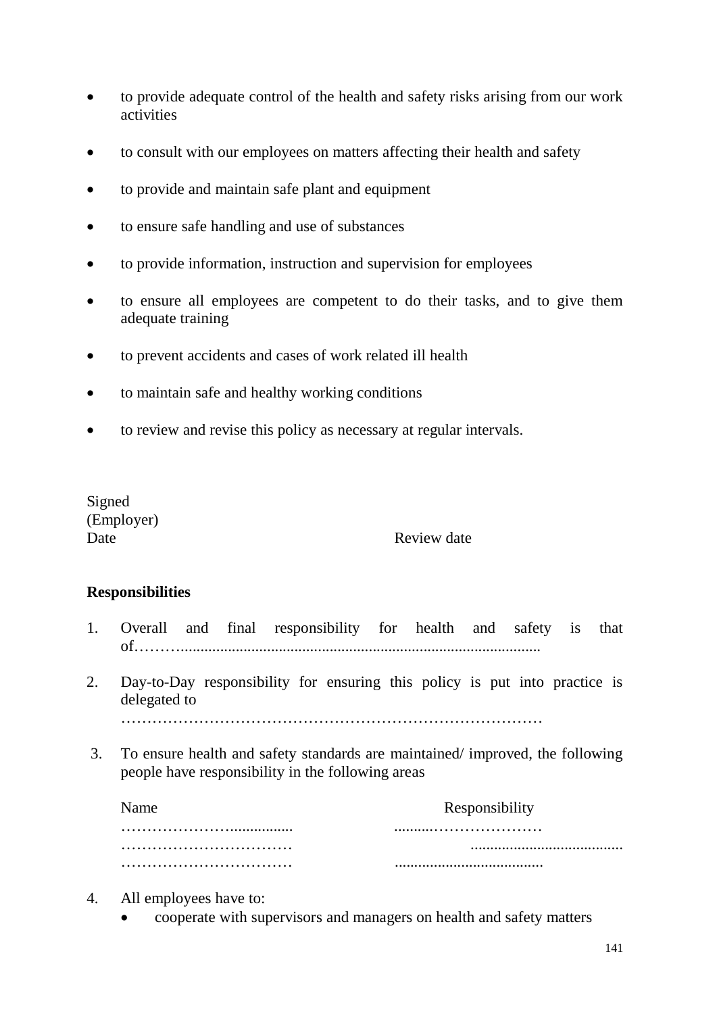- to provide adequate control of the health and safety risks arising from our work activities
- to consult with our employees on matters affecting their health and safety
- to provide and maintain safe plant and equipment
- to ensure safe handling and use of substances
- to provide information, instruction and supervision for employees
- to ensure all employees are competent to do their tasks, and to give them adequate training
- to prevent accidents and cases of work related ill health
- to maintain safe and healthy working conditions
- to review and revise this policy as necessary at regular intervals.

Signed (Employer)

### Date Review date

### **Responsibilities**

- 1. Overall and final responsibility for health and safety is that of………............................................................................................
- 2. Day-to-Day responsibility for ensuring this policy is put into practice is delegated to

………………………………………………………………………

3. To ensure health and safety standards are maintained/ improved, the following people have responsibility in the following areas

| Name | Responsibility |
|------|----------------|
|      |                |
|      |                |
|      |                |

- 4. All employees have to:
	- cooperate with supervisors and managers on health and safety matters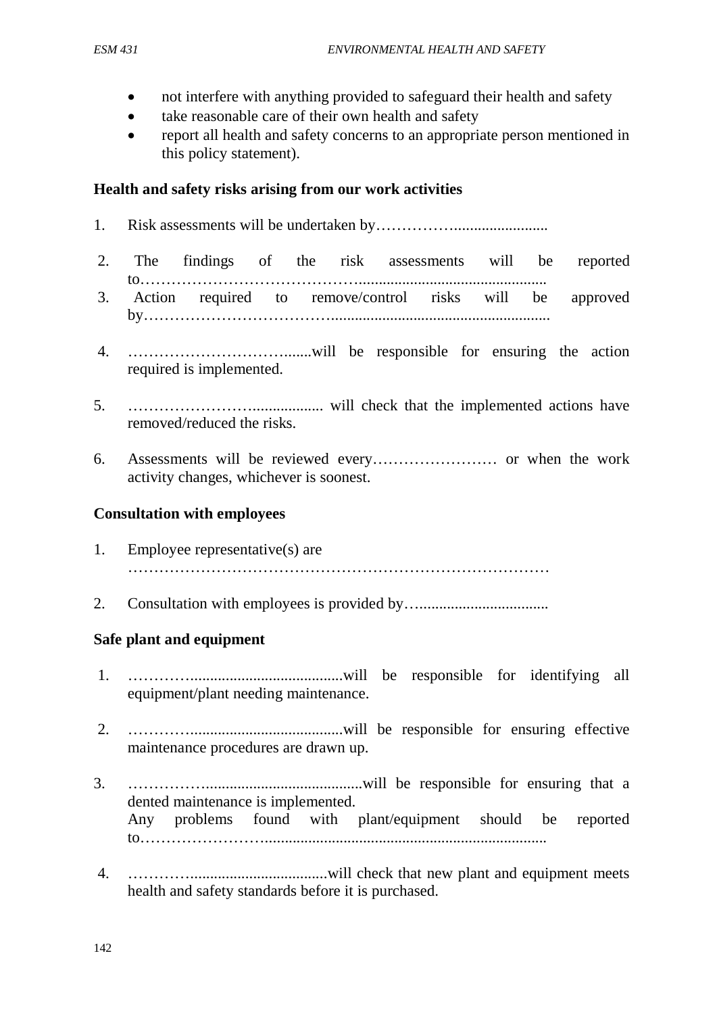- not interfere with anything provided to safeguard their health and safety
- take reasonable care of their own health and safety
- report all health and safety concerns to an appropriate person mentioned in this policy statement).

### **Health and safety risks arising from our work activities**

- 1. Risk assessments will be undertaken by……………........................
- 2. The findings of the risk assessments will be reported to……………………………………................................................ 3. Action required to remove/control risks will be approved by………………………………........................................................
- 4. ………………………….......will be responsible for ensuring the action required is implemented.
- 5. …………………….................. will check that the implemented actions have removed/reduced the risks.
- 6. Assessments will be reviewed every…………………… or when the work activity changes, whichever is soonest.

### **Consultation with employees**

- 1. Employee representative(s) are ………………………………………………………………………
- 2. Consultation with employees is provided by...................................

## **Safe plant and equipment**

- 1. ………….......................................will be responsible for identifying all equipment/plant needing maintenance.
- 2. ………….......................................will be responsible for ensuring effective maintenance procedures are drawn up.
- 3. ……………........................................will be responsible for ensuring that a dented maintenance is implemented. Any problems found with plant/equipment should be reported to……………………........................................................................
- 4. …………...................................will check that new plant and equipment meets health and safety standards before it is purchased.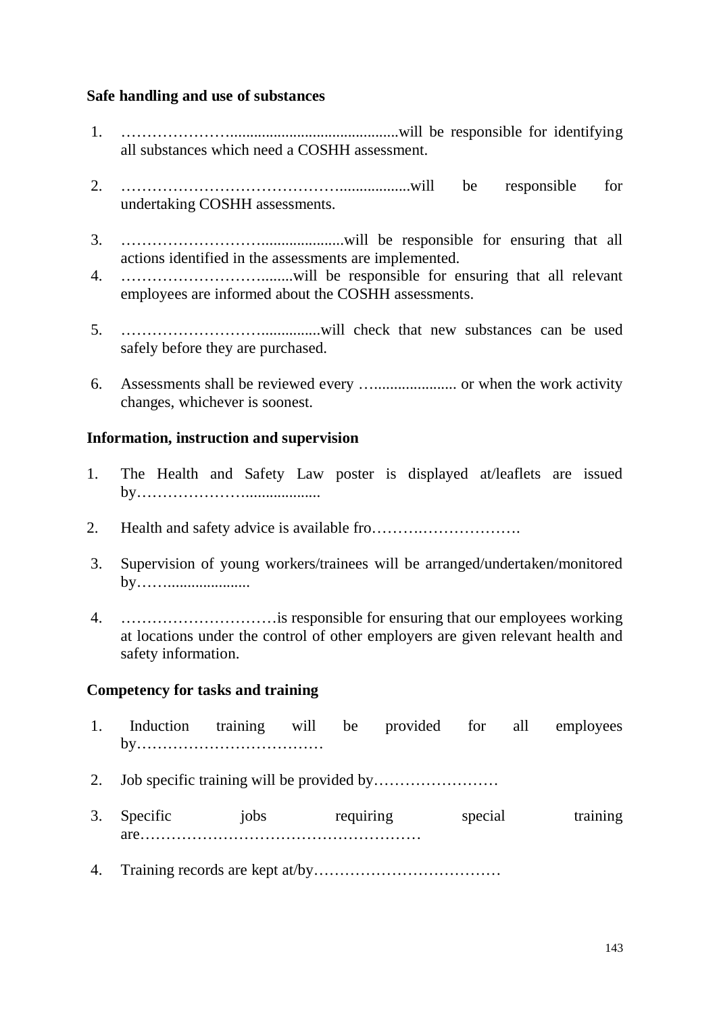#### **Safe handling and use of substances**

- 1. …………………...........................................will be responsible for identifying all substances which need a COSHH assessment.
- 2. ……………………………………..................will be responsible for undertaking COSHH assessments.
- 3. ……………………….....................will be responsible for ensuring that all actions identified in the assessments are implemented.
- 4. ………………………........will be responsible for ensuring that all relevant employees are informed about the COSHH assessments.
- 5. ………………………...............will check that new substances can be used safely before they are purchased.
- 6. Assessments shall be reviewed every …..................... or when the work activity changes, whichever is soonest.

### **Information, instruction and supervision**

- 1. The Health and Safety Law poster is displayed at/leaflets are issued by…………………...................
- 2. Health and safety advice is available fro……….……………….
- 3. Supervision of young workers/trainees will be arranged/undertaken/monitored by…….....................
- 4. …………………………is responsible for ensuring that our employees working at locations under the control of other employers are given relevant health and safety information.

### **Competency for tasks and training**

1. Induction training will be provided for all employees by……………………………… 2. Job specific training will be provided by…………………… 3. Specific iobs requiring special training are……………………………………………… 4. Training records are kept at/by………………………………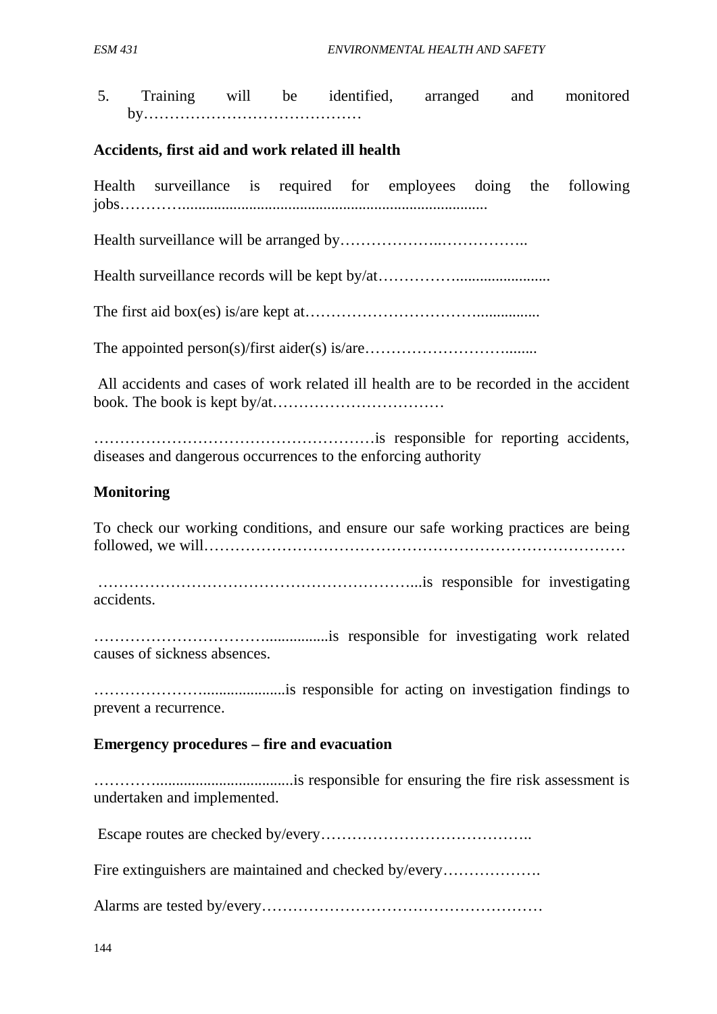5. Training will be identified, arranged and monitored by……………………………………

#### **Accidents, first aid and work related ill health**

Health surveillance is required for employees doing the following jobs…………..............................................................................

Health surveillance will be arranged by………………..……………..

Health surveillance records will be kept by/at…………………………………………………………………………………………

The first aid box(es) is/are kept at……………………………................

The appointed person(s)/first aider(s) is/are………………………........

All accidents and cases of work related ill health are to be recorded in the accident book. The book is kept by/at……………………………

………………………………………………is responsible for reporting accidents, diseases and dangerous occurrences to the enforcing authority

#### **Monitoring**

To check our working conditions, and ensure our safe working practices are being followed, we will………………………………………………………………………

……………………………………………………...is responsible for investigating accidents.

……………………………................is responsible for investigating work related causes of sickness absences.

………………….....................is responsible for acting on investigation findings to prevent a recurrence.

#### **Emergency procedures – fire and evacuation**

…………...................................is responsible for ensuring the fire risk assessment is undertaken and implemented.

Escape routes are checked by/every…………………………………..

Fire extinguishers are maintained and checked by/every……………….

Alarms are tested by/every………………………………………………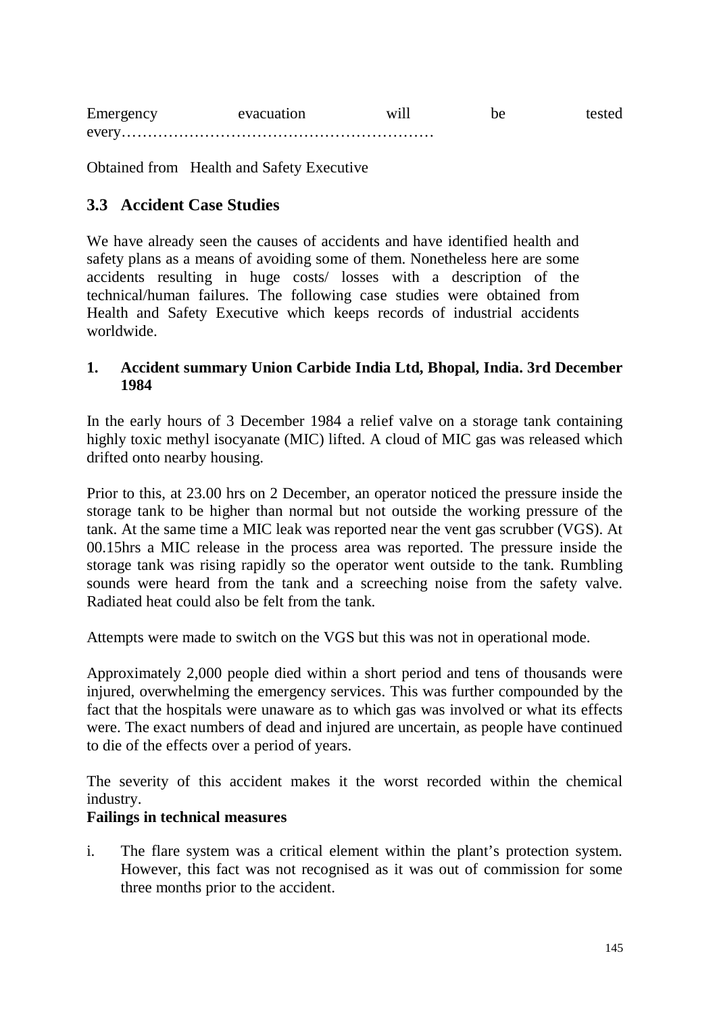| Emergency | evacuation | W <sub>1</sub> . |  |
|-----------|------------|------------------|--|
|           |            |                  |  |

Obtained from Health and Safety Executive

## **3.3 Accident Case Studies**

We have already seen the causes of accidents and have identified health and safety plans as a means of avoiding some of them. Nonetheless here are some accidents resulting in huge costs/ losses with a description of the technical/human failures. The following case studies were obtained from Health and Safety Executive which keeps records of industrial accidents worldwide.

### **1. Accident summary Union Carbide India Ltd, Bhopal, India. 3rd December 1984**

In the early hours of 3 December 1984 a relief valve on a storage tank containing highly toxic methyl isocyanate (MIC) lifted. A cloud of MIC gas was released which drifted onto nearby housing.

Prior to this, at 23.00 hrs on 2 December, an operator noticed the pressure inside the storage tank to be higher than normal but not outside the working pressure of the tank. At the same time a MIC leak was reported near the vent gas scrubber (VGS). At 00.15hrs a MIC release in the process area was reported. The pressure inside the storage tank was rising rapidly so the operator went outside to the tank. Rumbling sounds were heard from the tank and a screeching noise from the safety valve. Radiated heat could also be felt from the tank.

Attempts were made to switch on the VGS but this was not in operational mode.

Approximately 2,000 people died within a short period and tens of thousands were injured, overwhelming the emergency services. This was further compounded by the fact that the hospitals were unaware as to which gas was involved or what its effects were. The exact numbers of dead and injured are uncertain, as people have continued to die of the effects over a period of years.

The severity of this accident makes it the worst recorded within the chemical industry.

### **Failings in technical measures**

i. The flare system was a critical element within the plant's protection system. However, this fact was not recognised as it was out of commission for some three months prior to the accident.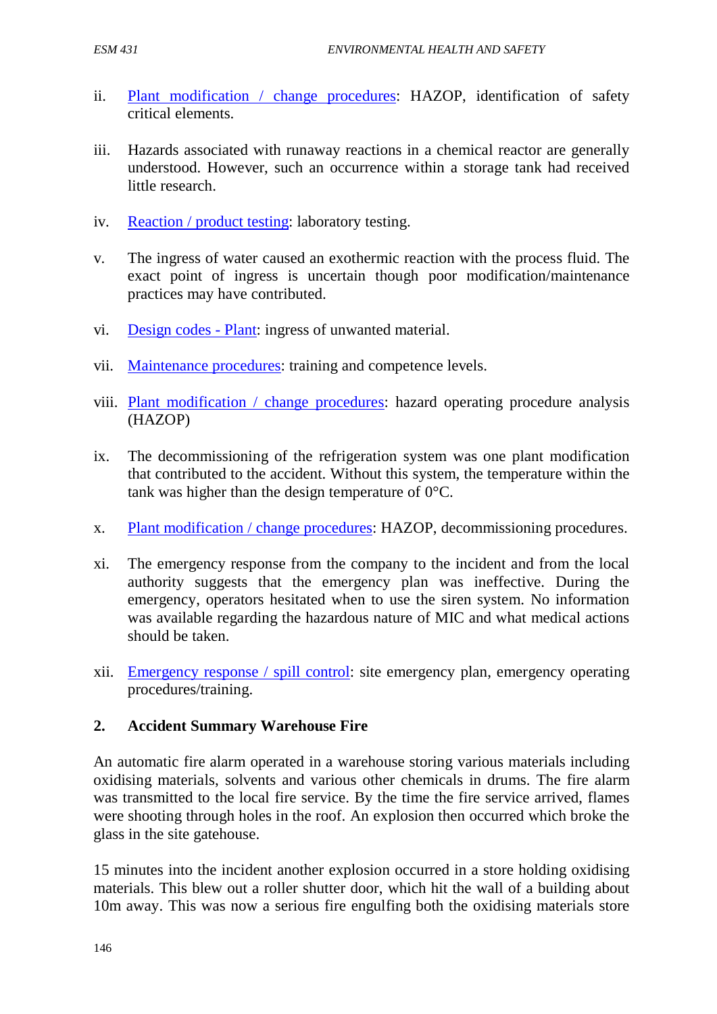- ii. Plant modification / change procedures: HAZOP, identification of safety critical elements.
- iii. Hazards associated with runaway reactions in a chemical reactor are generally understood. However, such an occurrence within a storage tank had received little research.
- iv. Reaction / product testing: laboratory testing.
- v. The ingress of water caused an exothermic reaction with the process fluid. The exact point of ingress is uncertain though poor modification/maintenance practices may have contributed.
- vi. Design codes Plant: ingress of unwanted material.
- vii. Maintenance procedures: training and competence levels.
- viii. Plant modification / change procedures: hazard operating procedure analysis (HAZOP)
- ix. The decommissioning of the refrigeration system was one plant modification that contributed to the accident. Without this system, the temperature within the tank was higher than the design temperature of 0°C.
- x. Plant modification / change procedures: HAZOP, decommissioning procedures.
- xi. The emergency response from the company to the incident and from the local authority suggests that the emergency plan was ineffective. During the emergency, operators hesitated when to use the siren system. No information was available regarding the hazardous nature of MIC and what medical actions should be taken.
- xii. Emergency response / spill control: site emergency plan, emergency operating procedures/training.

#### **2. Accident Summary Warehouse Fire**

An automatic fire alarm operated in a warehouse storing various materials including oxidising materials, solvents and various other chemicals in drums. The fire alarm was transmitted to the local fire service. By the time the fire service arrived, flames were shooting through holes in the roof. An explosion then occurred which broke the glass in the site gatehouse.

15 minutes into the incident another explosion occurred in a store holding oxidising materials. This blew out a roller shutter door, which hit the wall of a building about 10m away. This was now a serious fire engulfing both the oxidising materials store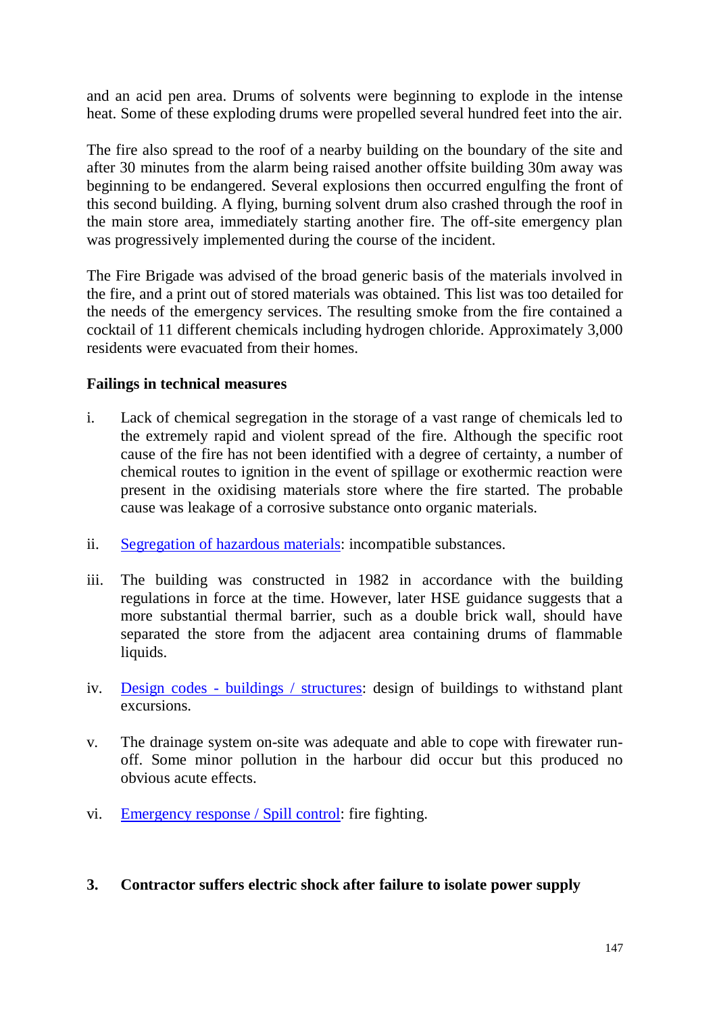and an acid pen area. Drums of solvents were beginning to explode in the intense heat. Some of these exploding drums were propelled several hundred feet into the air.

The fire also spread to the roof of a nearby building on the boundary of the site and after 30 minutes from the alarm being raised another offsite building 30m away was beginning to be endangered. Several explosions then occurred engulfing the front of this second building. A flying, burning solvent drum also crashed through the roof in the main store area, immediately starting another fire. The off-site emergency plan was progressively implemented during the course of the incident.

The Fire Brigade was advised of the broad generic basis of the materials involved in the fire, and a print out of stored materials was obtained. This list was too detailed for the needs of the emergency services. The resulting smoke from the fire contained a cocktail of 11 different chemicals including hydrogen chloride. Approximately 3,000 residents were evacuated from their homes.

### **Failings in technical measures**

- i. Lack of chemical segregation in the storage of a vast range of chemicals led to the extremely rapid and violent spread of the fire. Although the specific root cause of the fire has not been identified with a degree of certainty, a number of chemical routes to ignition in the event of spillage or exothermic reaction were present in the oxidising materials store where the fire started. The probable cause was leakage of a corrosive substance onto organic materials.
- ii. [Segregation of hazardous materials:](http://www.hse.gov.uk/comah/sragtech/techmeassegregat.htm) incompatible substances.
- iii. The building was constructed in 1982 in accordance with the building regulations in force at the time. However, later HSE guidance suggests that a more substantial thermal barrier, such as a double brick wall, should have separated the store from the adjacent area containing drums of flammable liquids.
- iv. Design codes [buildings / structures:](http://www.hse.gov.uk/comah/sragtech/techmeasbuilding.htm) design of buildings to withstand plant excursions.
- v. The drainage system on-site was adequate and able to cope with firewater runoff. Some minor pollution in the harbour did occur but this produced no obvious acute effects.
- vi. [Emergency response / Spill control:](http://www.hse.gov.uk/comah/sragtech/techmeasspill.htm) fire fighting.

### **3. Contractor suffers electric shock after failure to isolate power supply**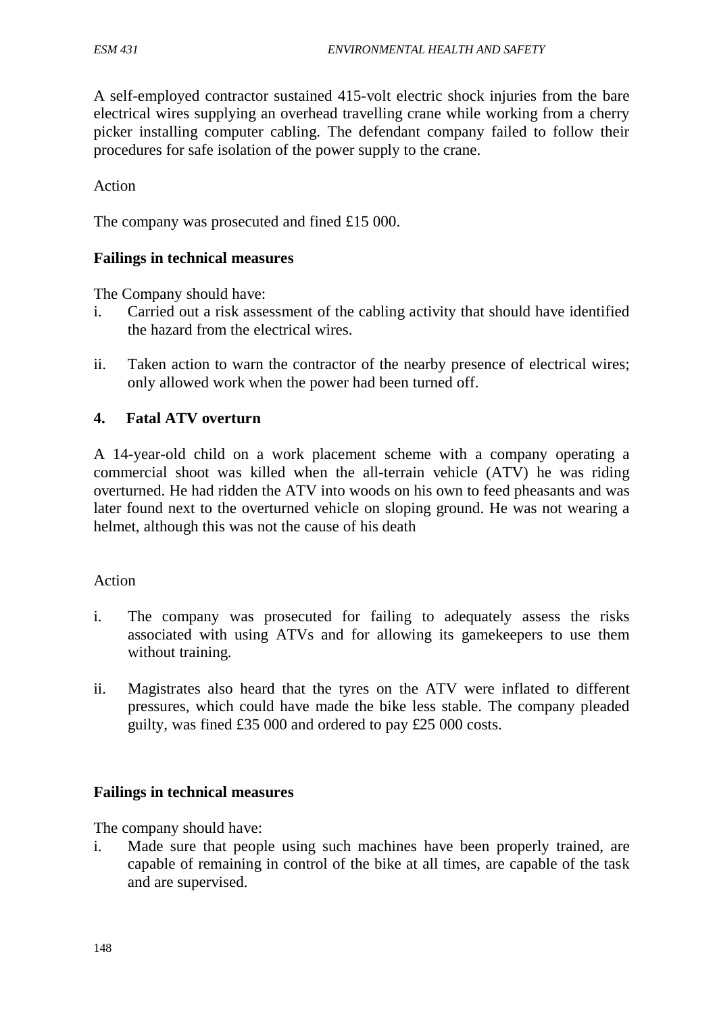A self-employed contractor sustained 415-volt electric shock injuries from the bare electrical wires supplying an overhead travelling crane while working from a cherry picker installing computer cabling. The defendant company failed to follow their procedures for safe isolation of the power supply to the crane.

Action

The company was prosecuted and fined £15 000.

#### **Failings in technical measures**

The Company should have:

- i. Carried out a risk assessment of the cabling activity that should have identified the hazard from the electrical wires.
- ii. Taken action to warn the contractor of the nearby presence of electrical wires; only allowed work when the power had been turned off.

#### **4. Fatal ATV overturn**

A 14-year-old child on a work placement scheme with a company operating a commercial shoot was killed when the all-terrain vehicle (ATV) he was riding overturned. He had ridden the ATV into woods on his own to feed pheasants and was later found next to the overturned vehicle on sloping ground. He was not wearing a helmet, although this was not the cause of his death

#### Action

- i. The company was prosecuted for failing to adequately assess the risks associated with using ATVs and for allowing its gamekeepers to use them without training.
- ii. Magistrates also heard that the tyres on the ATV were inflated to different pressures, which could have made the bike less stable. The company pleaded guilty, was fined £35 000 and ordered to pay £25 000 costs.

#### **Failings in technical measures**

The company should have:

i. Made sure that people using such machines have been properly trained, are capable of remaining in control of the bike at all times, are capable of the task and are supervised.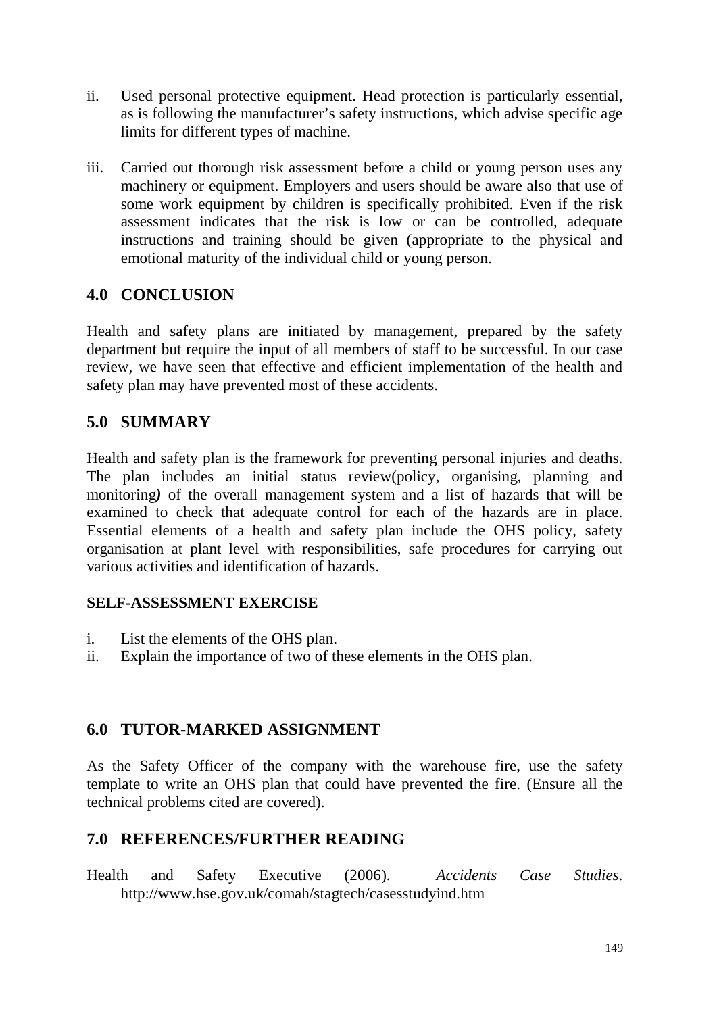- ii. Used personal protective equipment. Head protection is particularly essential, as is following the manufacturer's safety instructions, which advise specific age limits for different types of machine.
- iii. Carried out thorough risk assessment before a child or young person uses any machinery or equipment. Employers and users should be aware also that use of some work equipment by children is specifically prohibited. Even if the risk assessment indicates that the risk is low or can be controlled, adequate instructions and training should be given (appropriate to the physical and emotional maturity of the individual child or young person.

# **4.0 CONCLUSION**

Health and safety plans are initiated by management, prepared by the safety department but require the input of all members of staff to be successful. In our case review, we have seen that effective and efficient implementation of the health and safety plan may have prevented most of these accidents.

# **5.0 SUMMARY**

Health and safety plan is the framework for preventing personal injuries and deaths. The plan includes an initial status review(policy, organising, planning and monitoring*)* of the overall management system and a list of hazards that will be examined to check that adequate control for each of the hazards are in place. Essential elements of a health and safety plan include the OHS policy, safety organisation at plant level with responsibilities, safe procedures for carrying out various activities and identification of hazards.

## **SELF-ASSESSMENT EXERCISE**

- i. List the elements of the OHS plan.
- ii. Explain the importance of two of these elements in the OHS plan.

# **6.0 TUTOR-MARKED ASSIGNMENT**

As the Safety Officer of the company with the warehouse fire, use the safety template to write an OHS plan that could have prevented the fire. (Ensure all the technical problems cited are covered).

# **7.0 REFERENCES/FURTHER READING**

Health and Safety Executive (2006). *Accidents Case Studies*. http://www.hse.gov.uk/comah/stagtech/casesstudyind.htm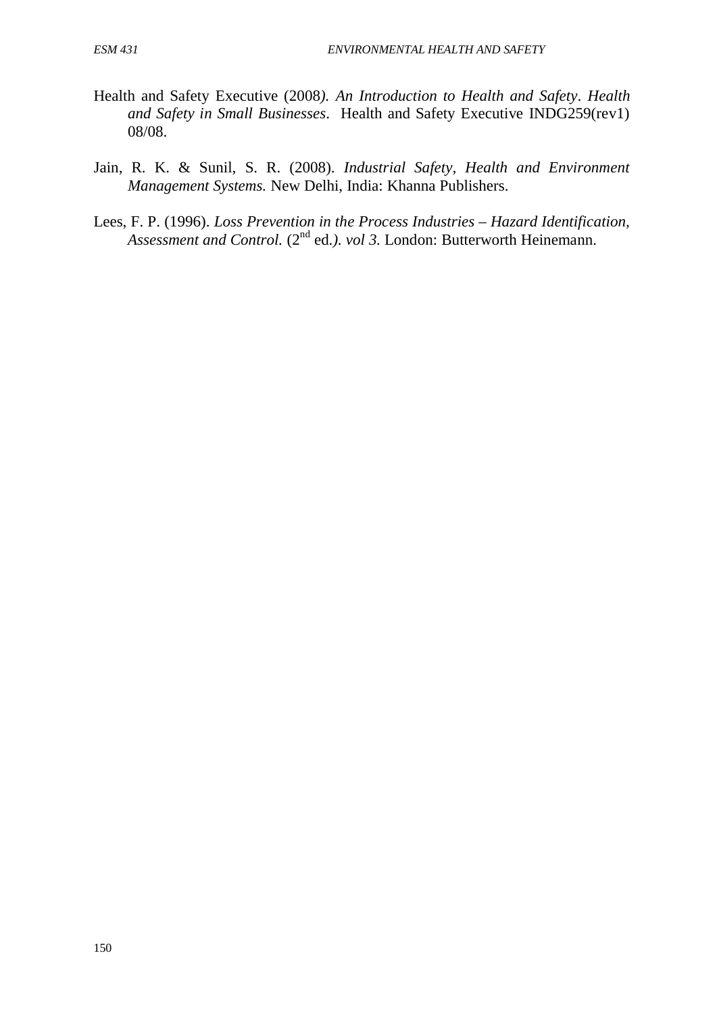- Health and Safety Executive (2008*). An Introduction to Health and Safety*. *Health and Safety in Small Businesses*. Health and Safety Executive INDG259(rev1) 08/08.
- Jain, R. K. & Sunil, S. R. (2008). *Industrial Safety, Health and Environment Management Systems.* New Delhi, India: Khanna Publishers.
- Lees, F. P. (1996). *Loss Prevention in the Process Industries – Hazard Identification,*  Assessment and Control. (2<sup>nd</sup> ed.). *vol 3.* London: Butterworth Heinemann.